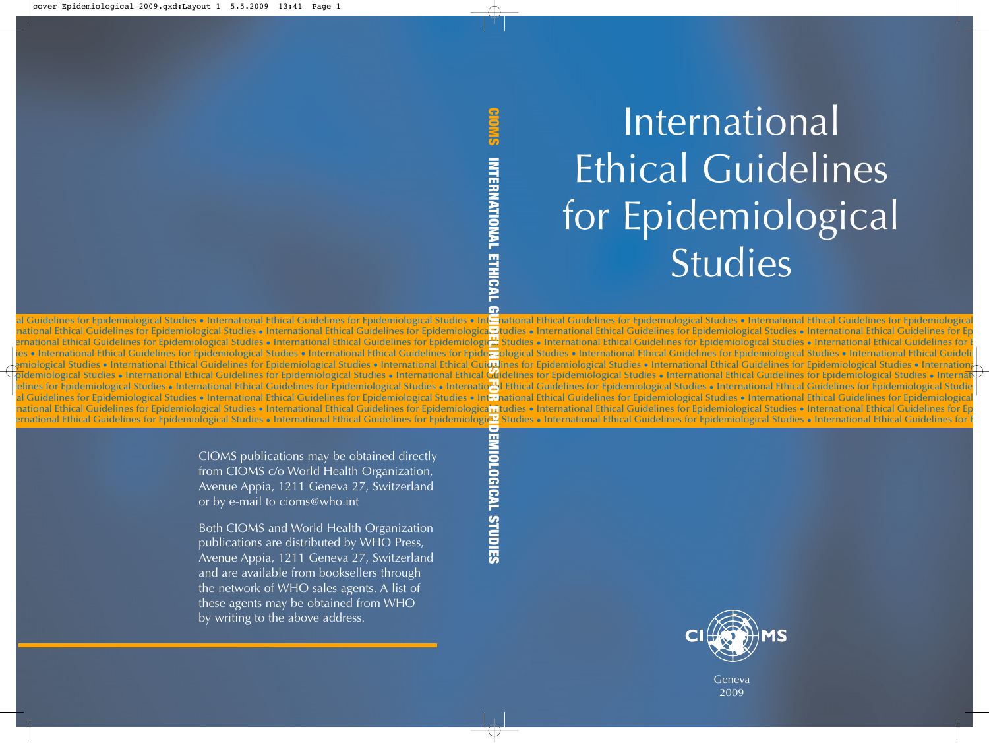# International Ethical Guidelines for Epidemiological **Studies**

cal Guidelines for Epidemiological Studies • International Ethical Guidelines for Epidemiological Studies • International Ethical Guidelines for Epidemiological Studies • International Ethical Guidelines for Epidemiological ruation international Ethical Guidelines for Epidemiological Studies • International Ethical Guidelines for Epi itudies • International Ethical Guidelines for Epidemiological Studies • International Ethical Guidelines for logical Studies • International Ethical Guidelines for Epidemiological Studies • International Ethical Guid nes for Epidemiological Studies • International Ethical Guidelines for Epidemiological Studies • Internati pidemiological Studies • International Ethical Guidelines for Epidemiological Studies • International Ethical Guidelines for Epidemiological Studies • International Ethical Guidelines for Epidemiological Studies • Internati Ethical Guidelines for Epidemiological Studies • International Ethical Guidelines for Epidemiological Stu ational Ethical Guidelines for Epidemiological Studies • International Ethical Guidelines for Epidemiolog rnational Ethical Guidelines for Epidemiological Studies • International Ethical Guidelines for Epidemiological Fudies • International Ethical Guidelines for Epidemiological Studies • International Ethical Guidelines for Epidemiological Studies • International Ethical Guidelines for Epidemiological Studies • International Ethical Gu

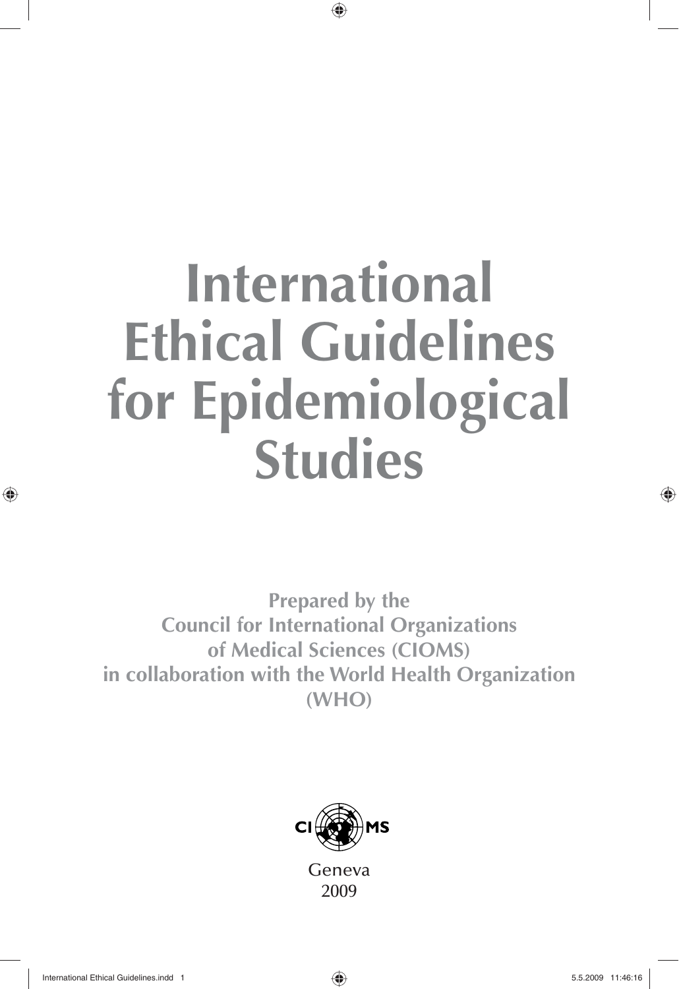## **International Ethical Guidelines for Epidemiological Studies**

**Prepared by the Council for International Organizations of Medical Sciences (CIOMS) in collaboration with the World Health Organization (WHO)**

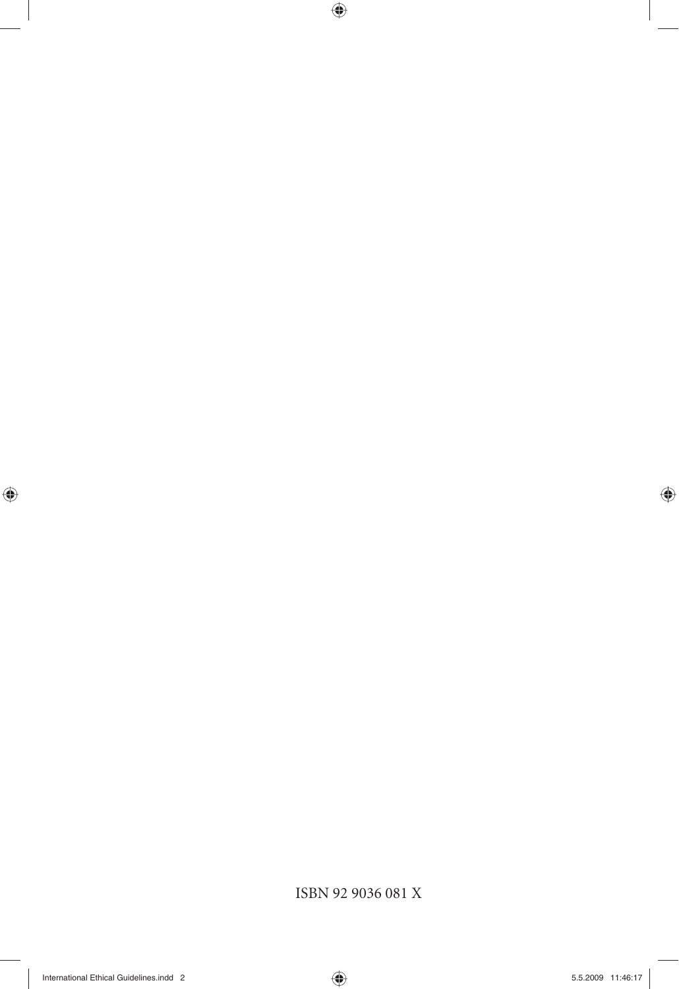ISBN 92 9036 081 X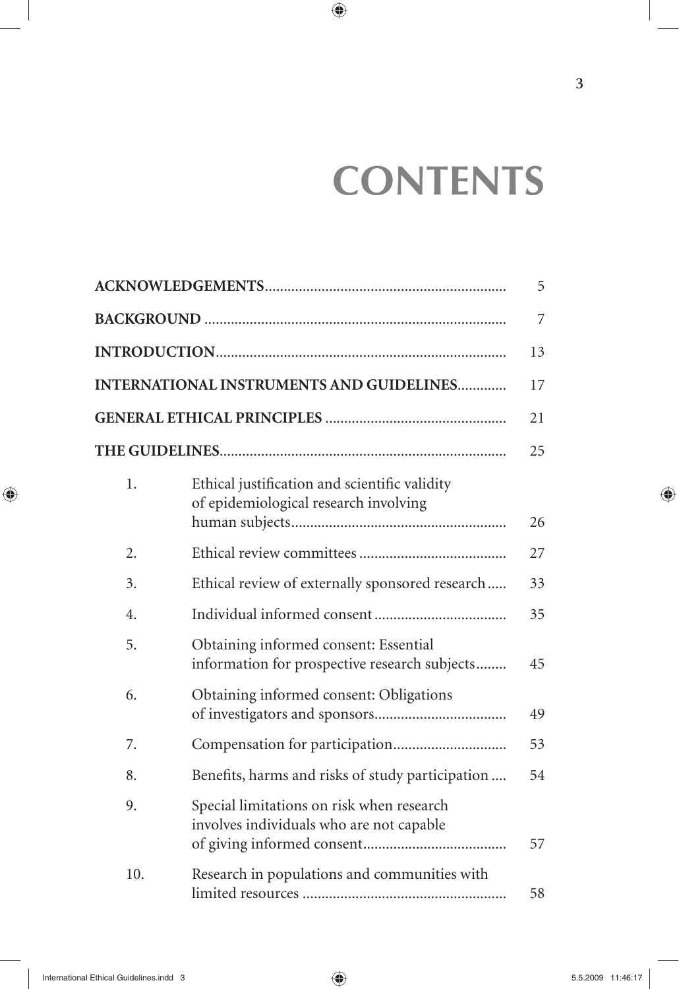### **CONTENTS**

|     |                                                                                        | 7  |
|-----|----------------------------------------------------------------------------------------|----|
|     |                                                                                        | 13 |
|     | <b>INTERNATIONAL INSTRUMENTS AND GUIDELINES</b>                                        | 17 |
|     |                                                                                        | 21 |
|     |                                                                                        | 25 |
| 1.  | Ethical justification and scientific validity<br>of epidemiological research involving | 26 |
| 2.  |                                                                                        | 27 |
| 3.  | Ethical review of externally sponsored research                                        | 33 |
| 4.  |                                                                                        | 35 |
| 5.  | Obtaining informed consent: Essential<br>information for prospective research subjects | 45 |
| 6.  | Obtaining informed consent: Obligations                                                | 49 |
| 7.  |                                                                                        | 53 |
| 8.  | Benefits, harms and risks of study participation                                       | 54 |
| 9.  | Special limitations on risk when research<br>involves individuals who are not capable  | 57 |
| 10. | Research in populations and communities with                                           | 58 |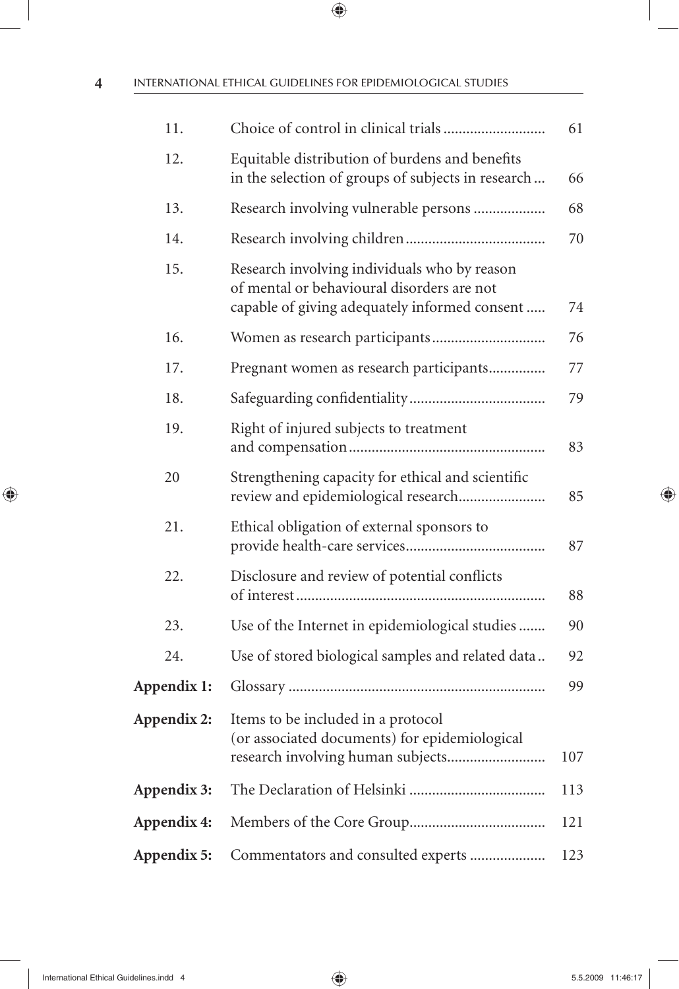| 11.         |                                                                                                                                             | 61  |
|-------------|---------------------------------------------------------------------------------------------------------------------------------------------|-----|
| 12.         | Equitable distribution of burdens and benefits<br>in the selection of groups of subjects in research                                        | 66  |
| 13.         | Research involving vulnerable persons                                                                                                       | 68  |
| 14.         |                                                                                                                                             | 70  |
| 15.         | Research involving individuals who by reason<br>of mental or behavioural disorders are not<br>capable of giving adequately informed consent | 74  |
| 16.         |                                                                                                                                             | 76  |
| 17.         | Pregnant women as research participants                                                                                                     | 77  |
| 18.         |                                                                                                                                             | 79  |
| 19.         | Right of injured subjects to treatment                                                                                                      | 83  |
| 20          | Strengthening capacity for ethical and scientific<br>review and epidemiological research                                                    | 85  |
| 21.         | Ethical obligation of external sponsors to                                                                                                  | 87  |
| 22.         | Disclosure and review of potential conflicts                                                                                                | 88  |
| 23.         | Use of the Internet in epidemiological studies                                                                                              | 90  |
| 24.         | Use of stored biological samples and related data                                                                                           | 92  |
| Appendix 1: |                                                                                                                                             | 99  |
| Appendix 2: | Items to be included in a protocol<br>(or associated documents) for epidemiological                                                         | 107 |
| Appendix 3: |                                                                                                                                             | 113 |
| Appendix 4: |                                                                                                                                             | 121 |
| Appendix 5: | Commentators and consulted experts                                                                                                          | 123 |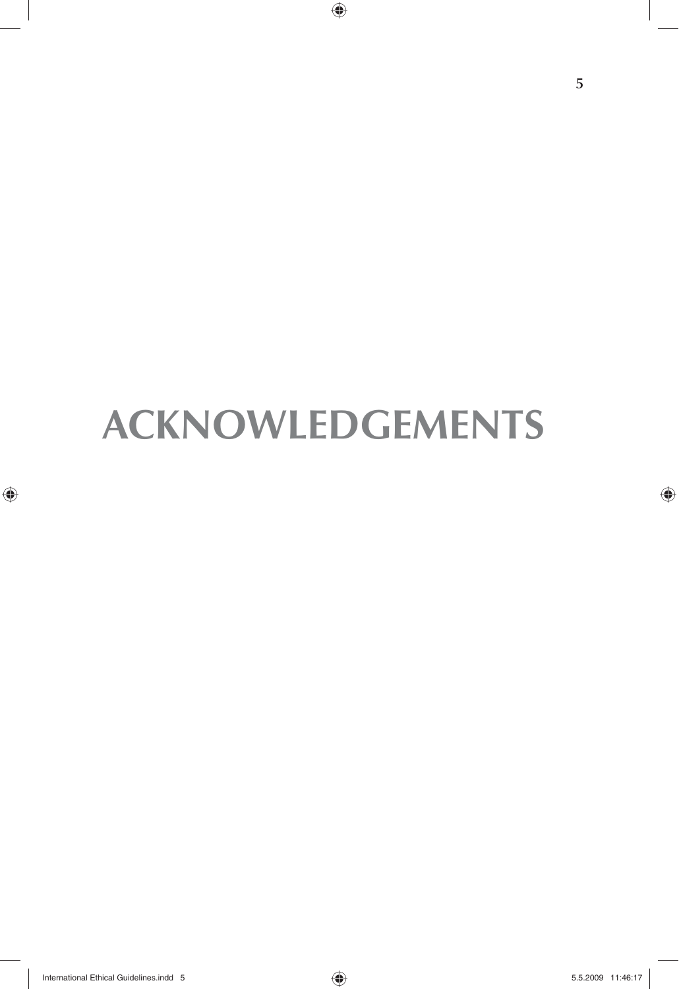### **ACKNOWLEDGEMENTS**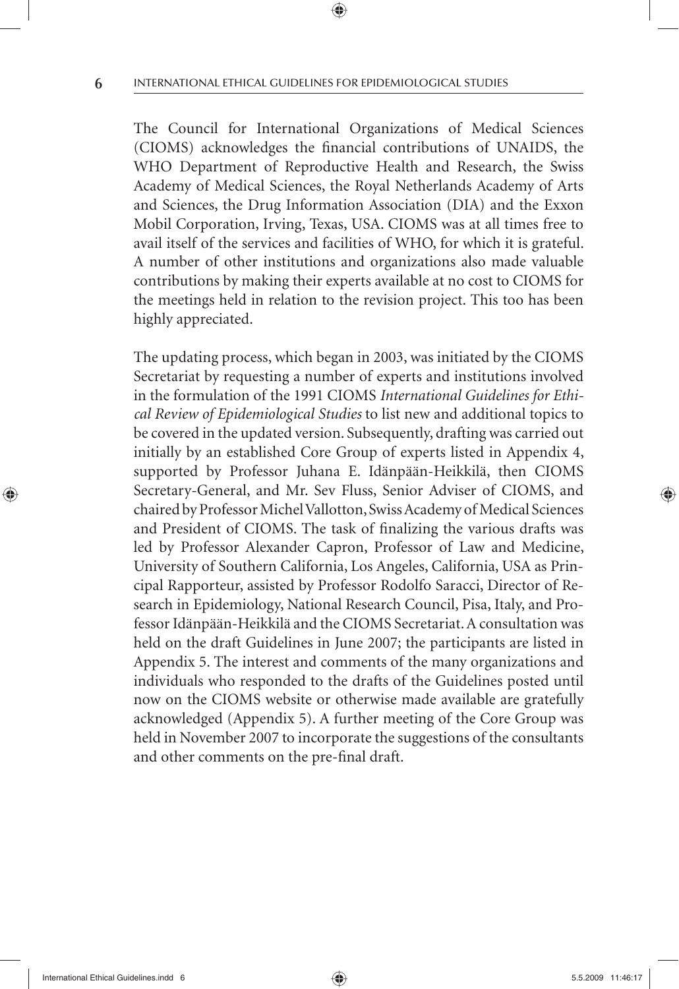#### **6** INTERNATIONAL ETHICAL GUIDELINES FOR EPIDEMIOLOGICAL STUDIES

The Council for International Organizations of Medical Sciences (CIOMS) acknowledges the financial contributions of UNAIDS, the WHO Department of Reproductive Health and Research, the Swiss Academy of Medical Sciences, the Royal Netherlands Academy of Arts and Sciences, the Drug Information Association (DIA) and the Exxon Mobil Corporation, Irving, Texas, USA. CIOMS was at all times free to avail itself of the services and facilities of WHO, for which it is grateful. A number of other institutions and organizations also made valuable contributions by making their experts available at no cost to CIOMS for the meetings held in relation to the revision project. This too has been highly appreciated.

The updating process, which began in 2003, was initiated by the CIOMS Secretariat by requesting a number of experts and institutions involved in the formulation of the 1991 CIOMS *International Guidelines for Ethical Review of Epidemiological Studies* to list new and additional topics to be covered in the updated version. Subsequently, drafting was carried out initially by an established Core Group of experts listed in Appendix 4, supported by Professor Juhana E. Idänpään-Heikkilä, then CIOMS Secretary-General, and Mr. Sev Fluss, Senior Adviser of CIOMS, and chaired by Professor Michel Vallotton, Swiss Academy of Medical Sciences and President of CIOMS. The task of finalizing the various drafts was led by Professor Alexander Capron, Professor of Law and Medicine, University of Southern California, Los Angeles, California, USA as Principal Rapporteur, assisted by Professor Rodolfo Saracci, Director of Research in Epidemiology, National Research Council, Pisa, Italy, and Professor Idänpään-Heikkilä and the CIOMS Secretariat. A consultation was held on the draft Guidelines in June 2007; the participants are listed in Appendix 5. The interest and comments of the many organizations and individuals who responded to the drafts of the Guidelines posted until now on the CIOMS website or otherwise made available are gratefully acknowledged (Appendix 5). A further meeting of the Core Group was held in November 2007 to incorporate the suggestions of the consultants and other comments on the pre-final draft.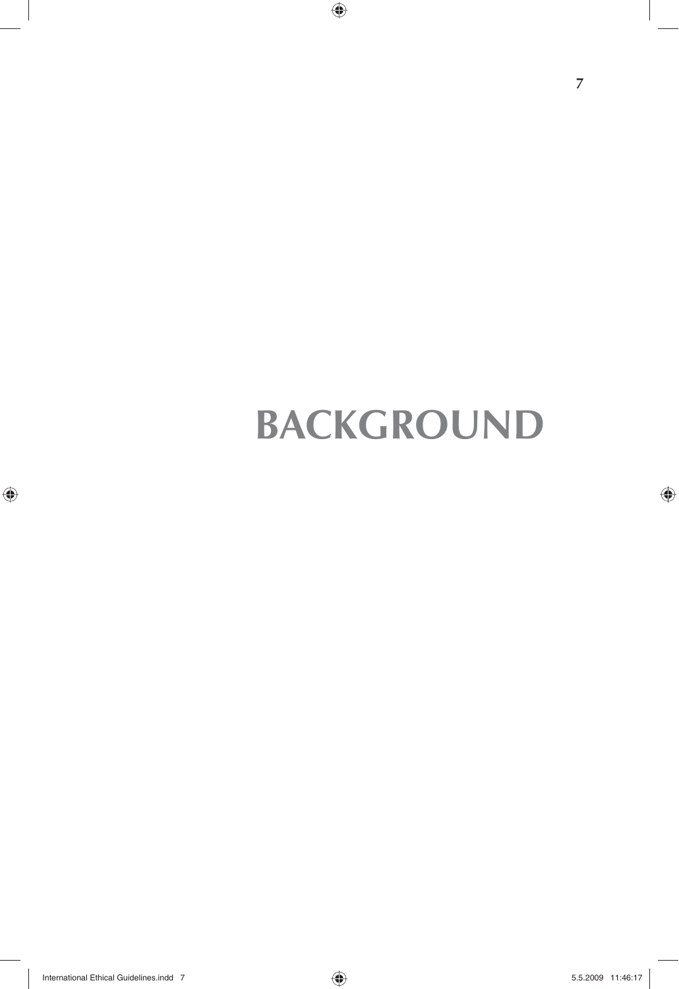### **BACKGROUND**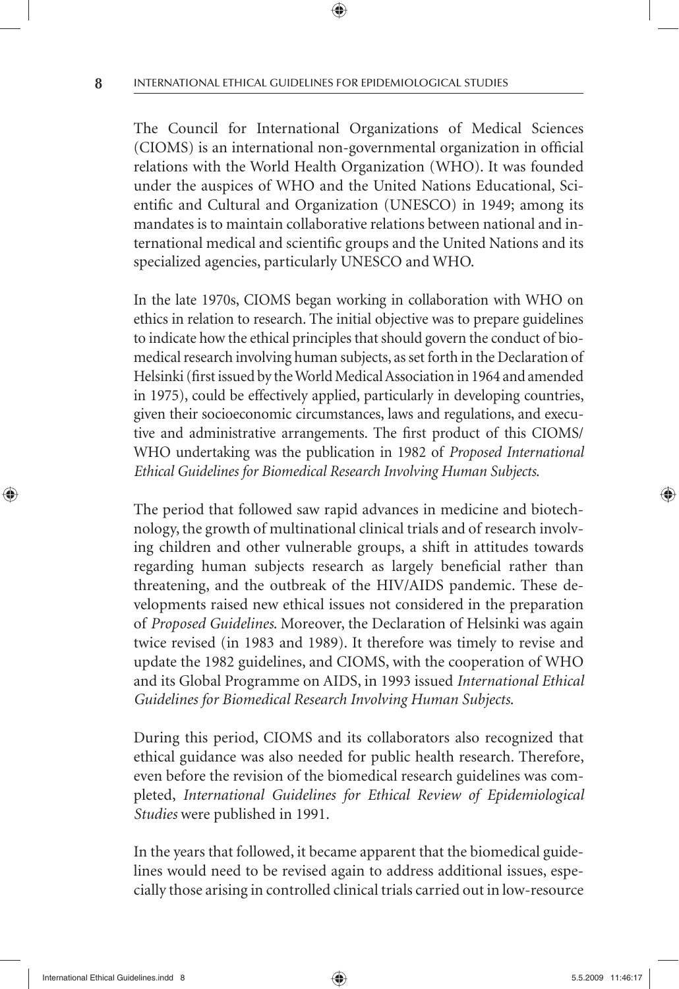The Council for International Organizations of Medical Sciences (CIOMS) is an international non-governmental organization in official relations with the World Health Organization (WHO). It was founded under the auspices of WHO and the United Nations Educational, Scientific and Cultural and Organization (UNESCO) in 1949; among its mandates is to maintain collaborative relations between national and international medical and scientific groups and the United Nations and its specialized agencies, particularly UNESCO and WHO.

In the late 1970s, CIOMS began working in collaboration with WHO on ethics in relation to research. The initial objective was to prepare guidelines to indicate how the ethical principles that should govern the conduct of biomedical research involving human subjects, as set forth in the Declaration of Helsinki (first issued by the World Medical Association in 1964 and amended in 1975), could be effectively applied, particularly in developing countries, given their socioeconomic circumstances, laws and regulations, and executive and administrative arrangements. The first product of this CIOMS/ WHO undertaking was the publication in 1982 of *Proposed International Ethical Guidelines for Biomedical Research Involving Human Subjects*.

The period that followed saw rapid advances in medicine and biotechnology, the growth of multinational clinical trials and of research involving children and other vulnerable groups, a shift in attitudes towards regarding human subjects research as largely beneficial rather than threatening, and the outbreak of the HIV/AIDS pandemic. These developments raised new ethical issues not considered in the preparation of *Proposed Guidelines*. Moreover, the Declaration of Helsinki was again twice revised (in 1983 and 1989). It therefore was timely to revise and update the 1982 guidelines, and CIOMS, with the cooperation of WHO and its Global Programme on AIDS, in 1993 issued *International Ethical Guidelines for Biomedical Research Involving Human Subjects*.

During this period, CIOMS and its collaborators also recognized that ethical guidance was also needed for public health research. Therefore, even before the revision of the biomedical research guidelines was completed, *International Guidelines for Ethical Review of Epidemiological Studies* were published in 1991.

In the years that followed, it became apparent that the biomedical guidelines would need to be revised again to address additional issues, especially those arising in controlled clinical trials carried out in low-resource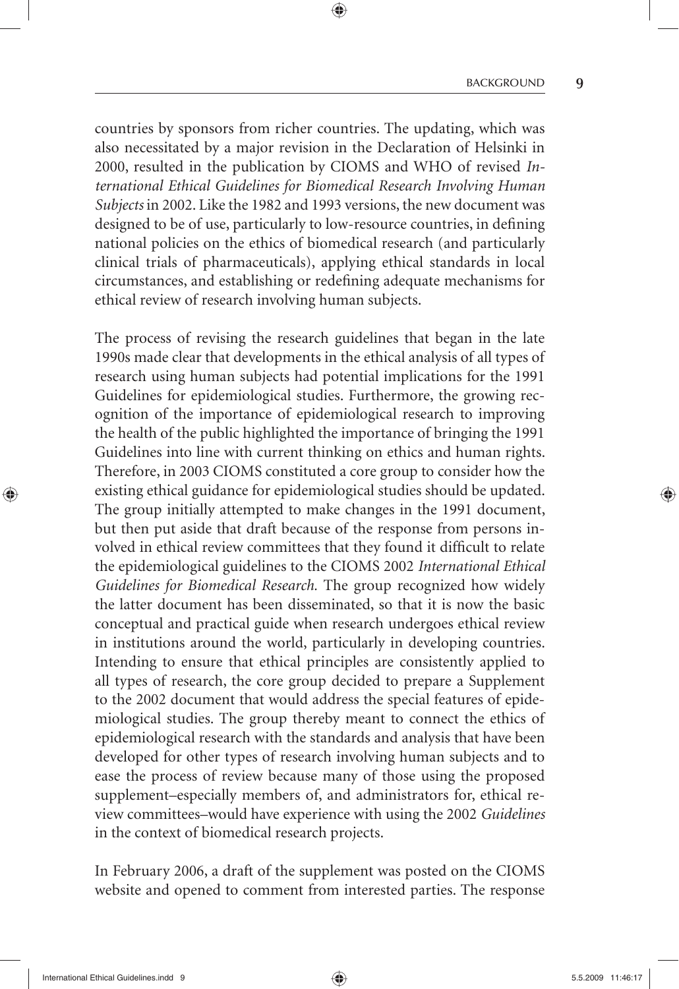countries by sponsors from richer countries. The updating, which was also necessitated by a major revision in the Declaration of Helsinki in 2000, resulted in the publication by CIOMS and WHO of revised *International Ethical Guidelines for Biomedical Research Involving Human Subjects* in 2002. Like the 1982 and 1993 versions, the new document was designed to be of use, particularly to low-resource countries, in defining national policies on the ethics of biomedical research (and particularly clinical trials of pharmaceuticals), applying ethical standards in local circumstances, and establishing or redefining adequate mechanisms for ethical review of research involving human subjects.

The process of revising the research guidelines that began in the late 1990s made clear that developments in the ethical analysis of all types of research using human subjects had potential implications for the 1991 Guidelines for epidemiological studies. Furthermore, the growing recognition of the importance of epidemiological research to improving the health of the public highlighted the importance of bringing the 1991 Guidelines into line with current thinking on ethics and human rights. Therefore, in 2003 CIOMS constituted a core group to consider how the existing ethical guidance for epidemiological studies should be updated. The group initially attempted to make changes in the 1991 document, but then put aside that draft because of the response from persons involved in ethical review committees that they found it difficult to relate the epidemiological guidelines to the CIOMS 2002 *International Ethical Guidelines for Biomedical Research.* The group recognized how widely the latter document has been disseminated, so that it is now the basic conceptual and practical guide when research undergoes ethical review in institutions around the world, particularly in developing countries. Intending to ensure that ethical principles are consistently applied to all types of research, the core group decided to prepare a Supplement to the 2002 document that would address the special features of epidemiological studies. The group thereby meant to connect the ethics of epidemiological research with the standards and analysis that have been developed for other types of research involving human subjects and to ease the process of review because many of those using the proposed supplement–especially members of, and administrators for, ethical review committees–would have experience with using the 2002 *Guidelines*  in the context of biomedical research projects.

In February 2006, a draft of the supplement was posted on the CIOMS website and opened to comment from interested parties. The response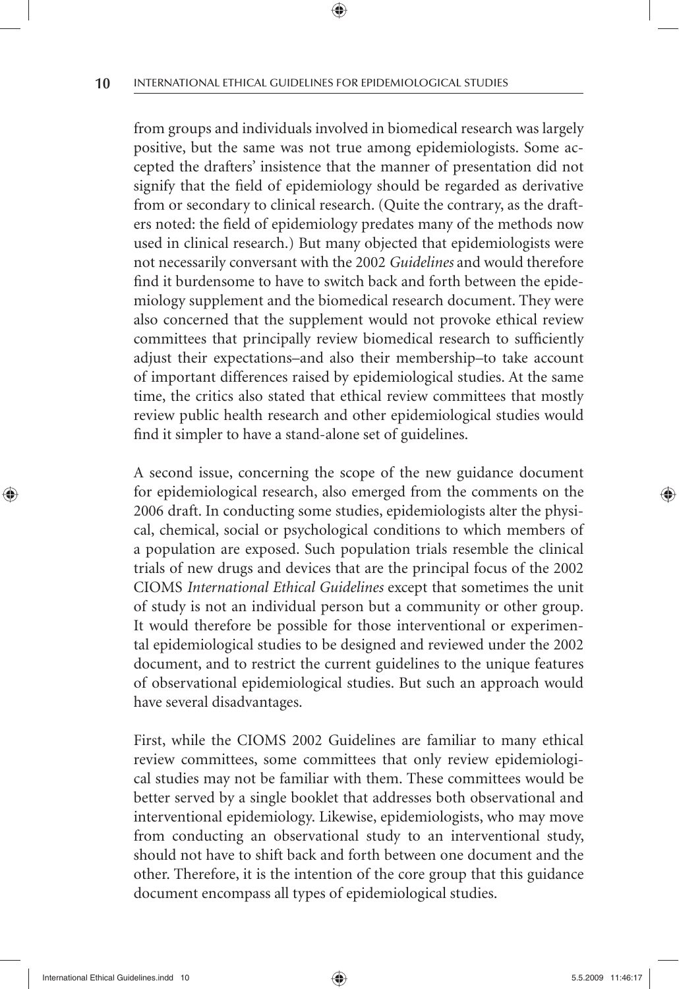from groups and individuals involved in biomedical research was largely positive, but the same was not true among epidemiologists. Some accepted the drafters' insistence that the manner of presentation did not signify that the field of epidemiology should be regarded as derivative from or secondary to clinical research. (Quite the contrary, as the drafters noted: the field of epidemiology predates many of the methods now used in clinical research.) But many objected that epidemiologists were not necessarily conversant with the 2002 *Guidelines* and would therefore find it burdensome to have to switch back and forth between the epidemiology supplement and the biomedical research document. They were also concerned that the supplement would not provoke ethical review committees that principally review biomedical research to sufficiently adjust their expectations–and also their membership–to take account of important differences raised by epidemiological studies. At the same time, the critics also stated that ethical review committees that mostly review public health research and other epidemiological studies would find it simpler to have a stand-alone set of guidelines.

A second issue, concerning the scope of the new guidance document for epidemiological research, also emerged from the comments on the 2006 draft. In conducting some studies, epidemiologists alter the physical, chemical, social or psychological conditions to which members of a population are exposed. Such population trials resemble the clinical trials of new drugs and devices that are the principal focus of the 2002 CIOMS *International Ethical Guidelines* except that sometimes the unit of study is not an individual person but a community or other group*.* It would therefore be possible for those interventional or experimental epidemiological studies to be designed and reviewed under the 2002 document, and to restrict the current guidelines to the unique features of observational epidemiological studies. But such an approach would have several disadvantages.

First, while the CIOMS 2002 Guidelines are familiar to many ethical review committees, some committees that only review epidemiological studies may not be familiar with them. These committees would be better served by a single booklet that addresses both observational and interventional epidemiology. Likewise, epidemiologists, who may move from conducting an observational study to an interventional study, should not have to shift back and forth between one document and the other. Therefore, it is the intention of the core group that this guidance document encompass all types of epidemiological studies.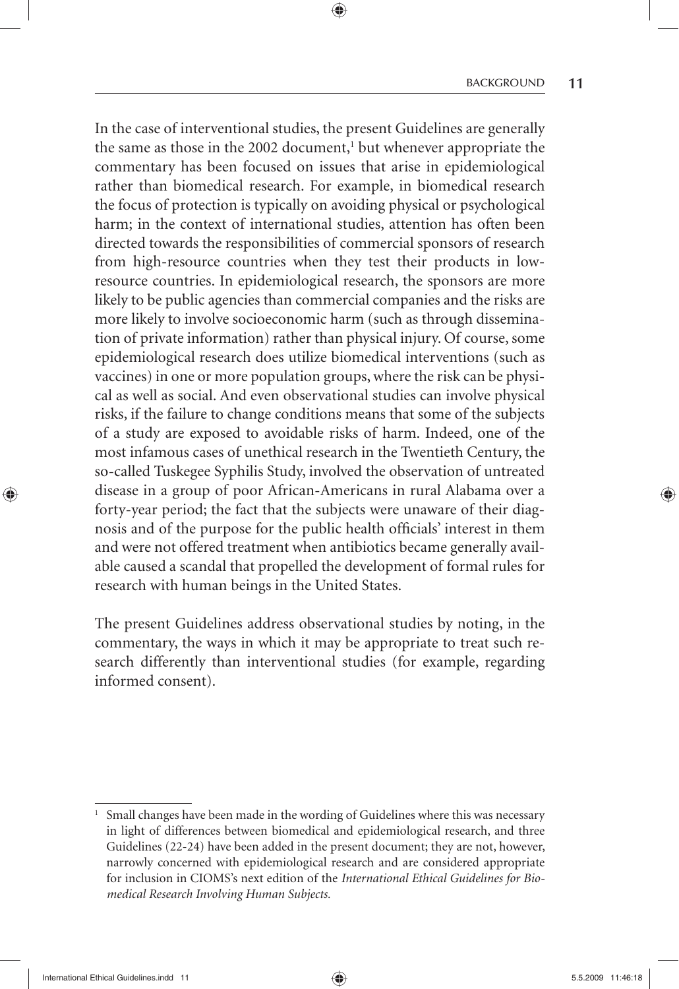In the case of interventional studies, the present Guidelines are generally the same as those in the 2002 document, $1$  but whenever appropriate the commentary has been focused on issues that arise in epidemiological rather than biomedical research. For example, in biomedical research the focus of protection is typically on avoiding physical or psychological harm; in the context of international studies, attention has often been directed towards the responsibilities of commercial sponsors of research from high-resource countries when they test their products in lowresource countries. In epidemiological research, the sponsors are more likely to be public agencies than commercial companies and the risks are more likely to involve socioeconomic harm (such as through dissemination of private information) rather than physical injury. Of course, some epidemiological research does utilize biomedical interventions (such as vaccines) in one or more population groups, where the risk can be physical as well as social. And even observational studies can involve physical risks, if the failure to change conditions means that some of the subjects of a study are exposed to avoidable risks of harm. Indeed, one of the most infamous cases of unethical research in the Twentieth Century, the so-called Tuskegee Syphilis Study, involved the observation of untreated disease in a group of poor African-Americans in rural Alabama over a forty-year period; the fact that the subjects were unaware of their diagnosis and of the purpose for the public health officials' interest in them and were not offered treatment when antibiotics became generally available caused a scandal that propelled the development of formal rules for research with human beings in the United States.

The present Guidelines address observational studies by noting, in the commentary, the ways in which it may be appropriate to treat such research differently than interventional studies (for example, regarding informed consent).

<sup>1</sup> Small changes have been made in the wording of Guidelines where this was necessary in light of differences between biomedical and epidemiological research, and three Guidelines (22-24) have been added in the present document; they are not, however, narrowly concerned with epidemiological research and are considered appropriate for inclusion in CIOMS's next edition of the *International Ethical Guidelines for Biomedical Research Involving Human Subjects.*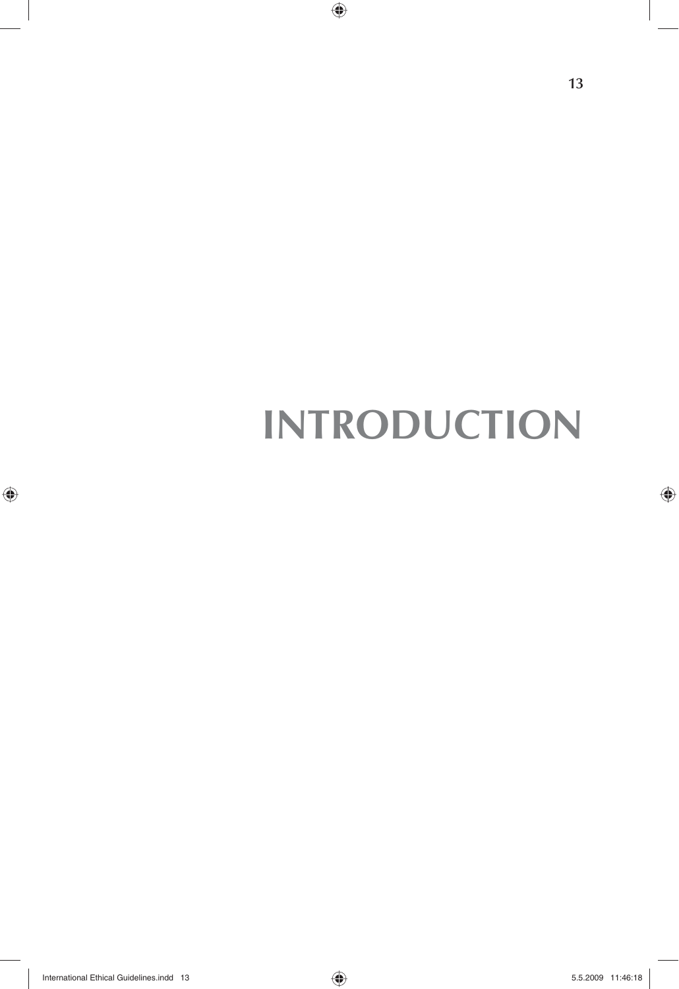## **INTRODUCTION**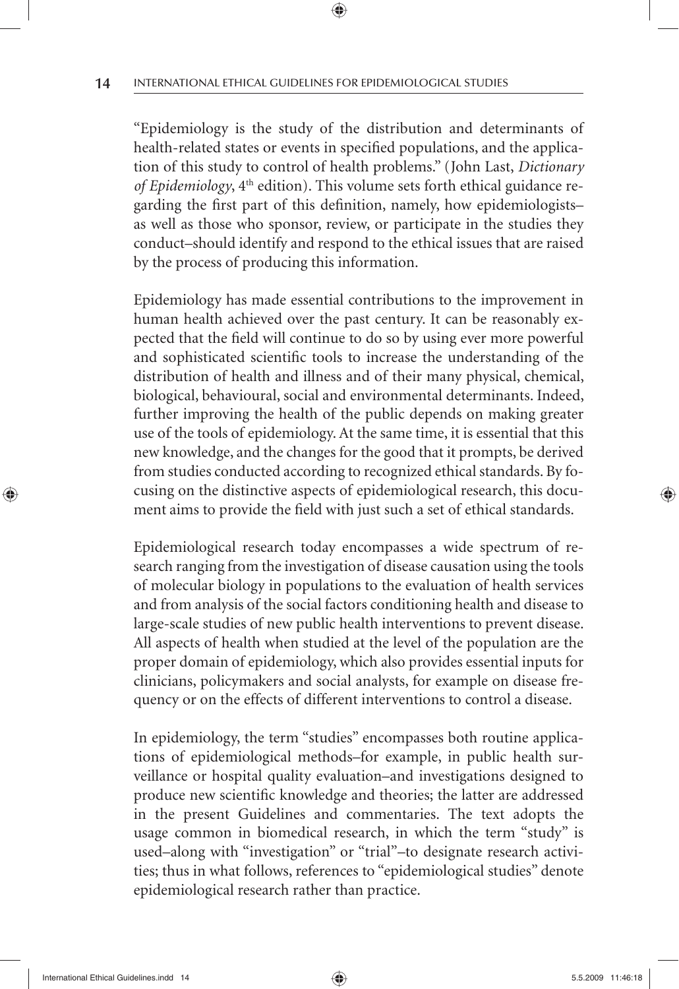"Epidemiology is the study of the distribution and determinants of health-related states or events in specified populations, and the application of this study to control of health problems." (John Last, *Dictionary of Epidemiology*, 4th edition). This volume sets forth ethical guidance regarding the first part of this definition, namely, how epidemiologistsas well as those who sponsor, review, or participate in the studies they conduct–should identify and respond to the ethical issues that are raised by the process of producing this information.

Epidemiology has made essential contributions to the improvement in human health achieved over the past century. It can be reasonably expected that the field will continue to do so by using ever more powerful and sophisticated scientific tools to increase the understanding of the distribution of health and illness and of their many physical, chemical, biological, behavioural, social and environmental determinants. Indeed, further improving the health of the public depends on making greater use of the tools of epidemiology. At the same time, it is essential that this new knowledge, and the changes for the good that it prompts, be derived from studies conducted according to recognized ethical standards. By focusing on the distinctive aspects of epidemiological research, this document aims to provide the field with just such a set of ethical standards.

Epidemiological research today encompasses a wide spectrum of research ranging from the investigation of disease causation using the tools of molecular biology in populations to the evaluation of health services and from analysis of the social factors conditioning health and disease to large-scale studies of new public health interventions to prevent disease. All aspects of health when studied at the level of the population are the proper domain of epidemiology, which also provides essential inputs for clinicians, policymakers and social analysts, for example on disease frequency or on the effects of different interventions to control a disease.

In epidemiology, the term "studies" encompasses both routine applications of epidemiological methods–for example, in public health surveillance or hospital quality evaluation–and investigations designed to produce new scientific knowledge and theories; the latter are addressed in the present Guidelines and commentaries. The text adopts the usage common in biomedical research, in which the term "study" is used–along with "investigation" or "trial"–to designate research activities; thus in what follows, references to "epidemiological studies" denote epidemiological research rather than practice.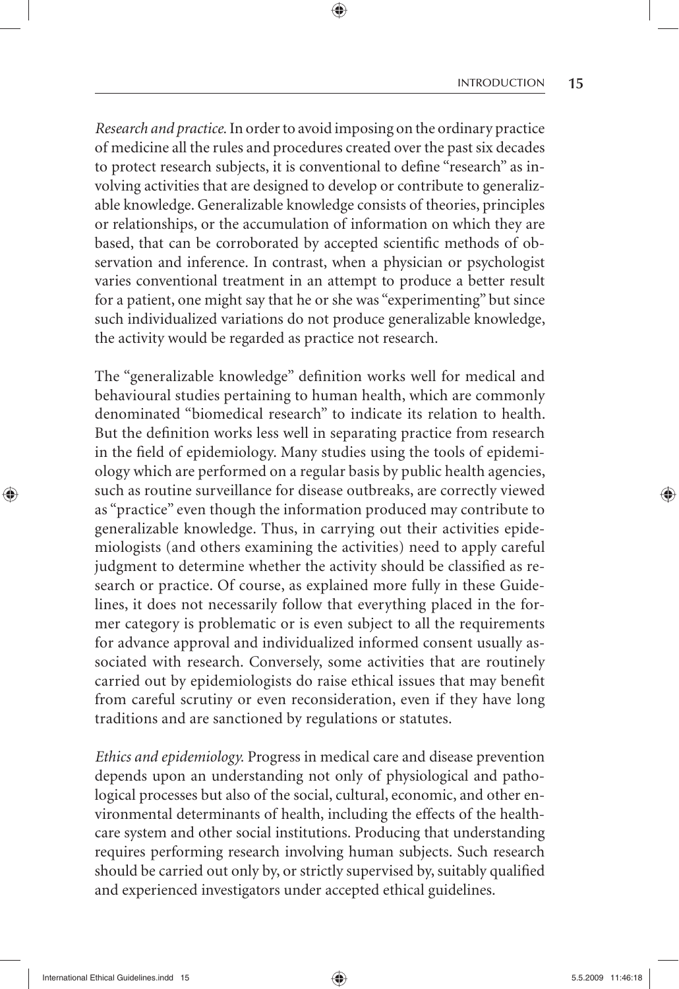*Research and practice.* In order to avoid imposing on the ordinary practice of medicine all the rules and procedures created over the past six decades to protect research subjects, it is conventional to define "research" as involving activities that are designed to develop or contribute to generalizable knowledge. Generalizable knowledge consists of theories, principles or relationships, or the accumulation of information on which they are based, that can be corroborated by accepted scientific methods of observation and inference. In contrast, when a physician or psychologist varies conventional treatment in an attempt to produce a better result for a patient, one might say that he or she was "experimenting" but since such individualized variations do not produce generalizable knowledge, the activity would be regarded as practice not research.

The "generalizable knowledge" definition works well for medical and behavioural studies pertaining to human health, which are commonly denominated "biomedical research" to indicate its relation to health. But the definition works less well in separating practice from research in the field of epidemiology. Many studies using the tools of epidemiology which are performed on a regular basis by public health agencies, such as routine surveillance for disease outbreaks, are correctly viewed as "practice" even though the information produced may contribute to generalizable knowledge. Thus, in carrying out their activities epidemiologists (and others examining the activities) need to apply careful judgment to determine whether the activity should be classified as research or practice. Of course, as explained more fully in these Guidelines, it does not necessarily follow that everything placed in the former category is problematic or is even subject to all the requirements for advance approval and individualized informed consent usually associated with research. Conversely, some activities that are routinely carried out by epidemiologists do raise ethical issues that may benefit from careful scrutiny or even reconsideration, even if they have long traditions and are sanctioned by regulations or statutes.

*Ethics and epidemiology.* Progress in medical care and disease prevention depends upon an understanding not only of physiological and pathological processes but also of the social, cultural, economic, and other environmental determinants of health, including the effects of the healthcare system and other social institutions. Producing that understanding requires performing research involving human subjects. Such research should be carried out only by, or strictly supervised by, suitably qualified and experienced investigators under accepted ethical guidelines.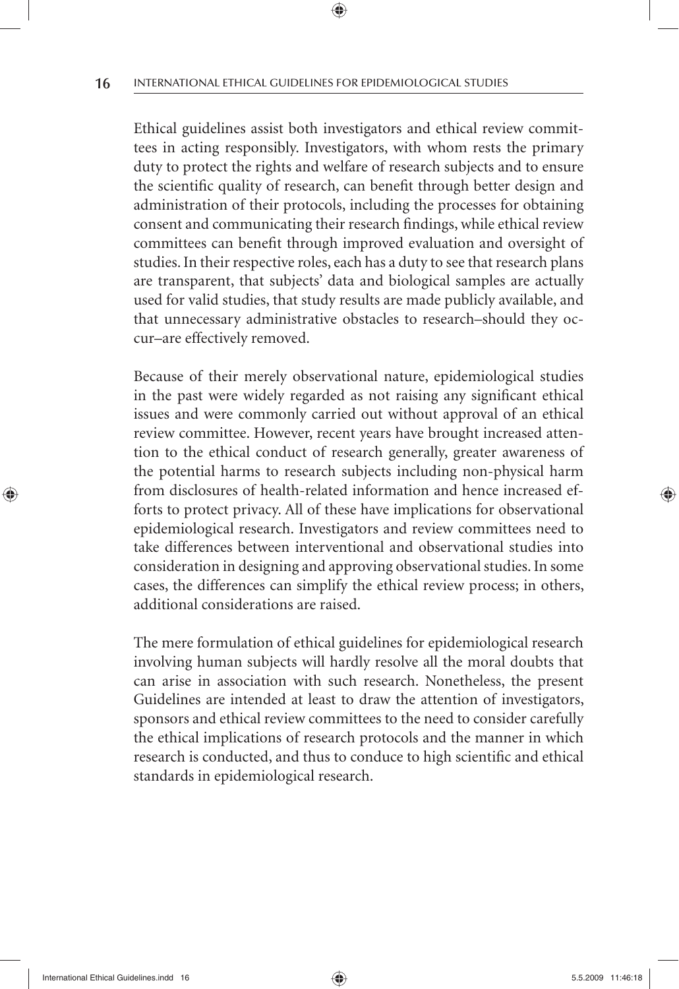Ethical guidelines assist both investigators and ethical review committees in acting responsibly. Investigators, with whom rests the primary duty to protect the rights and welfare of research subjects and to ensure the scientific quality of research, can benefit through better design and administration of their protocols, including the processes for obtaining consent and communicating their research findings, while ethical review committees can benefit through improved evaluation and oversight of studies. In their respective roles, each has a duty to see that research plans are transparent, that subjects' data and biological samples are actually used for valid studies, that study results are made publicly available, and that unnecessary administrative obstacles to research–should they occur–are effectively removed.

Because of their merely observational nature, epidemiological studies in the past were widely regarded as not raising any significant ethical issues and were commonly carried out without approval of an ethical review committee. However, recent years have brought increased attention to the ethical conduct of research generally, greater awareness of the potential harms to research subjects including non-physical harm from disclosures of health-related information and hence increased efforts to protect privacy. All of these have implications for observational epidemiological research. Investigators and review committees need to take differences between interventional and observational studies into consideration in designing and approving observational studies. In some cases, the differences can simplify the ethical review process; in others, additional considerations are raised.

The mere formulation of ethical guidelines for epidemiological research involving human subjects will hardly resolve all the moral doubts that can arise in association with such research. Nonetheless, the present Guidelines are intended at least to draw the attention of investigators, sponsors and ethical review committees to the need to consider carefully the ethical implications of research protocols and the manner in which research is conducted, and thus to conduce to high scientific and ethical standards in epidemiological research.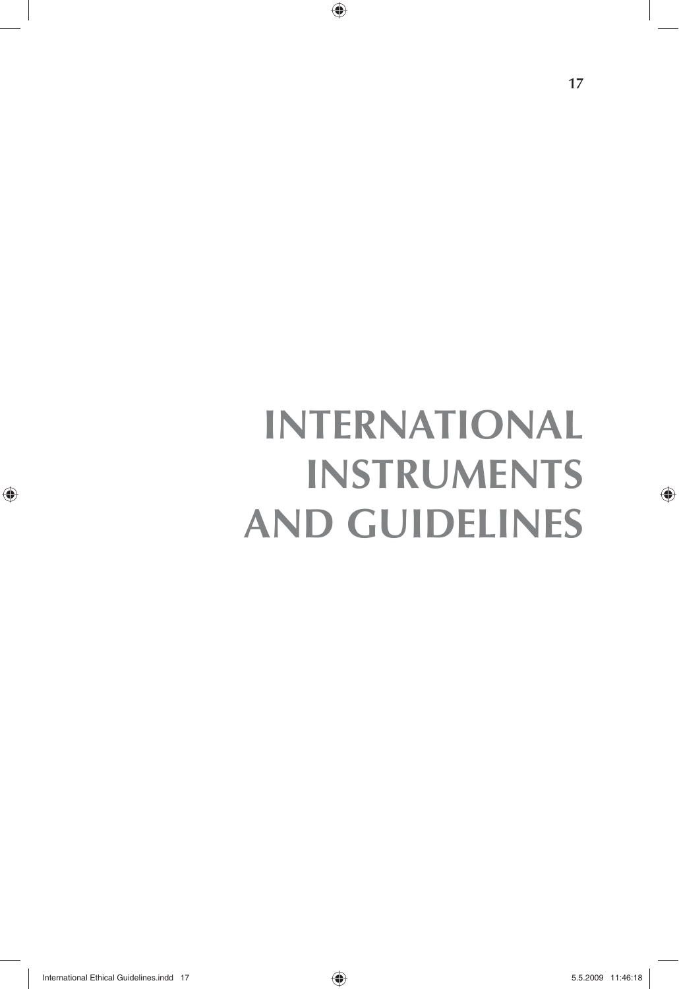### **INTERNATIONAL INSTRUMENTS AND GUIDELINES**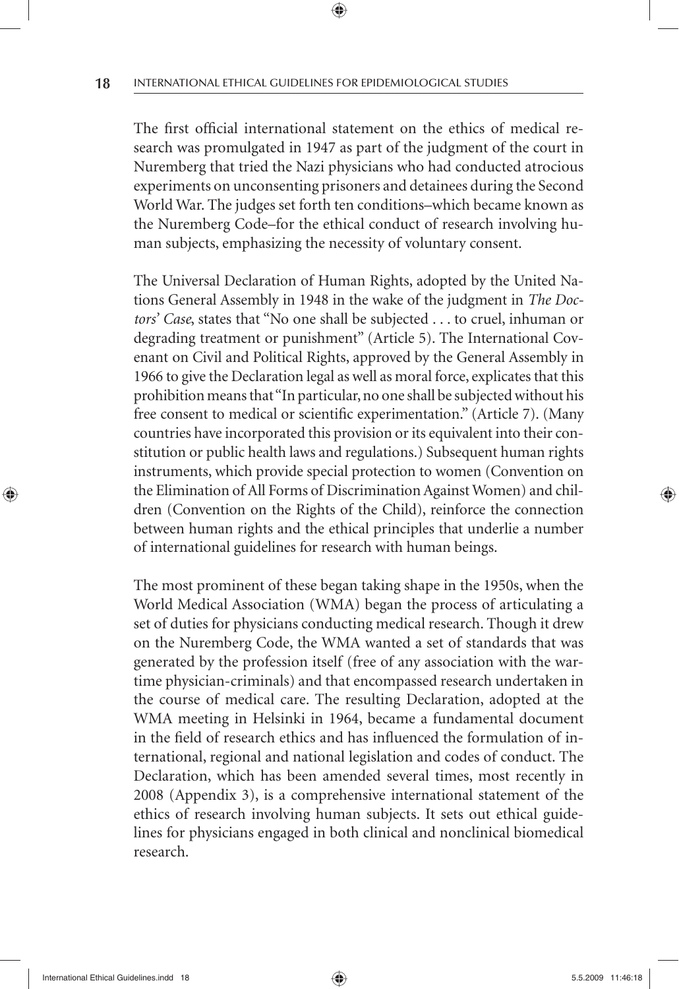The first official international statement on the ethics of medical research was promulgated in 1947 as part of the judgment of the court in Nuremberg that tried the Nazi physicians who had conducted atrocious experiments on unconsenting prisoners and detainees during the Second World War. The judges set forth ten conditions–which became known as the Nuremberg Code–for the ethical conduct of research involving human subjects, emphasizing the necessity of voluntary consent.

The Universal Declaration of Human Rights, adopted by the United Nations General Assembly in 1948 in the wake of the judgment in *The Doctors' Case*, states that "No one shall be subjected . . . to cruel, inhuman or degrading treatment or punishment" (Article 5). The International Covenant on Civil and Political Rights, approved by the General Assembly in 1966 to give the Declaration legal as well as moral force, explicates that this prohibition means that "In particular, no one shall be subjected without his free consent to medical or scientific experimentation." (Article 7). (Many countries have incorporated this provision or its equivalent into their constitution or public health laws and regulations.) Subsequent human rights instruments, which provide special protection to women (Convention on the Elimination of All Forms of Discrimination Against Women) and children (Convention on the Rights of the Child), reinforce the connection between human rights and the ethical principles that underlie a number of international guidelines for research with human beings.

The most prominent of these began taking shape in the 1950s, when the World Medical Association (WMA) began the process of articulating a set of duties for physicians conducting medical research. Though it drew on the Nuremberg Code, the WMA wanted a set of standards that was generated by the profession itself (free of any association with the wartime physician-criminals) and that encompassed research undertaken in the course of medical care. The resulting Declaration, adopted at the WMA meeting in Helsinki in 1964, became a fundamental document in the field of research ethics and has influenced the formulation of international, regional and national legislation and codes of conduct. The Declaration, which has been amended several times, most recently in 2008 (Appendix 3), is a comprehensive international statement of the ethics of research involving human subjects. It sets out ethical guidelines for physicians engaged in both clinical and nonclinical biomedical research.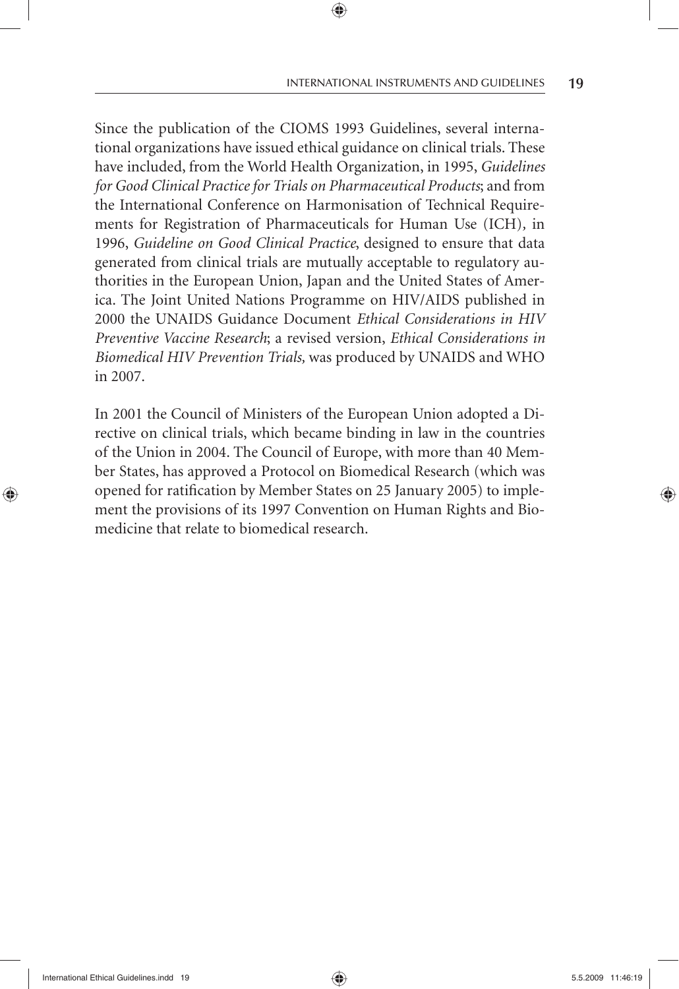Since the publication of the CIOMS 1993 Guidelines, several international organizations have issued ethical guidance on clinical trials. These have included, from the World Health Organization, in 1995, *Guidelines for Good Clinical Practice for Trials on Pharmaceutical Products*; and from the International Conference on Harmonisation of Technical Requirements for Registration of Pharmaceuticals for Human Use (ICH)*,* in 1996, *Guideline on Good Clinical Practice*, designed to ensure that data generated from clinical trials are mutually acceptable to regulatory authorities in the European Union, Japan and the United States of America. The Joint United Nations Programme on HIV/AIDS published in 2000 the UNAIDS Guidance Document *Ethical Considerations in HIV Preventive Vaccine Research*; a revised version, *Ethical Considerations in Biomedical HIV Prevention Trials,* was produced by UNAIDS and WHO in 2007.

In 2001 the Council of Ministers of the European Union adopted a Directive on clinical trials, which became binding in law in the countries of the Union in 2004. The Council of Europe, with more than 40 Member States, has approved a Protocol on Biomedical Research (which was opened for ratification by Member States on 25 January 2005) to implement the provisions of its 1997 Convention on Human Rights and Biomedicine that relate to biomedical research.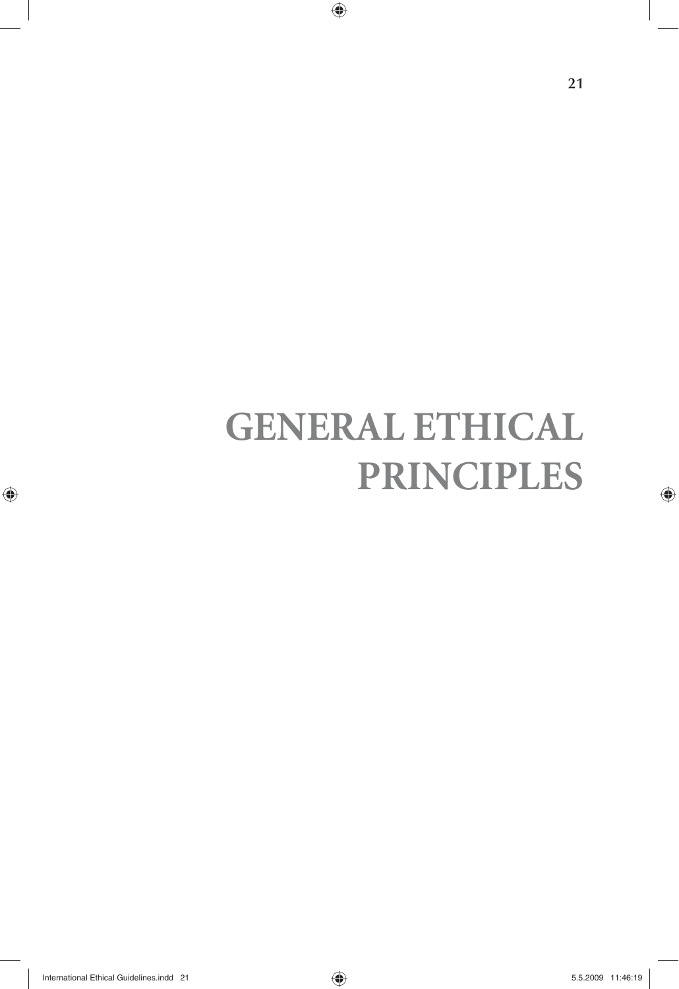### **GENERAL ETHICAL PRINCIPLES**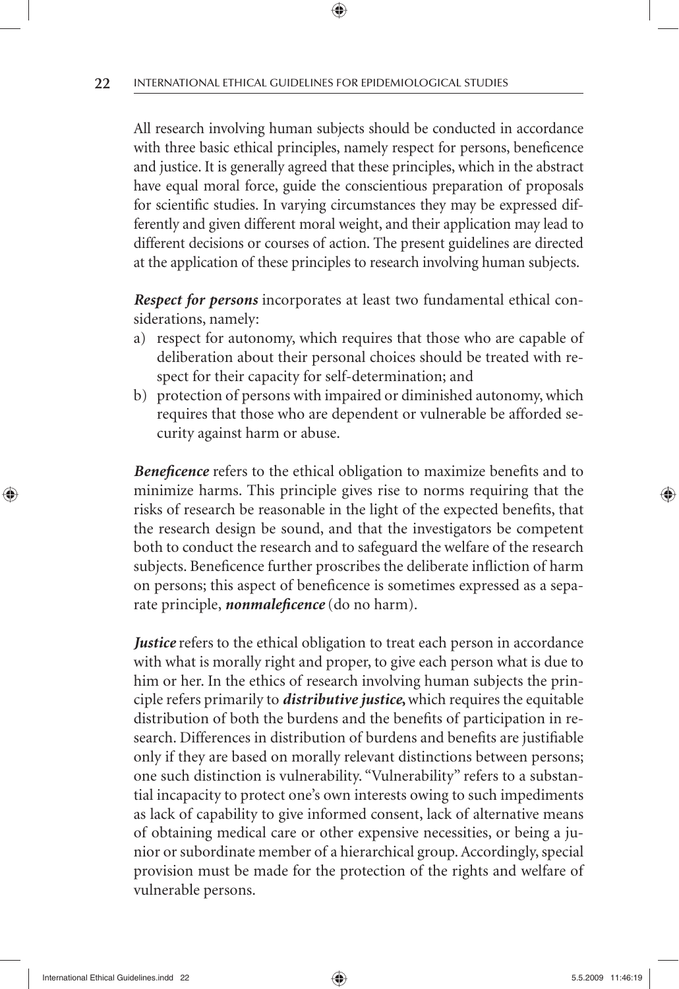All research involving human subjects should be conducted in accordance with three basic ethical principles, namely respect for persons, beneficence and justice. It is generally agreed that these principles, which in the abstract have equal moral force, guide the conscientious preparation of proposals for scientific studies. In varying circumstances they may be expressed differently and given different moral weight, and their application may lead to different decisions or courses of action. The present guidelines are directed at the application of these principles to research involving human subjects.

*Respect for persons* incorporates at least two fundamental ethical considerations, namely:

- a) respect for autonomy, which requires that those who are capable of deliberation about their personal choices should be treated with respect for their capacity for self-determination; and
- b) protection of persons with impaired or diminished autonomy, which requires that those who are dependent or vulnerable be afforded security against harm or abuse.

**Beneficence** refers to the ethical obligation to maximize benefits and to minimize harms. This principle gives rise to norms requiring that the risks of research be reasonable in the light of the expected benefits, that the research design be sound, and that the investigators be competent both to conduct the research and to safeguard the welfare of the research subjects. Beneficence further proscribes the deliberate infliction of harm on persons; this aspect of beneficence is sometimes expressed as a separate principle, *nonmaleficence* (do no harm).

*Justice* refers to the ethical obligation to treat each person in accordance with what is morally right and proper, to give each person what is due to him or her. In the ethics of research involving human subjects the principle refers primarily to *distributive justice***,** which requires the equitable distribution of both the burdens and the benefits of participation in research. Differences in distribution of burdens and benefits are justifiable only if they are based on morally relevant distinctions between persons; one such distinction is vulnerability. "Vulnerability" refers to a substantial incapacity to protect one's own interests owing to such impediments as lack of capability to give informed consent, lack of alternative means of obtaining medical care or other expensive necessities, or being a junior or subordinate member of a hierarchical group. Accordingly, special provision must be made for the protection of the rights and welfare of vulnerable persons.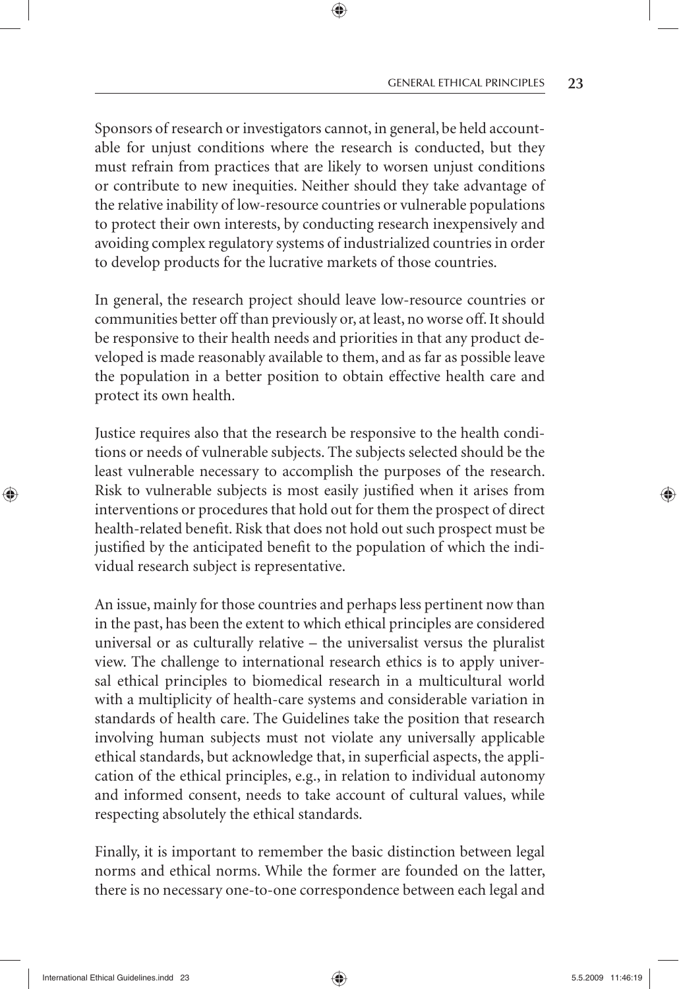Sponsors of research or investigators cannot, in general, be held accountable for unjust conditions where the research is conducted, but they must refrain from practices that are likely to worsen unjust conditions or contribute to new inequities. Neither should they take advantage of the relative inability of low-resource countries or vulnerable populations to protect their own interests, by conducting research inexpensively and avoiding complex regulatory systems of industrialized countries in order to develop products for the lucrative markets of those countries.

In general, the research project should leave low-resource countries or communities better off than previously or, at least, no worse off. It should be responsive to their health needs and priorities in that any product developed is made reasonably available to them, and as far as possible leave the population in a better position to obtain effective health care and protect its own health.

Justice requires also that the research be responsive to the health conditions or needs of vulnerable subjects. The subjects selected should be the least vulnerable necessary to accomplish the purposes of the research. Risk to vulnerable subjects is most easily justified when it arises from interventions or procedures that hold out for them the prospect of direct health-related benefit. Risk that does not hold out such prospect must be justified by the anticipated benefit to the population of which the individual research subject is representative.

An issue, mainly for those countries and perhaps less pertinent now than in the past, has been the extent to which ethical principles are considered universal or as culturally relative – the universalist versus the pluralist view. The challenge to international research ethics is to apply universal ethical principles to biomedical research in a multicultural world with a multiplicity of health-care systems and considerable variation in standards of health care. The Guidelines take the position that research involving human subjects must not violate any universally applicable ethical standards, but acknowledge that, in superficial aspects, the application of the ethical principles, e.g., in relation to individual autonomy and informed consent, needs to take account of cultural values, while respecting absolutely the ethical standards.

Finally, it is important to remember the basic distinction between legal norms and ethical norms. While the former are founded on the latter, there is no necessary one-to-one correspondence between each legal and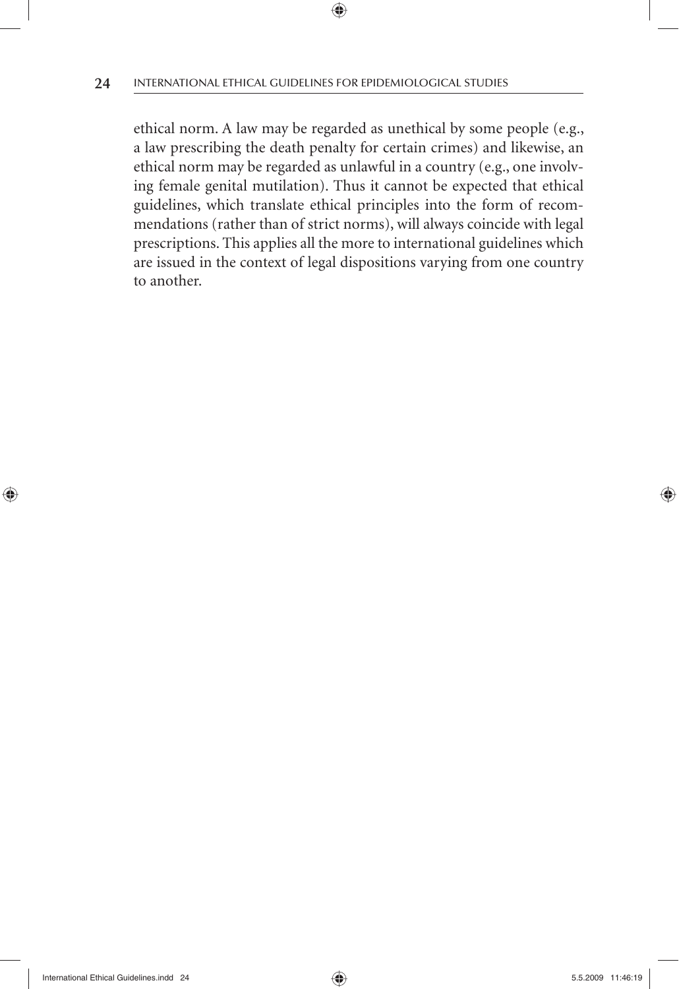ethical norm. A law may be regarded as unethical by some people (e.g., a law prescribing the death penalty for certain crimes) and likewise, an ethical norm may be regarded as unlawful in a country (e.g., one involving female genital mutilation). Thus it cannot be expected that ethical guidelines, which translate ethical principles into the form of recommendations (rather than of strict norms), will always coincide with legal prescriptions. This applies all the more to international guidelines which are issued in the context of legal dispositions varying from one country to another.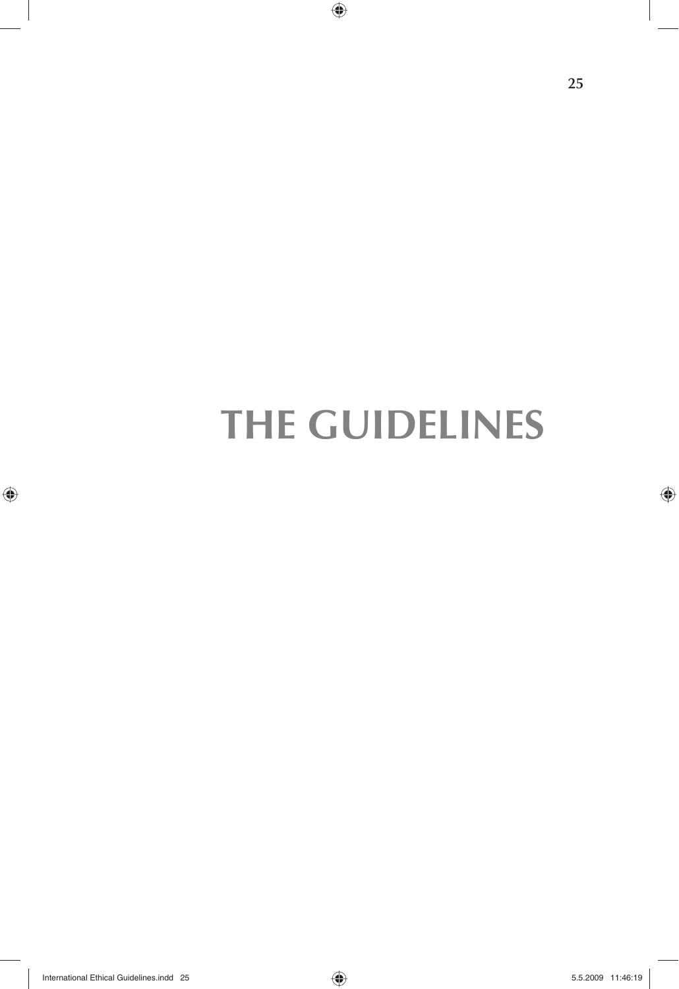### **THE GUIDELINES**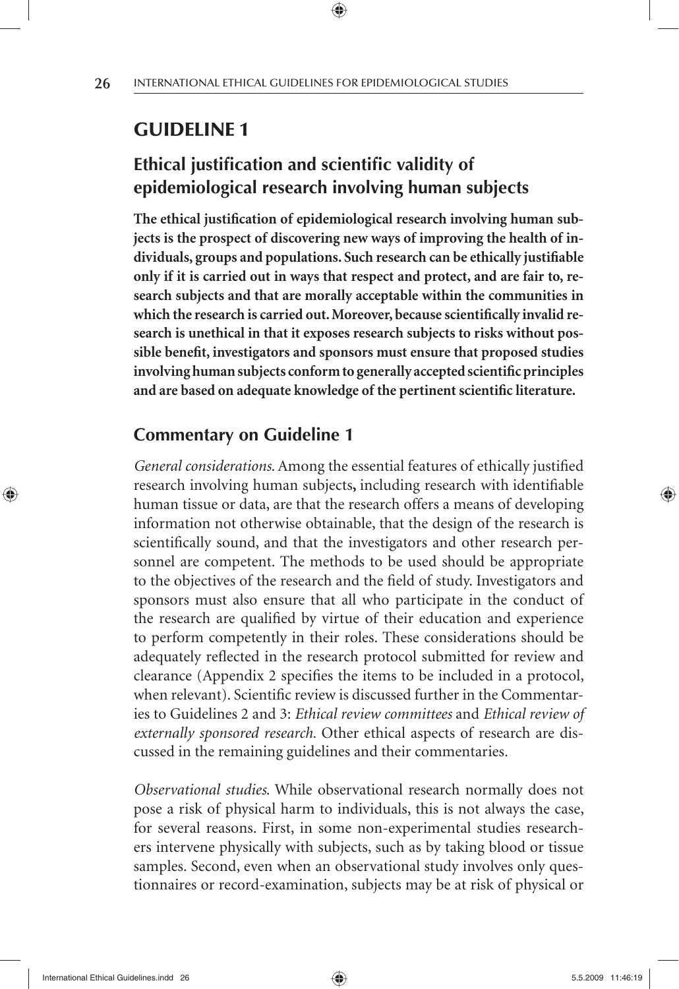### **GUIDELINE 1**

#### **Ethical justification and scientific validity of epidemiological research involving human subjects**

The ethical justification of epidemiological research involving human sub**jects is the prospect of discovering new ways of improving the health of in**dividuals, groups and populations. Such research can be ethically justifiable **only if it is carried out in ways that respect and protect, and are fair to, research subjects and that are morally acceptable within the communities in**  which the research is carried out. Moreover, because scientifically invalid re**search is unethical in that it exposes research subjects to risks without pos**sible benefit, investigators and sponsors must ensure that proposed studies involving human subjects conform to generally accepted scientific principles and are based on adequate knowledge of the pertinent scientific literature.

#### **Commentary on Guideline 1**

*General considerations*. Among the essential features of ethically justified research involving human subjects, including research with identifiable human tissue or data, are that the research offers a means of developing information not otherwise obtainable, that the design of the research is scientifically sound, and that the investigators and other research personnel are competent. The methods to be used should be appropriate to the objectives of the research and the field of study. Investigators and sponsors must also ensure that all who participate in the conduct of the research are qualified by virtue of their education and experience to perform competently in their roles. These considerations should be adequately reflected in the research protocol submitted for review and clearance (Appendix 2 specifies the items to be included in a protocol, when relevant). Scientific review is discussed further in the Commentaries to Guidelines 2 and 3: *Ethical review committees* and *Ethical review of externally sponsored research.* Other ethical aspects of research are discussed in the remaining guidelines and their commentaries*.*

*Observational studies*. While observational research normally does not pose a risk of physical harm to individuals, this is not always the case, for several reasons. First, in some non-experimental studies researchers intervene physically with subjects, such as by taking blood or tissue samples. Second, even when an observational study involves only questionnaires or record-examination, subjects may be at risk of physical or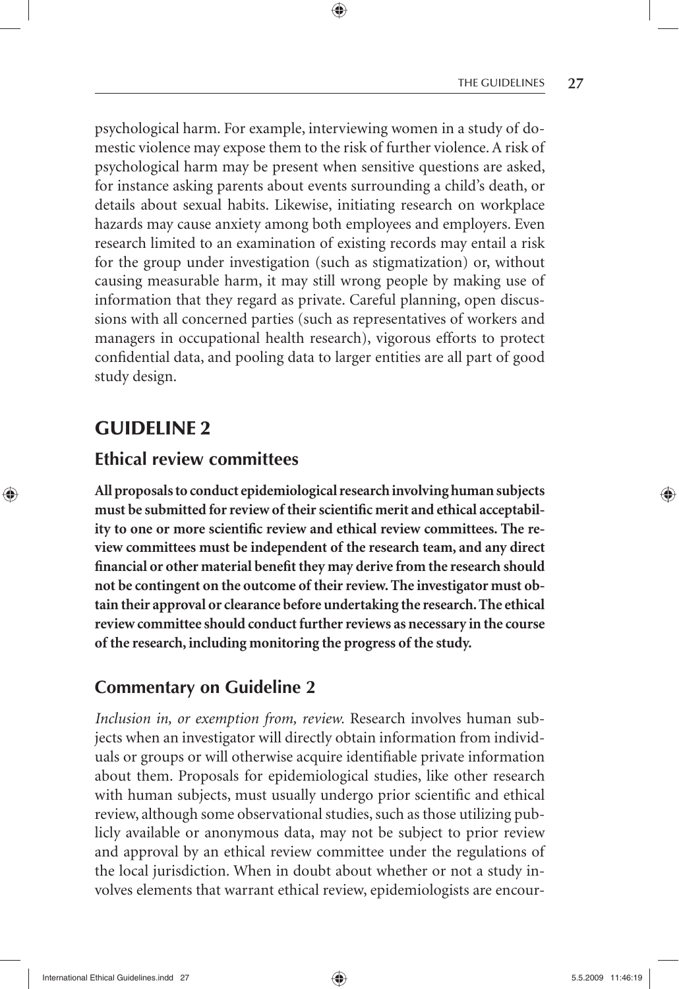psychological harm. For example, interviewing women in a study of domestic violence may expose them to the risk of further violence. A risk of psychological harm may be present when sensitive questions are asked, for instance asking parents about events surrounding a child's death, or details about sexual habits. Likewise, initiating research on workplace hazards may cause anxiety among both employees and employers. Even research limited to an examination of existing records may entail a risk for the group under investigation (such as stigmatization) or, without causing measurable harm, it may still wrong people by making use of information that they regard as private. Careful planning, open discussions with all concerned parties (such as representatives of workers and managers in occupational health research), vigorous efforts to protect confidential data, and pooling data to larger entities are all part of good study design.

#### **GUIDELINE 2**

#### **Ethical review committees**

**All proposals to conduct epidemiological research involving human subjects**  must be submitted for review of their scientific merit and ethical acceptability to one or more scientific review and ethical review committees. The re**view committees must be independent of the research team, and any direct**  financial or other material benefit they may derive from the research should **not be contingent on the outcome of their review. The investigator must obtain their approval or clearance before undertaking the research. The ethical review committee should conduct further reviews as necessary in the course of the research, including monitoring the progress of the study.**

#### **Commentary on Guideline 2**

*Inclusion in, or exemption from, review.* Research involves human subjects when an investigator will directly obtain information from individuals or groups or will otherwise acquire identifiable private information about them. Proposals for epidemiological studies, like other research with human subjects, must usually undergo prior scientific and ethical review, although some observational studies, such as those utilizing publicly available or anonymous data, may not be subject to prior review and approval by an ethical review committee under the regulations of the local jurisdiction. When in doubt about whether or not a study involves elements that warrant ethical review, epidemiologists are encour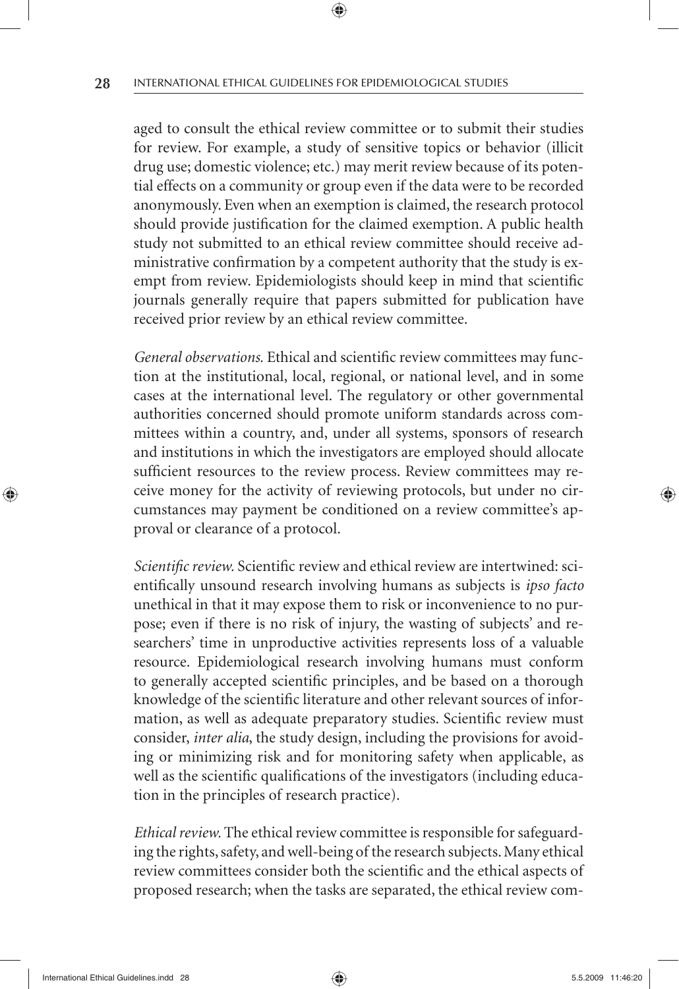aged to consult the ethical review committee or to submit their studies for review. For example, a study of sensitive topics or behavior (illicit drug use; domestic violence; etc.) may merit review because of its potential effects on a community or group even if the data were to be recorded anonymously. Even when an exemption is claimed, the research protocol should provide justification for the claimed exemption. A public health study not submitted to an ethical review committee should receive administrative confirmation by a competent authority that the study is exempt from review. Epidemiologists should keep in mind that scientific journals generally require that papers submitted for publication have received prior review by an ethical review committee.

General observations. Ethical and scientific review committees may function at the institutional, local, regional, or national level, and in some cases at the international level. The regulatory or other governmental authorities concerned should promote uniform standards across committees within a country, and, under all systems, sponsors of research and institutions in which the investigators are employed should allocate sufficient resources to the review process. Review committees may receive money for the activity of reviewing protocols, but under no circumstances may payment be conditioned on a review committee's approval or clearance of a protocol.

*Scientific review. Scientific review and ethical review are intertwined: sci*entifically unsound research involving humans as subjects is *ipso facto* unethical in that it may expose them to risk or inconvenience to no purpose; even if there is no risk of injury, the wasting of subjects' and researchers' time in unproductive activities represents loss of a valuable resource. Epidemiological research involving humans must conform to generally accepted scientific principles, and be based on a thorough knowledge of the scientific literature and other relevant sources of information, as well as adequate preparatory studies. Scientific review must consider, *inter alia*, the study design, including the provisions for avoiding or minimizing risk and for monitoring safety when applicable, as well as the scientific qualifications of the investigators (including education in the principles of research practice).

*Ethical review.* The ethical review committee is responsible for safeguarding the rights, safety, and well-being of the research subjects. Many ethical review committees consider both the scientific and the ethical aspects of proposed research; when the tasks are separated, the ethical review com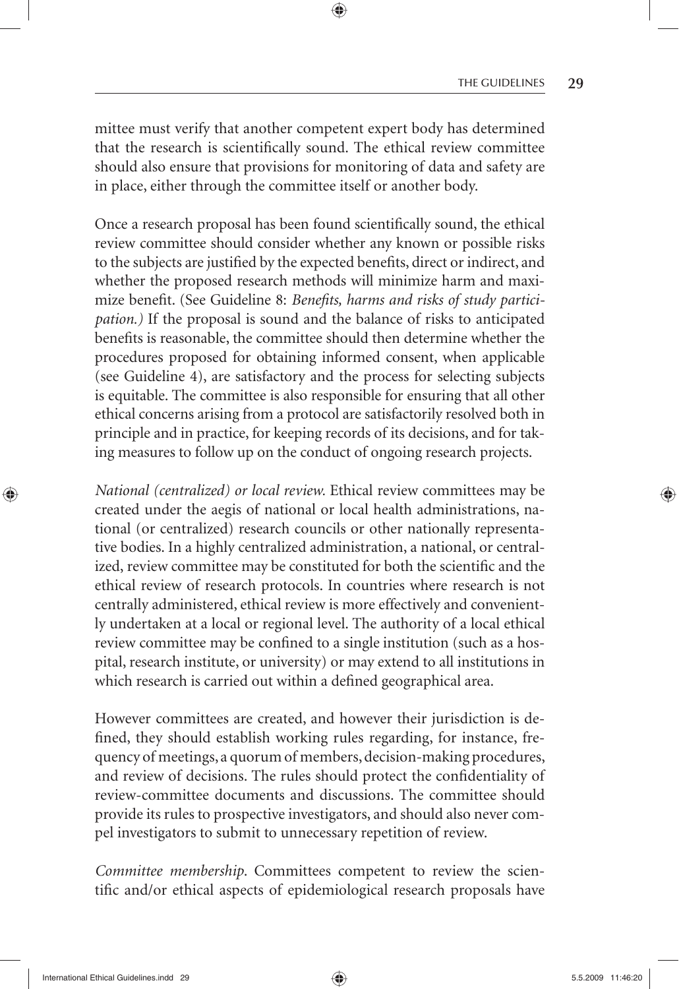mittee must verify that another competent expert body has determined that the research is scientifically sound. The ethical review committee should also ensure that provisions for monitoring of data and safety are in place, either through the committee itself or another body.

Once a research proposal has been found scientifically sound, the ethical review committee should consider whether any known or possible risks to the subjects are justified by the expected benefits, direct or indirect, and whether the proposed research methods will minimize harm and maximize benefit. (See Guideline 8: Benefits, harms and risks of study partici*pation.)* If the proposal is sound and the balance of risks to anticipated benefits is reasonable, the committee should then determine whether the procedures proposed for obtaining informed consent, when applicable (see Guideline 4), are satisfactory and the process for selecting subjects is equitable. The committee is also responsible for ensuring that all other ethical concerns arising from a protocol are satisfactorily resolved both in principle and in practice, for keeping records of its decisions, and for taking measures to follow up on the conduct of ongoing research projects.

*National (centralized) or local review.* Ethical review committees may be created under the aegis of national or local health administrations, national (or centralized) research councils or other nationally representative bodies. In a highly centralized administration, a national, or centralized, review committee may be constituted for both the scientific and the ethical review of research protocols. In countries where research is not centrally administered, ethical review is more effectively and conveniently undertaken at a local or regional level. The authority of a local ethical review committee may be confined to a single institution (such as a hospital, research institute, or university) or may extend to all institutions in which research is carried out within a defined geographical area.

However committees are created, and however their jurisdiction is defined, they should establish working rules regarding, for instance, frequency of meetings, a quorum of members, decision-making procedures, and review of decisions. The rules should protect the confidentiality of review-committee documents and discussions. The committee should provide its rules to prospective investigators, and should also never compel investigators to submit to unnecessary repetition of review.

*Committee membership*. Committees competent to review the scientific and/or ethical aspects of epidemiological research proposals have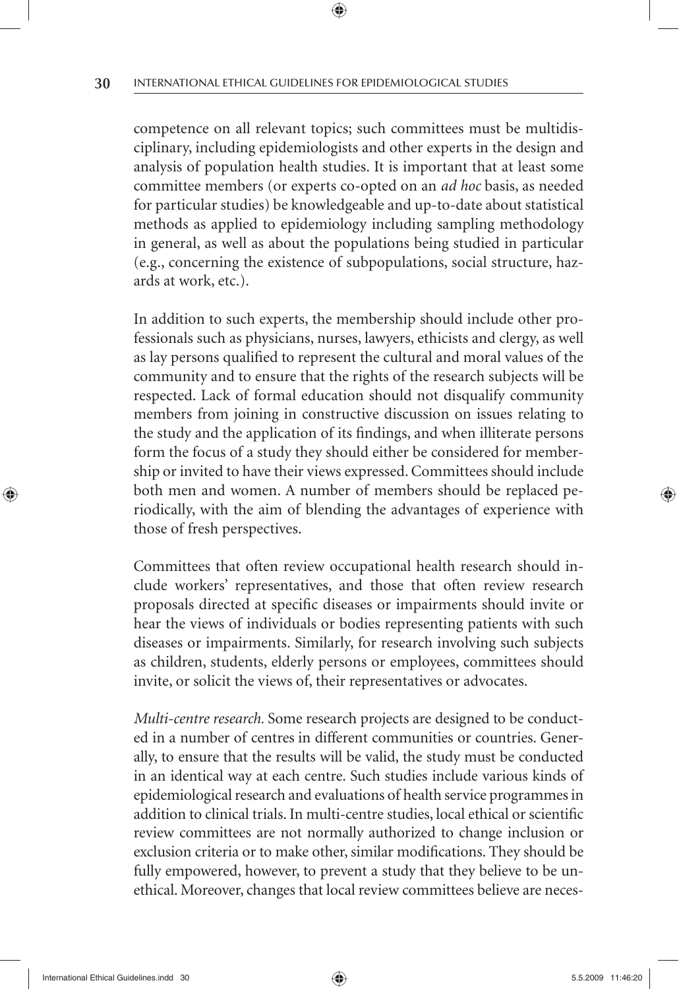competence on all relevant topics; such committees must be multidisciplinary, including epidemiologists and other experts in the design and analysis of population health studies. It is important that at least some committee members (or experts co-opted on an *ad hoc* basis, as needed for particular studies) be knowledgeable and up-to-date about statistical methods as applied to epidemiology including sampling methodology in general, as well as about the populations being studied in particular (e.g., concerning the existence of subpopulations, social structure, hazards at work, etc.).

In addition to such experts, the membership should include other professionals such as physicians, nurses, lawyers, ethicists and clergy, as well as lay persons qualified to represent the cultural and moral values of the community and to ensure that the rights of the research subjects will be respected. Lack of formal education should not disqualify community members from joining in constructive discussion on issues relating to the study and the application of its findings, and when illiterate persons form the focus of a study they should either be considered for membership or invited to have their views expressed. Committees should include both men and women. A number of members should be replaced periodically, with the aim of blending the advantages of experience with those of fresh perspectives.

Committees that often review occupational health research should include workers' representatives, and those that often review research proposals directed at specific diseases or impairments should invite or hear the views of individuals or bodies representing patients with such diseases or impairments. Similarly, for research involving such subjects as children, students, elderly persons or employees, committees should invite, or solicit the views of, their representatives or advocates.

*Multi-centre research.* Some research projects are designed to be conducted in a number of centres in different communities or countries. Generally, to ensure that the results will be valid, the study must be conducted in an identical way at each centre. Such studies include various kinds of epidemiological research and evaluations of health service programmes in addition to clinical trials. In multi-centre studies, local ethical or scientific review committees are not normally authorized to change inclusion or exclusion criteria or to make other, similar modifications. They should be fully empowered, however, to prevent a study that they believe to be unethical. Moreover, changes that local review committees believe are neces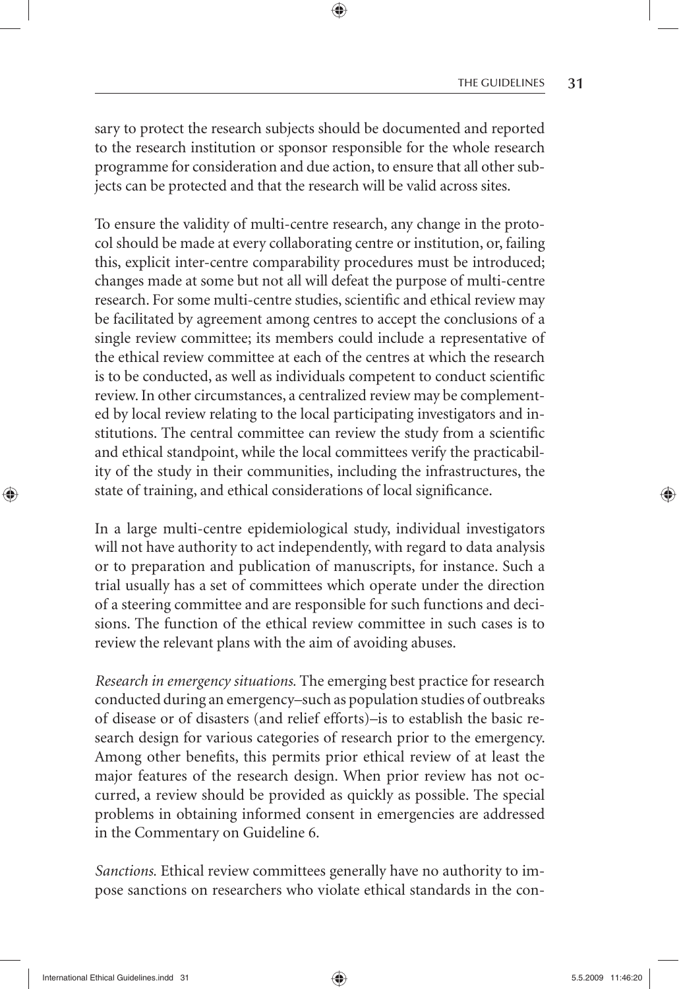sary to protect the research subjects should be documented and reported to the research institution or sponsor responsible for the whole research programme for consideration and due action, to ensure that all other subjects can be protected and that the research will be valid across sites.

To ensure the validity of multi-centre research, any change in the protocol should be made at every collaborating centre or institution, or, failing this, explicit inter-centre comparability procedures must be introduced; changes made at some but not all will defeat the purpose of multi-centre research. For some multi-centre studies, scientific and ethical review may be facilitated by agreement among centres to accept the conclusions of a single review committee; its members could include a representative of the ethical review committee at each of the centres at which the research is to be conducted, as well as individuals competent to conduct scientific review. In other circumstances, a centralized review may be complemented by local review relating to the local participating investigators and institutions. The central committee can review the study from a scientific and ethical standpoint, while the local committees verify the practicability of the study in their communities, including the infrastructures, the state of training, and ethical considerations of local significance.

In a large multi-centre epidemiological study, individual investigators will not have authority to act independently, with regard to data analysis or to preparation and publication of manuscripts, for instance. Such a trial usually has a set of committees which operate under the direction of a steering committee and are responsible for such functions and decisions. The function of the ethical review committee in such cases is to review the relevant plans with the aim of avoiding abuses.

*Research in emergency situations.* The emerging best practice for research conducted during an emergency–such as population studies of outbreaks of disease or of disasters (and relief efforts)–is to establish the basic research design for various categories of research prior to the emergency. Among other benefits, this permits prior ethical review of at least the major features of the research design. When prior review has not occurred, a review should be provided as quickly as possible. The special problems in obtaining informed consent in emergencies are addressed in the Commentary on Guideline 6.

*Sanctions.* Ethical review committees generally have no authority to impose sanctions on researchers who violate ethical standards in the con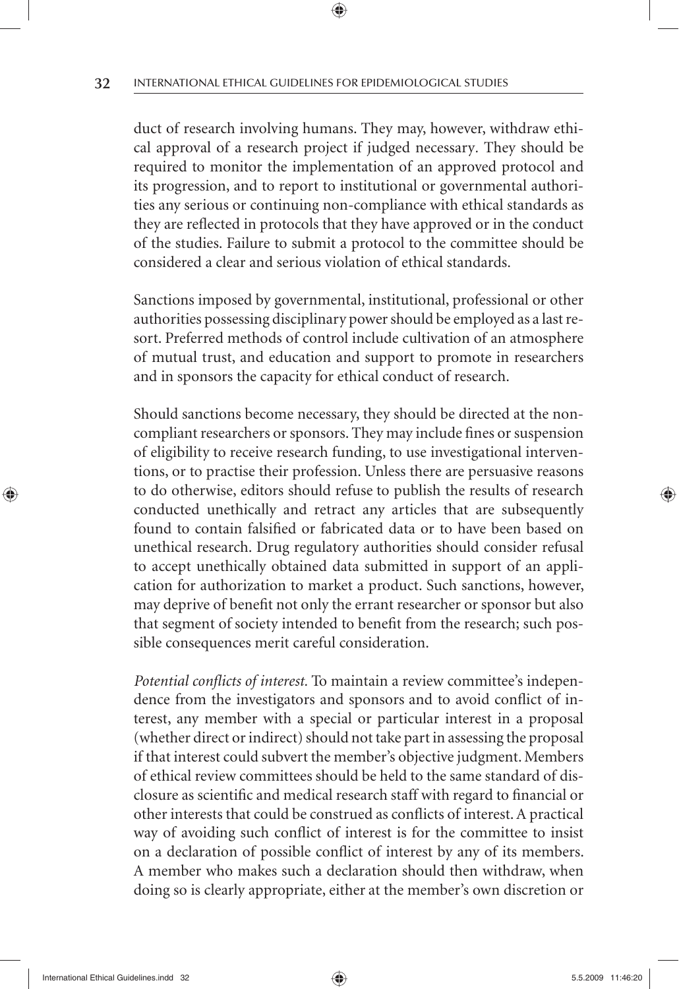duct of research involving humans. They may, however, withdraw ethical approval of a research project if judged necessary*.* They should be required to monitor the implementation of an approved protocol and its progression, and to report to institutional or governmental authorities any serious or continuing non-compliance with ethical standards as they are reflected in protocols that they have approved or in the conduct of the studies. Failure to submit a protocol to the committee should be considered a clear and serious violation of ethical standards.

Sanctions imposed by governmental, institutional, professional or other authorities possessing disciplinary power should be employed as a last resort. Preferred methods of control include cultivation of an atmosphere of mutual trust, and education and support to promote in researchers and in sponsors the capacity for ethical conduct of research.

Should sanctions become necessary, they should be directed at the noncompliant researchers or sponsors. They may include fines or suspension of eligibility to receive research funding, to use investigational interventions, or to practise their profession. Unless there are persuasive reasons to do otherwise, editors should refuse to publish the results of research conducted unethically and retract any articles that are subsequently found to contain falsified or fabricated data or to have been based on unethical research. Drug regulatory authorities should consider refusal to accept unethically obtained data submitted in support of an application for authorization to market a product. Such sanctions, however, may deprive of benefit not only the errant researcher or sponsor but also that segment of society intended to benefit from the research; such possible consequences merit careful consideration.

*Potential conflicts of interest*. To maintain a review committee's independence from the investigators and sponsors and to avoid conflict of interest, any member with a special or particular interest in a proposal (whether direct or indirect) should not take part in assessing the proposal if that interest could subvert the member's objective judgment. Members of ethical review committees should be held to the same standard of disclosure as scientific and medical research staff with regard to financial or other interests that could be construed as conflicts of interest. A practical way of avoiding such conflict of interest is for the committee to insist on a declaration of possible conflict of interest by any of its members. A member who makes such a declaration should then withdraw, when doing so is clearly appropriate, either at the member's own discretion or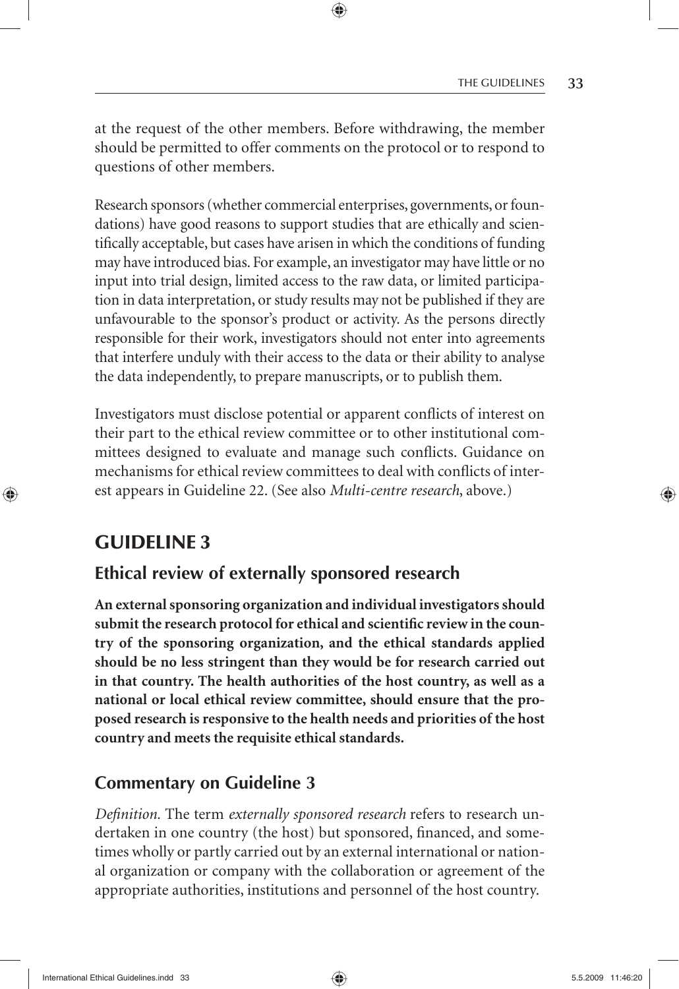at the request of the other members. Before withdrawing, the member should be permitted to offer comments on the protocol or to respond to questions of other members.

Research sponsors (whether commercial enterprises, governments, or foundations) have good reasons to support studies that are ethically and scientifically acceptable, but cases have arisen in which the conditions of funding may have introduced bias. For example, an investigator may have little or no input into trial design, limited access to the raw data, or limited participation in data interpretation, or study results may not be published if they are unfavourable to the sponsor's product or activity. As the persons directly responsible for their work, investigators should not enter into agreements that interfere unduly with their access to the data or their ability to analyse the data independently, to prepare manuscripts, or to publish them.

Investigators must disclose potential or apparent conflicts of interest on their part to the ethical review committee or to other institutional committees designed to evaluate and manage such conflicts. Guidance on mechanisms for ethical review committees to deal with conflicts of interest appears in Guideline 22. (See also *Multi-centre research*, above.)

#### **GUIDELINE 3**

#### **Ethical review of externally sponsored research**

**An external sponsoring organization and individual investigators should**  submit the research protocol for ethical and scientific review in the coun**try of the sponsoring organization, and the ethical standards applied should be no less stringent than they would be for research carried out in that country. The health authorities of the host country, as well as a national or local ethical review committee, should ensure that the proposed research is responsive to the health needs and priorities of the host country and meets the requisite ethical standards.**

#### **Commentary on Guideline 3**

*Defi nition.* The term *externally sponsored research* refers to research undertaken in one country (the host) but sponsored, financed, and sometimes wholly or partly carried out by an external international or national organization or company with the collaboration or agreement of the appropriate authorities, institutions and personnel of the host country.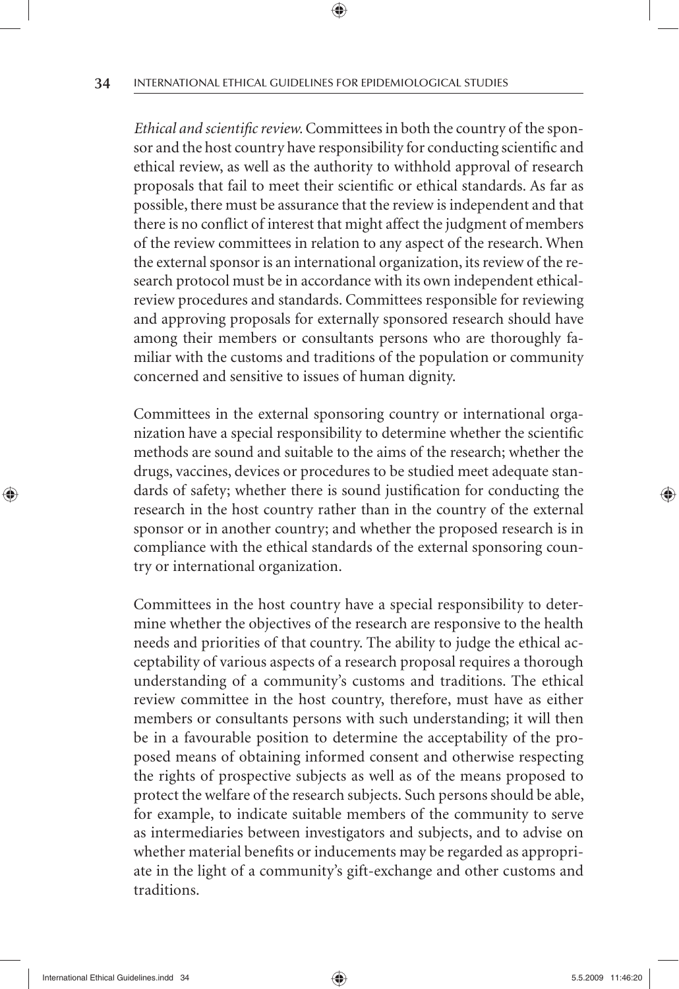*Ethical and scientific review.* Committees in both the country of the sponsor and the host country have responsibility for conducting scientific and ethical review, as well as the authority to withhold approval of research proposals that fail to meet their scientific or ethical standards. As far as possible, there must be assurance that the review is independent and that there is no conflict of interest that might affect the judgment of members of the review committees in relation to any aspect of the research. When the external sponsor is an international organization, its review of the research protocol must be in accordance with its own independent ethicalreview procedures and standards. Committees responsible for reviewing and approving proposals for externally sponsored research should have among their members or consultants persons who are thoroughly familiar with the customs and traditions of the population or community concerned and sensitive to issues of human dignity.

Committees in the external sponsoring country or international organization have a special responsibility to determine whether the scientific methods are sound and suitable to the aims of the research; whether the drugs, vaccines, devices or procedures to be studied meet adequate standards of safety; whether there is sound justification for conducting the research in the host country rather than in the country of the external sponsor or in another country; and whether the proposed research is in compliance with the ethical standards of the external sponsoring country or international organization.

Committees in the host country have a special responsibility to determine whether the objectives of the research are responsive to the health needs and priorities of that country. The ability to judge the ethical acceptability of various aspects of a research proposal requires a thorough understanding of a community's customs and traditions. The ethical review committee in the host country, therefore, must have as either members or consultants persons with such understanding; it will then be in a favourable position to determine the acceptability of the proposed means of obtaining informed consent and otherwise respecting the rights of prospective subjects as well as of the means proposed to protect the welfare of the research subjects. Such persons should be able, for example, to indicate suitable members of the community to serve as intermediaries between investigators and subjects, and to advise on whether material benefits or inducements may be regarded as appropriate in the light of a community's gift-exchange and other customs and traditions.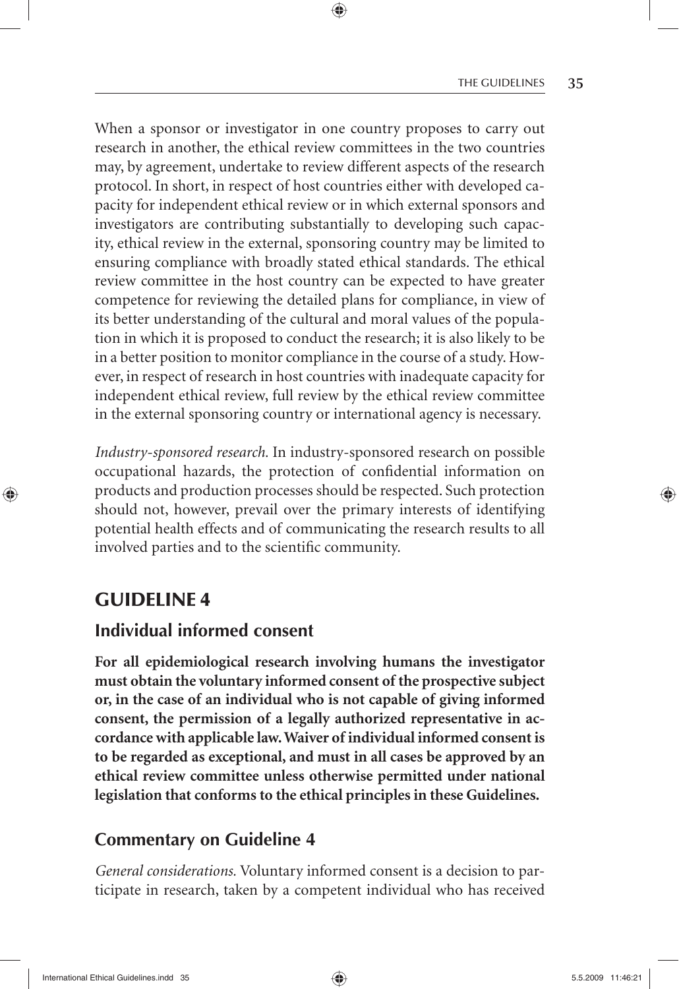When a sponsor or investigator in one country proposes to carry out research in another, the ethical review committees in the two countries may, by agreement, undertake to review different aspects of the research protocol. In short, in respect of host countries either with developed capacity for independent ethical review or in which external sponsors and investigators are contributing substantially to developing such capacity, ethical review in the external, sponsoring country may be limited to ensuring compliance with broadly stated ethical standards. The ethical review committee in the host country can be expected to have greater competence for reviewing the detailed plans for compliance, in view of its better understanding of the cultural and moral values of the population in which it is proposed to conduct the research; it is also likely to be in a better position to monitor compliance in the course of a study. However, in respect of research in host countries with inadequate capacity for independent ethical review, full review by the ethical review committee in the external sponsoring country or international agency is necessary.

*Industry-sponsored research.* In industry-sponsored research on possible occupational hazards, the protection of confidential information on products and production processes should be respected. Such protection should not, however, prevail over the primary interests of identifying potential health effects and of communicating the research results to all involved parties and to the scientific community.

#### **GUIDELINE 4**

#### **Individual informed consent**

**For all epidemiological research involving humans the investigator must obtain the voluntary informed consent of the prospective subject or, in the case of an individual who is not capable of giving informed consent, the permission of a legally authorized representative in accordance with applicable law. Waiver of individual informed consent is to be regarded as exceptional, and must in all cases be approved by an ethical review committee unless otherwise permitted under national legislation that conforms to the ethical principles in these Guidelines.**

#### **Commentary on Guideline 4**

*General considerations.* Voluntary informed consent is a decision to participate in research, taken by a competent individual who has received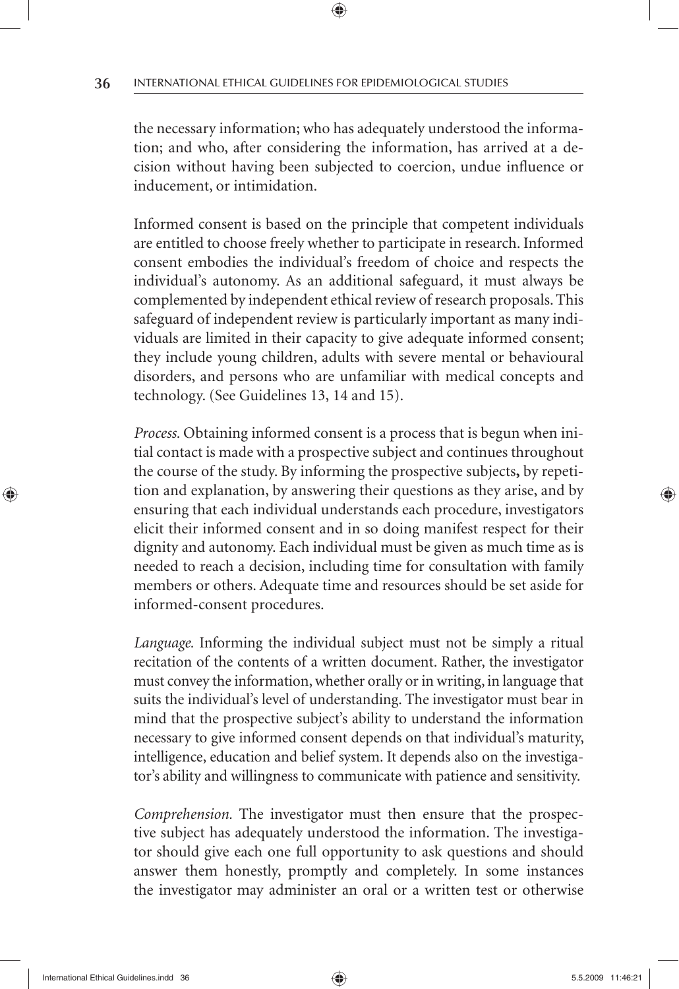the necessary information; who has adequately understood the information; and who, after considering the information, has arrived at a decision without having been subjected to coercion, undue influence or inducement, or intimidation.

Informed consent is based on the principle that competent individuals are entitled to choose freely whether to participate in research. Informed consent embodies the individual's freedom of choice and respects the individual's autonomy. As an additional safeguard, it must always be complemented by independent ethical review of research proposals. This safeguard of independent review is particularly important as many individuals are limited in their capacity to give adequate informed consent; they include young children, adults with severe mental or behavioural disorders, and persons who are unfamiliar with medical concepts and technology. (See Guidelines 13, 14 and 15).

*Process.* Obtaining informed consent is a process that is begun when initial contact is made with a prospective subject and continues throughout the course of the study. By informing the prospective subjects**,** by repetition and explanation, by answering their questions as they arise, and by ensuring that each individual understands each procedure, investigators elicit their informed consent and in so doing manifest respect for their dignity and autonomy. Each individual must be given as much time as is needed to reach a decision, including time for consultation with family members or others. Adequate time and resources should be set aside for informed-consent procedures.

*Language.* Informing the individual subject must not be simply a ritual recitation of the contents of a written document. Rather, the investigator must convey the information, whether orally or in writing, in language that suits the individual's level of understanding. The investigator must bear in mind that the prospective subject's ability to understand the information necessary to give informed consent depends on that individual's maturity, intelligence, education and belief system. It depends also on the investigator's ability and willingness to communicate with patience and sensitivity.

*Comprehension.* The investigator must then ensure that the prospective subject has adequately understood the information. The investigator should give each one full opportunity to ask questions and should answer them honestly, promptly and completely. In some instances the investigator may administer an oral or a written test or otherwise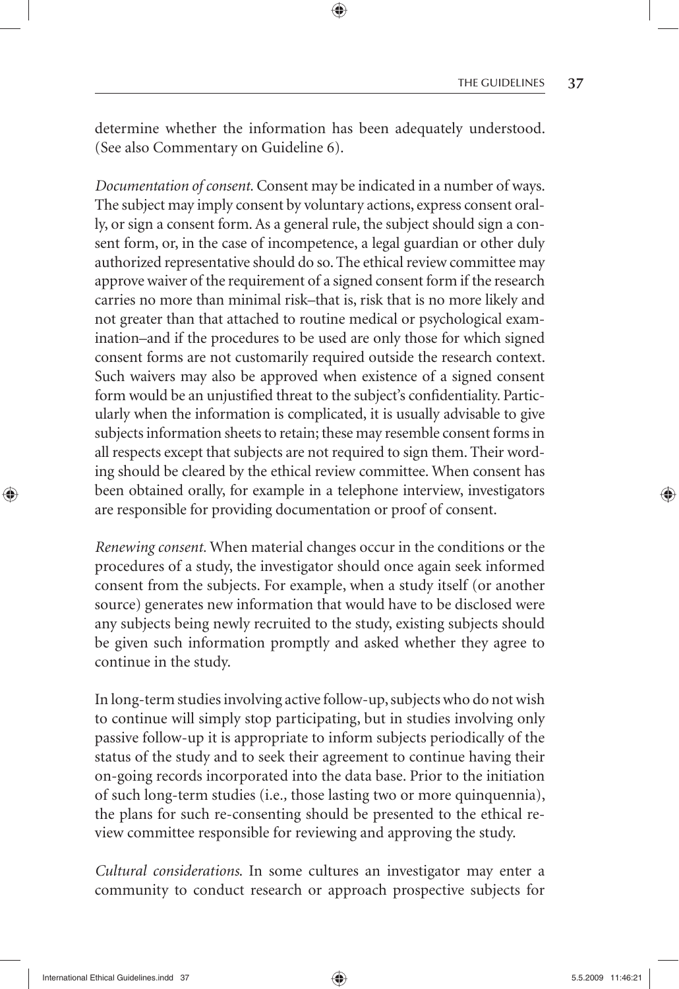determine whether the information has been adequately understood. (See also Commentary on Guideline 6).

*Documentation of consent.* Consent may be indicated in a number of ways. The subject may imply consent by voluntary actions, express consent orally, or sign a consent form. As a general rule, the subject should sign a consent form, or, in the case of incompetence, a legal guardian or other duly authorized representative should do so. The ethical review committee may approve waiver of the requirement of a signed consent form if the research carries no more than minimal risk–that is, risk that is no more likely and not greater than that attached to routine medical or psychological examination–and if the procedures to be used are only those for which signed consent forms are not customarily required outside the research context. Such waivers may also be approved when existence of a signed consent form would be an unjustified threat to the subject's confidentiality. Particularly when the information is complicated, it is usually advisable to give subjects information sheets to retain; these may resemble consent forms in all respects except that subjects are not required to sign them. Their wording should be cleared by the ethical review committee. When consent has been obtained orally, for example in a telephone interview, investigators are responsible for providing documentation or proof of consent.

*Renewing consent.* When material changes occur in the conditions or the procedures of a study, the investigator should once again seek informed consent from the subjects. For example, when a study itself (or another source) generates new information that would have to be disclosed were any subjects being newly recruited to the study, existing subjects should be given such information promptly and asked whether they agree to continue in the study.

In long-term studies involving active follow-up, subjects who do not wish to continue will simply stop participating, but in studies involving only passive follow-up it is appropriate to inform subjects periodically of the status of the study and to seek their agreement to continue having their on-going records incorporated into the data base. Prior to the initiation of such long-term studies (i.e*.,* those lasting two or more quinquennia), the plans for such re-consenting should be presented to the ethical review committee responsible for reviewing and approving the study.

*Cultural considerations*. In some cultures an investigator may enter a community to conduct research or approach prospective subjects for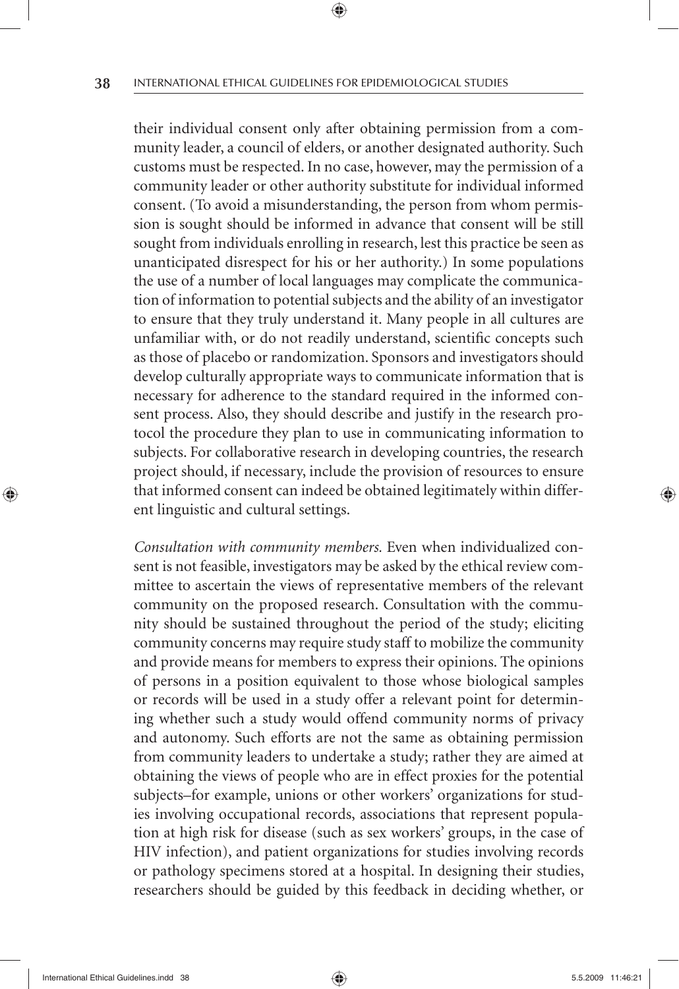their individual consent only after obtaining permission from a community leader, a council of elders, or another designated authority. Such customs must be respected. In no case, however, may the permission of a community leader or other authority substitute for individual informed consent. (To avoid a misunderstanding, the person from whom permission is sought should be informed in advance that consent will be still sought from individuals enrolling in research, lest this practice be seen as unanticipated disrespect for his or her authority.) In some populations the use of a number of local languages may complicate the communication of information to potential subjects and the ability of an investigator to ensure that they truly understand it. Many people in all cultures are unfamiliar with, or do not readily understand, scientific concepts such as those of placebo or randomization. Sponsors and investigators should develop culturally appropriate ways to communicate information that is necessary for adherence to the standard required in the informed consent process. Also, they should describe and justify in the research protocol the procedure they plan to use in communicating information to subjects. For collaborative research in developing countries, the research project should, if necessary, include the provision of resources to ensure that informed consent can indeed be obtained legitimately within different linguistic and cultural settings.

*Consultation with community members.* Even when individualized consent is not feasible, investigators may be asked by the ethical review committee to ascertain the views of representative members of the relevant community on the proposed research. Consultation with the community should be sustained throughout the period of the study; eliciting community concerns may require study staff to mobilize the community and provide means for members to express their opinions. The opinions of persons in a position equivalent to those whose biological samples or records will be used in a study offer a relevant point for determining whether such a study would offend community norms of privacy and autonomy. Such efforts are not the same as obtaining permission from community leaders to undertake a study; rather they are aimed at obtaining the views of people who are in effect proxies for the potential subjects–for example, unions or other workers' organizations for studies involving occupational records, associations that represent population at high risk for disease (such as sex workers' groups, in the case of HIV infection), and patient organizations for studies involving records or pathology specimens stored at a hospital. In designing their studies, researchers should be guided by this feedback in deciding whether, or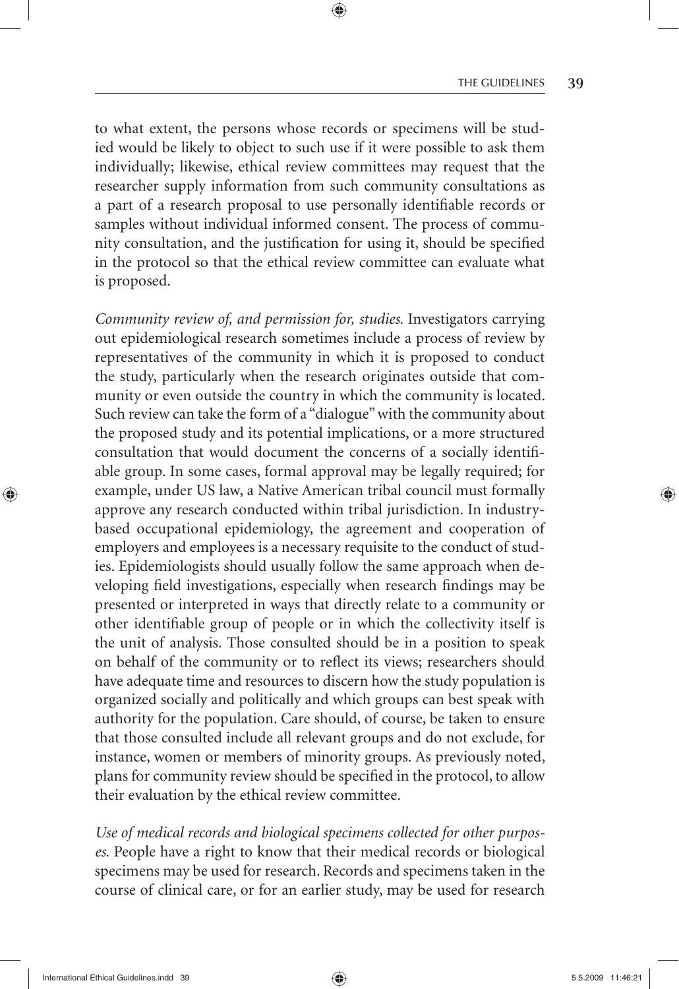to what extent, the persons whose records or specimens will be studied would be likely to object to such use if it were possible to ask them individually; likewise, ethical review committees may request that the researcher supply information from such community consultations as a part of a research proposal to use personally identifiable records or samples without individual informed consent. The process of community consultation, and the justification for using it, should be specified in the protocol so that the ethical review committee can evaluate what is proposed.

*Community review of, and permission for, studies.* Investigators carrying out epidemiological research sometimes include a process of review by representatives of the community in which it is proposed to conduct the study, particularly when the research originates outside that community or even outside the country in which the community is located. Such review can take the form of a "dialogue" with the community about the proposed study and its potential implications, or a more structured consultation that would document the concerns of a socially identifiable group. In some cases, formal approval may be legally required; for example, under US law, a Native American tribal council must formally approve any research conducted within tribal jurisdiction. In industrybased occupational epidemiology, the agreement and cooperation of employers and employees is a necessary requisite to the conduct of studies. Epidemiologists should usually follow the same approach when developing field investigations, especially when research findings may be presented or interpreted in ways that directly relate to a community or other identifiable group of people or in which the collectivity itself is the unit of analysis. Those consulted should be in a position to speak on behalf of the community or to reflect its views; researchers should have adequate time and resources to discern how the study population is organized socially and politically and which groups can best speak with authority for the population. Care should, of course, be taken to ensure that those consulted include all relevant groups and do not exclude, for instance, women or members of minority groups. As previously noted, plans for community review should be specified in the protocol, to allow their evaluation by the ethical review committee.

*Use of medical records and biological specimens collected for other purposes.* People have a right to know that their medical records or biological specimens may be used for research. Records and specimens taken in the course of clinical care, or for an earlier study, may be used for research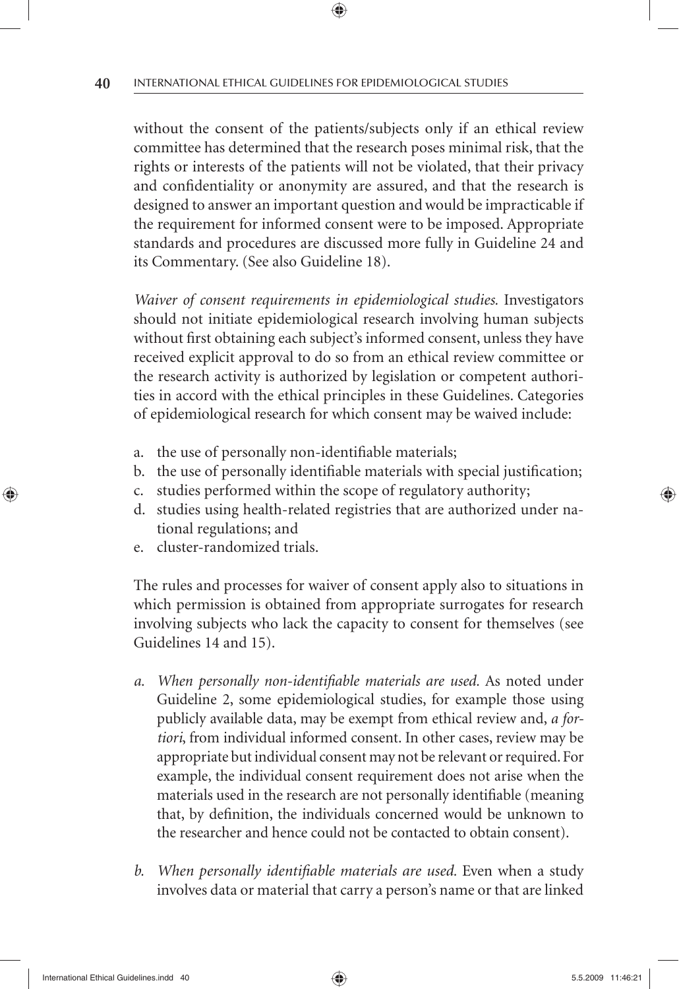without the consent of the patients/subjects only if an ethical review committee has determined that the research poses minimal risk, that the rights or interests of the patients will not be violated, that their privacy and confidentiality or anonymity are assured, and that the research is designed to answer an important question andwould be impracticable if the requirement for informed consent were to be imposed. Appropriate standards and procedures are discussed more fully in Guideline 24 and its Commentary. (See also Guideline 18).

*Waiver of consent requirements in epidemiological studies.* Investigators should not initiate epidemiological research involving human subjects without first obtaining each subject's informed consent, unless they have received explicit approval to do so from an ethical review committee or the research activity is authorized by legislation or competent authorities in accord with the ethical principles in these Guidelines. Categories of epidemiological research for which consent may be waived include:

- a. the use of personally non-identifiable materials;
- b. the use of personally identifiable materials with special justification;
- c. studies performed within the scope of regulatory authority;
- d. studies using health-related registries that are authorized under national regulations; and
- e. cluster-randomized trials.

The rules and processes for waiver of consent apply also to situations in which permission is obtained from appropriate surrogates for research involving subjects who lack the capacity to consent for themselves (see Guidelines 14 and 15).

- *a. When personally non-identifi able materials are used.* As noted under Guideline 2, some epidemiological studies, for example those using publicly available data, may be exempt from ethical review and, *a fortiori*, from individual informed consent. In other cases, review may be appropriate but individual consent may not be relevant or required. For example, the individual consent requirement does not arise when the materials used in the research are not personally identifiable (meaning that, by definition, the individuals concerned would be unknown to the researcher and hence could not be contacted to obtain consent).
- *b. When personally identifi able materials are used.* Even when a study involves data or material that carry a person's name or that are linked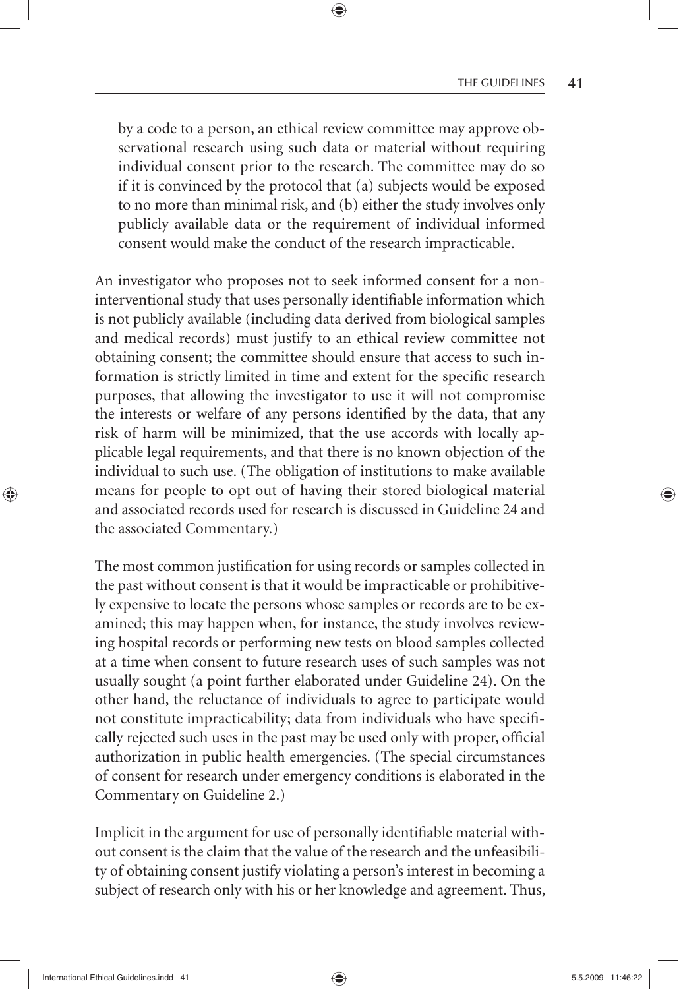by a code to a person, an ethical review committee may approve observational research using such data or material without requiring individual consent prior to the research. The committee may do so if it is convinced by the protocol that (a) subjects would be exposed to no more than minimal risk, and (b) either the study involves only publicly available data or the requirement of individual informed consent would make the conduct of the research impracticable.

An investigator who proposes not to seek informed consent for a noninterventional study that uses personally identifiable information which is not publicly available (including data derived from biological samples and medical records) must justify to an ethical review committee not obtaining consent; the committee should ensure that access to such information is strictly limited in time and extent for the specific research purposes, that allowing the investigator to use it will not compromise the interests or welfare of any persons identified by the data, that any risk of harm will be minimized, that the use accords with locally applicable legal requirements, and that there is no known objection of the individual to such use. (The obligation of institutions to make available means for people to opt out of having their stored biological material and associated records used for research is discussed in Guideline 24 and the associated Commentary.)

The most common justification for using records or samples collected in the past without consent is that it would be impracticable or prohibitively expensive to locate the persons whose samples or records are to be examined; this may happen when, for instance, the study involves reviewing hospital records or performing new tests on blood samples collected at a time when consent to future research uses of such samples was not usually sought (a point further elaborated under Guideline 24). On the other hand, the reluctance of individuals to agree to participate would not constitute impracticability; data from individuals who have specifi cally rejected such uses in the past may be used only with proper, official authorization in public health emergencies. (The special circumstances of consent for research under emergency conditions is elaborated in the Commentary on Guideline 2.)

Implicit in the argument for use of personally identifiable material without consent is the claim that the value of the research and the unfeasibility of obtaining consent justify violating a person's interest in becoming a subject of research only with his or her knowledge and agreement. Thus,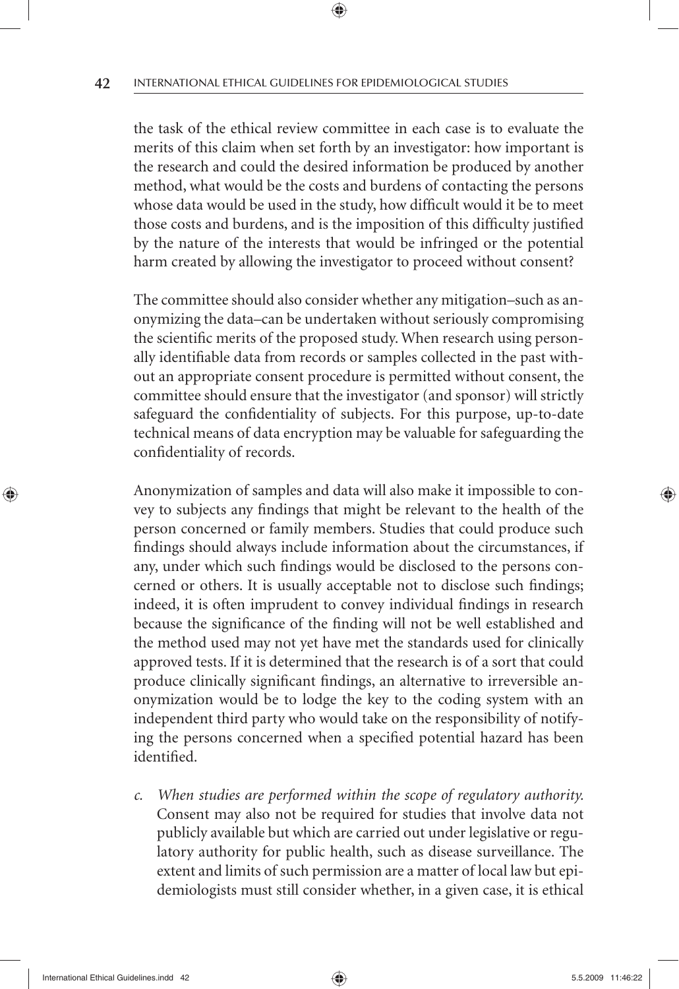the task of the ethical review committee in each case is to evaluate the merits of this claim when set forth by an investigator: how important is the research and could the desired information be produced by another method, what would be the costs and burdens of contacting the persons whose data would be used in the study, how difficult would it be to meet those costs and burdens, and is the imposition of this difficulty justified by the nature of the interests that would be infringed or the potential harm created by allowing the investigator to proceed without consent?

The committee should also consider whether any mitigation–such as anonymizing the data–can be undertaken without seriously compromising the scientific merits of the proposed study. When research using personally identifiable data from records or samples collected in the past without an appropriate consent procedure is permitted without consent, the committee should ensure that the investigator (and sponsor) will strictly safeguard the confidentiality of subjects. For this purpose, up-to-date technical means of data encryption may be valuable for safeguarding the confidentiality of records.

Anonymization of samples and data will also make it impossible to convey to subjects any findings that might be relevant to the health of the person concerned or family members. Studies that could produce such findings should always include information about the circumstances, if any, under which such findings would be disclosed to the persons concerned or others. It is usually acceptable not to disclose such findings; indeed, it is often imprudent to convey individual findings in research because the significance of the finding will not be well established and the method used may not yet have met the standards used for clinically approved tests. If it is determined that the research is of a sort that could produce clinically significant findings, an alternative to irreversible anonymization would be to lodge the key to the coding system with an independent third party who would take on the responsibility of notifying the persons concerned when a specified potential hazard has been identified.

*c. When studies are performed within the scope of regulatory authority.*  Consent may also not be required for studies that involve data not publicly available but which are carried out under legislative or regulatory authority for public health, such as disease surveillance. The extent and limits of such permission are a matter of local law but epidemiologists must still consider whether, in a given case, it is ethical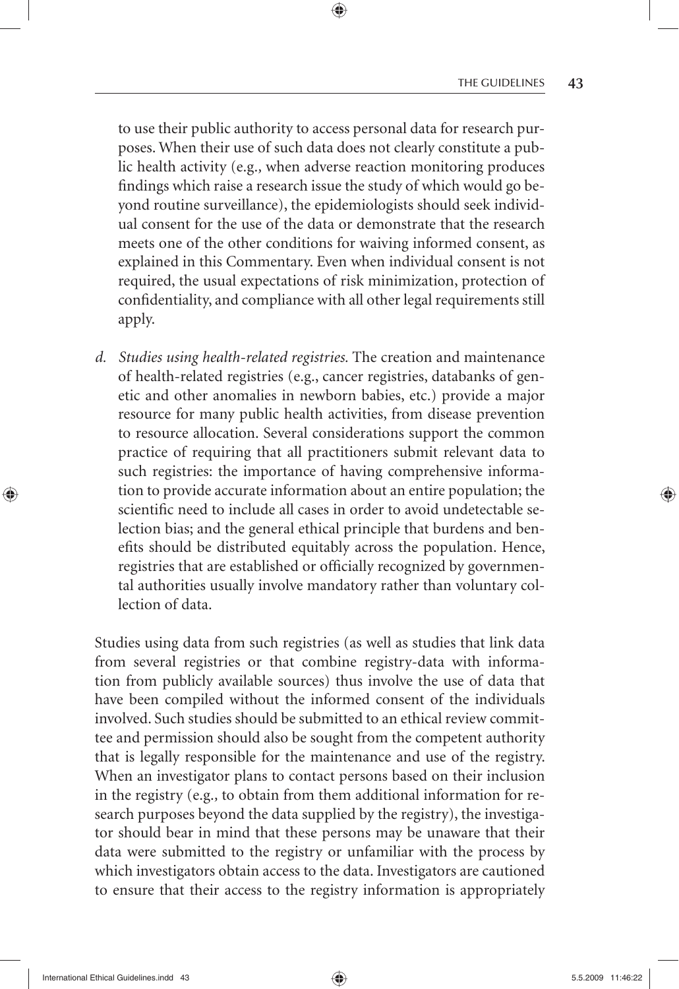to use their public authority to access personal data for research purposes. When their use of such data does not clearly constitute a public health activity (e.g.*,* when adverse reaction monitoring produces findings which raise a research issue the study of which would go beyond routine surveillance), the epidemiologists should seek individual consent for the use of the data or demonstrate that the research meets one of the other conditions for waiving informed consent, as explained in this Commentary. Even when individual consent is not required, the usual expectations of risk minimization, protection of confidentiality, and compliance with all other legal requirements still apply.

*d. Studies using health-related registries.* The creation and maintenance of health-related registries (e.g., cancer registries, databanks of genetic and other anomalies in newborn babies, etc.) provide a major resource for many public health activities, from disease prevention to resource allocation. Several considerations support the common practice of requiring that all practitioners submit relevant data to such registries: the importance of having comprehensive information to provide accurate information about an entire population; the scientific need to include all cases in order to avoid undetectable selection bias; and the general ethical principle that burdens and benefits should be distributed equitably across the population. Hence, registries that are established or officially recognized by governmental authorities usually involve mandatory rather than voluntary collection of data.

Studies using data from such registries (as well as studies that link data from several registries or that combine registry-data with information from publicly available sources) thus involve the use of data that have been compiled without the informed consent of the individuals involved. Such studies should be submitted to an ethical review committee and permission should also be sought from the competent authority that is legally responsible for the maintenance and use of the registry. When an investigator plans to contact persons based on their inclusion in the registry (e.g.*,* to obtain from them additional information for research purposes beyond the data supplied by the registry), the investigator should bear in mind that these persons may be unaware that their data were submitted to the registry or unfamiliar with the process by which investigators obtain access to the data. Investigators are cautioned to ensure that their access to the registry information is appropriately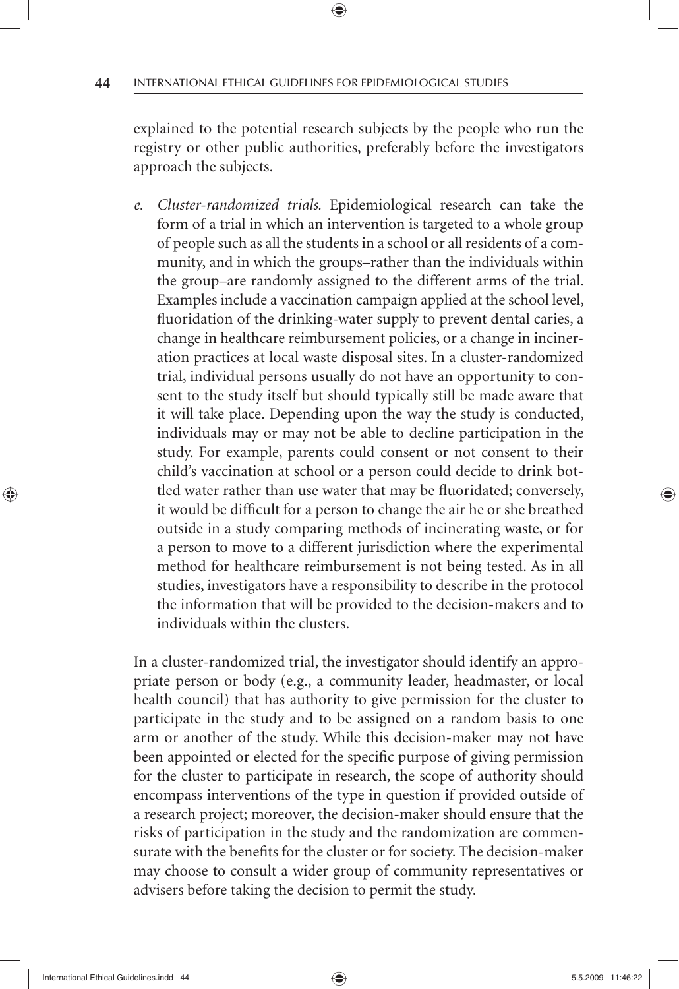explained to the potential research subjects by the people who run the registry or other public authorities, preferably before the investigators approach the subjects.

*e. Cluster-randomized trials.* Epidemiological research can take the form of a trial in which an intervention is targeted to a whole group of people such as all the students in a school or all residents of a community, and in which the groups–rather than the individuals within the group–are randomly assigned to the different arms of the trial. Examples include a vaccination campaign applied at the school level, fluoridation of the drinking-water supply to prevent dental caries, a change in healthcare reimbursement policies, or a change in incineration practices at local waste disposal sites. In a cluster-randomized trial, individual persons usually do not have an opportunity to consent to the study itself but should typically still be made aware that it will take place. Depending upon the way the study is conducted, individuals may or may not be able to decline participation in the study. For example, parents could consent or not consent to their child's vaccination at school or a person could decide to drink bottled water rather than use water that may be fluoridated; conversely, it would be difficult for a person to change the air he or she breathed outside in a study comparing methods of incinerating waste, or for a person to move to a different jurisdiction where the experimental method for healthcare reimbursement is not being tested. As in all studies, investigators have a responsibility to describe in the protocol the information that will be provided to the decision-makers and to individuals within the clusters.

In a cluster-randomized trial, the investigator should identify an appropriate person or body (e.g., a community leader, headmaster, or local health council) that has authority to give permission for the cluster to participate in the study and to be assigned on a random basis to one arm or another of the study. While this decision-maker may not have been appointed or elected for the specific purpose of giving permission for the cluster to participate in research, the scope of authority should encompass interventions of the type in question if provided outside of a research project; moreover, the decision-maker should ensure that the risks of participation in the study and the randomization are commensurate with the benefits for the cluster or for society. The decision-maker may choose to consult a wider group of community representatives or advisers before taking the decision to permit the study.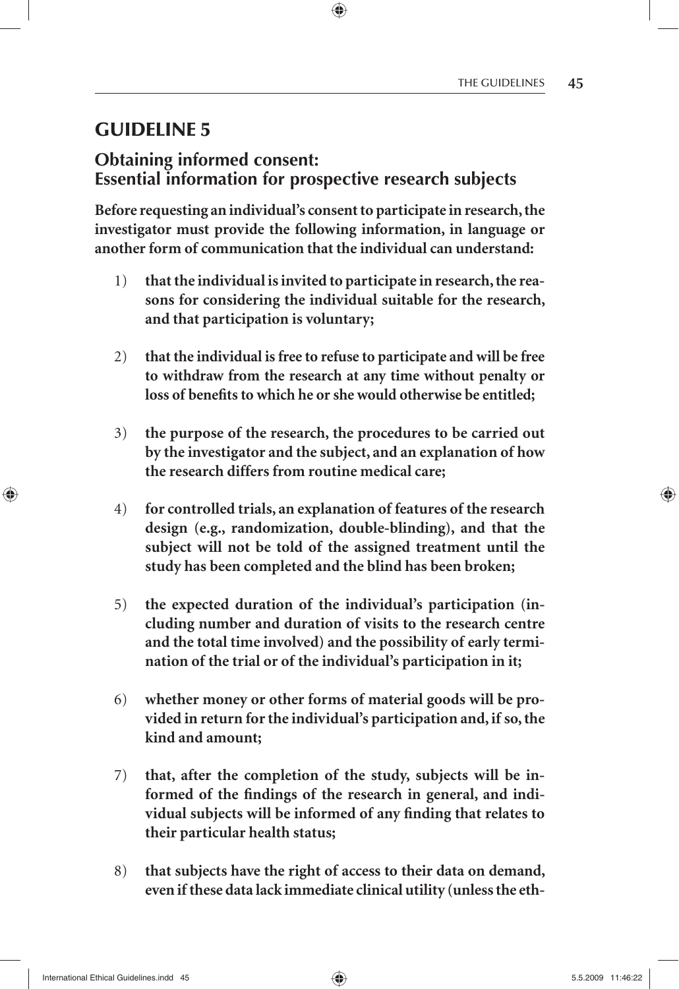# **GUIDELINE 5**

### **Obtaining informed consent: Essential information for prospective research subjects**

**Before requesting an individual's consent to participate in research, the investigator must provide the following information, in language or another form of communication that the individual can understand:**

- 1) **that the individual is invited to participate in research, the reasons for considering the individual suitable for the research, and that participation is voluntary;**
- 2) **that the individual is free to refuse to participate and will be free to withdraw from the research at any time without penalty or**  loss of benefits to which he or she would otherwise be entitled;
- 3) **the purpose of the research, the procedures to be carried out by the investigator and the subject, and an explanation of how the research differs from routine medical care;**
- 4) **for controlled trials, an explanation of features of the research design (e.g., randomization, double-blinding), and that the subject will not be told of the assigned treatment until the study has been completed and the blind has been broken;**
- 5) **the expected duration of the individual's participation (including number and duration of visits to the research centre and the total time involved) and the possibility of early termination of the trial or of the individual's participation in it;**
- 6) **whether money or other forms of material goods will be provided in return for the individual's participation and, if so, the kind and amount;**
- 7) **that, after the completion of the study, subjects will be in**formed of the findings of the research in general, and individual subjects will be informed of any finding that relates to **their particular health status;**
- 8) **that subjects have the right of access to their data on demand, even if these data lack immediate clinical utility (unless the eth-**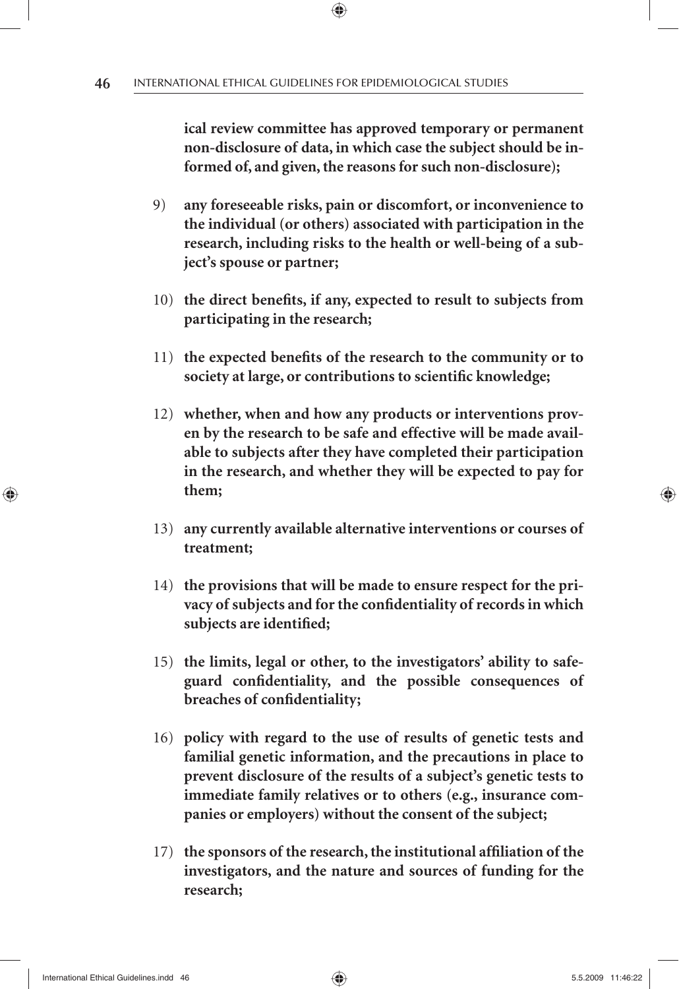**ical review committee has approved temporary or permanent non-disclosure of data, in which case the subject should be informed of, and given, the reasons for such non-disclosure);**

- 9) **any foreseeable risks, pain or discomfort, or inconvenience to the individual (or others) associated with participation in the research, including risks to the health or well-being of a subject's spouse or partner;**
- 10) the direct benefits, if any, expected to result to subjects from **participating in the research;**
- 11) the expected benefits of the research to the community or to society at large, or contributions to scientific knowledge;
- 12) **whether, when and how any products or interventions proven by the research to be safe and effective will be made available to subjects after they have completed their participation in the research, and whether they will be expected to pay for them;**
- 13) **any currently available alternative interventions or courses of treatment;**
- 14) **the provisions that will be made to ensure respect for the privacy of subjects and for the confidentiality of records in which** subjects are identified;
- 15) **the limits, legal or other, to the investigators' ability to safe**guard confidentiality, and the possible consequences of breaches of confidentiality;
- 16) **policy with regard to the use of results of genetic tests and familial genetic information, and the precautions in place to prevent disclosure of the results of a subject's genetic tests to immediate family relatives or to others (e.g., insurance companies or employers) without the consent of the subject;**
- 17) the sponsors of the research, the institutional affiliation of the **investigators, and the nature and sources of funding for the research;**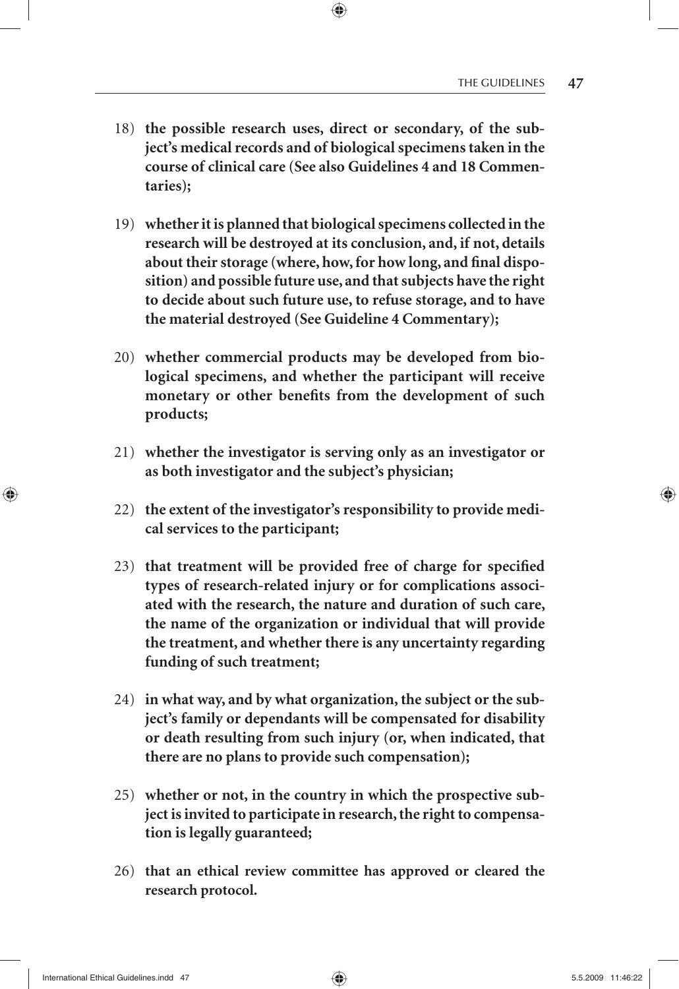- 18) **the possible research uses, direct or secondary, of the subject's medical records and of biological specimens taken in the course of clinical care (See also Guidelines 4 and 18 Commentaries);**
- 19) **whether it is planned that biological specimens collected in the research will be destroyed at its conclusion, and, if not, details**  about their storage (where, how, for how long, and final dispo**sition) and possible future use, and that subjects have the right to decide about such future use, to refuse storage, and to have the material destroyed (See Guideline 4 Commentary);**
- 20) **whether commercial products may be developed from biological specimens, and whether the participant will receive**  monetary or other benefits from the development of such **products;**
- 21) **whether the investigator is serving only as an investigator or as both investigator and the subject's physician;**
- 22) **the extent of the investigator's responsibility to provide medical services to the participant;**
- 23) **that treatment will be provided free of charge for specified types of research-related injury or for complications associated with the research, the nature and duration of such care, the name of the organization or individual that will provide the treatment, and whether there is any uncertainty regarding funding of such treatment;**
- 24) **in what way, and by what organization, the subject or the subject's family or dependants will be compensated for disability or death resulting from such injury (or, when indicated, that there are no plans to provide such compensation);**
- 25) **whether or not, in the country in which the prospective subject is invited to participate in research, the right to compensation is legally guaranteed;**
- 26) **that an ethical review committee has approved or cleared the research protocol.**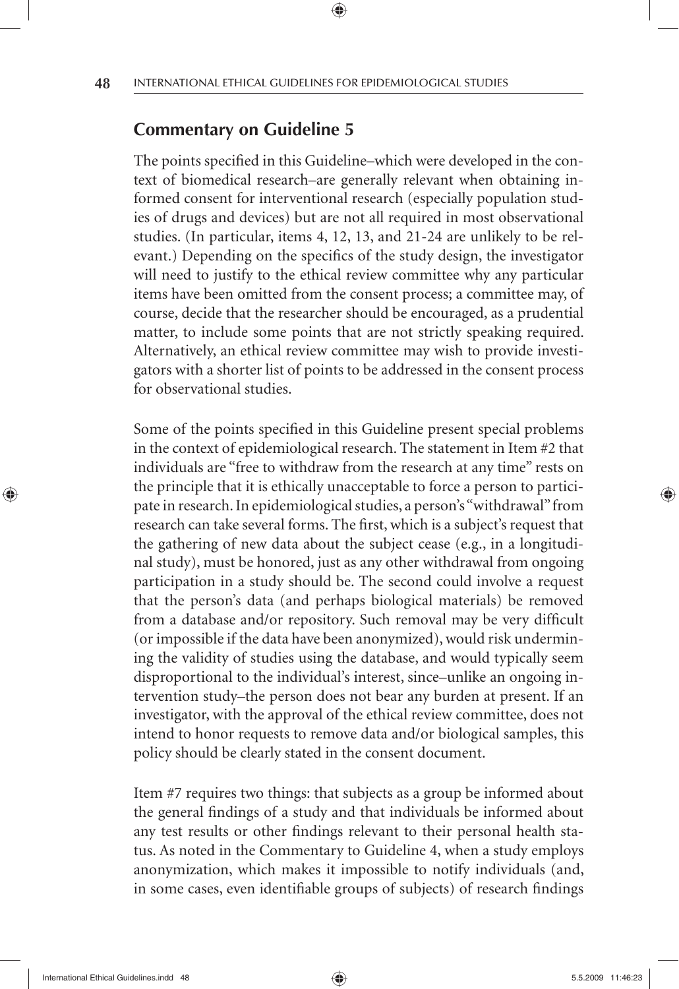### **Commentary on Guideline 5**

The points specified in this Guideline–which were developed in the context of biomedical research–are generally relevant when obtaining informed consent for interventional research (especially population studies of drugs and devices) but are not all required in most observational studies. (In particular, items 4, 12, 13, and 21-24 are unlikely to be relevant.) Depending on the specifics of the study design, the investigator will need to justify to the ethical review committee why any particular items have been omitted from the consent process; a committee may, of course, decide that the researcher should be encouraged, as a prudential matter, to include some points that are not strictly speaking required. Alternatively, an ethical review committee may wish to provide investigators with a shorter list of points to be addressed in the consent process for observational studies.

Some of the points specified in this Guideline present special problems in the context of epidemiological research. The statement in Item #2 that individuals are "free to withdraw from the research at any time" rests on the principle that it is ethically unacceptable to force a person to participate in research. In epidemiological studies, a person's "withdrawal" from research can take several forms. The first, which is a subject's request that the gathering of new data about the subject cease (e.g., in a longitudinal study), must be honored, just as any other withdrawal from ongoing participation in a study should be. The second could involve a request that the person's data (and perhaps biological materials) be removed from a database and/or repository. Such removal may be very difficult (or impossible if the data have been anonymized), would risk undermining the validity of studies using the database, and would typically seem disproportional to the individual's interest, since–unlike an ongoing intervention study–the person does not bear any burden at present. If an investigator, with the approval of the ethical review committee, does not intend to honor requests to remove data and/or biological samples, this policy should be clearly stated in the consent document.

Item #7 requires two things: that subjects as a group be informed about the general findings of a study and that individuals be informed about any test results or other findings relevant to their personal health status. As noted in the Commentary to Guideline 4, when a study employs anonymization, which makes it impossible to notify individuals (and, in some cases, even identifiable groups of subjects) of research findings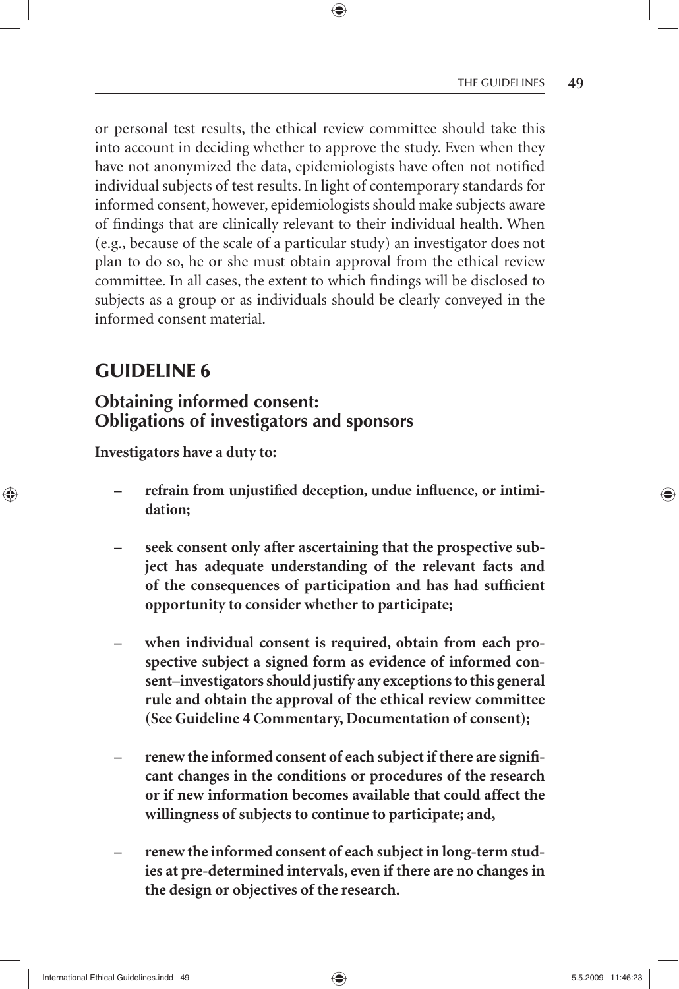or personal test results, the ethical review committee should take this into account in deciding whether to approve the study. Even when they have not anonymized the data, epidemiologists have often not notified individual subjects of test results. In light of contemporary standards for informed consent, however, epidemiologists should make subjects aware of findings that are clinically relevant to their individual health. When (e.g.*,* because of the scale of a particular study) an investigator does not plan to do so, he or she must obtain approval from the ethical review committee. In all cases, the extent to which findings will be disclosed to subjects as a group or as individuals should be clearly conveyed in the informed consent material.

# **GUIDELINE 6**

### **Obtaining informed consent: Obligations of investigators and sponsors**

**Investigators have a duty to:**

- refrain from unjustified deception, undue influence, or intimi**dation;**
- **seek consent only after ascertaining that the prospective subject has adequate understanding of the relevant facts and**  of the consequences of participation and has had sufficient **opportunity to consider whether to participate;**
- **when individual consent is required, obtain from each prospective subject a signed form as evidence of informed consent–investigators should justify any exceptions to this general rule and obtain the approval of the ethical review committee (See Guideline 4 Commentary, Documentation of consent);**
- **renew the informed consent of each subject if there are signifi cant changes in the conditions or procedures of the research or if new information becomes available that could affect the willingness of subjects to continue to participate; and,**
- **renew the informed consent of each subject in long-term studies at pre-determined intervals, even if there are no changes in the design or objectives of the research.**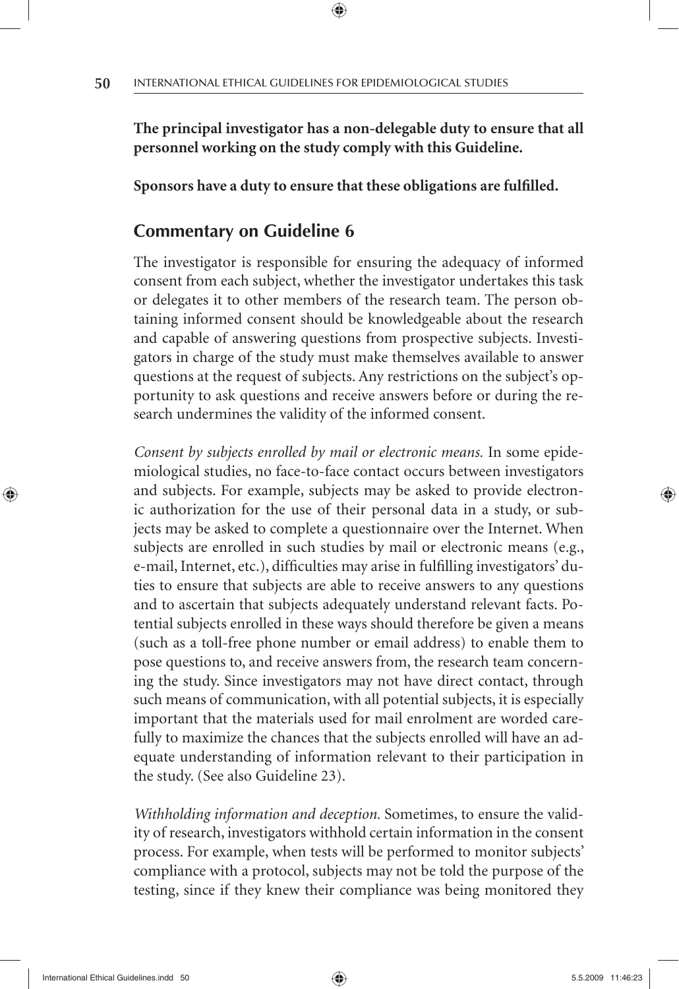**The principal investigator has a non-delegable duty to ensure that all personnel working on the study comply with this Guideline.**

Sponsors have a duty to ensure that these obligations are fulfilled.

### **Commentary on Guideline 6**

The investigator is responsible for ensuring the adequacy of informed consent from each subject, whether the investigator undertakes this task or delegates it to other members of the research team. The person obtaining informed consent should be knowledgeable about the research and capable of answering questions from prospective subjects. Investigators in charge of the study must make themselves available to answer questions at the request of subjects. Any restrictions on the subject's opportunity to ask questions and receive answers before or during the research undermines the validity of the informed consent.

*Consent by subjects enrolled by mail or electronic means.* In some epidemiological studies, no face-to-face contact occurs between investigators and subjects. For example, subjects may be asked to provide electronic authorization for the use of their personal data in a study, or subjects may be asked to complete a questionnaire over the Internet. When subjects are enrolled in such studies by mail or electronic means (e.g., e-mail, Internet, etc.), difficulties may arise in fulfilling investigators' duties to ensure that subjects are able to receive answers to any questions and to ascertain that subjects adequately understand relevant facts. Potential subjects enrolled in these ways should therefore be given a means (such as a toll-free phone number or email address) to enable them to pose questions to, and receive answers from, the research team concerning the study. Since investigators may not have direct contact, through such means of communication, with all potential subjects, it is especially important that the materials used for mail enrolment are worded carefully to maximize the chances that the subjects enrolled will have an adequate understanding of information relevant to their participation in the study. (See also Guideline 23).

*Withholding information and deception.* Sometimes, to ensure the validity of research, investigators withhold certain information in the consent process. For example, when tests will be performed to monitor subjects' compliance with a protocol, subjects may not be told the purpose of the testing, since if they knew their compliance was being monitored they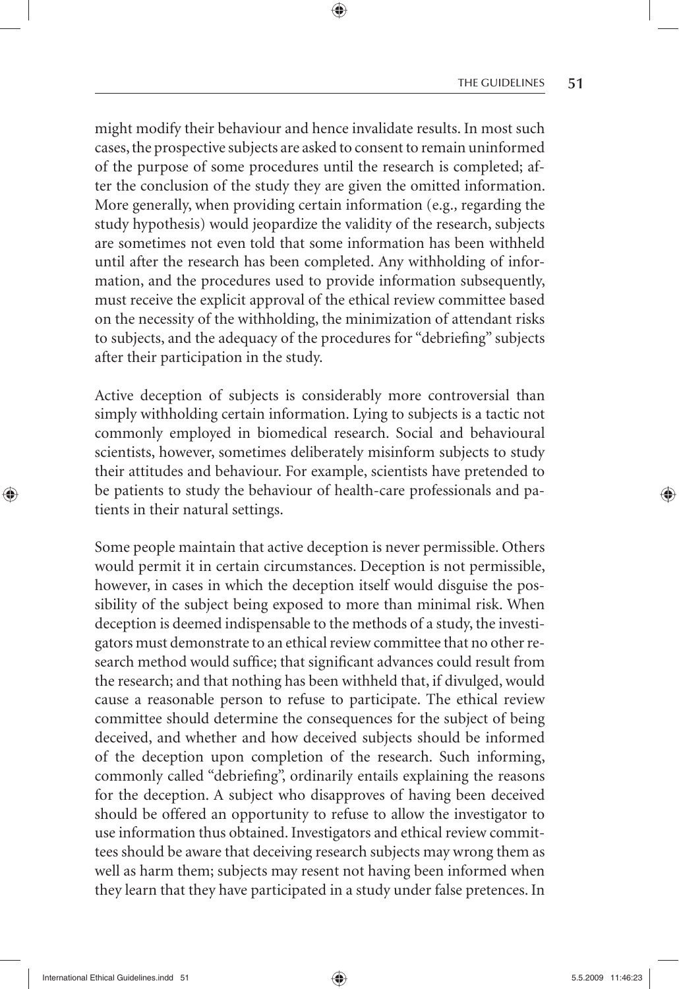might modify their behaviour and hence invalidate results. In most such cases, the prospective subjects are asked to consent to remain uninformed of the purpose of some procedures until the research is completed; after the conclusion of the study they are given the omitted information. More generally, when providing certain information (e.g.*,* regarding the study hypothesis) would jeopardize the validity of the research, subjects are sometimes not even told that some information has been withheld until after the research has been completed. Any withholding of information, and the procedures used to provide information subsequently, must receive the explicit approval of the ethical review committee based on the necessity of the withholding, the minimization of attendant risks to subjects, and the adequacy of the procedures for "debriefing" subjects after their participation in the study.

Active deception of subjects is considerably more controversial than simply withholding certain information. Lying to subjects is a tactic not commonly employed in biomedical research. Social and behavioural scientists, however, sometimes deliberately misinform subjects to study their attitudes and behaviour. For example, scientists have pretended to be patients to study the behaviour of health-care professionals and patients in their natural settings.

Some people maintain that active deception is never permissible. Others would permit it in certain circumstances. Deception is not permissible, however, in cases in which the deception itself would disguise the possibility of the subject being exposed to more than minimal risk. When deception is deemed indispensable to the methods of a study, the investigators must demonstrate to an ethical review committee that no other research method would suffice; that significant advances could result from the research; and that nothing has been withheld that, if divulged, would cause a reasonable person to refuse to participate. The ethical review committee should determine the consequences for the subject of being deceived, and whether and how deceived subjects should be informed of the deception upon completion of the research. Such informing, commonly called "debriefing", ordinarily entails explaining the reasons for the deception. A subject who disapproves of having been deceived should be offered an opportunity to refuse to allow the investigator to use information thus obtained. Investigators and ethical review committees should be aware that deceiving research subjects may wrong them as well as harm them; subjects may resent not having been informed when they learn that they have participated in a study under false pretences. In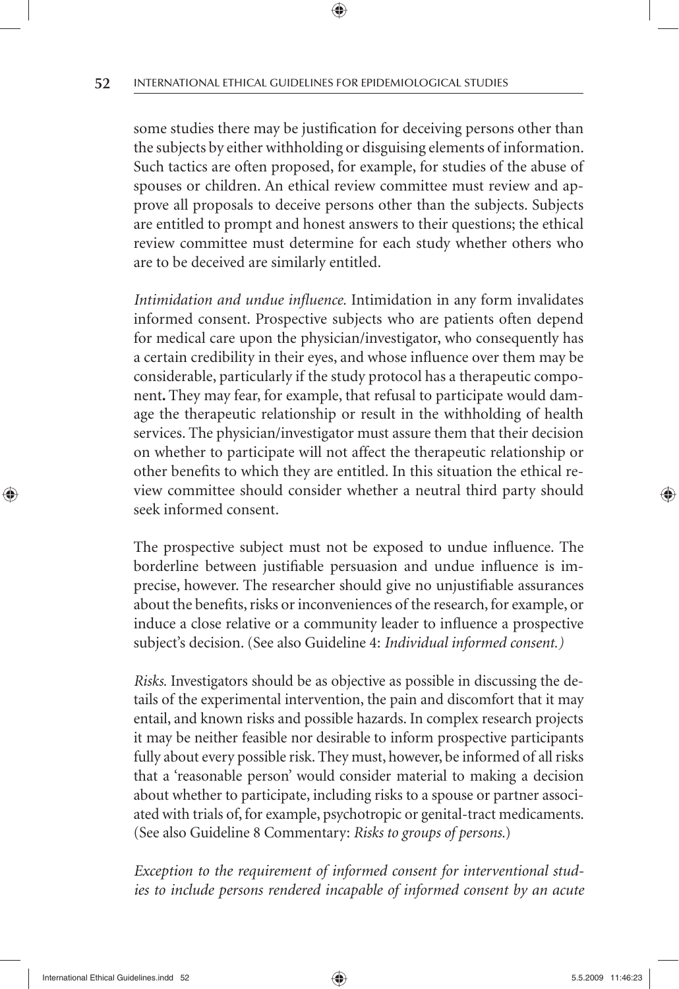some studies there may be justification for deceiving persons other than the subjects by either withholding or disguising elements of information. Such tactics are often proposed, for example, for studies of the abuse of spouses or children. An ethical review committee must review and approve all proposals to deceive persons other than the subjects. Subjects are entitled to prompt and honest answers to their questions; the ethical review committee must determine for each study whether others who are to be deceived are similarly entitled.

*Intimidation and undue infl uence.* Intimidation in any form invalidates informed consent. Prospective subjects who are patients often depend for medical care upon the physician/investigator, who consequently has a certain credibility in their eyes, and whose influence over them may be considerable, particularly if the study protocol has a therapeutic component**.** They may fear, for example, that refusal to participate would damage the therapeutic relationship or result in the withholding of health services. The physician/investigator must assure them that their decision on whether to participate will not affect the therapeutic relationship or other benefits to which they are entitled. In this situation the ethical review committee should consider whether a neutral third party should seek informed consent.

The prospective subject must not be exposed to undue influence. The borderline between justifiable persuasion and undue influence is imprecise, however. The researcher should give no unjustifiable assurances about the benefits, risks or inconveniences of the research, for example, or induce a close relative or a community leader to influence a prospective subject's decision. (See also Guideline 4: *Individual informed consent.)*

*Risks.* Investigators should be as objective as possible in discussing the details of the experimental intervention, the pain and discomfort that it may entail, and known risks and possible hazards. In complex research projects it may be neither feasible nor desirable to inform prospective participants fully about every possible risk. They must, however, be informed of all risks that a 'reasonable person' would consider material to making a decision about whether to participate, including risks to a spouse or partner associated with trials of, for example, psychotropic or genital-tract medicaments. (See also Guideline 8 Commentary: *Risks to groups of persons.*)

*Exception to the requirement of informed consent for interventional studies to include persons rendered incapable of informed consent by an acute*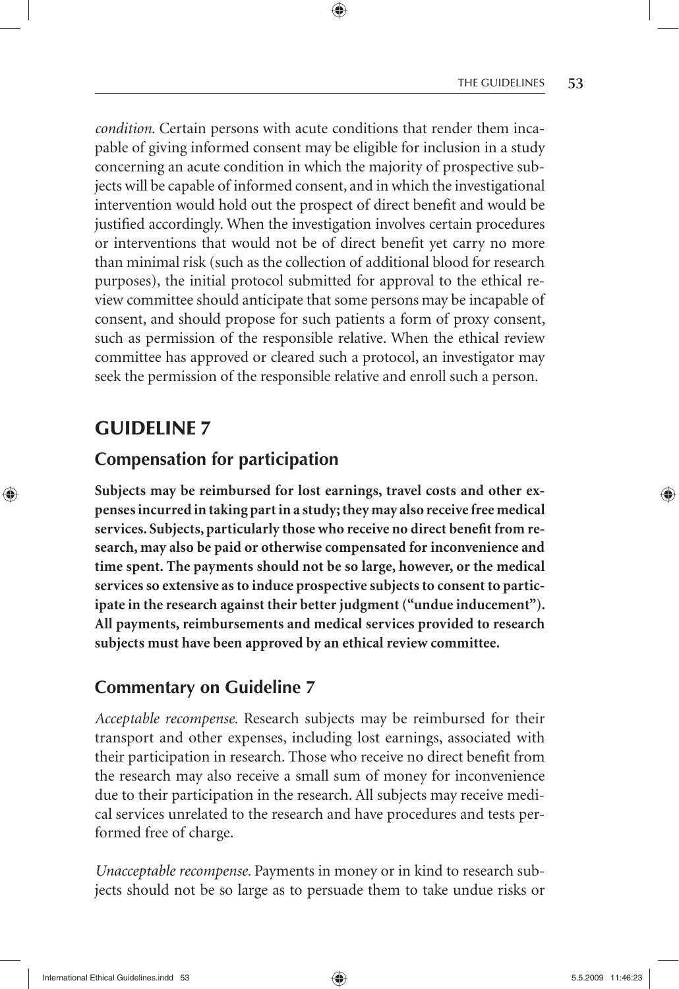*condition.* Certain persons with acute conditions that render them incapable of giving informed consent may be eligible for inclusion in a study concerning an acute condition in which the majority of prospective subjects will be capable of informed consent, and in which the investigational intervention would hold out the prospect of direct benefit and would be justified accordingly. When the investigation involves certain procedures or interventions that would not be of direct benefit yet carry no more than minimal risk (such as the collection of additional blood for research purposes), the initial protocol submitted for approval to the ethical review committee should anticipate that some persons may be incapable of consent, and should propose for such patients a form of proxy consent, such as permission of the responsible relative. When the ethical review committee has approved or cleared such a protocol, an investigator may seek the permission of the responsible relative and enroll such a person.

# **GUIDELINE 7**

# **Compensation for participation**

**Subjects may be reimbursed for lost earnings, travel costs and other expenses incurred in taking part in a study; they may also receive free medical**  services. Subjects, particularly those who receive no direct benefit from re**search, may also be paid or otherwise compensated for inconvenience and time spent. The payments should not be so large, however, or the medical services so extensive as to induce prospective subjects to consent to participate in the research against their better judgment ("undue inducement"). All payments, reimbursements and medical services provided to research subjects must have been approved by an ethical review committee.**

### **Commentary on Guideline 7**

*Acceptable recompense.* Research subjects may be reimbursed for their transport and other expenses, including lost earnings, associated with their participation in research. Those who receive no direct benefit from the research may also receive a small sum of money for inconvenience due to their participation in the research. All subjects may receive medical services unrelated to the research and have procedures and tests performed free of charge.

*Unacceptable recompense.* Payments in money or in kind to research subjects should not be so large as to persuade them to take undue risks or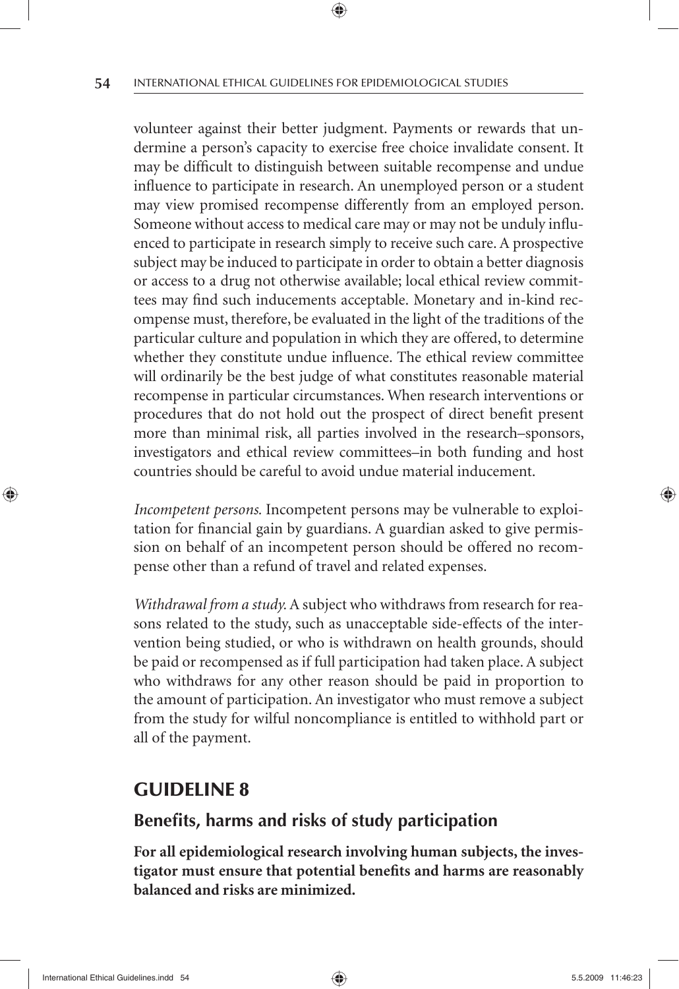volunteer against their better judgment. Payments or rewards that undermine a person's capacity to exercise free choice invalidate consent. It may be difficult to distinguish between suitable recompense and undue influence to participate in research. An unemployed person or a student may view promised recompense differently from an employed person. Someone without access to medical care may or may not be unduly influenced to participate in research simply to receive such care. A prospective subject may be induced to participate in order to obtain a better diagnosis or access to a drug not otherwise available; local ethical review committees may find such inducements acceptable. Monetary and in-kind recompense must, therefore, be evaluated in the light of the traditions of the particular culture and population in which they are offered, to determine whether they constitute undue influence. The ethical review committee will ordinarily be the best judge of what constitutes reasonable material recompense in particular circumstances. When research interventions or procedures that do not hold out the prospect of direct benefit present more than minimal risk, all parties involved in the research–sponsors, investigators and ethical review committees–in both funding and host countries should be careful to avoid undue material inducement.

*Incompetent persons.* Incompetent persons may be vulnerable to exploitation for financial gain by guardians. A guardian asked to give permission on behalf of an incompetent person should be offered no recompense other than a refund of travel and related expenses.

*Withdrawal from a study.* A subject who withdraws from research for reasons related to the study, such as unacceptable side-effects of the intervention being studied, or who is withdrawn on health grounds, should be paid or recompensed as if full participation had taken place. A subject who withdraws for any other reason should be paid in proportion to the amount of participation. An investigator who must remove a subject from the study for wilful noncompliance is entitled to withhold part or all of the payment.

# **GUIDELINE 8**

### **Benefi ts, harms and risks of study participation**

**For all epidemiological research involving human subjects, the inves**tigator must ensure that potential benefits and harms are reasonably **balanced and risks are minimized.**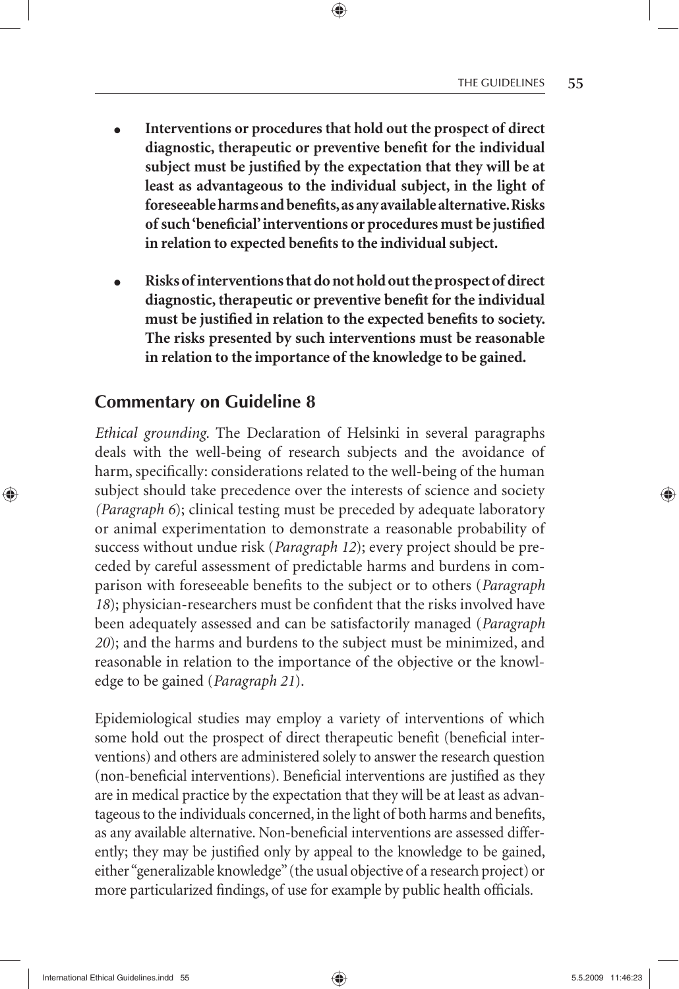- Interventions or procedures that hold out the prospect of direct diagnostic, therapeutic or preventive benefit for the individual subject must be justified by the expectation that they will be at **least as advantageous to the individual subject, in the light of foreseeable harms and benefi ts, as any available alternative. Risks**  of such 'beneficial' interventions or procedures must be justified in relation to expected benefits to the individual subject.
- **Risks of interventions that do not hold out the prospect of direct**  diagnostic, therapeutic or preventive benefit for the individual must be justified in relation to the expected benefits to society. **The risks presented by such interventions must be reasonable in relation to the importance of the knowledge to be gained.**

## **Commentary on Guideline 8**

*Ethical grounding*. The Declaration of Helsinki in several paragraphs deals with the well-being of research subjects and the avoidance of harm, specifically: considerations related to the well-being of the human subject should take precedence over the interests of science and society *(Paragraph 6*); clinical testing must be preceded by adequate laboratory or animal experimentation to demonstrate a reasonable probability of success without undue risk (*Paragraph 12*); every project should be preceded by careful assessment of predictable harms and burdens in comparison with foreseeable benefits to the subject or to others (*Paragraph* 18); physician-researchers must be confident that the risks involved have been adequately assessed and can be satisfactorily managed (*Paragraph 20*); and the harms and burdens to the subject must be minimized, and reasonable in relation to the importance of the objective or the knowledge to be gained (*Paragraph 21*).

Epidemiological studies may employ a variety of interventions of which some hold out the prospect of direct therapeutic benefit (beneficial interventions) and others are administered solely to answer the research question (non-beneficial interventions). Beneficial interventions are justified as they are in medical practice by the expectation that they will be at least as advantageous to the individuals concerned, in the light of both harms and benefits, as any available alternative. Non-beneficial interventions are assessed differently; they may be justified only by appeal to the knowledge to be gained, either "generalizable knowledge" (the usual objective of a research project) or more particularized findings, of use for example by public health officials.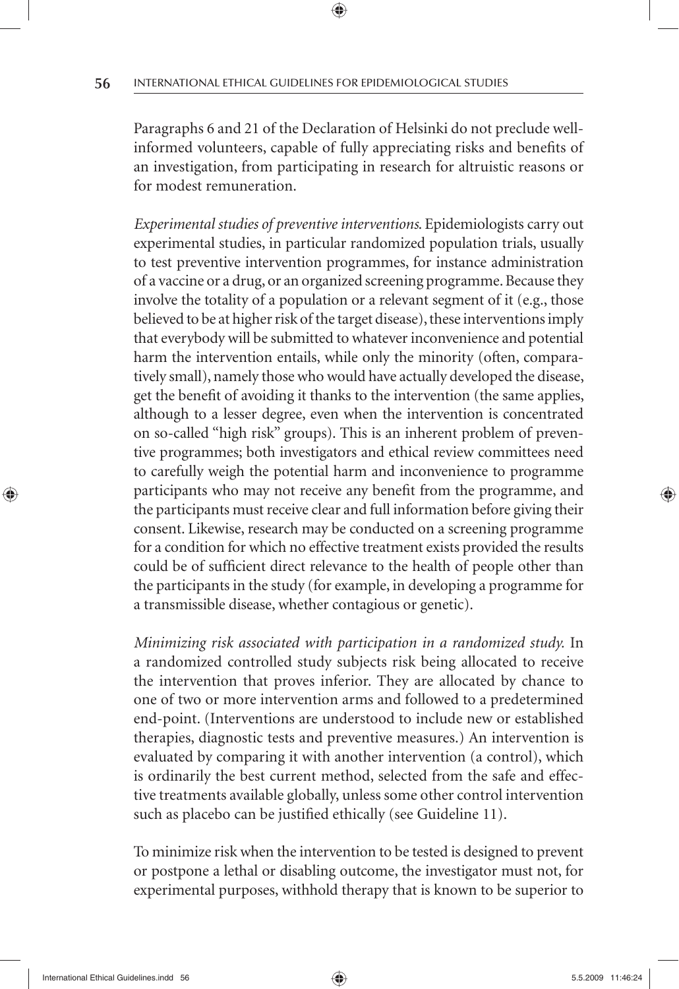Paragraphs 6 and 21 of the Declaration of Helsinki do not preclude wellinformed volunteers, capable of fully appreciating risks and benefits of an investigation, from participating in research for altruistic reasons or for modest remuneration.

*Experimental studies of preventive interventions*. Epidemiologists carry out experimental studies, in particular randomized population trials, usually to test preventive intervention programmes, for instance administration of a vaccine or a drug, or an organized screening programme. Because they involve the totality of a population or a relevant segment of it (e.g., those believed to be at higher risk of the target disease), these interventions imply that everybody will be submitted to whatever inconvenience and potential harm the intervention entails, while only the minority (often, comparatively small), namely those who would have actually developed the disease, get the benefit of avoiding it thanks to the intervention (the same applies, although to a lesser degree, even when the intervention is concentrated on so-called "high risk" groups). This is an inherent problem of preventive programmes; both investigators and ethical review committees need to carefully weigh the potential harm and inconvenience to programme participants who may not receive any benefit from the programme, and the participants must receive clear and full information before giving their consent. Likewise, research may be conducted on a screening programme for a condition for which no effective treatment exists provided the results could be of sufficient direct relevance to the health of people other than the participants in the study (for example, in developing a programme for a transmissible disease, whether contagious or genetic).

*Minimizing risk associated with participation in a randomized study.* In a randomized controlled study subjects risk being allocated to receive the intervention that proves inferior. They are allocated by chance to one of two or more intervention arms and followed to a predetermined end-point. (Interventions are understood to include new or established therapies, diagnostic tests and preventive measures.) An intervention is evaluated by comparing it with another intervention (a control), which is ordinarily the best current method, selected from the safe and effective treatments available globally, unless some other control intervention such as placebo can be justified ethically (see Guideline 11).

To minimize risk when the intervention to be tested is designed to prevent or postpone a lethal or disabling outcome, the investigator must not, for experimental purposes, withhold therapy that is known to be superior to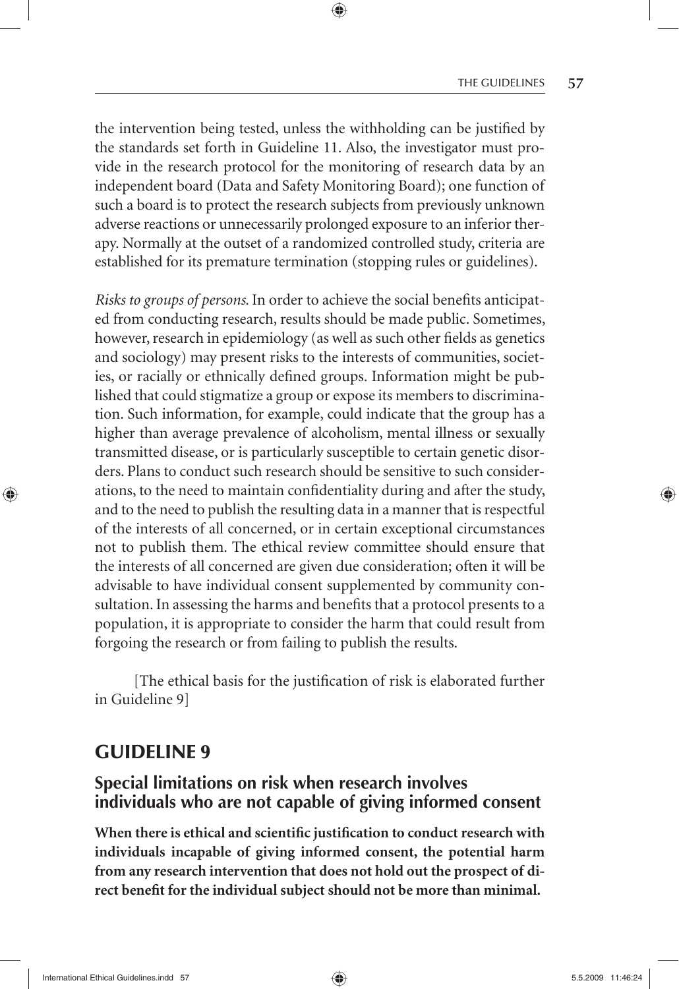the intervention being tested, unless the withholding can be justified by the standards set forth in Guideline 11. Also, the investigator must provide in the research protocol for the monitoring of research data by an independent board (Data and Safety Monitoring Board); one function of such a board is to protect the research subjects from previously unknown adverse reactions or unnecessarily prolonged exposure to an inferior therapy. Normally at the outset of a randomized controlled study, criteria are established for its premature termination (stopping rules or guidelines).

*Risks to groups of persons*. In order to achieve the social benefits anticipated from conducting research, results should be made public. Sometimes, however, research in epidemiology (as well as such other fields as genetics and sociology) may present risks to the interests of communities, societies, or racially or ethnically defined groups. Information might be published that could stigmatize a group or expose its members to discrimination. Such information, for example, could indicate that the group has a higher than average prevalence of alcoholism, mental illness or sexually transmitted disease, or is particularly susceptible to certain genetic disorders. Plans to conduct such research should be sensitive to such considerations, to the need to maintain confidentiality during and after the study, and to the need to publish the resulting data in a manner that is respectful of the interests of all concerned, or in certain exceptional circumstances not to publish them. The ethical review committee should ensure that the interests of all concerned are given due consideration; often it will be advisable to have individual consent supplemented by community consultation. In assessing the harms and benefits that a protocol presents to a population, it is appropriate to consider the harm that could result from forgoing the research or from failing to publish the results.

[The ethical basis for the justification of risk is elaborated further in Guideline 9]

# **GUIDELINE 9**

### **Special limitations on risk when research involves individuals who are not capable of giving informed consent**

When there is ethical and scientific justification to conduct research with **individuals incapable of giving informed consent, the potential harm from any research intervention that does not hold out the prospect of di**rect benefit for the individual subject should not be more than minimal.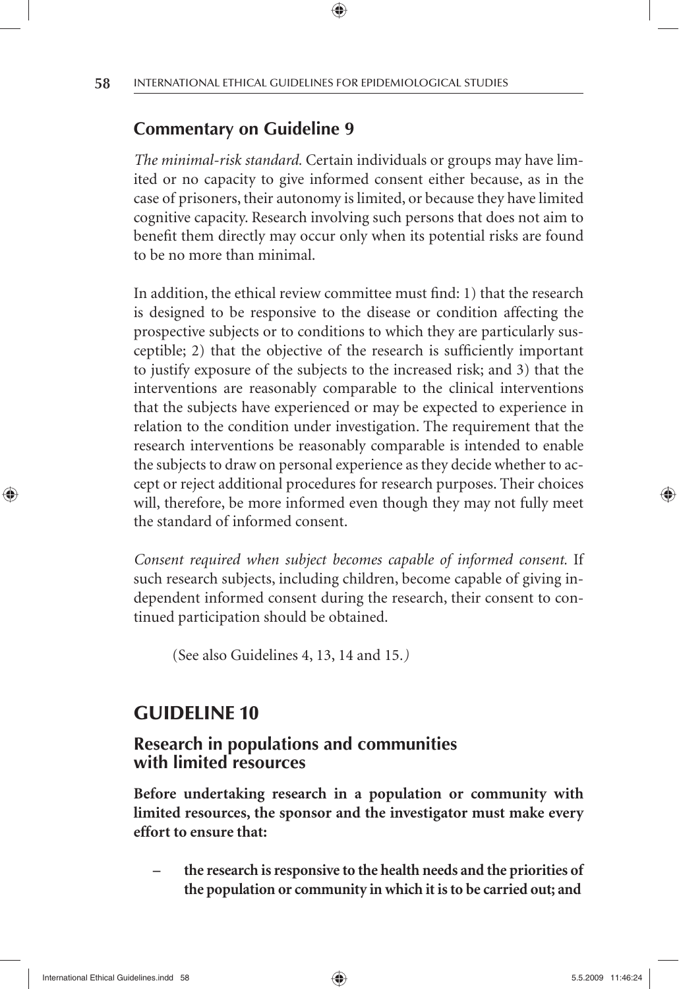### **Commentary on Guideline 9**

*The minimal-risk standard.* Certain individuals or groups may have limited or no capacity to give informed consent either because, as in the case of prisoners, their autonomy is limited, or because they have limited cognitive capacity. Research involving such persons that does not aim to benefit them directly may occur only when its potential risks are found to be no more than minimal.

In addition, the ethical review committee must find: 1) that the research is designed to be responsive to the disease or condition affecting the prospective subjects or to conditions to which they are particularly susceptible; 2) that the objective of the research is sufficiently important to justify exposure of the subjects to the increased risk; and 3) that the interventions are reasonably comparable to the clinical interventions that the subjects have experienced or may be expected to experience in relation to the condition under investigation. The requirement that the research interventions be reasonably comparable is intended to enable the subjects to draw on personal experience as they decide whether to accept or reject additional procedures for research purposes. Their choices will, therefore, be more informed even though they may not fully meet the standard of informed consent.

*Consent required when subject becomes capable of informed consent.* If such research subjects, including children, become capable of giving independent informed consent during the research, their consent to continued participation should be obtained.

(See also Guidelines 4, 13, 14 and 15*.)*

### **GUIDELINE 10**

#### **Research in populations and communities with limited resources**

**Before undertaking research in a population or community with limited resources, the sponsor and the investigator must make every effort to ensure that:**

**– the research is responsive to the health needs and the priorities of the population or community in which it is to be carried out; and**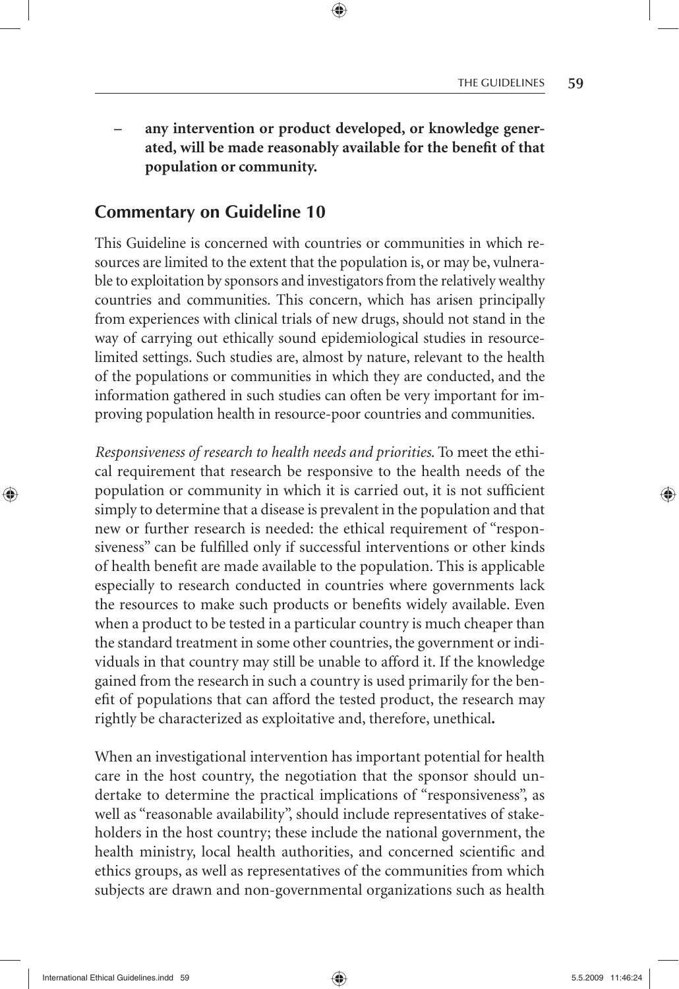any intervention or product developed, or knowledge generated, will be made reasonably available for the benefit of that **population or community.**

### **Commentary on Guideline 10**

This Guideline is concerned with countries or communities in which resources are limited to the extent that the population is, or may be, vulnerable to exploitation by sponsors and investigators from the relatively wealthy countries and communities. This concern, which has arisen principally from experiences with clinical trials of new drugs, should not stand in the way of carrying out ethically sound epidemiological studies in resourcelimited settings. Such studies are, almost by nature, relevant to the health of the populations or communities in which they are conducted, and the information gathered in such studies can often be very important for improving population health in resource-poor countries and communities.

*Responsiveness of research to health needs and priorities*. To meet the ethical requirement that research be responsive to the health needs of the population or community in which it is carried out, it is not sufficient simply to determine that a disease is prevalent in the population and that new or further research is needed: the ethical requirement of "responsiveness" can be fulfilled only if successful interventions or other kinds of health benefit are made available to the population. This is applicable especially to research conducted in countries where governments lack the resources to make such products or benefits widely available. Even when a product to be tested in a particular country is much cheaper than the standard treatment in some other countries, the government or individuals in that country may still be unable to afford it. If the knowledge gained from the research in such a country is used primarily for the benefit of populations that can afford the tested product, the research may rightly be characterized as exploitative and, therefore, unethical**.**

When an investigational intervention has important potential for health care in the host country, the negotiation that the sponsor should undertake to determine the practical implications of "responsiveness", as well as "reasonable availability", should include representatives of stakeholders in the host country; these include the national government, the health ministry, local health authorities, and concerned scientific and ethics groups, as well as representatives of the communities from which subjects are drawn and non-governmental organizations such as health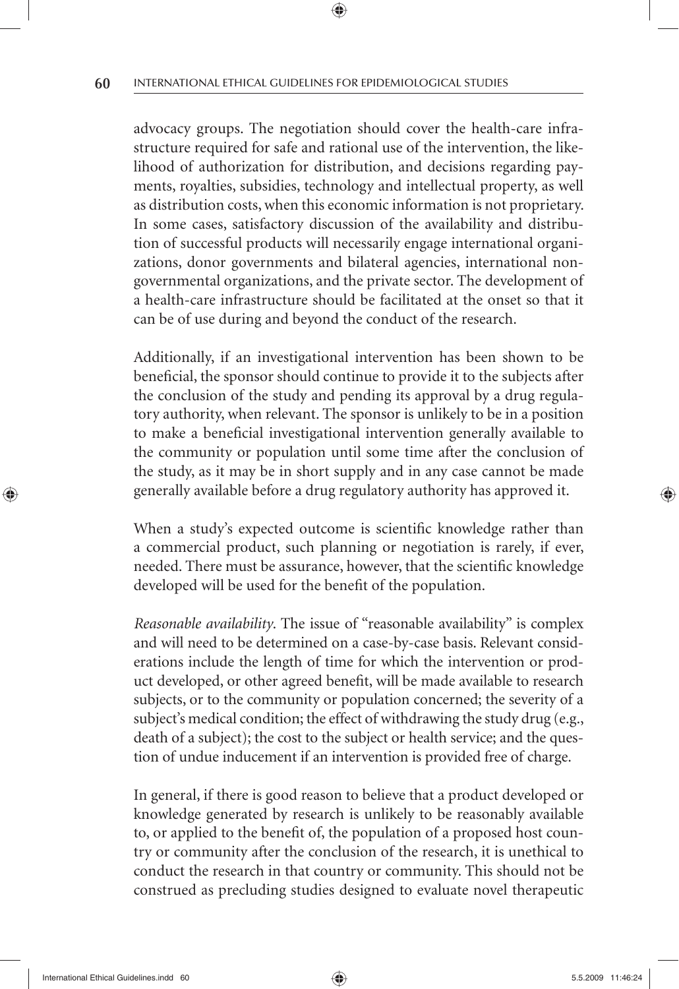advocacy groups. The negotiation should cover the health-care infrastructure required for safe and rational use of the intervention, the likelihood of authorization for distribution, and decisions regarding payments, royalties, subsidies, technology and intellectual property, as well as distribution costs, when this economic information is not proprietary. In some cases, satisfactory discussion of the availability and distribution of successful products will necessarily engage international organizations, donor governments and bilateral agencies, international nongovernmental organizations, and the private sector. The development of a health-care infrastructure should be facilitated at the onset so that it can be of use during and beyond the conduct of the research.

Additionally, if an investigational intervention has been shown to be beneficial, the sponsor should continue to provide it to the subjects after the conclusion of the study and pending its approval by a drug regulatory authority, when relevant. The sponsor is unlikely to be in a position to make a beneficial investigational intervention generally available to the community or population until some time after the conclusion of the study, as it may be in short supply and in any case cannot be made generally available before a drug regulatory authority has approved it.

When a study's expected outcome is scientific knowledge rather than a commercial product, such planning or negotiation is rarely, if ever, needed. There must be assurance, however, that the scientific knowledge developed will be used for the benefit of the population.

*Reasonable availability*. The issue of "reasonable availability" is complex and will need to be determined on a case-by-case basis. Relevant considerations include the length of time for which the intervention or product developed, or other agreed benefit, will be made available to research subjects, or to the community or population concerned; the severity of a subject's medical condition; the effect of withdrawing the study drug (e.g., death of a subject); the cost to the subject or health service; and the question of undue inducement if an intervention is provided free of charge.

In general, if there is good reason to believe that a product developed or knowledge generated by research is unlikely to be reasonably available to, or applied to the benefit of, the population of a proposed host country or community after the conclusion of the research, it is unethical to conduct the research in that country or community. This should not be construed as precluding studies designed to evaluate novel therapeutic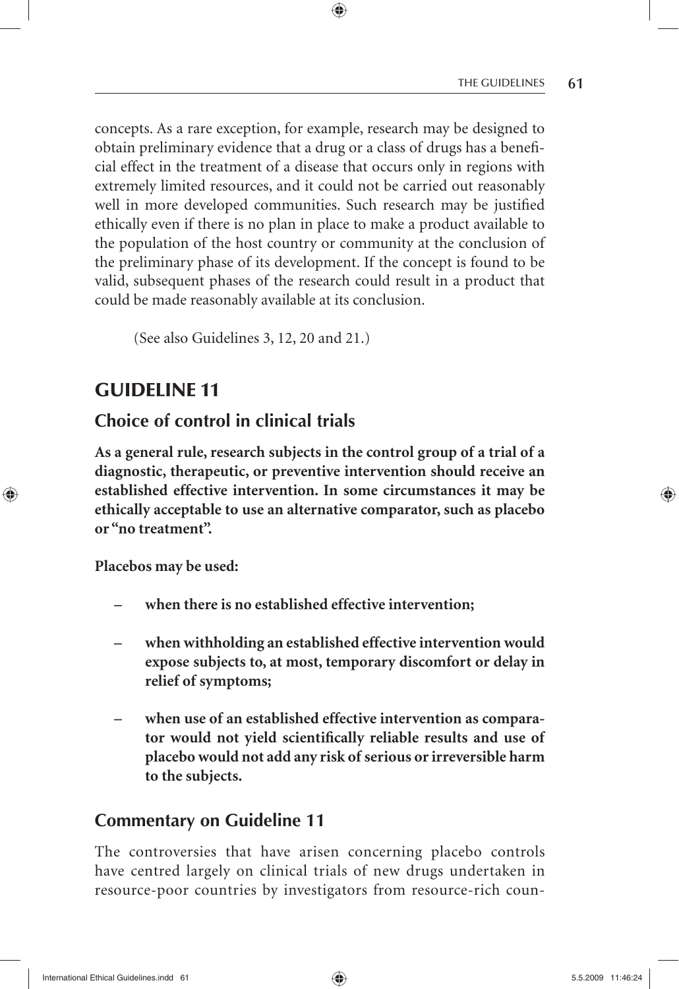concepts. As a rare exception, for example, research may be designed to obtain preliminary evidence that a drug or a class of drugs has a beneficial effect in the treatment of a disease that occurs only in regions with extremely limited resources, and it could not be carried out reasonably well in more developed communities. Such research may be justified ethically even if there is no plan in place to make a product available to the population of the host country or community at the conclusion of the preliminary phase of its development. If the concept is found to be valid, subsequent phases of the research could result in a product that could be made reasonably available at its conclusion.

(See also Guidelines 3, 12, 20 and 21.)

# **GUIDELINE 11**

## **Choice of control in clinical trials**

**As a general rule, research subjects in the control group of a trial of a diagnostic, therapeutic, or preventive intervention should receive an established effective intervention. In some circumstances it may be ethically acceptable to use an alternative comparator, such as placebo or "no treatment".**

**Placebos may be used:**

- **when there is no established effective intervention;**
- **when withholding an established effective intervention would expose subjects to, at most, temporary discomfort or delay in relief of symptoms;**
- **when use of an established effective intervention as compara**tor would not yield scientifically reliable results and use of **placebo would not add any risk of serious or irreversible harm to the subjects.**

# **Commentary on Guideline 11**

The controversies that have arisen concerning placebo controls have centred largely on clinical trials of new drugs undertaken in resource-poor countries by investigators from resource-rich coun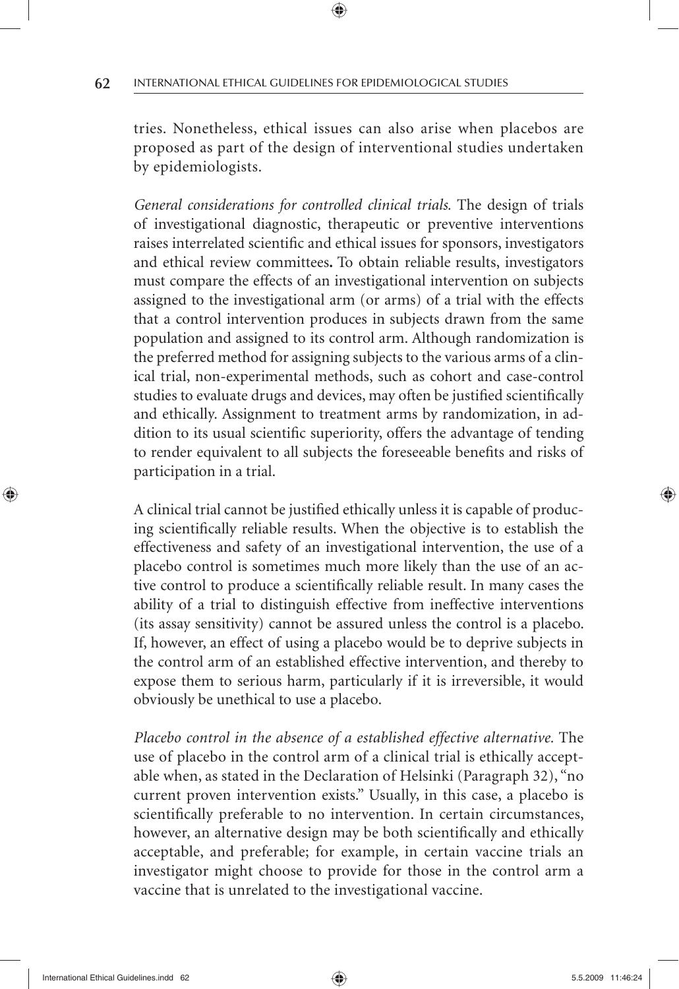tries. Nonetheless, ethical issues can also arise when placebos are proposed as part of the design of interventional studies undertaken by epidemiologists.

*General considerations for controlled clinical trials.* The design of trials of investigational diagnostic, therapeutic or preventive interventions raises interrelated scientific and ethical issues for sponsors, investigators and ethical review committees**.** To obtain reliable results, investigators must compare the effects of an investigational intervention on subjects assigned to the investigational arm (or arms) of a trial with the effects that a control intervention produces in subjects drawn from the same population and assigned to its control arm. Although randomization is the preferred method for assigning subjects to the various arms of a clinical trial, non-experimental methods, such as cohort and case-control studies to evaluate drugs and devices, may often be justified scientifically and ethically. Assignment to treatment arms by randomization, in addition to its usual scientific superiority, offers the advantage of tending to render equivalent to all subjects the foreseeable benefits and risks of participation in a trial.

A clinical trial cannot be justified ethically unless it is capable of producing scientifically reliable results. When the objective is to establish the effectiveness and safety of an investigational intervention, the use of a placebo control is sometimes much more likely than the use of an active control to produce a scientifically reliable result. In many cases the ability of a trial to distinguish effective from ineffective interventions (its assay sensitivity) cannot be assured unless the control is a placebo. If, however, an effect of using a placebo would be to deprive subjects in the control arm of an established effective intervention, and thereby to expose them to serious harm, particularly if it is irreversible, it would obviously be unethical to use a placebo.

*Placebo control in the absence of a established effective alternative.* The use of placebo in the control arm of a clinical trial is ethically acceptable when, as stated in the Declaration of Helsinki (Paragraph 32), "no current proven intervention exists." Usually, in this case, a placebo is scientifically preferable to no intervention. In certain circumstances, however, an alternative design may be both scientifically and ethically acceptable, and preferable; for example, in certain vaccine trials an investigator might choose to provide for those in the control arm a vaccine that is unrelated to the investigational vaccine.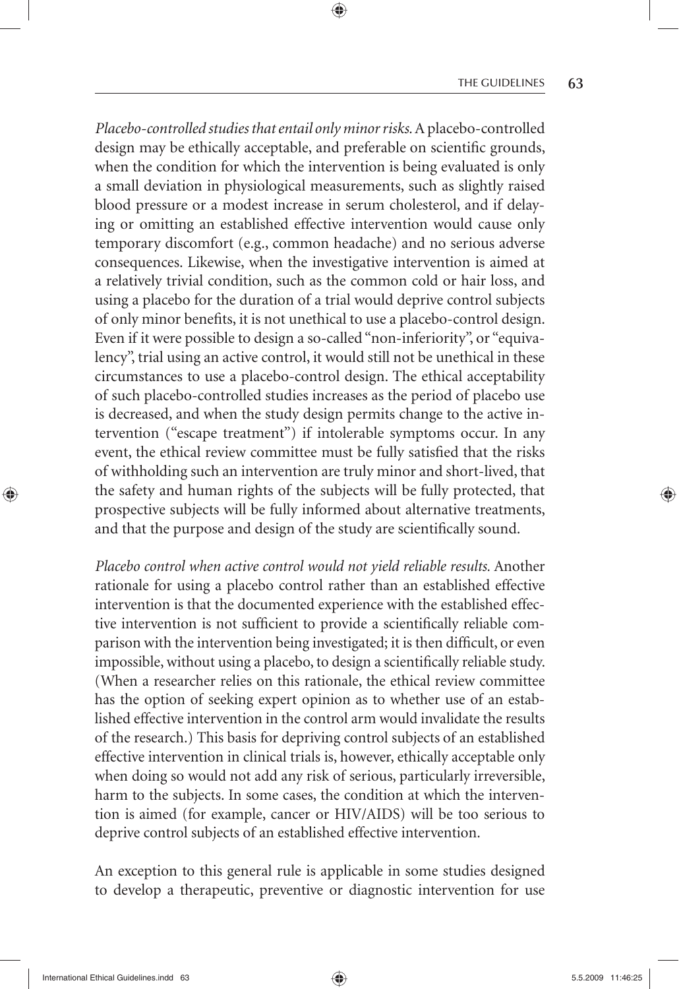*Placebo-controlled studies that entail only minor risks.*A placebo-controlled design may be ethically acceptable, and preferable on scientific grounds, when the condition for which the intervention is being evaluated is only a small deviation in physiological measurements, such as slightly raised blood pressure or a modest increase in serum cholesterol, and if delaying or omitting an established effective intervention would cause only temporary discomfort (e.g., common headache) and no serious adverse consequences. Likewise, when the investigative intervention is aimed at a relatively trivial condition, such as the common cold or hair loss, and using a placebo for the duration of a trial would deprive control subjects of only minor benefits, it is not unethical to use a placebo-control design. Even if it were possible to design a so-called "non-inferiority", or "equivalency", trial using an active control, it would still not be unethical in these circumstances to use a placebo-control design. The ethical acceptability of such placebo-controlled studies increases as the period of placebo use is decreased, and when the study design permits change to the active intervention ("escape treatment") if intolerable symptoms occur. In any event, the ethical review committee must be fully satisfied that the risks of withholding such an intervention are truly minor and short-lived, that the safety and human rights of the subjects will be fully protected, that prospective subjects will be fully informed about alternative treatments, and that the purpose and design of the study are scientifically sound.

*Placebo control when active control would not yield reliable results.* Another rationale for using a placebo control rather than an established effective intervention is that the documented experience with the established effective intervention is not sufficient to provide a scientifically reliable comparison with the intervention being investigated; it is then difficult, or even impossible, without using a placebo, to design a scientifically reliable study. (When a researcher relies on this rationale, the ethical review committee has the option of seeking expert opinion as to whether use of an established effective intervention in the control arm would invalidate the results of the research.) This basis for depriving control subjects of an established effective intervention in clinical trials is, however, ethically acceptable only when doing so would not add any risk of serious, particularly irreversible, harm to the subjects. In some cases, the condition at which the intervention is aimed (for example, cancer or HIV/AIDS) will be too serious to deprive control subjects of an established effective intervention.

An exception to this general rule is applicable in some studies designed to develop a therapeutic, preventive or diagnostic intervention for use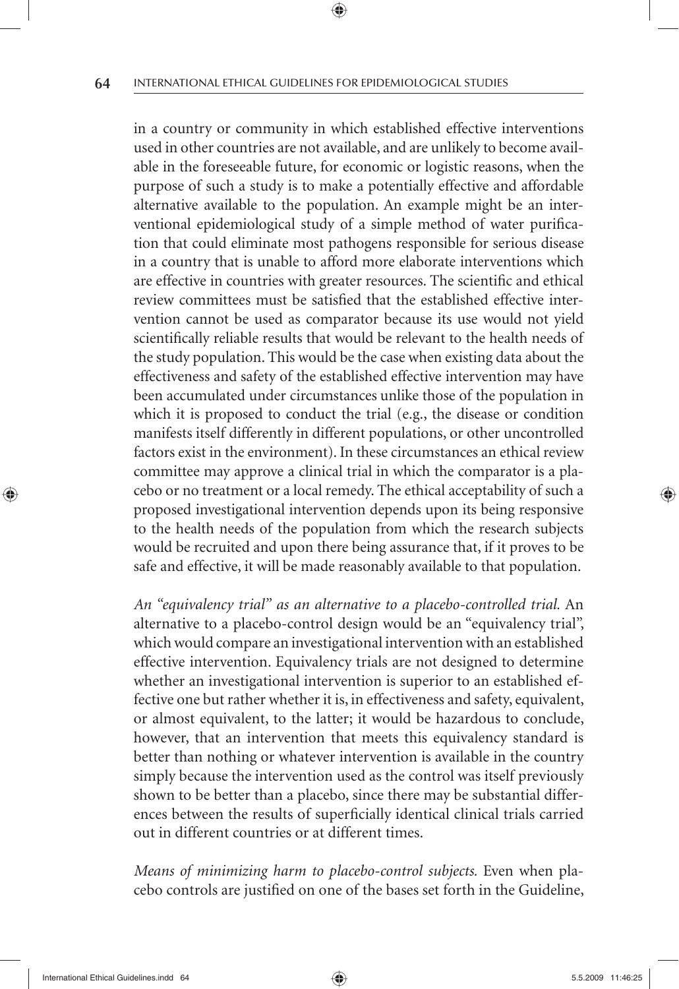in a country or community in which established effective interventions used in other countries are not available, and are unlikely to become available in the foreseeable future, for economic or logistic reasons, when the purpose of such a study is to make a potentially effective and affordable alternative available to the population. An example might be an interventional epidemiological study of a simple method of water purification that could eliminate most pathogens responsible for serious disease in a country that is unable to afford more elaborate interventions which are effective in countries with greater resources. The scientific and ethical review committees must be satisfied that the established effective intervention cannot be used as comparator because its use would not yield scientifically reliable results that would be relevant to the health needs of the study population. This would be the case when existing data about the effectiveness and safety of the established effective intervention may have been accumulated under circumstances unlike those of the population in which it is proposed to conduct the trial (e.g., the disease or condition manifests itself differently in different populations, or other uncontrolled factors exist in the environment). In these circumstances an ethical review committee may approve a clinical trial in which the comparator is a placebo or no treatment or a local remedy. The ethical acceptability of such a proposed investigational intervention depends upon its being responsive to the health needs of the population from which the research subjects would be recruited and upon there being assurance that, if it proves to be safe and effective, it will be made reasonably available to that population.

*An "equivalency trial" as an alternative to a placebo-controlled trial.* An alternative to a placebo-control design would be an "equivalency trial", which would compare an investigational intervention with an established effective intervention. Equivalency trials are not designed to determine whether an investigational intervention is superior to an established effective one but rather whether it is, in effectiveness and safety, equivalent, or almost equivalent, to the latter; it would be hazardous to conclude, however, that an intervention that meets this equivalency standard is better than nothing or whatever intervention is available in the country simply because the intervention used as the control was itself previously shown to be better than a placebo, since there may be substantial differences between the results of superficially identical clinical trials carried out in different countries or at different times.

*Means of minimizing harm to placebo-control subjects.* Even when placebo controls are justified on one of the bases set forth in the Guideline,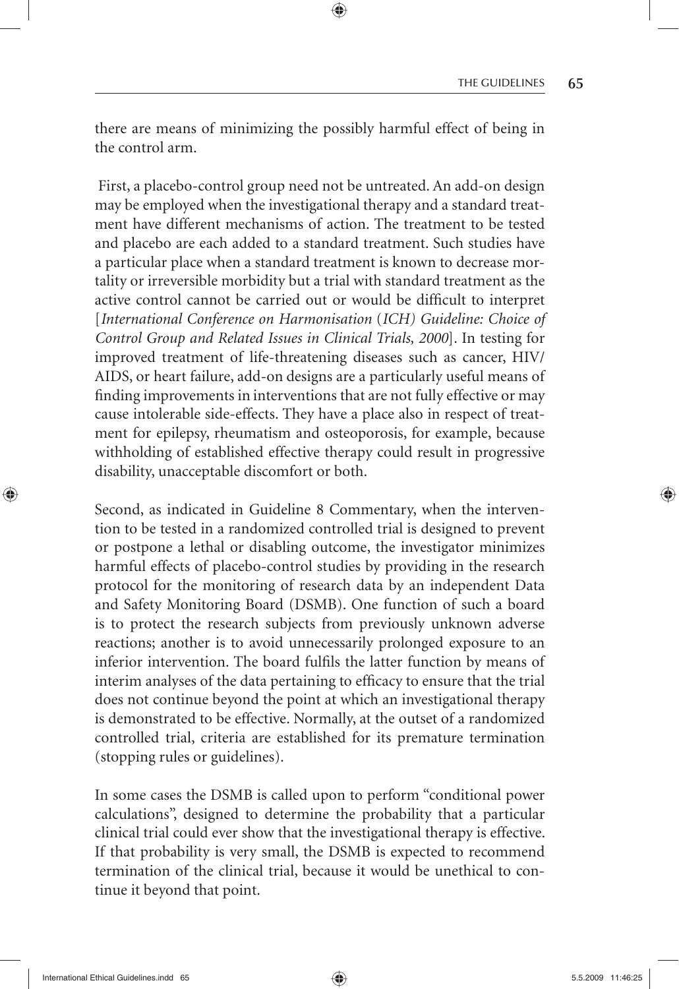there are means of minimizing the possibly harmful effect of being in the control arm.

 First, a placebo-control group need not be untreated. An add-on design may be employed when the investigational therapy and a standard treatment have different mechanisms of action. The treatment to be tested and placebo are each added to a standard treatment. Such studies have a particular place when a standard treatment is known to decrease mortality or irreversible morbidity but a trial with standard treatment as the active control cannot be carried out or would be difficult to interpret [*International Conference on Harmonisation* (*ICH) Guideline: Choice of Control Group and Related Issues in Clinical Trials, 2000*]. In testing for improved treatment of life-threatening diseases such as cancer, HIV/ AIDS, or heart failure, add-on designs are a particularly useful means of finding improvements in interventions that are not fully effective or may cause intolerable side-effects. They have a place also in respect of treatment for epilepsy, rheumatism and osteoporosis, for example, because withholding of established effective therapy could result in progressive disability, unacceptable discomfort or both.

Second, as indicated in Guideline 8 Commentary, when the intervention to be tested in a randomized controlled trial is designed to prevent or postpone a lethal or disabling outcome, the investigator minimizes harmful effects of placebo-control studies by providing in the research protocol for the monitoring of research data by an independent Data and Safety Monitoring Board (DSMB). One function of such a board is to protect the research subjects from previously unknown adverse reactions; another is to avoid unnecessarily prolonged exposure to an inferior intervention. The board fulfils the latter function by means of interim analyses of the data pertaining to efficacy to ensure that the trial does not continue beyond the point at which an investigational therapy is demonstrated to be effective. Normally, at the outset of a randomized controlled trial, criteria are established for its premature termination (stopping rules or guidelines).

In some cases the DSMB is called upon to perform "conditional power calculations", designed to determine the probability that a particular clinical trial could ever show that the investigational therapy is effective. If that probability is very small, the DSMB is expected to recommend termination of the clinical trial, because it would be unethical to continue it beyond that point.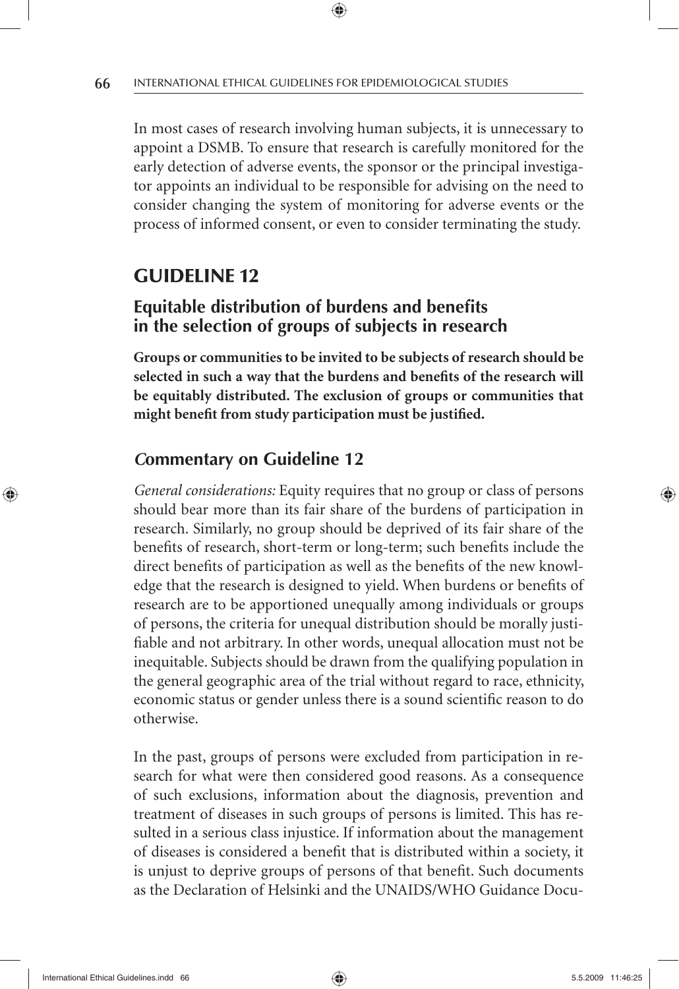In most cases of research involving human subjects, it is unnecessary to appoint a DSMB. To ensure that research is carefully monitored for the early detection of adverse events, the sponsor or the principal investigator appoints an individual to be responsible for advising on the need to consider changing the system of monitoring for adverse events or the process of informed consent, or even to consider terminating the study.

## **GUIDELINE 12**

### **Equitable distribution of burdens and benefits in the selection of groups of subjects in research**

**Groups or communities to be invited to be subjects of research should be**  selected in such a way that the burdens and benefits of the research will **be equitably distributed. The exclusion of groups or communities that**  might benefit from study participation must be justified.

### *C***ommentary on Guideline 12**

*General considerations:* Equity requires that no group or class of persons should bear more than its fair share of the burdens of participation in research. Similarly, no group should be deprived of its fair share of the benefits of research, short-term or long-term; such benefits include the direct benefits of participation as well as the benefits of the new knowledge that the research is designed to yield. When burdens or benefits of research are to be apportioned unequally among individuals or groups of persons, the criteria for unequal distribution should be morally justifiable and not arbitrary. In other words, unequal allocation must not be inequitable. Subjects should be drawn from the qualifying population in the general geographic area of the trial without regard to race, ethnicity, economic status or gender unless there is a sound scientific reason to do otherwise.

In the past, groups of persons were excluded from participation in research for what were then considered good reasons. As a consequence of such exclusions, information about the diagnosis, prevention and treatment of diseases in such groups of persons is limited. This has resulted in a serious class injustice. If information about the management of diseases is considered a benefit that is distributed within a society, it is unjust to deprive groups of persons of that benefit. Such documents as the Declaration of Helsinki and the UNAIDS/WHO Guidance Docu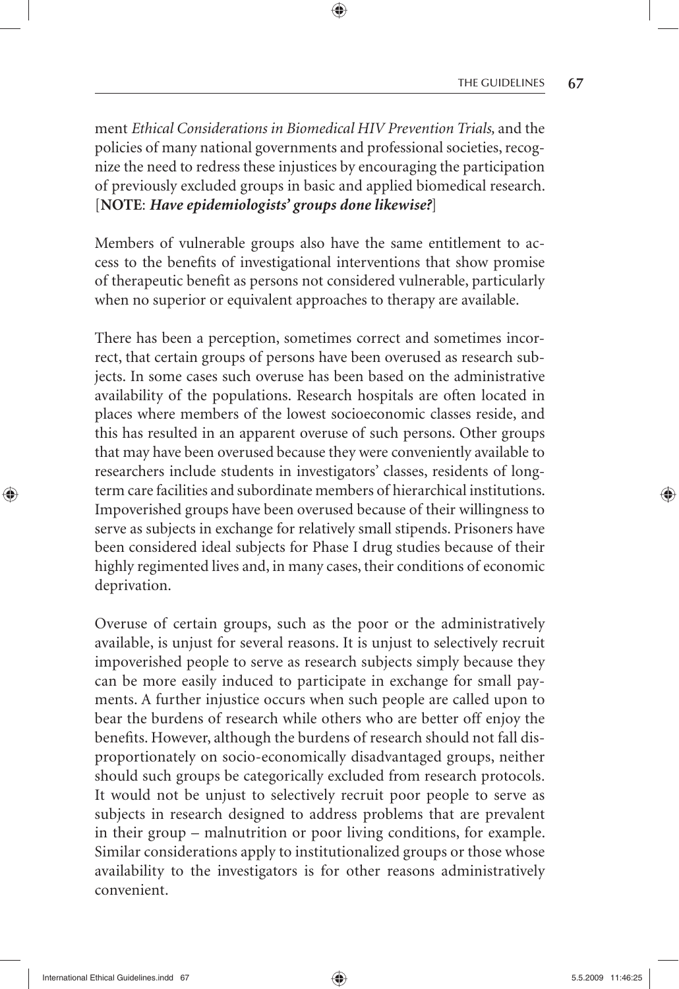ment *Ethical Considerations in Biomedical HIV Prevention Trials,* and the policies of many national governments and professional societies, recognize the need to redress these injustices by encouraging the participation of previously excluded groups in basic and applied biomedical research. [**NOTE**: *Have epidemiologists' groups done likewise?*]

Members of vulnerable groups also have the same entitlement to access to the benefits of investigational interventions that show promise of therapeutic benefit as persons not considered vulnerable, particularly when no superior or equivalent approaches to therapy are available.

There has been a perception, sometimes correct and sometimes incorrect, that certain groups of persons have been overused as research subjects. In some cases such overuse has been based on the administrative availability of the populations. Research hospitals are often located in places where members of the lowest socioeconomic classes reside, and this has resulted in an apparent overuse of such persons. Other groups that may have been overused because they were conveniently available to researchers include students in investigators' classes, residents of longterm care facilities and subordinate members of hierarchical institutions. Impoverished groups have been overused because of their willingness to serve as subjects in exchange for relatively small stipends. Prisoners have been considered ideal subjects for Phase I drug studies because of their highly regimented lives and, in many cases, their conditions of economic deprivation.

Overuse of certain groups, such as the poor or the administratively available, is unjust for several reasons. It is unjust to selectively recruit impoverished people to serve as research subjects simply because they can be more easily induced to participate in exchange for small payments. A further injustice occurs when such people are called upon to bear the burdens of research while others who are better off enjoy the benefits. However, although the burdens of research should not fall disproportionately on socio-economically disadvantaged groups, neither should such groups be categorically excluded from research protocols*.* It would not be unjust to selectively recruit poor people to serve as subjects in research designed to address problems that are prevalent in their group – malnutrition or poor living conditions, for example. Similar considerations apply to institutionalized groups or those whose availability to the investigators is for other reasons administratively convenient.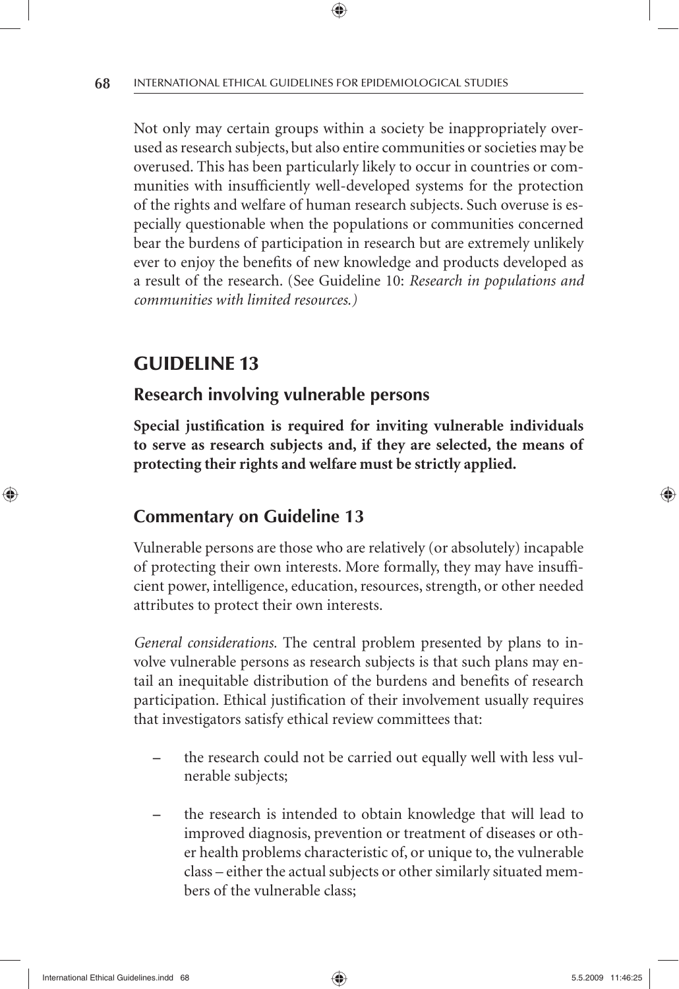Not only may certain groups within a society be inappropriately overused as research subjects, but also entire communities or societies may be overused. This has been particularly likely to occur in countries or communities with insufficiently well-developed systems for the protection of the rights and welfare of human research subjects. Such overuse is especially questionable when the populations or communities concerned bear the burdens of participation in research but are extremely unlikely ever to enjoy the benefits of new knowledge and products developed as a result of the research. (See Guideline 10: *Research in populations and communities with limited resources.)*

# **GUIDELINE 13**

## **Research involving vulnerable persons**

**Special justification is required for inviting vulnerable individuals to serve as research subjects and, if they are selected, the means of protecting their rights and welfare must be strictly applied.**

# **Commentary on Guideline 13**

Vulnerable persons are those who are relatively (or absolutely) incapable of protecting their own interests. More formally, they may have insuffi cient power, intelligence, education, resources, strength, or other needed attributes to protect their own interests.

*General considerations.* The central problem presented by plans to involve vulnerable persons as research subjects is that such plans may entail an inequitable distribution of the burdens and benefits of research participation. Ethical justification of their involvement usually requires that investigators satisfy ethical review committees that:

- the research could not be carried out equally well with less vulnerable subjects;
- the research is intended to obtain knowledge that will lead to improved diagnosis, prevention or treatment of diseases or other health problems characteristic of, or unique to, the vulnerable class – either the actual subjects or other similarly situated members of the vulnerable class;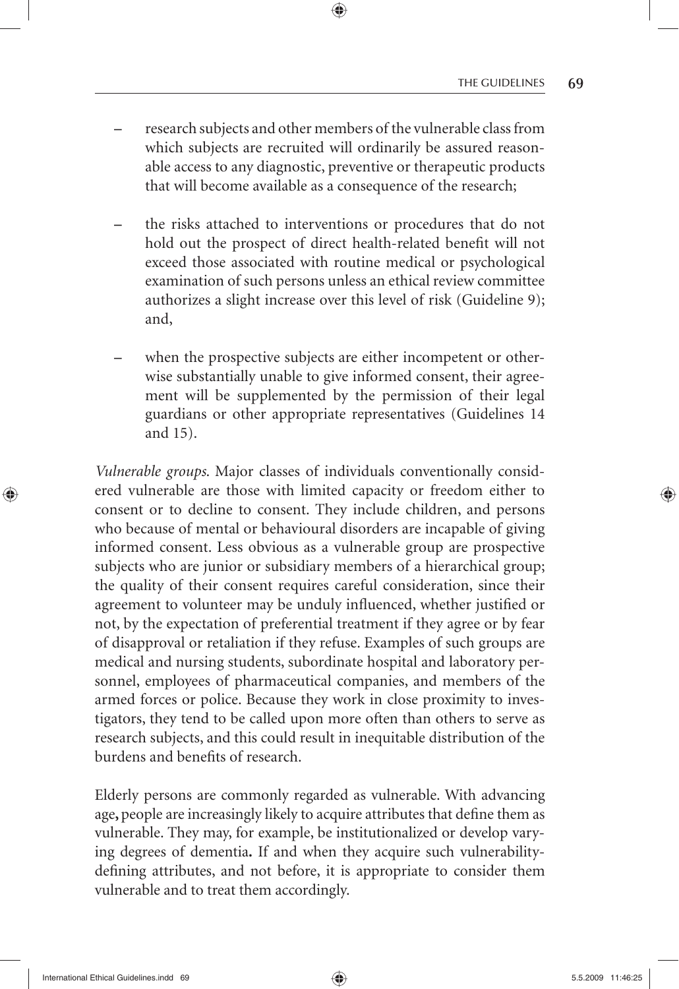- research subjects and other members of the vulnerable class from which subjects are recruited will ordinarily be assured reasonable access to any diagnostic, preventive or therapeutic products that will become available as a consequence of the research;
- the risks attached to interventions or procedures that do not hold out the prospect of direct health-related benefit will not exceed those associated with routine medical or psychological examination of such persons unless an ethical review committee authorizes a slight increase over this level of risk (Guideline 9); and,
- when the prospective subjects are either incompetent or otherwise substantially unable to give informed consent, their agreement will be supplemented by the permission of their legal guardians or other appropriate representatives (Guidelines 14 and 15).

*Vulnerable groups*. Major classes of individuals conventionally considered vulnerable are those with limited capacity or freedom either to consent or to decline to consent. They include children, and persons who because of mental or behavioural disorders are incapable of giving informed consent. Less obvious as a vulnerable group are prospective subjects who are junior or subsidiary members of a hierarchical group; the quality of their consent requires careful consideration, since their agreement to volunteer may be unduly influenced, whether justified or not, by the expectation of preferential treatment if they agree or by fear of disapproval or retaliation if they refuse. Examples of such groups are medical and nursing students, subordinate hospital and laboratory personnel, employees of pharmaceutical companies, and members of the armed forces or police. Because they work in close proximity to investigators, they tend to be called upon more often than others to serve as research subjects, and this could result in inequitable distribution of the burdens and benefits of research.

Elderly persons are commonly regarded as vulnerable. With advancing age, people are increasingly likely to acquire attributes that define them as vulnerable. They may, for example, be institutionalized or develop varying degrees of dementia**.** If and when they acquire such vulnerabilitydefining attributes, and not before, it is appropriate to consider them vulnerable and to treat them accordingly.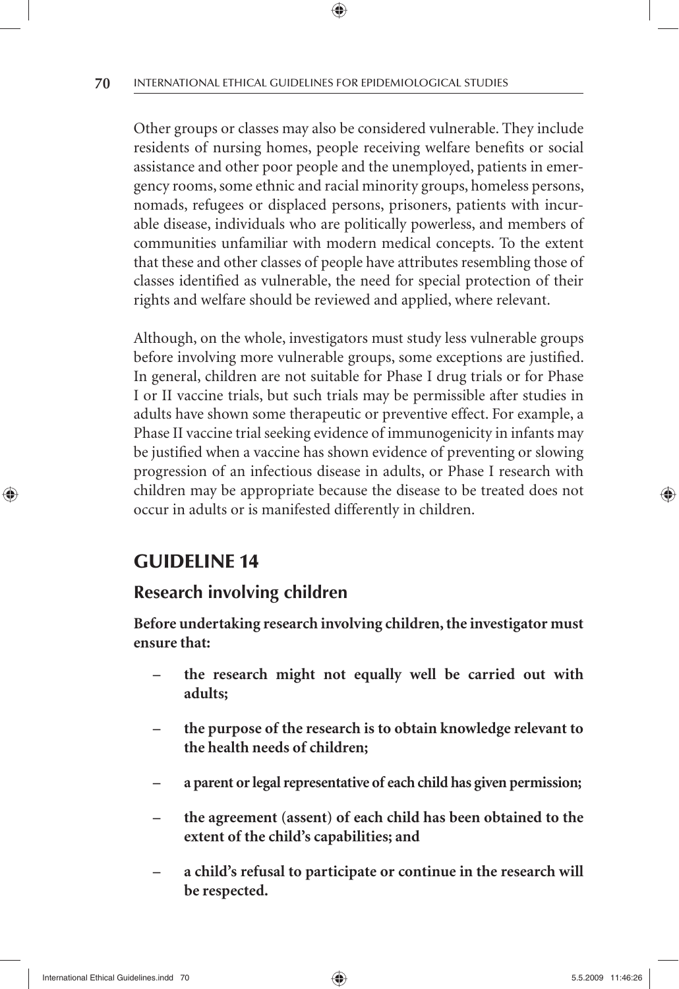Other groups or classes may also be considered vulnerable. They include residents of nursing homes, people receiving welfare benefits or social assistance and other poor people and the unemployed, patients in emergency rooms, some ethnic and racial minority groups, homeless persons, nomads, refugees or displaced persons, prisoners, patients with incurable disease, individuals who are politically powerless, and members of communities unfamiliar with modern medical concepts. To the extent that these and other classes of people have attributes resembling those of classes identified as vulnerable, the need for special protection of their rights and welfare should be reviewed and applied, where relevant.

Although, on the whole, investigators must study less vulnerable groups before involving more vulnerable groups, some exceptions are justified. In general, children are not suitable for Phase I drug trials or for Phase I or II vaccine trials, but such trials may be permissible after studies in adults have shown some therapeutic or preventive effect. For example, a Phase II vaccine trial seeking evidence of immunogenicity in infants may be justified when a vaccine has shown evidence of preventing or slowing progression of an infectious disease in adults, or Phase I research with children may be appropriate because the disease to be treated does not occur in adults or is manifested differently in children.

# **GUIDELINE 14**

### **Research involving children**

**Before undertaking research involving children, the investigator must ensure that:**

- **the research might not equally well be carried out with adults;**
- **the purpose of the research is to obtain knowledge relevant to the health needs of children;**
- **a parent or legal representative of each child has given permission;**
- **the agreement (assent) of each child has been obtained to the extent of the child's capabilities; and**
- **a child's refusal to participate or continue in the research will be respected.**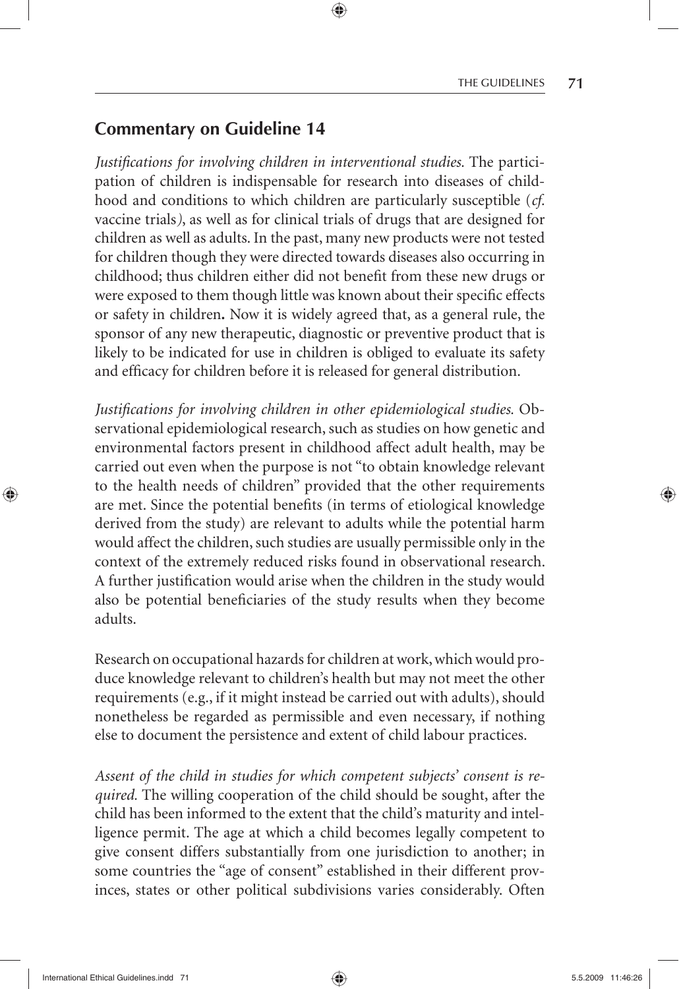### **Commentary on Guideline 14**

*Justifi cations for involving children in interventional studies.* The participation of children is indispensable for research into diseases of childhood and conditions to which children are particularly susceptible (*cf.* vaccine trials*)*, as well as for clinical trials of drugs that are designed for children as well as adults. In the past, many new products were not tested for children though they were directed towards diseases also occurring in childhood; thus children either did not benefit from these new drugs or were exposed to them though little was known about their specific effects or safety in children**.** Now it is widely agreed that, as a general rule, the sponsor of any new therapeutic, diagnostic or preventive product that is likely to be indicated for use in children is obliged to evaluate its safety and efficacy for children before it is released for general distribution.

*Justifi cations for involving children in other epidemiological studies.* Observational epidemiological research, such as studies on how genetic and environmental factors present in childhood affect adult health, may be carried out even when the purpose is not "to obtain knowledge relevant to the health needs of children" provided that the other requirements are met. Since the potential benefits (in terms of etiological knowledge derived from the study) are relevant to adults while the potential harm would affect the children, such studies are usually permissible only in the context of the extremely reduced risks found in observational research. A further justification would arise when the children in the study would also be potential beneficiaries of the study results when they become adults.

Research on occupational hazards for children at work, which would produce knowledge relevant to children's health but may not meet the other requirements (e.g., if it might instead be carried out with adults), should nonetheless be regarded as permissible and even necessary, if nothing else to document the persistence and extent of child labour practices.

*Assent of the child in studies for which competent subjects' consent is required.* The willing cooperation of the child should be sought, after the child has been informed to the extent that the child's maturity and intelligence permit. The age at which a child becomes legally competent to give consent differs substantially from one jurisdiction to another; in some countries the "age of consent" established in their different provinces, states or other political subdivisions varies considerably. Often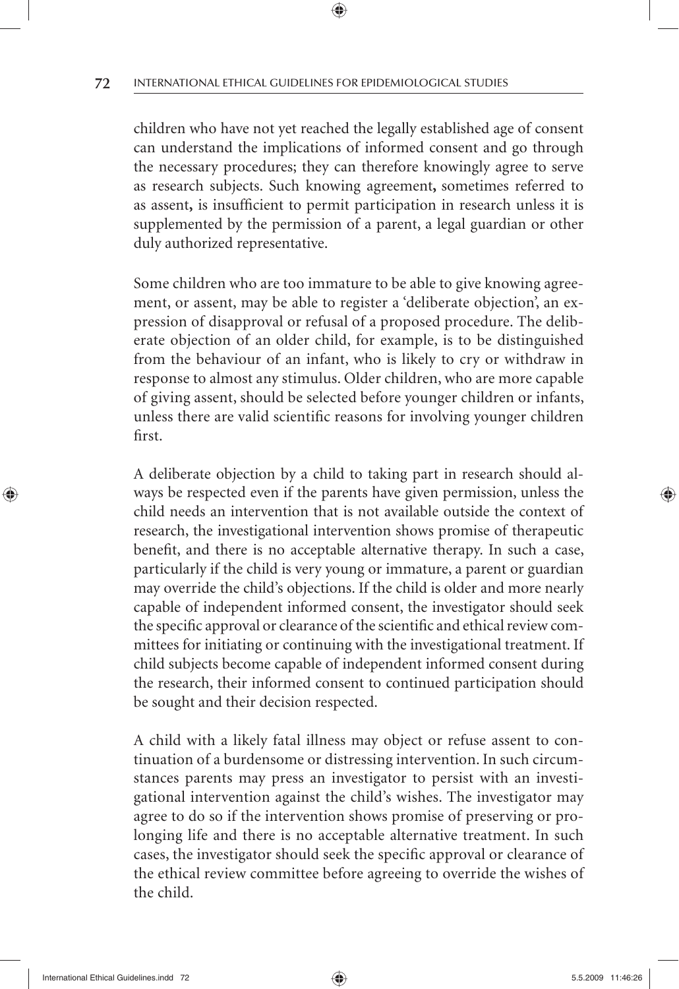children who have not yet reached the legally established age of consent can understand the implications of informed consent and go through the necessary procedures; they can therefore knowingly agree to serve as research subjects. Such knowing agreement**,** sometimes referred to as assent, is insufficient to permit participation in research unless it is supplemented by the permission of a parent, a legal guardian or other duly authorized representative.

Some children who are too immature to be able to give knowing agreement, or assent, may be able to register a 'deliberate objection', an expression of disapproval or refusal of a proposed procedure. The deliberate objection of an older child, for example, is to be distinguished from the behaviour of an infant, who is likely to cry or withdraw in response to almost any stimulus. Older children, who are more capable of giving assent, should be selected before younger children or infants, unless there are valid scientific reasons for involving younger children first.

A deliberate objection by a child to taking part in research should always be respected even if the parents have given permission, unless the child needs an intervention that is not available outside the context of research, the investigational intervention shows promise of therapeutic benefit, and there is no acceptable alternative therapy. In such a case, particularly if the child is very young or immature, a parent or guardian may override the child's objections. If the child is older and more nearly capable of independent informed consent, the investigator should seek the specific approval or clearance of the scientific and ethical review committees for initiating or continuing with the investigational treatment. If child subjects become capable of independent informed consent during the research, their informed consent to continued participation should be sought and their decision respected.

A child with a likely fatal illness may object or refuse assent to continuation of a burdensome or distressing intervention. In such circumstances parents may press an investigator to persist with an investigational intervention against the child's wishes. The investigator may agree to do so if the intervention shows promise of preserving or prolonging life and there is no acceptable alternative treatment. In such cases, the investigator should seek the specific approval or clearance of the ethical review committee before agreeing to override the wishes of the child.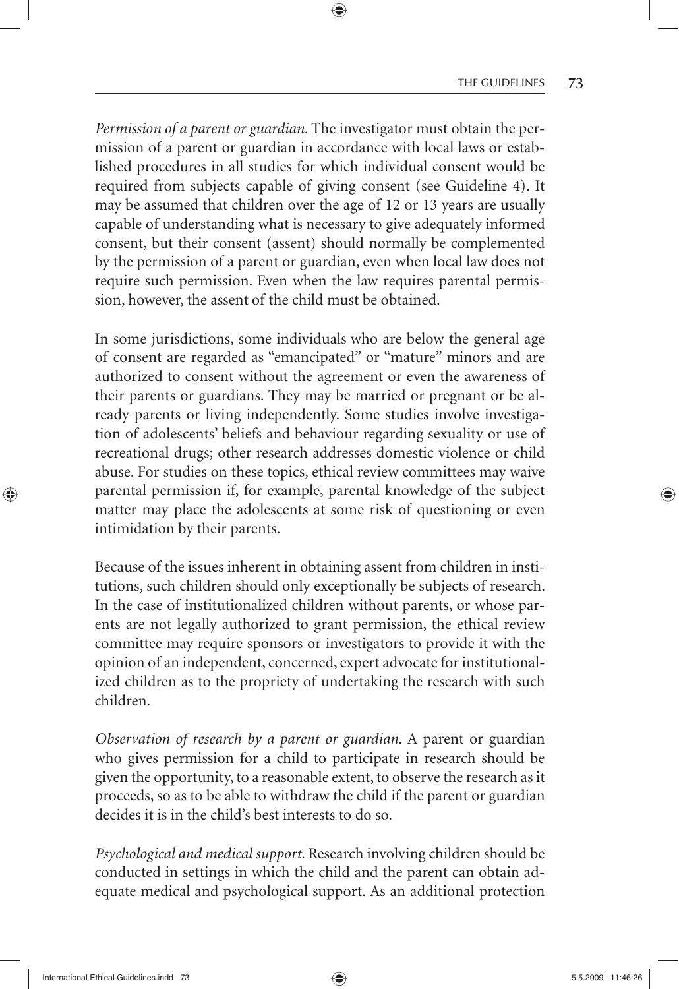*Permission of a parent or guardian.* The investigator must obtain the permission of a parent or guardian in accordance with local laws or established procedures in all studies for which individual consent would be required from subjects capable of giving consent (see Guideline 4). It may be assumed that children over the age of 12 or 13 years are usually capable of understanding what is necessary to give adequately informed consent, but their consent (assent) should normally be complemented by the permission of a parent or guardian, even when local law does not require such permission. Even when the law requires parental permission, however, the assent of the child must be obtained.

In some jurisdictions, some individuals who are below the general age of consent are regarded as "emancipated" or "mature" minors and are authorized to consent without the agreement or even the awareness of their parents or guardians. They may be married or pregnant or be already parents or living independently. Some studies involve investigation of adolescents' beliefs and behaviour regarding sexuality or use of recreational drugs; other research addresses domestic violence or child abuse. For studies on these topics, ethical review committees may waive parental permission if, for example, parental knowledge of the subject matter may place the adolescents at some risk of questioning or even intimidation by their parents.

Because of the issues inherent in obtaining assent from children in institutions, such children should only exceptionally be subjects of research. In the case of institutionalized children without parents, or whose parents are not legally authorized to grant permission, the ethical review committee may require sponsors or investigators to provide it with the opinion of an independent, concerned, expert advocate for institutionalized children as to the propriety of undertaking the research with such children.

*Observation of research by a parent or guardian.* A parent or guardian who gives permission for a child to participate in research should be given the opportunity, to a reasonable extent, to observe the research as it proceeds, so as to be able to withdraw the child if the parent or guardian decides it is in the child's best interests to do so.

*Psychological and medical support.* Research involving children should be conducted in settings in which the child and the parent can obtain adequate medical and psychological support. As an additional protection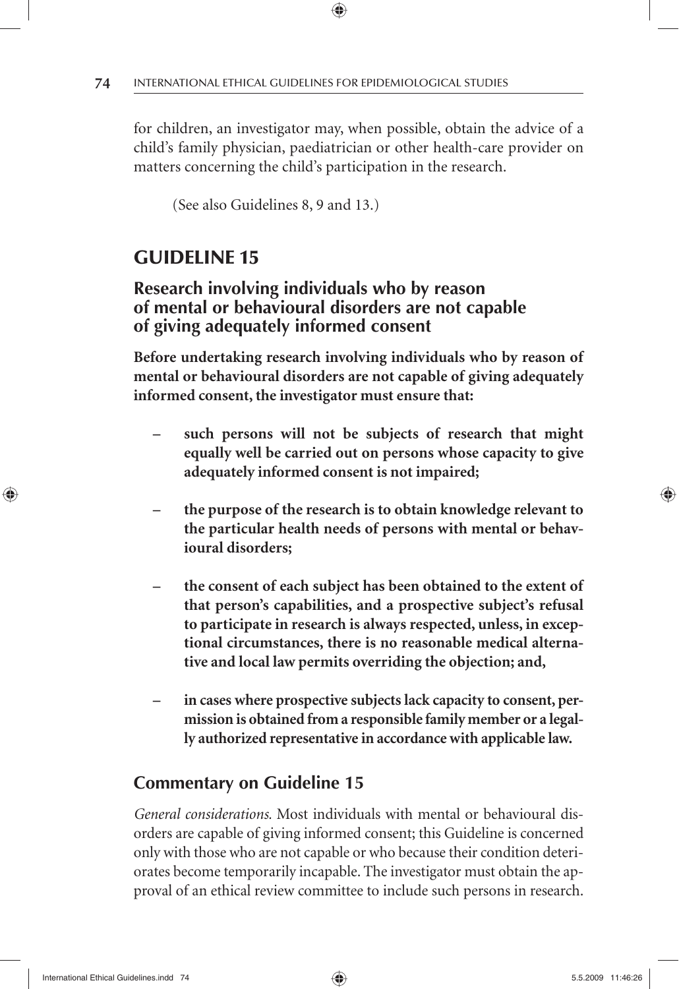for children, an investigator may, when possible, obtain the advice of a child's family physician, paediatrician or other health-care provider on matters concerning the child's participation in the research.

(See also Guidelines 8, 9 and 13.)

## **GUIDELINE 15**

#### **Research involving individuals who by reason of mental or behavioural disorders are not capable of giving adequately informed consent**

**Before undertaking research involving individuals who by reason of mental or behavioural disorders are not capable of giving adequately informed consent, the investigator must ensure that:**

- **such persons will not be subjects of research that might equally well be carried out on persons whose capacity to give adequately informed consent is not impaired;**
- **the purpose of the research is to obtain knowledge relevant to the particular health needs of persons with mental or behavioural disorders;**
- **the consent of each subject has been obtained to the extent of that person's capabilities, and a prospective subject's refusal to participate in research is always respected, unless, in exceptional circumstances, there is no reasonable medical alternative and local law permits overriding the objection; and,**
- **in cases where prospective subjects lack capacity to consent, permission is obtained from a responsible family member or a legally authorized representative in accordance with applicable law.**

## **Commentary on Guideline 15**

*General considerations.* Most individuals with mental or behavioural disorders are capable of giving informed consent; this Guideline is concerned only with those who are not capable or who because their condition deteriorates become temporarily incapable. The investigator must obtain the approval of an ethical review committee to include such persons in research.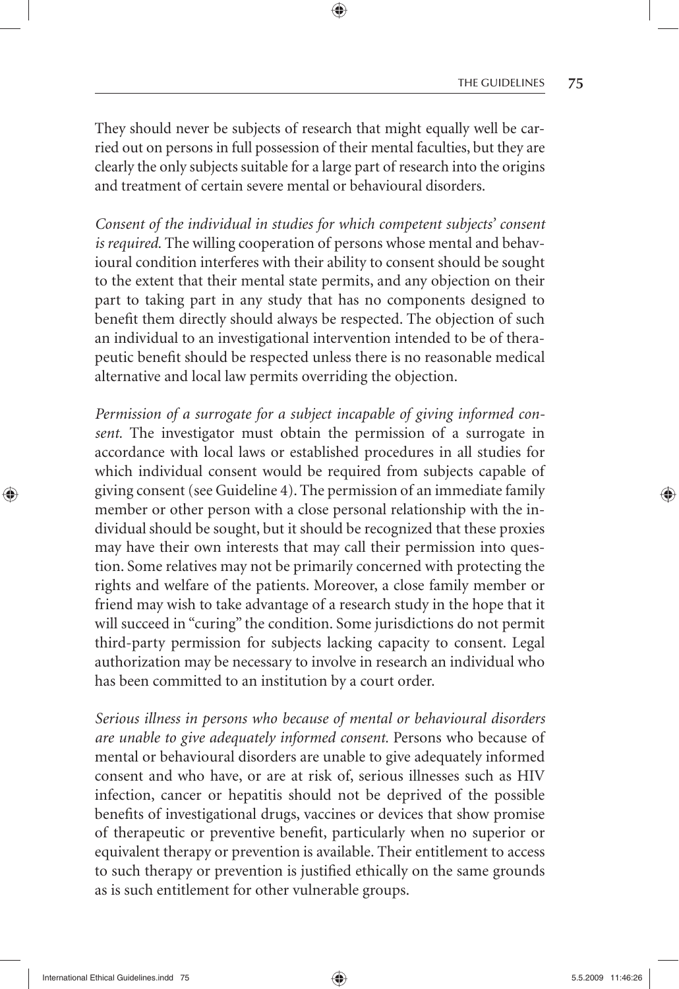They should never be subjects of research that might equally well be carried out on persons in full possession of their mental faculties, but they are clearly the only subjects suitable for a large part of research into the origins and treatment of certain severe mental or behavioural disorders.

*Consent of the individual in studies for which competent subjects' consent is required.* The willing cooperation of persons whose mental and behavioural condition interferes with their ability to consent should be sought to the extent that their mental state permits, and any objection on their part to taking part in any study that has no components designed to benefit them directly should always be respected. The objection of such an individual to an investigational intervention intended to be of therapeutic benefit should be respected unless there is no reasonable medical alternative and local law permits overriding the objection.

*Permission of a surrogate for a subject incapable of giving informed consent.* The investigator must obtain the permission of a surrogate in accordance with local laws or established procedures in all studies for which individual consent would be required from subjects capable of giving consent (see Guideline 4). The permission of an immediate family member or other person with a close personal relationship with the individual should be sought, but it should be recognized that these proxies may have their own interests that may call their permission into question. Some relatives may not be primarily concerned with protecting the rights and welfare of the patients. Moreover, a close family member or friend may wish to take advantage of a research study in the hope that it will succeed in "curing" the condition. Some jurisdictions do not permit third-party permission for subjects lacking capacity to consent. Legal authorization may be necessary to involve in research an individual who has been committed to an institution by a court order.

*Serious illness in persons who because of mental or behavioural disorders are unable to give adequately informed consent.* Persons who because of mental or behavioural disorders are unable to give adequately informed consent and who have, or are at risk of, serious illnesses such as HIV infection, cancer or hepatitis should not be deprived of the possible benefits of investigational drugs, vaccines or devices that show promise of therapeutic or preventive benefit, particularly when no superior or equivalent therapy or prevention is available. Their entitlement to access to such therapy or prevention is justified ethically on the same grounds as is such entitlement for other vulnerable groups.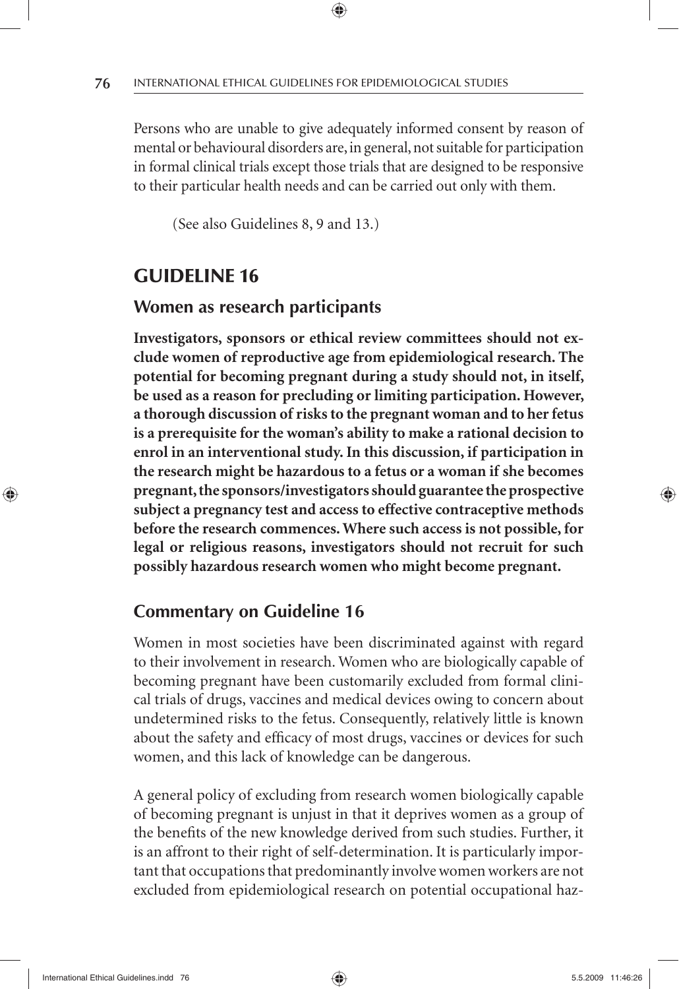Persons who are unable to give adequately informed consent by reason of mental or behavioural disorders are, in general, not suitable for participation in formal clinical trials except those trials that are designed to be responsive to their particular health needs and can be carried out only with them.

(See also Guidelines 8, 9 and 13.)

## **GUIDELINE 16**

#### **Women as research participants**

**Investigators, sponsors or ethical review committees should not exclude women of reproductive age from epidemiological research. The potential for becoming pregnant during a study should not, in itself, be used as a reason for precluding or limiting participation. However, a thorough discussion of risks to the pregnant woman and to her fetus is a prerequisite for the woman's ability to make a rational decision to enrol in an interventional study. In this discussion, if participation in the research might be hazardous to a fetus or a woman if she becomes pregnant, the sponsors/investigators should guarantee the prospective subject a pregnancy test and access to effective contraceptive methods before the research commences. Where such access is not possible, for legal or religious reasons, investigators should not recruit for such possibly hazardous research women who might become pregnant.**

## **Commentary on Guideline 16**

Women in most societies have been discriminated against with regard to their involvement in research. Women who are biologically capable of becoming pregnant have been customarily excluded from formal clinical trials of drugs, vaccines and medical devices owing to concern about undetermined risks to the fetus. Consequently, relatively little is known about the safety and efficacy of most drugs, vaccines or devices for such women, and this lack of knowledge can be dangerous.

A general policy of excluding from research women biologically capable of becoming pregnant is unjust in that it deprives women as a group of the benefits of the new knowledge derived from such studies. Further, it is an affront to their right of self-determination. It is particularly important that occupations that predominantly involve women workers are not excluded from epidemiological research on potential occupational haz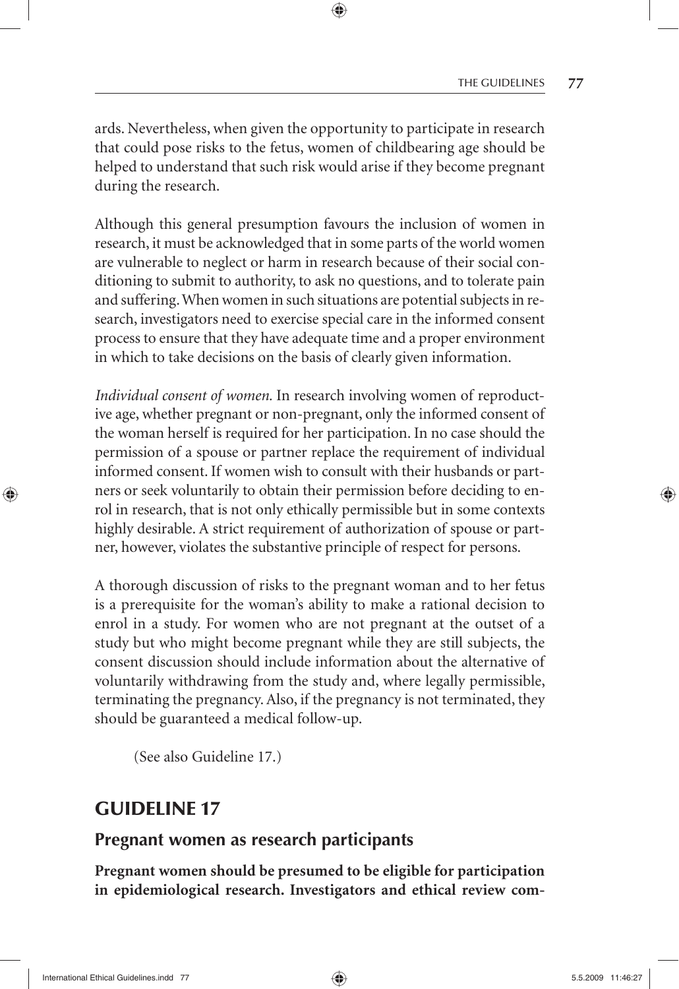ards. Nevertheless, when given the opportunity to participate in research that could pose risks to the fetus, women of childbearing age should be helped to understand that such risk would arise if they become pregnant during the research.

Although this general presumption favours the inclusion of women in research, it must be acknowledged that in some parts of the world women are vulnerable to neglect or harm in research because of their social conditioning to submit to authority, to ask no questions, and to tolerate pain and suffering. When women in such situations are potential subjects in research, investigators need to exercise special care in the informed consent process to ensure that they have adequate time and a proper environment in which to take decisions on the basis of clearly given information.

*Individual consent of women.* In research involving women of reproductive age, whether pregnant or non-pregnant, only the informed consent of the woman herself is required for her participation. In no case should the permission of a spouse or partner replace the requirement of individual informed consent. If women wish to consult with their husbands or partners or seek voluntarily to obtain their permission before deciding to enrol in research, that is not only ethically permissible but in some contexts highly desirable. A strict requirement of authorization of spouse or partner, however, violates the substantive principle of respect for persons.

A thorough discussion of risks to the pregnant woman and to her fetus is a prerequisite for the woman's ability to make a rational decision to enrol in a study. For women who are not pregnant at the outset of a study but who might become pregnant while they are still subjects, the consent discussion should include information about the alternative of voluntarily withdrawing from the study and, where legally permissible, terminating the pregnancy. Also, if the pregnancy is not terminated, they should be guaranteed a medical follow-up.

(See also Guideline 17.)

## **GUIDELINE 17**

## **Pregnant women as research participants**

**Pregnant women should be presumed to be eligible for participation in epidemiological research. Investigators and ethical review com-**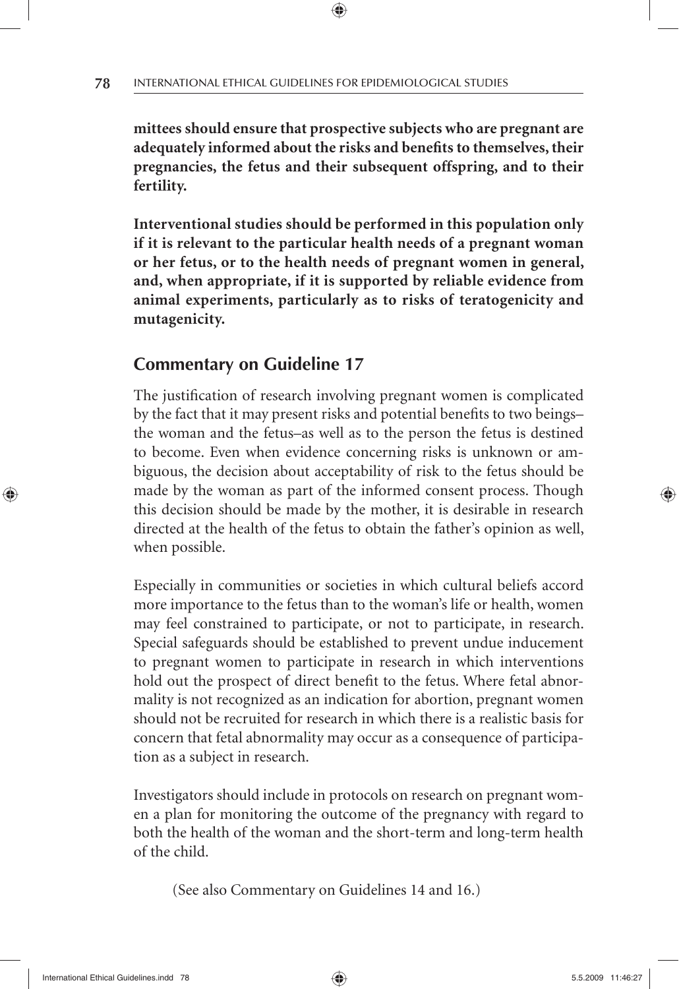**mittees should ensure that prospective subjects who are pregnant are**  adequately informed about the risks and benefits to themselves, their **pregnancies, the fetus and their subsequent offspring, and to their fertility.**

**Interventional studies should be performed in this population only if it is relevant to the particular health needs of a pregnant woman or her fetus, or to the health needs of pregnant women in general, and, when appropriate, if it is supported by reliable evidence from animal experiments, particularly as to risks of teratogenicity and mutagenicity.**

## **Commentary on Guideline 17**

The justification of research involving pregnant women is complicated by the fact that it may present risks and potential benefits to two beings– the woman and the fetus–as well as to the person the fetus is destined to become. Even when evidence concerning risks is unknown or ambiguous, the decision about acceptability of risk to the fetus should be made by the woman as part of the informed consent process. Though this decision should be made by the mother, it is desirable in research directed at the health of the fetus to obtain the father's opinion as well, when possible.

Especially in communities or societies in which cultural beliefs accord more importance to the fetus than to the woman's life or health, women may feel constrained to participate, or not to participate, in research. Special safeguards should be established to prevent undue inducement to pregnant women to participate in research in which interventions hold out the prospect of direct benefit to the fetus. Where fetal abnormality is not recognized as an indication for abortion, pregnant women should not be recruited for research in which there is a realistic basis for concern that fetal abnormality may occur as a consequence of participation as a subject in research.

Investigators should include in protocols on research on pregnant women a plan for monitoring the outcome of the pregnancy with regard to both the health of the woman and the short-term and long-term health of the child.

(See also Commentary on Guidelines 14 and 16.)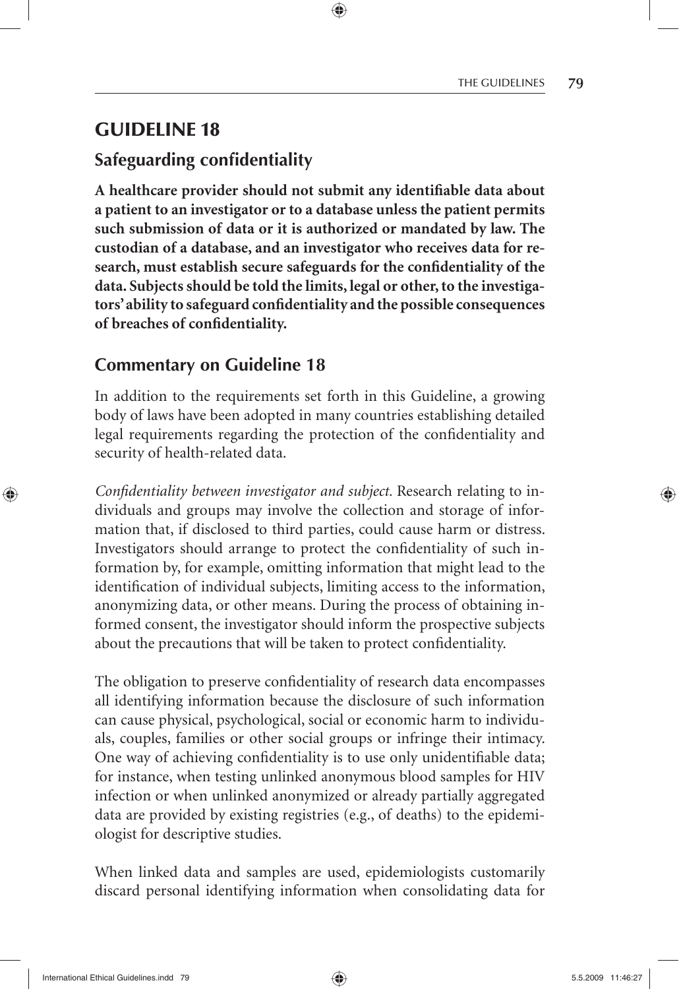## **GUIDELINE 18**

## **Safeguarding confidentiality**

A healthcare provider should not submit any identifiable data about **a patient to an investigator or to a database unless the patient permits such submission of data or it is authorized or mandated by law. The custodian of a database, and an investigator who receives data for research, must establish secure safeguards for the confidentiality of the data. Subjects should be told the limits, legal or other, to the investigators' ability to safeguard confi dentiality and the possible consequences**  of breaches of confidentiality.

### **Commentary on Guideline 18**

In addition to the requirements set forth in this Guideline, a growing body of laws have been adopted in many countries establishing detailed legal requirements regarding the protection of the confidentiality and security of health-related data.

*Confi dentiality between investigator and subject.* Research relating to individuals and groups may involve the collection and storage of information that, if disclosed to third parties, could cause harm or distress. Investigators should arrange to protect the confidentiality of such information by, for example, omitting information that might lead to the identification of individual subjects, limiting access to the information, anonymizing data, or other means. During the process of obtaining informed consent, the investigator should inform the prospective subjects about the precautions that will be taken to protect confidentiality.

The obligation to preserve confidentiality of research data encompasses all identifying information because the disclosure of such information can cause physical, psychological, social or economic harm to individuals, couples, families or other social groups or infringe their intimacy. One way of achieving confidentiality is to use only unidentifiable data; for instance, when testing unlinked anonymous blood samples for HIV infection or when unlinked anonymized or already partially aggregated data are provided by existing registries (e.g., of deaths) to the epidemiologist for descriptive studies.

When linked data and samples are used, epidemiologists customarily discard personal identifying information when consolidating data for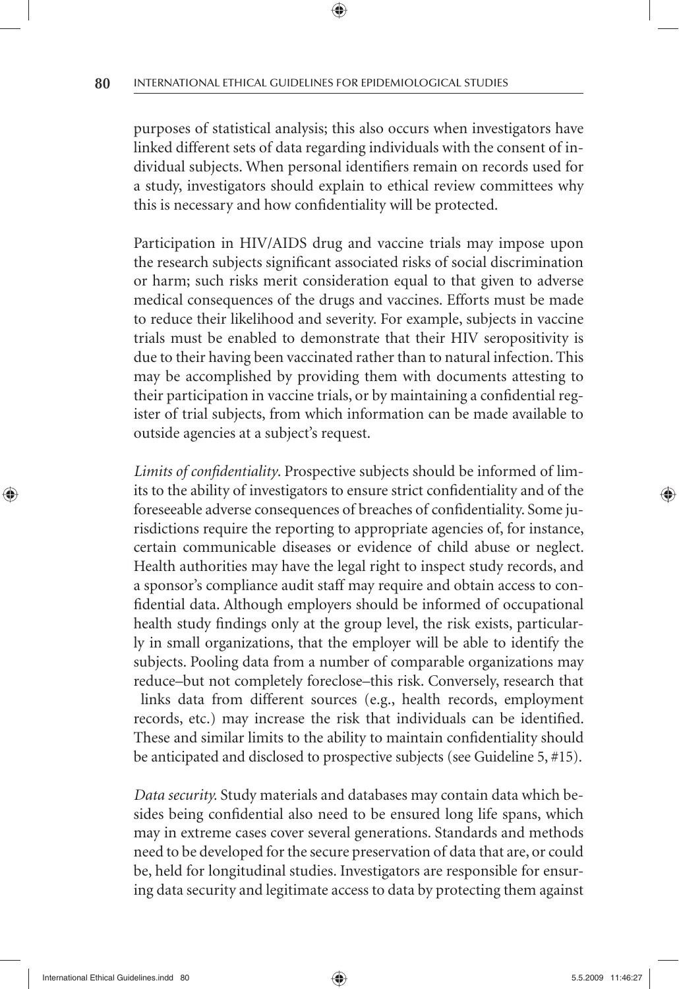purposes of statistical analysis; this also occurs when investigators have linked different sets of data regarding individuals with the consent of individual subjects. When personal identifiers remain on records used for a study, investigators should explain to ethical review committees why this is necessary and how confidentiality will be protected.

Participation in HIV/AIDS drug and vaccine trials may impose upon the research subjects significant associated risks of social discrimination or harm; such risks merit consideration equal to that given to adverse medical consequences of the drugs and vaccines. Efforts must be made to reduce their likelihood and severity. For example, subjects in vaccine trials must be enabled to demonstrate that their HIV seropositivity is due to their having been vaccinated rather than to natural infection. This may be accomplished by providing them with documents attesting to their participation in vaccine trials, or by maintaining a confidential register of trial subjects, from which information can be made available to outside agencies at a subject's request.

Limits of confidentiality. Prospective subjects should be informed of limits to the ability of investigators to ensure strict confidentiality and of the foreseeable adverse consequences of breaches of confidentiality. Some jurisdictions require the reporting to appropriate agencies of, for instance, certain communicable diseases or evidence of child abuse or neglect. Health authorities may have the legal right to inspect study records, and a sponsor's compliance audit staff may require and obtain access to confidential data. Although employers should be informed of occupational health study findings only at the group level, the risk exists, particularly in small organizations, that the employer will be able to identify the subjects. Pooling data from a number of comparable organizations may reduce–but not completely foreclose–this risk. Conversely, research that links data from different sources (e.g., health records, employment records, etc.) may increase the risk that individuals can be identified. These and similar limits to the ability to maintain confidentiality should be anticipated and disclosed to prospective subjects (see Guideline 5, #15).

*Data security.* Study materials and databases may contain data which besides being confidential also need to be ensured long life spans, which may in extreme cases cover several generations. Standards and methods need to be developed for the secure preservation of data that are, or could be, held for longitudinal studies. Investigators are responsible for ensuring data security and legitimate access to data by protecting them against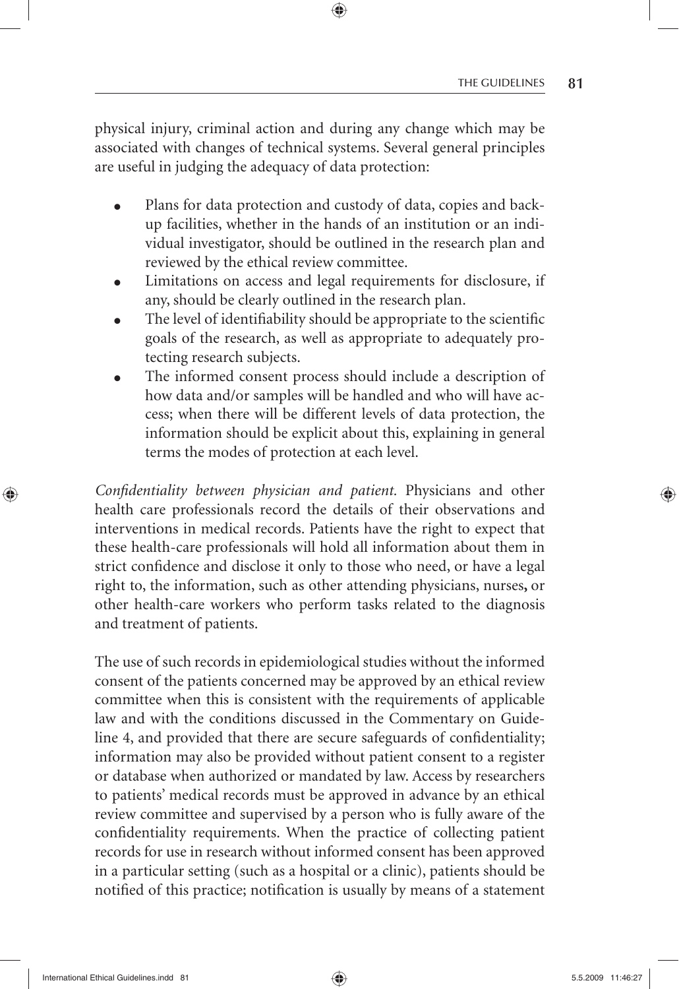physical injury, criminal action and during any change which may be associated with changes of technical systems. Several general principles are useful in judging the adequacy of data protection:

- Plans for data protection and custody of data, copies and backup facilities, whether in the hands of an institution or an individual investigator, should be outlined in the research plan and reviewed by the ethical review committee.
- Limitations on access and legal requirements for disclosure, if any, should be clearly outlined in the research plan.
- The level of identifiability should be appropriate to the scientific goals of the research, as well as appropriate to adequately protecting research subjects.
- The informed consent process should include a description of how data and/or samples will be handled and who will have access; when there will be different levels of data protection, the information should be explicit about this, explaining in general terms the modes of protection at each level.

Confidentiality between physician and patient. Physicians and other health care professionals record the details of their observations and interventions in medical records. Patients have the right to expect that these health-care professionals will hold all information about them in strict confidence and disclose it only to those who need, or have a legal right to, the information, such as other attending physicians, nurses**,** or other health-care workers who perform tasks related to the diagnosis and treatment of patients.

The use of such records in epidemiological studies without the informed consent of the patients concerned may be approved by an ethical review committee when this is consistent with the requirements of applicable law and with the conditions discussed in the Commentary on Guideline 4, and provided that there are secure safeguards of confidentiality; information may also be provided without patient consent to a register or database when authorized or mandated by law. Access by researchers to patients' medical records must be approved in advance by an ethical review committee and supervised by a person who is fully aware of the confidentiality requirements. When the practice of collecting patient records for use in research without informed consent has been approved in a particular setting (such as a hospital or a clinic), patients should be notified of this practice; notification is usually by means of a statement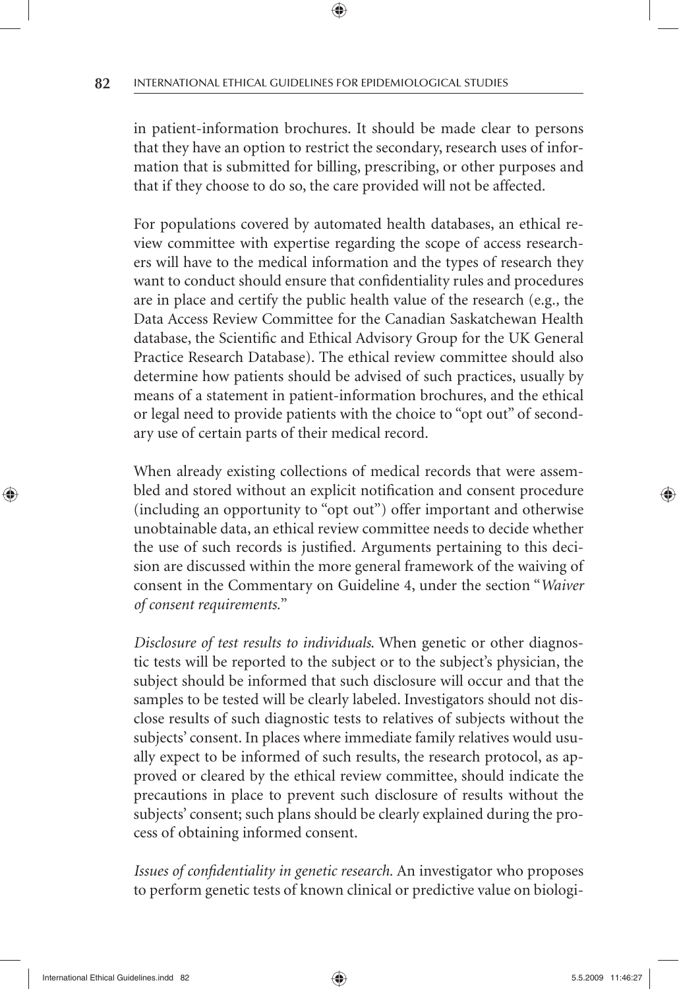in patient-information brochures. It should be made clear to persons that they have an option to restrict the secondary, research uses of information that is submitted for billing, prescribing, or other purposes and that if they choose to do so, the care provided will not be affected.

For populations covered by automated health databases, an ethical review committee with expertise regarding the scope of access researchers will have to the medical information and the types of research they want to conduct should ensure that confidentiality rules and procedures are in place and certify the public health value of the research (e.g.*,* the Data Access Review Committee for the Canadian Saskatchewan Health database, the Scientific and Ethical Advisory Group for the UK General Practice Research Database). The ethical review committee should also determine how patients should be advised of such practices, usually by means of a statement in patient-information brochures, and the ethical or legal need to provide patients with the choice to "opt out" of secondary use of certain parts of their medical record.

When already existing collections of medical records that were assembled and stored without an explicit notification and consent procedure (including an opportunity to "opt out") offer important and otherwise unobtainable data, an ethical review committee needs to decide whether the use of such records is justified. Arguments pertaining to this decision are discussed within the more general framework of the waiving of consent in the Commentary on Guideline 4, under the section "*Waiver of consent requirements.*"

*Disclosure of test results to individuals*. When genetic or other diagnostic tests will be reported to the subject or to the subject's physician, the subject should be informed that such disclosure will occur and that the samples to be tested will be clearly labeled. Investigators should not disclose results of such diagnostic tests to relatives of subjects without the subjects' consent. In places where immediate family relatives would usually expect to be informed of such results, the research protocol, as approved or cleared by the ethical review committee, should indicate the precautions in place to prevent such disclosure of results without the subjects' consent; such plans should be clearly explained during the process of obtaining informed consent.

*Issues of confidentiality in genetic research*. An investigator who proposes to perform genetic tests of known clinical or predictive value on biologi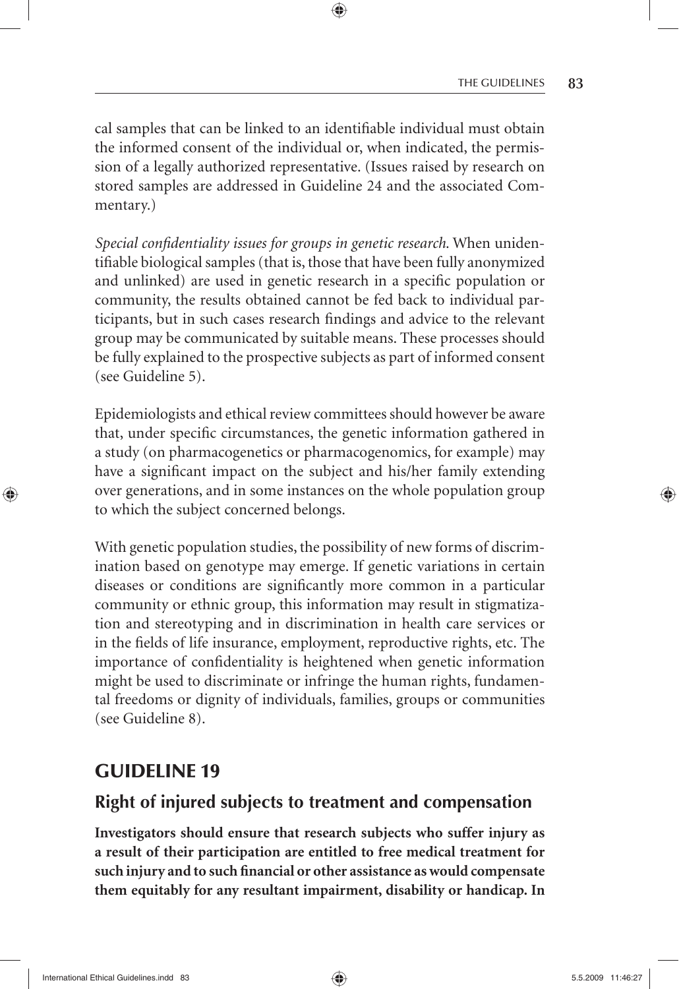cal samples that can be linked to an identifiable individual must obtain the informed consent of the individual or, when indicated, the permission of a legally authorized representative. (Issues raised by research on stored samples are addressed in Guideline 24 and the associated Commentary.)

*Special confi dentiality issues for groups in genetic research*. When unidentifiable biological samples (that is, those that have been fully anonymized and unlinked) are used in genetic research in a specific population or community, the results obtained cannot be fed back to individual participants, but in such cases research findings and advice to the relevant group may be communicated by suitable means. These processes should be fully explained to the prospective subjects as part of informed consent (see Guideline 5).

Epidemiologists and ethical review committees should however be aware that, under specific circumstances, the genetic information gathered in a study (on pharmacogenetics or pharmacogenomics, for example) may have a significant impact on the subject and his/her family extending over generations, and in some instances on the whole population group to which the subject concerned belongs.

With genetic population studies, the possibility of new forms of discrimination based on genotype may emerge. If genetic variations in certain diseases or conditions are significantly more common in a particular community or ethnic group, this information may result in stigmatization and stereotyping and in discrimination in health care services or in the fields of life insurance, employment, reproductive rights, etc. The importance of confidentiality is heightened when genetic information might be used to discriminate or infringe the human rights, fundamental freedoms or dignity of individuals, families, groups or communities (see Guideline 8).

## **GUIDELINE 19**

## **Right of injured subjects to treatment and compensation**

**Investigators should ensure that research subjects who suffer injury as a result of their participation are entitled to free medical treatment for**  such injury and to such financial or other assistance as would compensate **them equitably for any resultant impairment, disability or handicap. In**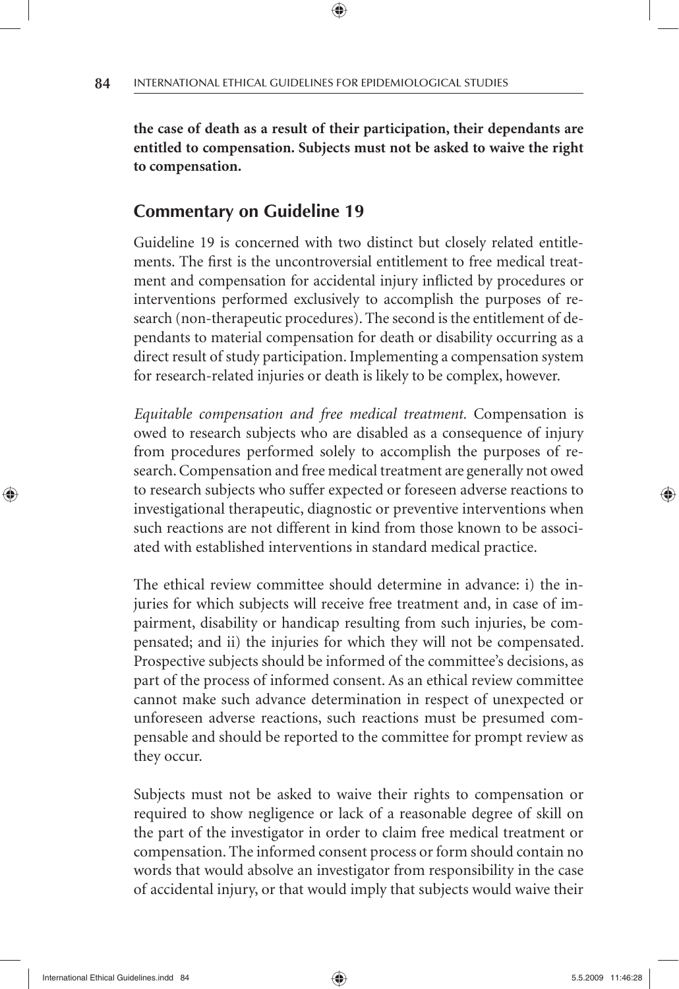**the case of death as a result of their participation, their dependants are entitled to compensation. Subjects must not be asked to waive the right to compensation.**

#### **Commentary on Guideline 19**

Guideline 19 is concerned with two distinct but closely related entitlements. The first is the uncontroversial entitlement to free medical treatment and compensation for accidental injury inflicted by procedures or interventions performed exclusively to accomplish the purposes of research (non-therapeutic procedures). The second is the entitlement of dependants to material compensation for death or disability occurring as a direct result of study participation. Implementing a compensation system for research-related injuries or death is likely to be complex, however.

*Equitable compensation and free medical treatment.* Compensation is owed to research subjects who are disabled as a consequence of injury from procedures performed solely to accomplish the purposes of research. Compensation and free medical treatment are generally not owed to research subjects who suffer expected or foreseen adverse reactions to investigational therapeutic, diagnostic or preventive interventions when such reactions are not different in kind from those known to be associated with established interventions in standard medical practice.

The ethical review committee should determine in advance: i) the injuries for which subjects will receive free treatment and, in case of impairment, disability or handicap resulting from such injuries, be compensated; and ii) the injuries for which they will not be compensated. Prospective subjects should be informed of the committee's decisions, as part of the process of informed consent. As an ethical review committee cannot make such advance determination in respect of unexpected or unforeseen adverse reactions, such reactions must be presumed compensable and should be reported to the committee for prompt review as they occur.

Subjects must not be asked to waive their rights to compensation or required to show negligence or lack of a reasonable degree of skill on the part of the investigator in order to claim free medical treatment or compensation. The informed consent process or form should contain no words that would absolve an investigator from responsibility in the case of accidental injury, or that would imply that subjects would waive their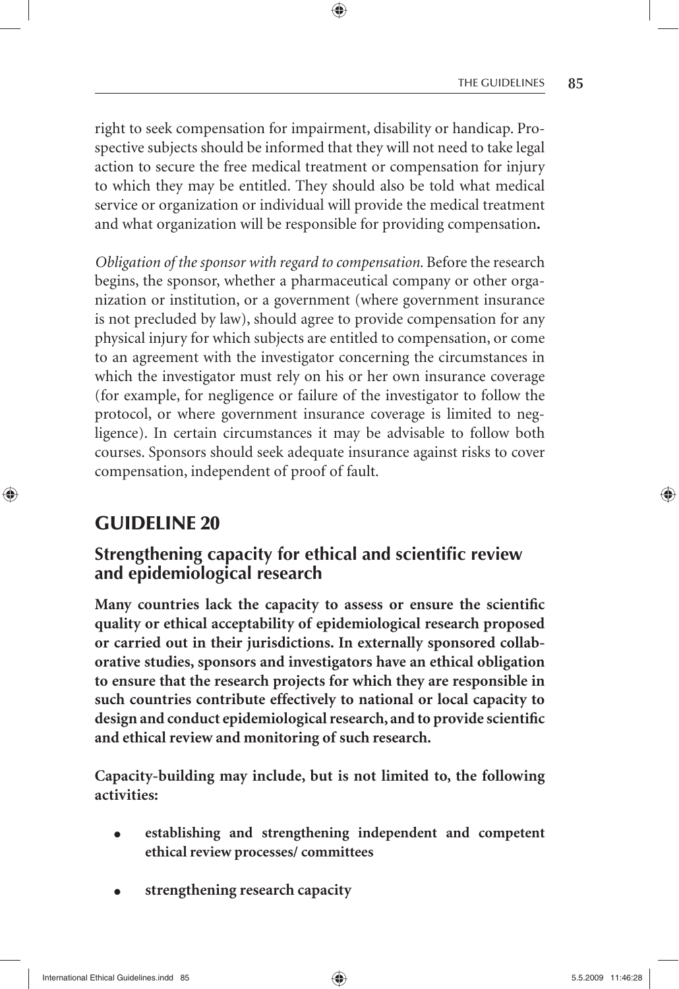right to seek compensation for impairment, disability or handicap. Prospective subjects should be informed that they will not need to take legal action to secure the free medical treatment or compensation for injury to which they may be entitled. They should also be told what medical service or organization or individual will provide the medical treatment and what organization will be responsible for providing compensation**.**

*Obligation of the sponsor with regard to compensation.* Before the research begins, the sponsor, whether a pharmaceutical company or other organization or institution, or a government (where government insurance is not precluded by law), should agree to provide compensation for any physical injury for which subjects are entitled to compensation, or come to an agreement with the investigator concerning the circumstances in which the investigator must rely on his or her own insurance coverage (for example, for negligence or failure of the investigator to follow the protocol, or where government insurance coverage is limited to negligence). In certain circumstances it may be advisable to follow both courses. Sponsors should seek adequate insurance against risks to cover compensation, independent of proof of fault.

## **GUIDELINE 20**

### **Strengthening capacity for ethical and scientific review and epidemiological research**

Many countries lack the capacity to assess or ensure the scientific **quality or ethical acceptability of epidemiological research proposed or carried out in their jurisdictions. In externally sponsored collaborative studies, sponsors and investigators have an ethical obligation to ensure that the research projects for which they are responsible in such countries contribute effectively to national or local capacity to**  design and conduct epidemiological research, and to provide scientific **and ethical review and monitoring of such research.**

**Capacity-building may include, but is not limited to, the following activities:**

- establishing and strengthening independent and competent **ethical review processes/ committees**
- **strengthening research capacity**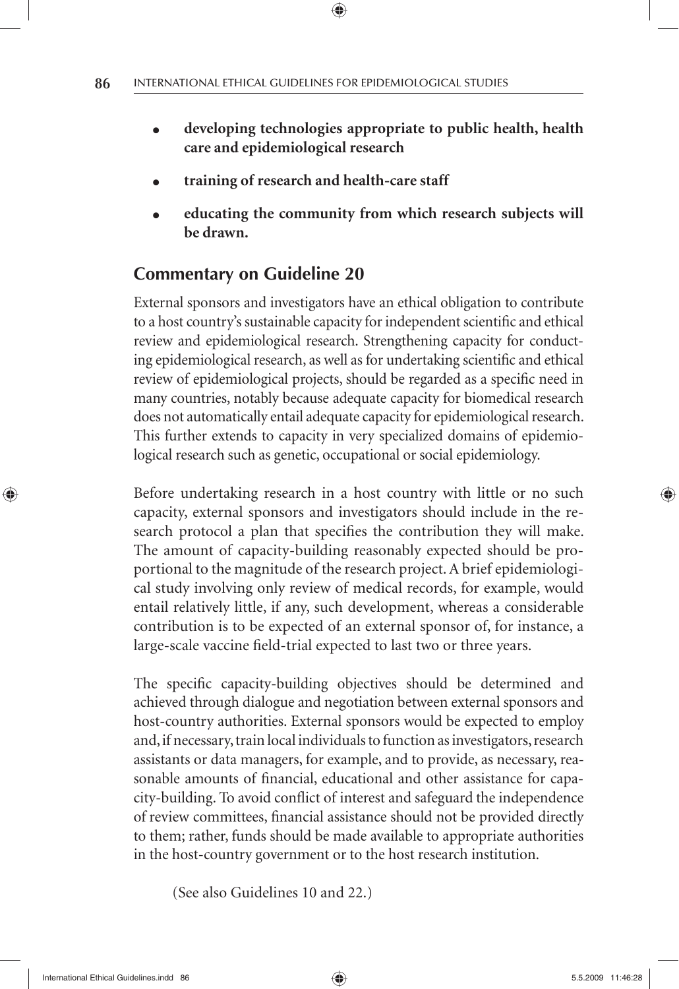- **developing technologies appropriate to public health, health care and epidemiological research**
- **training of research and health-care staff**
- educating the community from which research subjects will **be drawn.**

#### **Commentary on Guideline 20**

External sponsors and investigators have an ethical obligation to contribute to a host country's sustainable capacity for independent scientific and ethical review and epidemiological research. Strengthening capacity for conducting epidemiological research, as well as for undertaking scientific and ethical review of epidemiological projects, should be regarded as a specific need in many countries, notably because adequate capacity for biomedical research does not automatically entail adequate capacity for epidemiological research. This further extends to capacity in very specialized domains of epidemiological research such as genetic, occupational or social epidemiology.

Before undertaking research in a host country with little or no such capacity, external sponsors and investigators should include in the research protocol a plan that specifies the contribution they will make. The amount of capacity-building reasonably expected should be proportional to the magnitude of the research project. A brief epidemiological study involving only review of medical records, for example, would entail relatively little, if any, such development, whereas a considerable contribution is to be expected of an external sponsor of, for instance, a large-scale vaccine field-trial expected to last two or three years.

The specific capacity-building objectives should be determined and achieved through dialogue and negotiation between external sponsors and host-country authorities. External sponsors would be expected to employ and, if necessary, train local individuals to function as investigators, research assistants or data managers, for example, and to provide, as necessary, reasonable amounts of financial, educational and other assistance for capacity-building. To avoid conflict of interest and safeguard the independence of review committees, financial assistance should not be provided directly to them; rather, funds should be made available to appropriate authorities in the host-country government or to the host research institution.

(See also Guidelines 10 and 22.)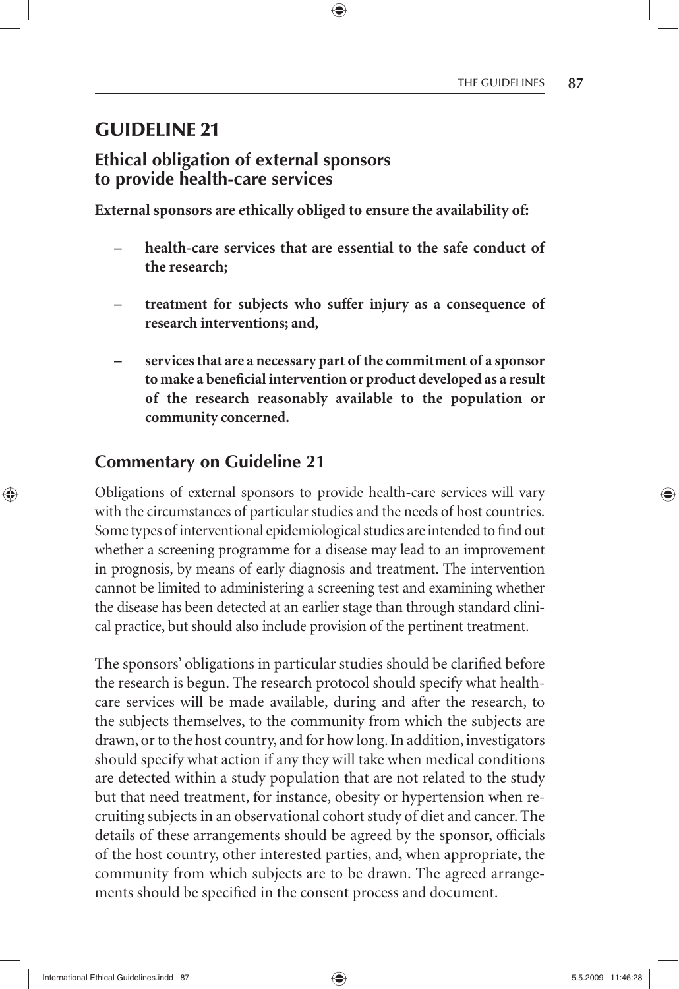## **GUIDELINE 21**

#### **Ethical obligation of external sponsors to provide health-care services**

**External sponsors are ethically obliged to ensure the availability of:**

- **health-care services that are essential to the safe conduct of the research;**
- **treatment for subjects who suffer injury as a consequence of research interventions; and,**
- **services that are a necessary part of the commitment of a sponsor**  to make a beneficial intervention or product developed as a result **of the research reasonably available to the population or community concerned.**

### **Commentary on Guideline 21**

Obligations of external sponsors to provide health-care services will vary with the circumstances of particular studies and the needs of host countries. Some types of interventional epidemiological studies are intended to find out whether a screening programme for a disease may lead to an improvement in prognosis, by means of early diagnosis and treatment. The intervention cannot be limited to administering a screening test and examining whether the disease has been detected at an earlier stage than through standard clinical practice, but should also include provision of the pertinent treatment.

The sponsors' obligations in particular studies should be clarified before the research is begun. The research protocol should specify what healthcare services will be made available, during and after the research, to the subjects themselves, to the community from which the subjects are drawn, or to the host country, and for how long. In addition, investigators should specify what action if any they will take when medical conditions are detected within a study population that are not related to the study but that need treatment, for instance, obesity or hypertension when recruiting subjects in an observational cohort study of diet and cancer. The details of these arrangements should be agreed by the sponsor, officials of the host country, other interested parties, and, when appropriate, the community from which subjects are to be drawn. The agreed arrangements should be specified in the consent process and document.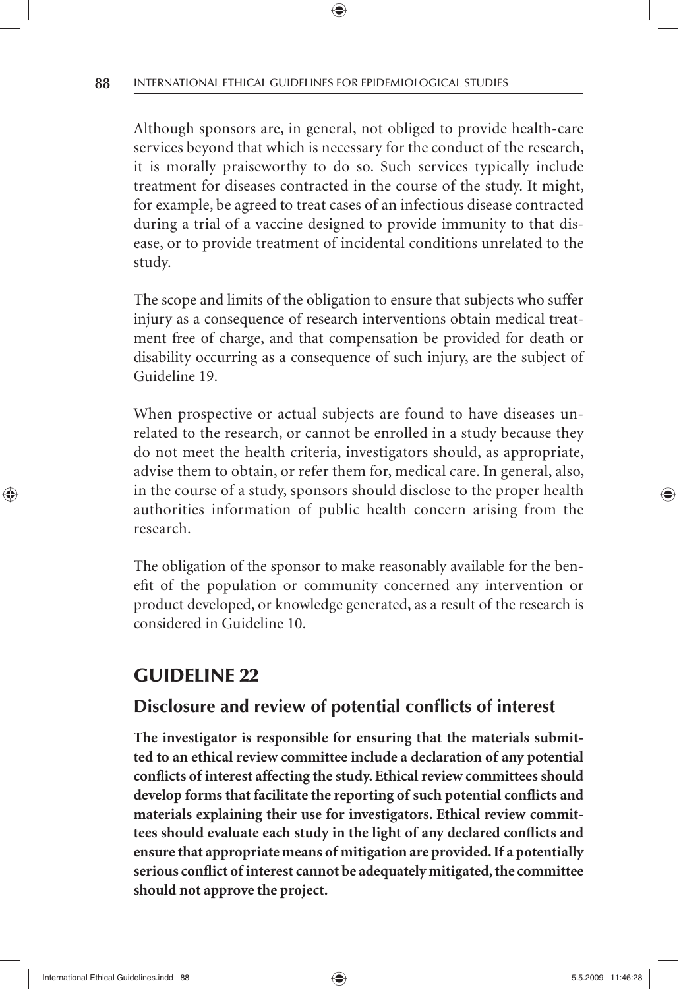Although sponsors are, in general, not obliged to provide health-care services beyond that which is necessary for the conduct of the research, it is morally praiseworthy to do so. Such services typically include treatment for diseases contracted in the course of the study. It might, for example, be agreed to treat cases of an infectious disease contracted during a trial of a vaccine designed to provide immunity to that disease, or to provide treatment of incidental conditions unrelated to the study.

The scope and limits of the obligation to ensure that subjects who suffer injury as a consequence of research interventions obtain medical treatment free of charge, and that compensation be provided for death or disability occurring as a consequence of such injury, are the subject of Guideline 19.

When prospective or actual subjects are found to have diseases unrelated to the research, or cannot be enrolled in a study because they do not meet the health criteria, investigators should, as appropriate, advise them to obtain, or refer them for, medical care. In general, also, in the course of a study, sponsors should disclose to the proper health authorities information of public health concern arising from the research.

The obligation of the sponsor to make reasonably available for the benefit of the population or community concerned any intervention or product developed, or knowledge generated, as a result of the research is considered in Guideline 10*.*

## **GUIDELINE 22**

## **Disclosure and review of potential conflicts of interest**

**The investigator is responsible for ensuring that the materials submitted to an ethical review committee include a declaration of any potential confl icts of interest affecting the study. Ethical review committees should**  develop forms that facilitate the reporting of such potential conflicts and **materials explaining their use for investigators. Ethical review commit**tees should evaluate each study in the light of any declared conflicts and **ensure that appropriate means of mitigation are provided. If a potentially**  serious conflict of interest cannot be adequately mitigated, the committee **should not approve the project.**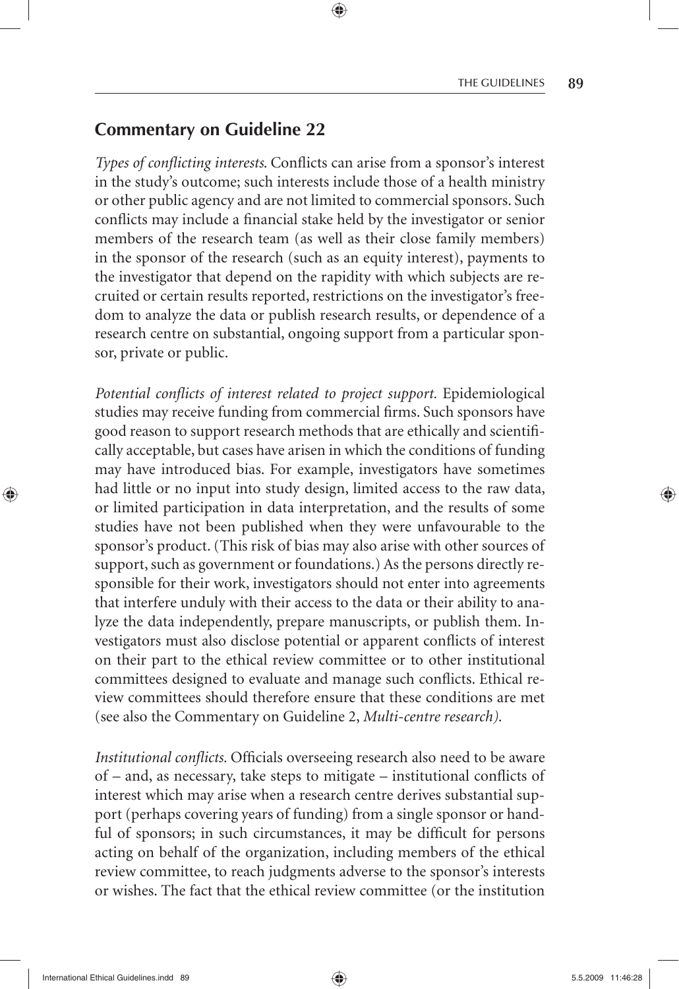#### **Commentary on Guideline 22**

*Types of conflicting interests*. Conflicts can arise from a sponsor's interest in the study's outcome; such interests include those of a health ministry or other public agency and are not limited to commercial sponsors. Such conflicts may include a financial stake held by the investigator or senior members of the research team (as well as their close family members) in the sponsor of the research (such as an equity interest), payments to the investigator that depend on the rapidity with which subjects are recruited or certain results reported, restrictions on the investigator's freedom to analyze the data or publish research results, or dependence of a research centre on substantial, ongoing support from a particular sponsor, private or public.

Potential conflicts of interest related to project support. Epidemiological studies may receive funding from commercial firms. Such sponsors have good reason to support research methods that are ethically and scientifi cally acceptable, but cases have arisen in which the conditions of funding may have introduced bias. For example, investigators have sometimes had little or no input into study design, limited access to the raw data, or limited participation in data interpretation, and the results of some studies have not been published when they were unfavourable to the sponsor's product. (This risk of bias may also arise with other sources of support, such as government or foundations.) As the persons directly responsible for their work, investigators should not enter into agreements that interfere unduly with their access to the data or their ability to analyze the data independently, prepare manuscripts, or publish them. Investigators must also disclose potential or apparent conflicts of interest on their part to the ethical review committee or to other institutional committees designed to evaluate and manage such conflicts. Ethical review committees should therefore ensure that these conditions are met (see also the Commentary on Guideline 2, *Multi-centre research)*.

*Institutional conflicts*. Officials overseeing research also need to be aware of – and, as necessary, take steps to mitigate – institutional conflicts of interest which may arise when a research centre derives substantial support (perhaps covering years of funding) from a single sponsor or handful of sponsors; in such circumstances, it may be difficult for persons acting on behalf of the organization, including members of the ethical review committee, to reach judgments adverse to the sponsor's interests or wishes. The fact that the ethical review committee (or the institution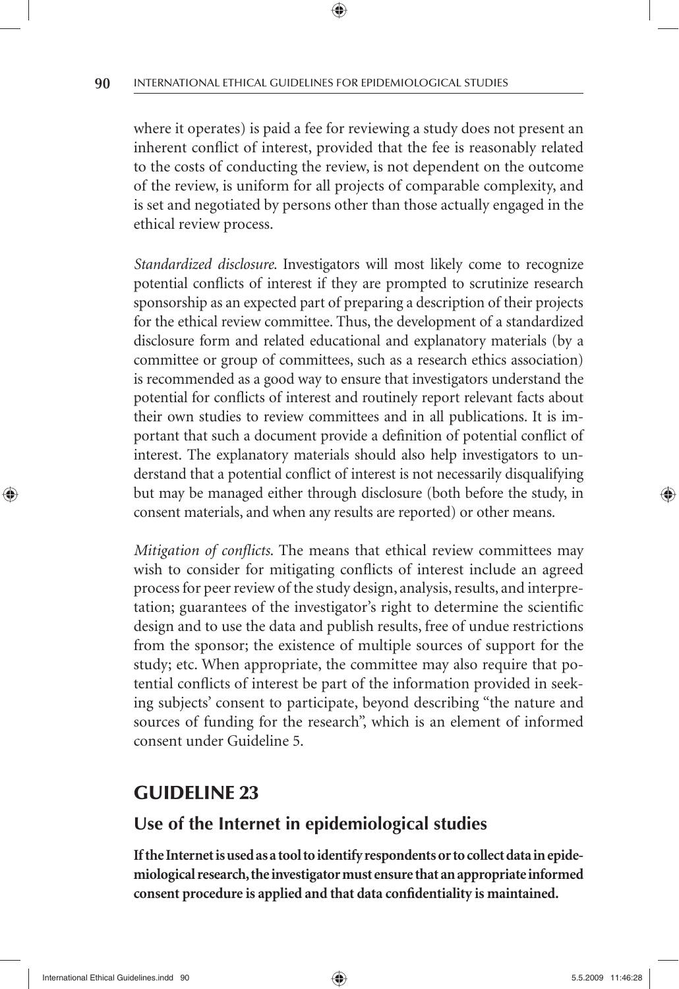where it operates) is paid a fee for reviewing a study does not present an inherent conflict of interest, provided that the fee is reasonably related to the costs of conducting the review, is not dependent on the outcome of the review, is uniform for all projects of comparable complexity, and is set and negotiated by persons other than those actually engaged in the ethical review process.

*Standardized disclosure*. Investigators will most likely come to recognize potential conflicts of interest if they are prompted to scrutinize research sponsorship as an expected part of preparing a description of their projects for the ethical review committee. Thus, the development of a standardized disclosure form and related educational and explanatory materials (by a committee or group of committees, such as a research ethics association) is recommended as a good way to ensure that investigators understand the potential for conflicts of interest and routinely report relevant facts about their own studies to review committees and in all publications. It is important that such a document provide a definition of potential conflict of interest. The explanatory materials should also help investigators to understand that a potential conflict of interest is not necessarily disqualifying but may be managed either through disclosure (both before the study, in consent materials, and when any results are reported) or other means.

*Mitigation of conflicts*. The means that ethical review committees may wish to consider for mitigating conflicts of interest include an agreed process for peer review of the study design, analysis, results, and interpretation; guarantees of the investigator's right to determine the scientific design and to use the data and publish results, free of undue restrictions from the sponsor; the existence of multiple sources of support for the study; etc. When appropriate, the committee may also require that potential conflicts of interest be part of the information provided in seeking subjects' consent to participate, beyond describing "the nature and sources of funding for the research", which is an element of informed consent under Guideline 5.

## **GUIDELINE 23**

#### **Use of the Internet in epidemiological studies**

**If the Internet is used as a tool to identify respondents or to collect data in epidemiological research, the investigator must ensure that an appropriate informed**  consent procedure is applied and that data confidentiality is maintained.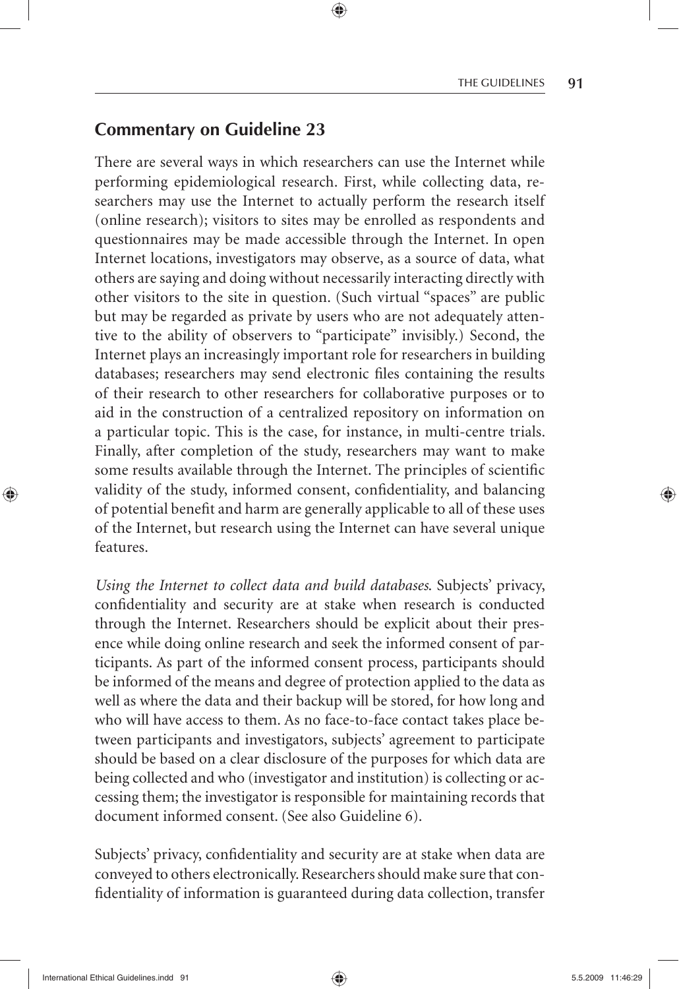#### **Commentary on Guideline 23**

There are several ways in which researchers can use the Internet while performing epidemiological research. First, while collecting data, researchers may use the Internet to actually perform the research itself (online research); visitors to sites may be enrolled as respondents and questionnaires may be made accessible through the Internet. In open Internet locations, investigators may observe, as a source of data, what others are saying and doing without necessarily interacting directly with other visitors to the site in question. (Such virtual "spaces" are public but may be regarded as private by users who are not adequately attentive to the ability of observers to "participate" invisibly.) Second, the Internet plays an increasingly important role for researchers in building databases; researchers may send electronic files containing the results of their research to other researchers for collaborative purposes or to aid in the construction of a centralized repository on information on a particular topic. This is the case, for instance, in multi-centre trials. Finally, after completion of the study, researchers may want to make some results available through the Internet. The principles of scientific validity of the study, informed consent, confidentiality, and balancing of potential benefit and harm are generally applicable to all of these uses of the Internet, but research using the Internet can have several unique features.

*Using the Internet to collect data and build databases*. Subjects' privacy, confidentiality and security are at stake when research is conducted through the Internet. Researchers should be explicit about their presence while doing online research and seek the informed consent of participants. As part of the informed consent process, participants should be informed of the means and degree of protection applied to the data as well as where the data and their backup will be stored, for how long and who will have access to them. As no face-to-face contact takes place between participants and investigators, subjects' agreement to participate should be based on a clear disclosure of the purposes for which data are being collected and who (investigator and institution) is collecting or accessing them; the investigator is responsible for maintaining records that document informed consent. (See also Guideline 6).

Subjects' privacy, confidentiality and security are at stake when data are conveyed to others electronically. Researchers should make sure that confidentiality of information is guaranteed during data collection, transfer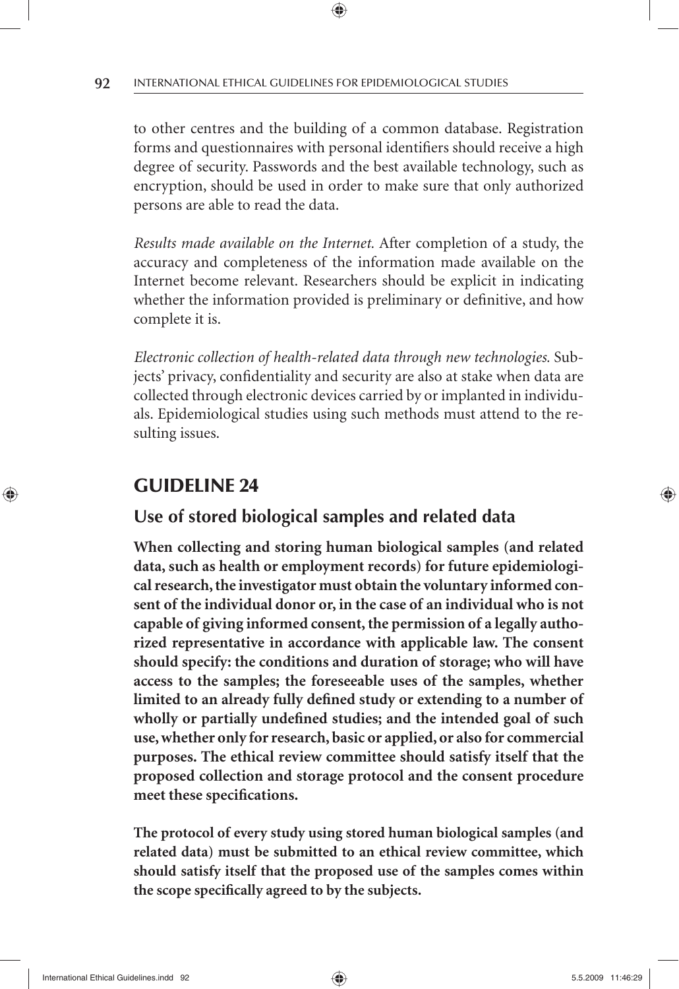to other centres and the building of a common database. Registration forms and questionnaires with personal identifiers should receive a high degree of security. Passwords and the best available technology, such as encryption, should be used in order to make sure that only authorized persons are able to read the data.

*Results made available on the Internet.* After completion of a study, the accuracy and completeness of the information made available on the Internet become relevant. Researchers should be explicit in indicating whether the information provided is preliminary or definitive, and how complete it is.

*Electronic collection of health-related data through new technologies.* Subjects' privacy, confidentiality and security are also at stake when data are collected through electronic devices carried by or implanted in individuals. Epidemiological studies using such methods must attend to the resulting issues.

## **GUIDELINE 24**

## **Use of stored biological samples and related data**

**When collecting and storing human biological samples (and related data, such as health or employment records) for future epidemiological research, the investigator must obtain the voluntary informed consent of the individual donor or, in the case of an individual who is not capable of giving informed consent, the permission of a legally authorized representative in accordance with applicable law. The consent should specify: the conditions and duration of storage; who will have access to the samples; the foreseeable uses of the samples, whether**  limited to an already fully defined study or extending to a number of wholly or partially undefined studies; and the intended goal of such **use, whether only for research, basic or applied, or also for commercial purposes. The ethical review committee should satisfy itself that the proposed collection and storage protocol and the consent procedure**  meet these specifications.

**The protocol of every study using stored human biological samples (and related data) must be submitted to an ethical review committee, which should satisfy itself that the proposed use of the samples comes within the scope specifi cally agreed to by the subjects.**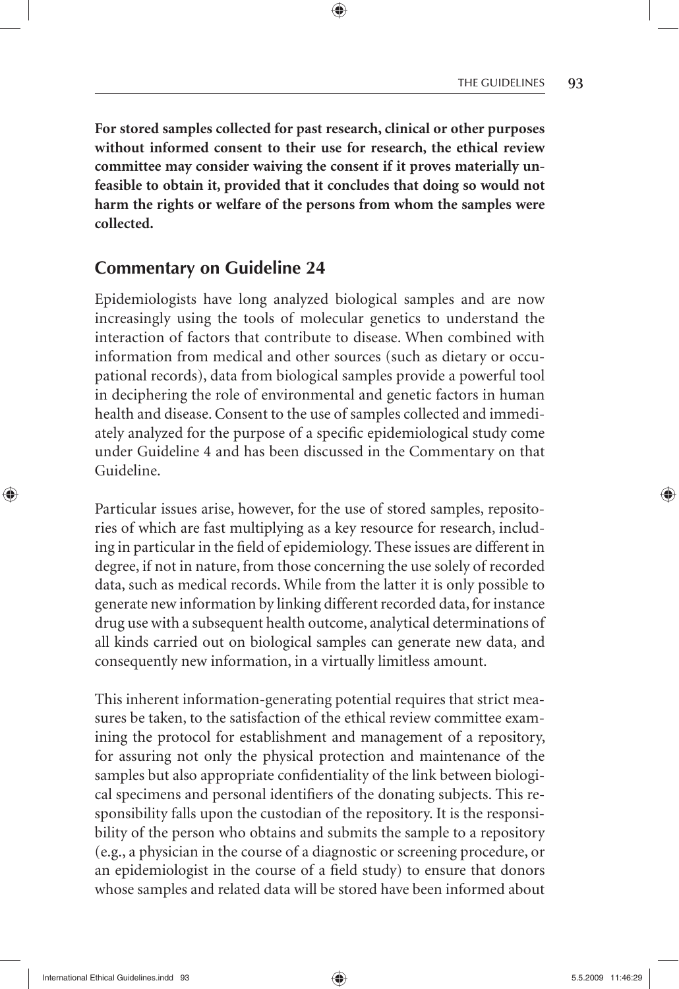**For stored samples collected for past research, clinical or other purposes without informed consent to their use for research, the ethical review committee may consider waiving the consent if it proves materially unfeasible to obtain it, provided that it concludes that doing so would not harm the rights or welfare of the persons from whom the samples were collected.**

#### **Commentary on Guideline 24**

Epidemiologists have long analyzed biological samples and are now increasingly using the tools of molecular genetics to understand the interaction of factors that contribute to disease. When combined with information from medical and other sources (such as dietary or occupational records), data from biological samples provide a powerful tool in deciphering the role of environmental and genetic factors in human health and disease. Consent to the use of samples collected and immediately analyzed for the purpose of a specific epidemiological study come under Guideline 4 and has been discussed in the Commentary on that Guideline.

Particular issues arise, however, for the use of stored samples, repositories of which are fast multiplying as a key resource for research, including in particular in the field of epidemiology. These issues are different in degree, if not in nature, from those concerning the use solely of recorded data, such as medical records. While from the latter it is only possible to generate new information by linking different recorded data, for instance drug use with a subsequent health outcome, analytical determinations of all kinds carried out on biological samples can generate new data, and consequently new information, in a virtually limitless amount.

This inherent information-generating potential requires that strict measures be taken, to the satisfaction of the ethical review committee examining the protocol for establishment and management of a repository, for assuring not only the physical protection and maintenance of the samples but also appropriate confidentiality of the link between biological specimens and personal identifiers of the donating subjects. This responsibility falls upon the custodian of the repository. It is the responsibility of the person who obtains and submits the sample to a repository (e.g., a physician in the course of a diagnostic or screening procedure, or an epidemiologist in the course of a field study) to ensure that donors whose samples and related data will be stored have been informed about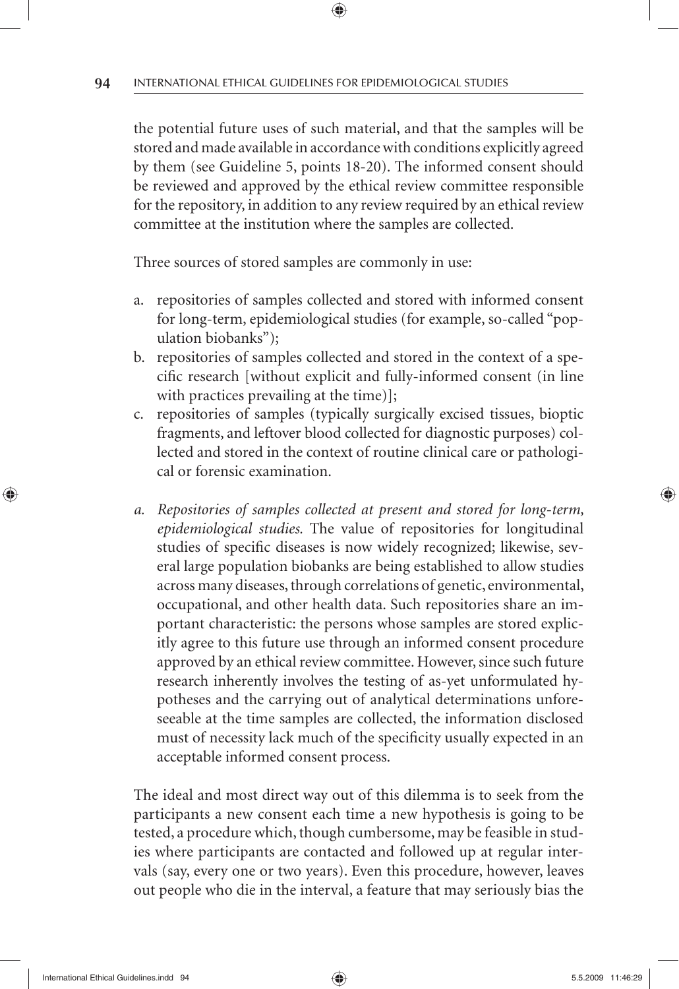the potential future uses of such material, and that the samples will be stored and made available in accordance with conditions explicitly agreed by them (see Guideline 5, points 18-20). The informed consent should be reviewed and approved by the ethical review committee responsible for the repository, in addition to any review required by an ethical review committee at the institution where the samples are collected.

Three sources of stored samples are commonly in use:

- a. repositories of samples collected and stored with informed consent for long-term, epidemiological studies (for example, so-called "population biobanks");
- b. repositories of samples collected and stored in the context of a specific research [without explicit and fully-informed consent (in line with practices prevailing at the time)];
- c. repositories of samples (typically surgically excised tissues, bioptic fragments, and leftover blood collected for diagnostic purposes) collected and stored in the context of routine clinical care or pathological or forensic examination.
- *a. Repositories of samples collected at present and stored for long-term, epidemiological studies.* The value of repositories for longitudinal studies of specific diseases is now widely recognized; likewise, several large population biobanks are being established to allow studies across many diseases, through correlations of genetic, environmental, occupational, and other health data. Such repositories share an important characteristic: the persons whose samples are stored explicitly agree to this future use through an informed consent procedure approved by an ethical review committee. However, since such future research inherently involves the testing of as-yet unformulated hypotheses and the carrying out of analytical determinations unforeseeable at the time samples are collected, the information disclosed must of necessity lack much of the specificity usually expected in an acceptable informed consent process.

The ideal and most direct way out of this dilemma is to seek from the participants a new consent each time a new hypothesis is going to be tested, a procedure which, though cumbersome, may be feasible in studies where participants are contacted and followed up at regular intervals (say, every one or two years). Even this procedure, however, leaves out people who die in the interval, a feature that may seriously bias the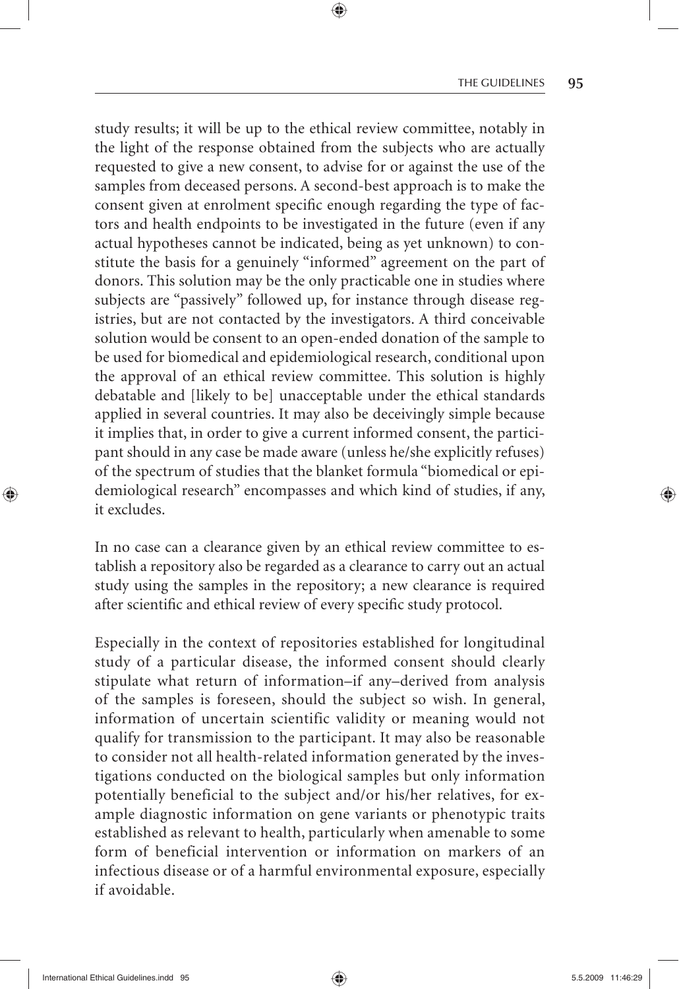study results; it will be up to the ethical review committee, notably in the light of the response obtained from the subjects who are actually requested to give a new consent, to advise for or against the use of the samples from deceased persons. A second-best approach is to make the consent given at enrolment specific enough regarding the type of factors and health endpoints to be investigated in the future (even if any actual hypotheses cannot be indicated, being as yet unknown) to constitute the basis for a genuinely "informed" agreement on the part of donors. This solution may be the only practicable one in studies where subjects are "passively" followed up, for instance through disease registries, but are not contacted by the investigators. A third conceivable solution would be consent to an open-ended donation of the sample to be used for biomedical and epidemiological research, conditional upon the approval of an ethical review committee. This solution is highly debatable and [likely to be] unacceptable under the ethical standards applied in several countries. It may also be deceivingly simple because it implies that, in order to give a current informed consent, the participant should in any case be made aware (unless he/she explicitly refuses) of the spectrum of studies that the blanket formula "biomedical or epidemiological research" encompasses and which kind of studies, if any, it excludes.

In no case can a clearance given by an ethical review committee to establish a repository also be regarded as a clearance to carry out an actual study using the samples in the repository; a new clearance is required after scientific and ethical review of every specific study protocol.

Especially in the context of repositories established for longitudinal study of a particular disease, the informed consent should clearly stipulate what return of information–if any–derived from analysis of the samples is foreseen, should the subject so wish. In general, information of uncertain scientific validity or meaning would not qualify for transmission to the participant. It may also be reasonable to consider not all health-related information generated by the investigations conducted on the biological samples but only information potentially beneficial to the subject and/or his/her relatives, for example diagnostic information on gene variants or phenotypic traits established as relevant to health, particularly when amenable to some form of beneficial intervention or information on markers of an infectious disease or of a harmful environmental exposure, especially if avoidable.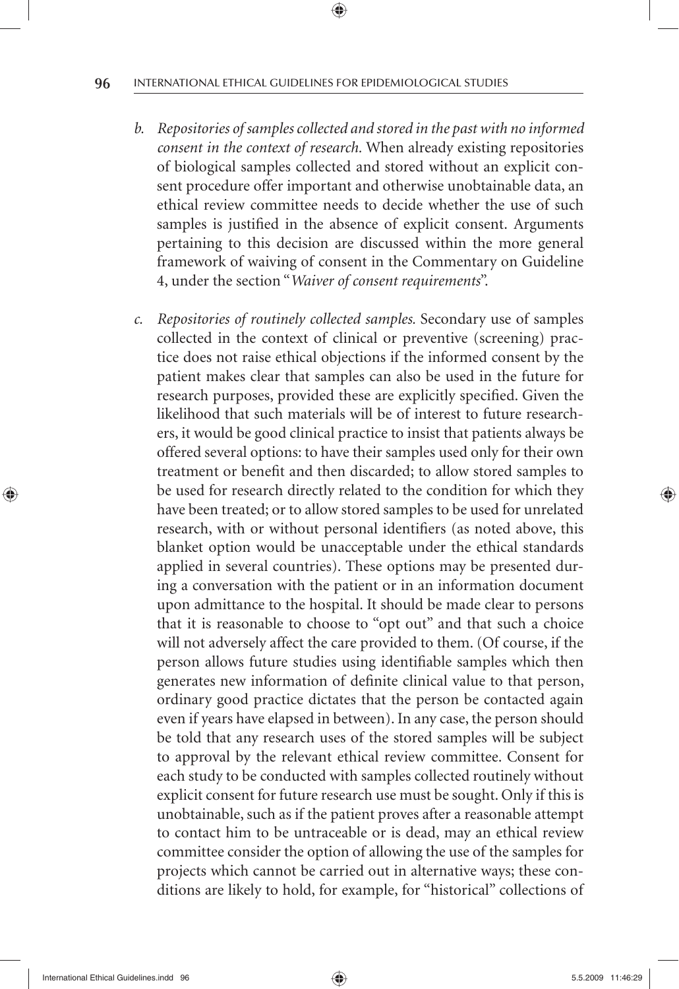- *b. Repositories of samples collected and stored in the past with no informed consent in the context of research.* When already existing repositories of biological samples collected and stored without an explicit consent procedure offer important and otherwise unobtainable data, an ethical review committee needs to decide whether the use of such samples is justified in the absence of explicit consent. Arguments pertaining to this decision are discussed within the more general framework of waiving of consent in the Commentary on Guideline 4, under the section "*Waiver of consent requirements*".
- *c. Repositories of routinely collected samples.* Secondary use of samples collected in the context of clinical or preventive (screening) practice does not raise ethical objections if the informed consent by the patient makes clear that samples can also be used in the future for research purposes, provided these are explicitly specified. Given the likelihood that such materials will be of interest to future researchers, it would be good clinical practice to insist that patients always be offered several options: to have their samples used only for their own treatment or benefit and then discarded; to allow stored samples to be used for research directly related to the condition for which they have been treated; or to allow stored samples to be used for unrelated research, with or without personal identifiers (as noted above, this blanket option would be unacceptable under the ethical standards applied in several countries). These options may be presented during a conversation with the patient or in an information document upon admittance to the hospital. It should be made clear to persons that it is reasonable to choose to "opt out" and that such a choice will not adversely affect the care provided to them. (Of course, if the person allows future studies using identifiable samples which then generates new information of definite clinical value to that person, ordinary good practice dictates that the person be contacted again even if years have elapsed in between). In any case, the person should be told that any research uses of the stored samples will be subject to approval by the relevant ethical review committee. Consent for each study to be conducted with samples collected routinely without explicit consent for future research use must be sought. Only if this is unobtainable, such as if the patient proves after a reasonable attempt to contact him to be untraceable or is dead, may an ethical review committee consider the option of allowing the use of the samples for projects which cannot be carried out in alternative ways; these conditions are likely to hold, for example, for "historical" collections of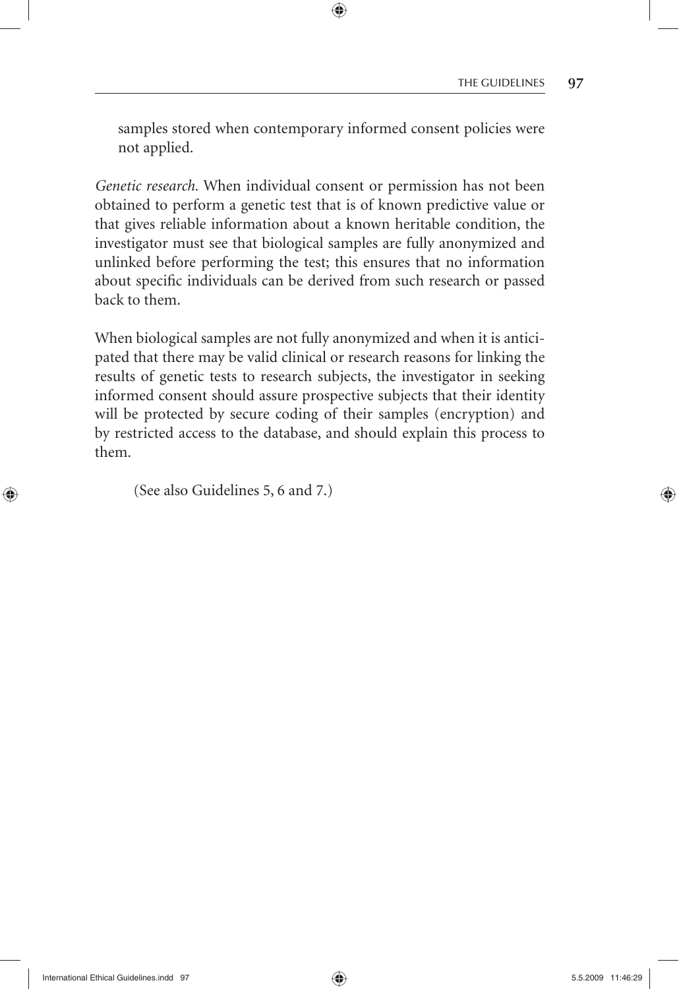samples stored when contemporary informed consent policies were not applied.

*Genetic research.* When individual consent or permission has not been obtained to perform a genetic test that is of known predictive value or that gives reliable information about a known heritable condition, the investigator must see that biological samples are fully anonymized and unlinked before performing the test; this ensures that no information about specific individuals can be derived from such research or passed back to them.

When biological samples are not fully anonymized and when it is anticipated that there may be valid clinical or research reasons for linking the results of genetic tests to research subjects, the investigator in seeking informed consent should assure prospective subjects that their identity will be protected by secure coding of their samples (encryption) and by restricted access to the database, and should explain this process to them.

(See also Guidelines 5, 6 and 7.)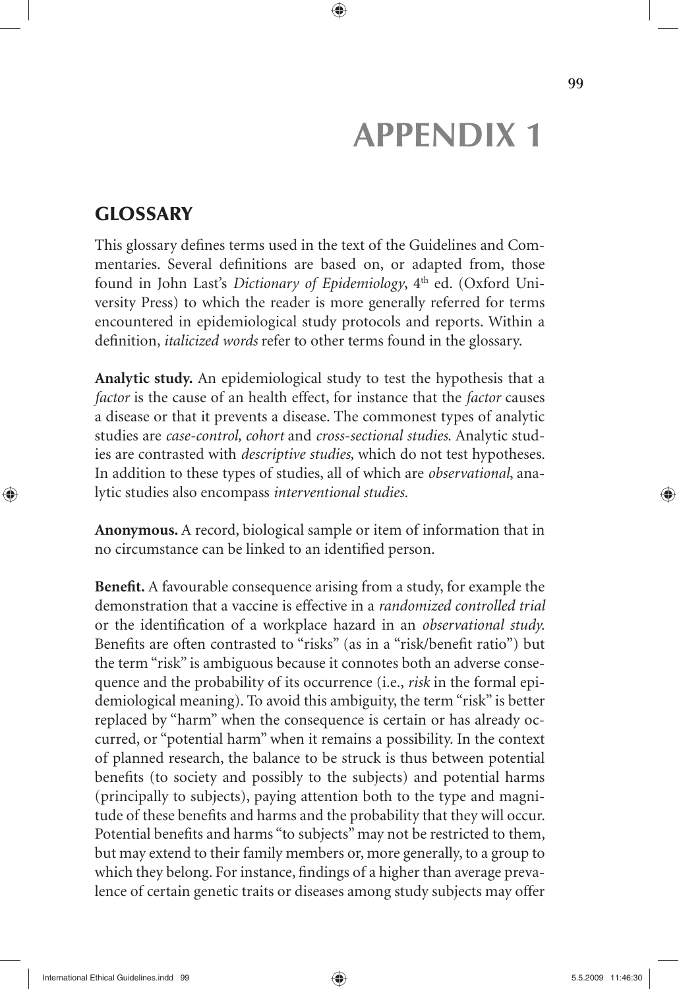# **APPENDIX 1**

## **GLOSSARY**

This glossary defines terms used in the text of the Guidelines and Commentaries. Several definitions are based on, or adapted from, those found in John Last's *Dictionary of Epidemiology*, 4<sup>th</sup> ed. (Oxford University Press) to which the reader is more generally referred for terms encountered in epidemiological study protocols and reports. Within a definition, *italicized words* refer to other terms found in the glossary.

**Analytic study.** An epidemiological study to test the hypothesis that a *factor* is the cause of an health effect, for instance that the *factor* causes a disease or that it prevents a disease. The commonest types of analytic studies are *case-control, cohort* and *cross-sectional studies.* Analytic studies are contrasted with *descriptive studies,* which do not test hypotheses. In addition to these types of studies, all of which are *observational*, analytic studies also encompass *interventional studies.*

**Anonymous.** A record, biological sample or item of information that in no circumstance can be linked to an identified person.

**Benefit.** A favourable consequence arising from a study, for example the demonstration that a vaccine is effective in a *randomized controlled trial* or the identification of a workplace hazard in an *observational study*. Benefits are often contrasted to "risks" (as in a "risk/benefit ratio") but the term "risk" is ambiguous because it connotes both an adverse consequence and the probability of its occurrence (i.e., *risk* in the formal epidemiological meaning). To avoid this ambiguity, the term "risk" is better replaced by "harm" when the consequence is certain or has already occurred, or "potential harm" when it remains a possibility. In the context of planned research, the balance to be struck is thus between potential benefits (to society and possibly to the subjects) and potential harms (principally to subjects), paying attention both to the type and magnitude of these benefits and harms and the probability that they will occur. Potential benefits and harms "to subjects" may not be restricted to them, but may extend to their family members or, more generally, to a group to which they belong. For instance, findings of a higher than average prevalence of certain genetic traits or diseases among study subjects may offer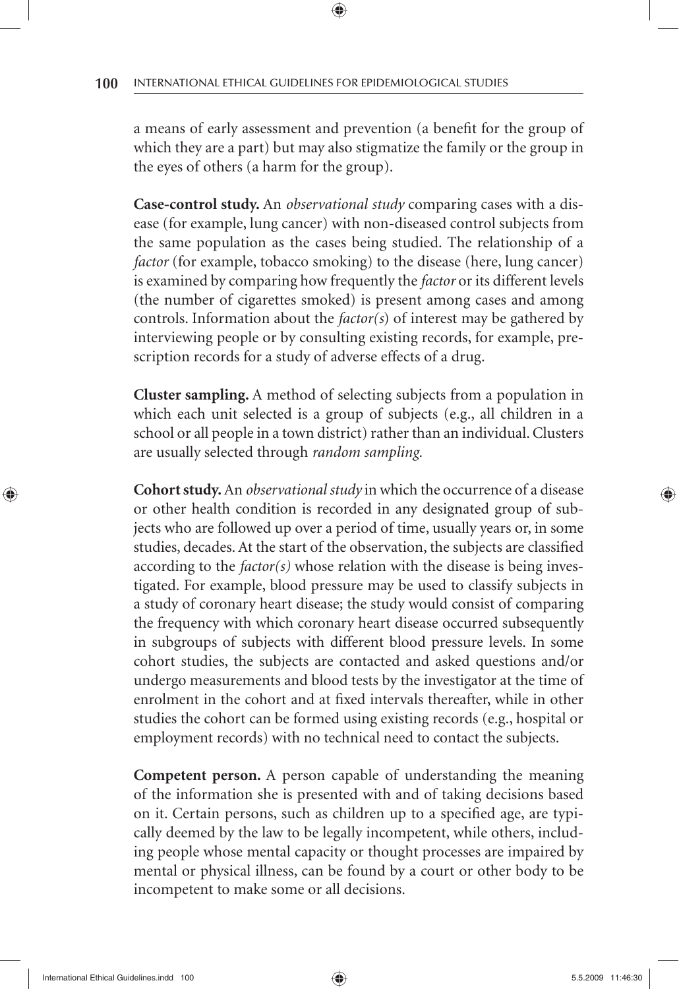a means of early assessment and prevention (a benefit for the group of which they are a part) but may also stigmatize the family or the group in the eyes of others (a harm for the group).

**Case-control study.** An *observational study* comparing cases with a disease (for example, lung cancer) with non-diseased control subjects from the same population as the cases being studied. The relationship of a *factor* (for example, tobacco smoking) to the disease (here, lung cancer) is examined by comparing how frequently the *factor* or its different levels (the number of cigarettes smoked) is present among cases and among controls. Information about the *factor(s*) of interest may be gathered by interviewing people or by consulting existing records, for example, prescription records for a study of adverse effects of a drug.

**Cluster sampling.** A method of selecting subjects from a population in which each unit selected is a group of subjects (e.g., all children in a school or all people in a town district) rather than an individual. Clusters are usually selected through *random sampling.*

**Cohort study.** An *observational study* in which the occurrence of a disease or other health condition is recorded in any designated group of subjects who are followed up over a period of time, usually years or, in some studies, decades. At the start of the observation, the subjects are classified according to the *factor(s)* whose relation with the disease is being investigated. For example, blood pressure may be used to classify subjects in a study of coronary heart disease; the study would consist of comparing the frequency with which coronary heart disease occurred subsequently in subgroups of subjects with different blood pressure levels. In some cohort studies, the subjects are contacted and asked questions and/or undergo measurements and blood tests by the investigator at the time of enrolment in the cohort and at fixed intervals thereafter, while in other studies the cohort can be formed using existing records (e.g., hospital or employment records) with no technical need to contact the subjects.

**Competent person.** A person capable of understanding the meaning of the information she is presented with and of taking decisions based on it. Certain persons, such as children up to a specified age, are typically deemed by the law to be legally incompetent, while others, including people whose mental capacity or thought processes are impaired by mental or physical illness, can be found by a court or other body to be incompetent to make some or all decisions.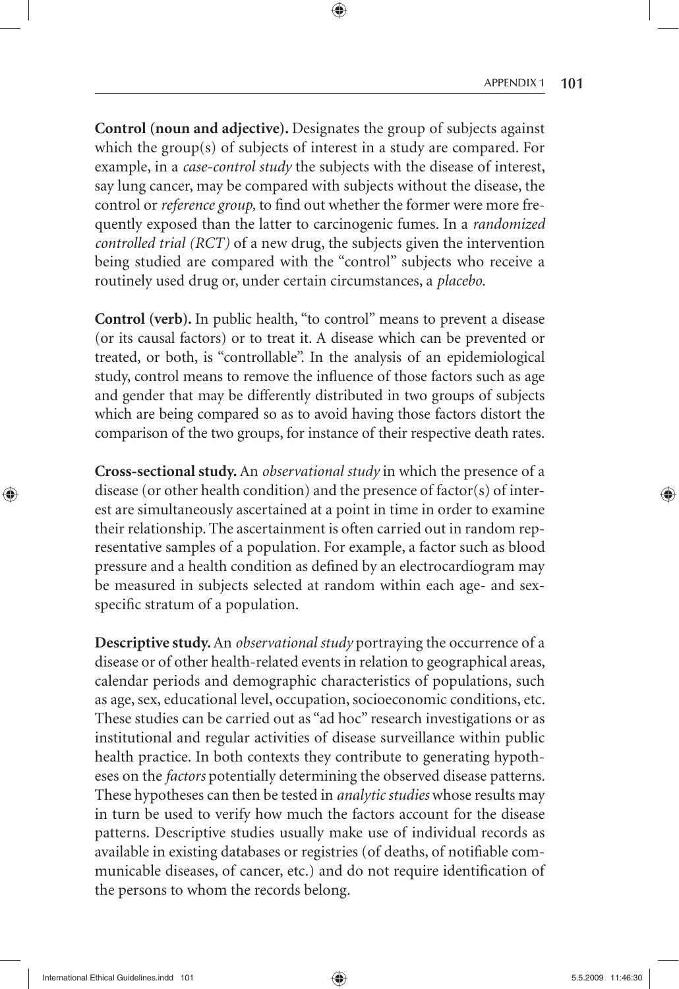**Control (noun and adjective).** Designates the group of subjects against which the group(s) of subjects of interest in a study are compared. For example, in a *case-control study* the subjects with the disease of interest, say lung cancer, may be compared with subjects without the disease, the control or *reference group*, to find out whether the former were more frequently exposed than the latter to carcinogenic fumes. In a *randomized controlled trial (RCT)* of a new drug, the subjects given the intervention being studied are compared with the "control" subjects who receive a routinely used drug or, under certain circumstances, a *placebo*.

**Control (verb).** In public health, "to control" means to prevent a disease (or its causal factors) or to treat it. A disease which can be prevented or treated, or both, is "controllable". In the analysis of an epidemiological study, control means to remove the influence of those factors such as age and gender that may be differently distributed in two groups of subjects which are being compared so as to avoid having those factors distort the comparison of the two groups, for instance of their respective death rates.

**Cross-sectional study.** An *observational study* in which the presence of a disease (or other health condition) and the presence of factor(s) of interest are simultaneously ascertained at a point in time in order to examine their relationship. The ascertainment is often carried out in random representative samples of a population. For example, a factor such as blood pressure and a health condition as defined by an electrocardiogram may be measured in subjects selected at random within each age- and sexspecific stratum of a population.

**Descriptive study.** An *observational study* portraying the occurrence of a disease or of other health-related events in relation to geographical areas, calendar periods and demographic characteristics of populations, such as age, sex, educational level, occupation, socioeconomic conditions, etc. These studies can be carried out as "ad hoc" research investigations or as institutional and regular activities of disease surveillance within public health practice. In both contexts they contribute to generating hypotheses on the *factors* potentially determining the observed disease patterns. These hypotheses can then be tested in *analytic studies* whose results may in turn be used to verify how much the factors account for the disease patterns. Descriptive studies usually make use of individual records as available in existing databases or registries (of deaths, of notifiable communicable diseases, of cancer, etc.) and do not require identification of the persons to whom the records belong.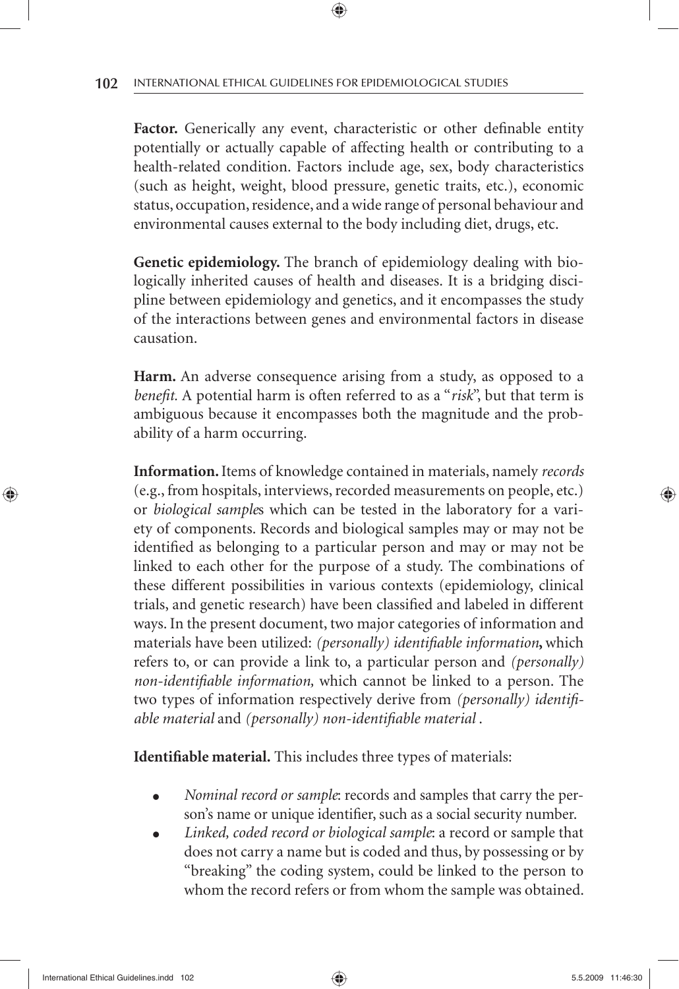Factor. Generically any event, characteristic or other definable entity potentially or actually capable of affecting health or contributing to a health-related condition. Factors include age, sex, body characteristics (such as height, weight, blood pressure, genetic traits, etc.), economic status, occupation, residence, and a wide range of personal behaviour and environmental causes external to the body including diet, drugs, etc.

**Genetic epidemiology.** The branch of epidemiology dealing with biologically inherited causes of health and diseases. It is a bridging discipline between epidemiology and genetics, and it encompasses the study of the interactions between genes and environmental factors in disease causation.

**Harm.** An adverse consequence arising from a study, as opposed to a *benefit.* A potential harm is often referred to as a "*risk*", but that term is ambiguous because it encompasses both the magnitude and the probability of a harm occurring.

**Information.** Items of knowledge contained in materials, namely *records*  (e.g., from hospitals, interviews, recorded measurements on people, etc.) or *biological sample*s which can be tested in the laboratory for a variety of components. Records and biological samples may or may not be identified as belonging to a particular person and may or may not be linked to each other for the purpose of a study. The combinations of these different possibilities in various contexts (epidemiology, clinical trials, and genetic research) have been classified and labeled in different ways. In the present document, two major categories of information and materials have been utilized: *(personally) identifiable information*, which refers to, or can provide a link to, a particular person and *(personally) non-identifi able information,* which cannot be linked to a person. The two types of information respectively derive from *(personally) identifi able material* and *(personally) non-identifiable material*.

**Identifiable material.** This includes three types of materials:

- *Nominal record or sample*: records and samples that carry the person's name or unique identifier, such as a social security number.
- Linked, coded record or biological sample: a record or sample that does not carry a name but is coded and thus, by possessing or by "breaking" the coding system, could be linked to the person to whom the record refers or from whom the sample was obtained.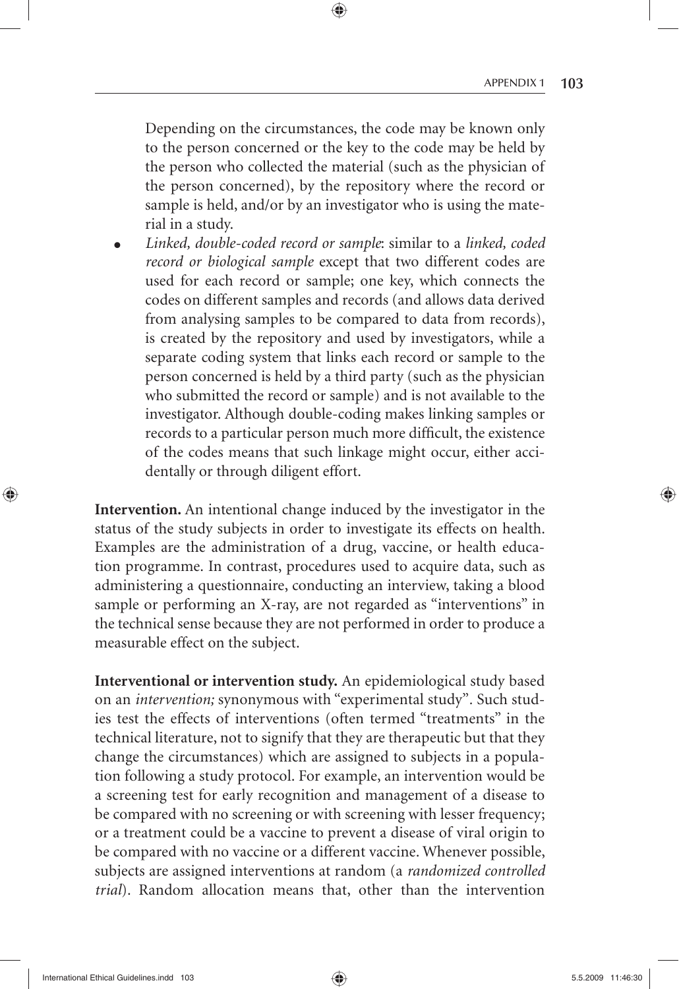Depending on the circumstances, the code may be known only to the person concerned or the key to the code may be held by the person who collected the material (such as the physician of the person concerned), by the repository where the record or sample is held, and/or by an investigator who is using the material in a study.

● *Linked, double-coded record or sample*: similar to a *linked, coded record or biological sample* except that two different codes are used for each record or sample; one key, which connects the codes on different samples and records (and allows data derived from analysing samples to be compared to data from records), is created by the repository and used by investigators, while a separate coding system that links each record or sample to the person concerned is held by a third party (such as the physician who submitted the record or sample) and is not available to the investigator. Although double-coding makes linking samples or records to a particular person much more difficult, the existence of the codes means that such linkage might occur, either accidentally or through diligent effort.

**Intervention.** An intentional change induced by the investigator in the status of the study subjects in order to investigate its effects on health. Examples are the administration of a drug, vaccine, or health education programme. In contrast, procedures used to acquire data, such as administering a questionnaire, conducting an interview, taking a blood sample or performing an X-ray, are not regarded as "interventions" in the technical sense because they are not performed in order to produce a measurable effect on the subject.

**Interventional or intervention study.** An epidemiological study based on an *intervention;* synonymous with "experimental study"*.* Such studies test the effects of interventions (often termed "treatments" in the technical literature, not to signify that they are therapeutic but that they change the circumstances) which are assigned to subjects in a population following a study protocol. For example, an intervention would be a screening test for early recognition and management of a disease to be compared with no screening or with screening with lesser frequency; or a treatment could be a vaccine to prevent a disease of viral origin to be compared with no vaccine or a different vaccine. Whenever possible, subjects are assigned interventions at random (a *randomized controlled trial*). Random allocation means that, other than the intervention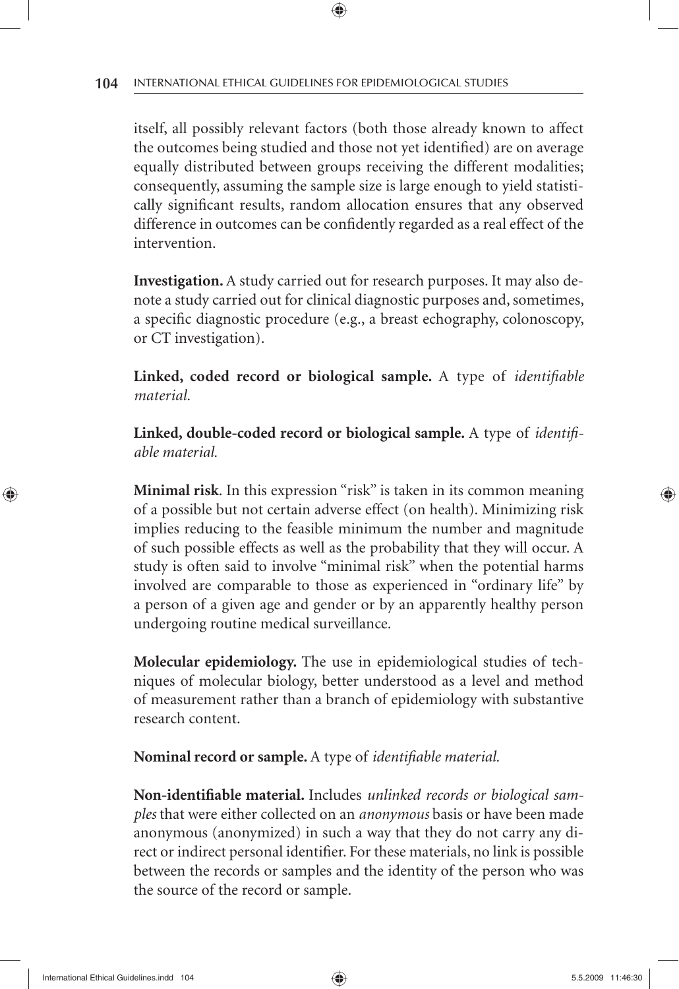itself, all possibly relevant factors (both those already known to affect the outcomes being studied and those not yet identified) are on average equally distributed between groups receiving the different modalities; consequently, assuming the sample size is large enough to yield statistically significant results, random allocation ensures that any observed difference in outcomes can be confidently regarded as a real effect of the intervention.

**Investigation.** A study carried out for research purposes. It may also denote a study carried out for clinical diagnostic purposes and, sometimes, a specific diagnostic procedure (e.g., a breast echography, colonoscopy, or CT investigation).

**Linked, coded record or biological sample.** A type of *identifiable material.*

**Linked, double-coded record or biological sample.** A type of *identifi able material.*

**Minimal risk**. In this expression "risk" is taken in its common meaning of a possible but not certain adverse effect (on health). Minimizing risk implies reducing to the feasible minimum the number and magnitude of such possible effects as well as the probability that they will occur. A study is often said to involve "minimal risk" when the potential harms involved are comparable to those as experienced in "ordinary life" by a person of a given age and gender or by an apparently healthy person undergoing routine medical surveillance.

**Molecular epidemiology.** The use in epidemiological studies of techniques of molecular biology, better understood as a level and method of measurement rather than a branch of epidemiology with substantive research content.

**Nominal record or sample.** A type of *identifiable material*.

Non-identifiable material. Includes *unlinked records or biological samples* that were either collected on an *anonymous* basis or have been made anonymous (anonymized) in such a way that they do not carry any direct or indirect personal identifier. For these materials, no link is possible between the records or samples and the identity of the person who was the source of the record or sample.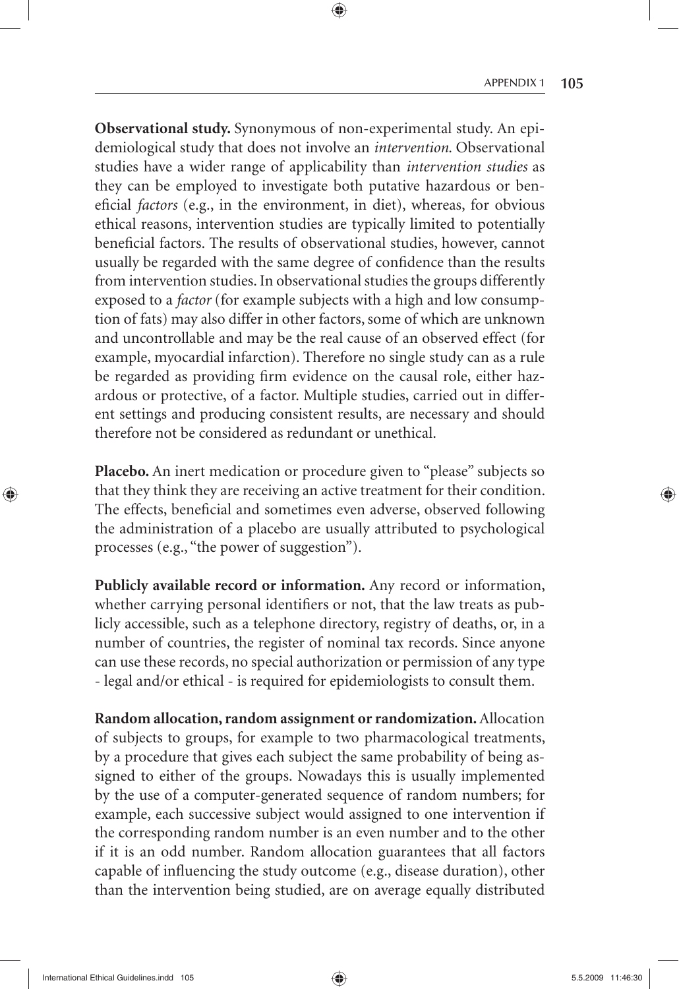**Observational study.** Synonymous of non-experimental study. An epidemiological study that does not involve an *intervention*. Observational studies have a wider range of applicability than *intervention studies* as they can be employed to investigate both putative hazardous or beneficial *factors* (e.g., in the environment, in diet), whereas, for obvious ethical reasons, intervention studies are typically limited to potentially beneficial factors. The results of observational studies, however, cannot usually be regarded with the same degree of confidence than the results from intervention studies. In observational studies the groups differently exposed to a *factor* (for example subjects with a high and low consumption of fats) may also differ in other factors, some of which are unknown and uncontrollable and may be the real cause of an observed effect (for example, myocardial infarction). Therefore no single study can as a rule be regarded as providing firm evidence on the causal role, either hazardous or protective, of a factor. Multiple studies, carried out in different settings and producing consistent results, are necessary and should therefore not be considered as redundant or unethical.

**Placebo.** An inert medication or procedure given to "please" subjects so that they think they are receiving an active treatment for their condition. The effects, beneficial and sometimes even adverse, observed following the administration of a placebo are usually attributed to psychological processes (e.g., "the power of suggestion").

**Publicly available record or information.** Any record or information, whether carrying personal identifiers or not, that the law treats as publicly accessible, such as a telephone directory, registry of deaths, or, in a number of countries, the register of nominal tax records. Since anyone can use these records, no special authorization or permission of any type - legal and/or ethical - is required for epidemiologists to consult them.

**Random allocation, random assignment or randomization.** Allocation of subjects to groups, for example to two pharmacological treatments, by a procedure that gives each subject the same probability of being assigned to either of the groups. Nowadays this is usually implemented by the use of a computer-generated sequence of random numbers; for example, each successive subject would assigned to one intervention if the corresponding random number is an even number and to the other if it is an odd number. Random allocation guarantees that all factors capable of influencing the study outcome (e.g., disease duration), other than the intervention being studied, are on average equally distributed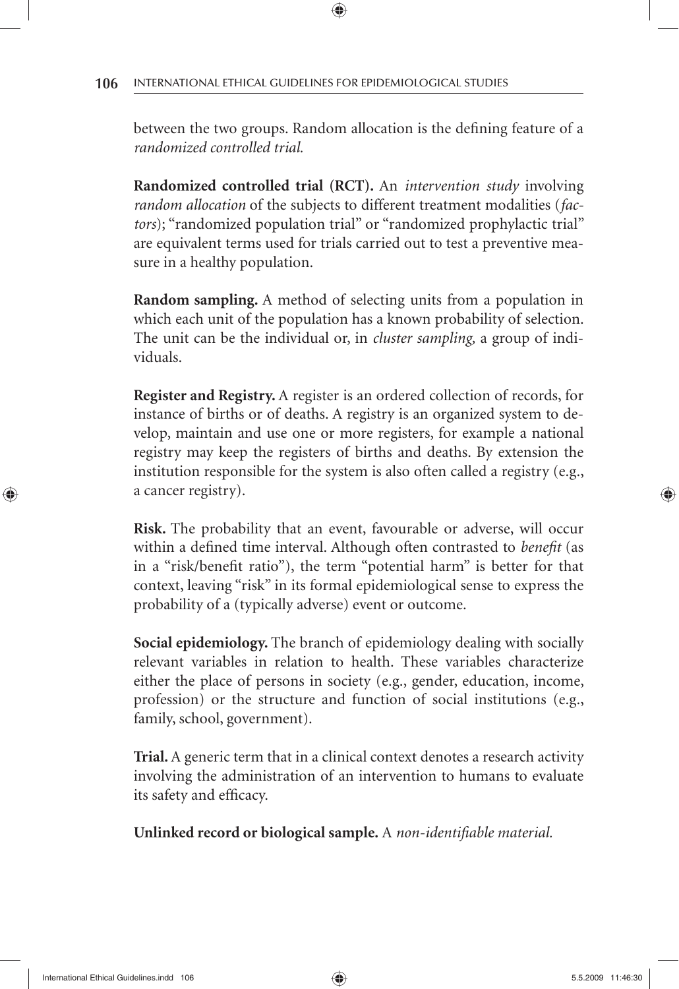between the two groups. Random allocation is the defining feature of a *randomized controlled trial.*

**Randomized controlled trial (RCT).** An *intervention study* involving *random allocation* of the subjects to different treatment modalities (*fac*tors); "randomized population trial" or "randomized prophylactic trial" are equivalent terms used for trials carried out to test a preventive measure in a healthy population.

**Random sampling.** A method of selecting units from a population in which each unit of the population has a known probability of selection. The unit can be the individual or, in *cluster sampling,* a group of individuals.

**Register and Registry.** A register is an ordered collection of records, for instance of births or of deaths. A registry is an organized system to develop, maintain and use one or more registers, for example a national registry may keep the registers of births and deaths. By extension the institution responsible for the system is also often called a registry (e.g., a cancer registry).

**Risk.** The probability that an event, favourable or adverse, will occur within a defined time interval. Although often contrasted to *benefit* (as in a "risk/benefit ratio"), the term "potential harm" is better for that context, leaving "risk" in its formal epidemiological sense to express the probability of a (typically adverse) event or outcome.

**Social epidemiology.** The branch of epidemiology dealing with socially relevant variables in relation to health. These variables characterize either the place of persons in society (e.g., gender, education, income, profession) or the structure and function of social institutions (e.g., family, school, government).

**Trial.** A generic term that in a clinical context denotes a research activity involving the administration of an intervention to humans to evaluate its safety and efficacy.

**Unlinked record or biological sample.** A *non-identifi able material.*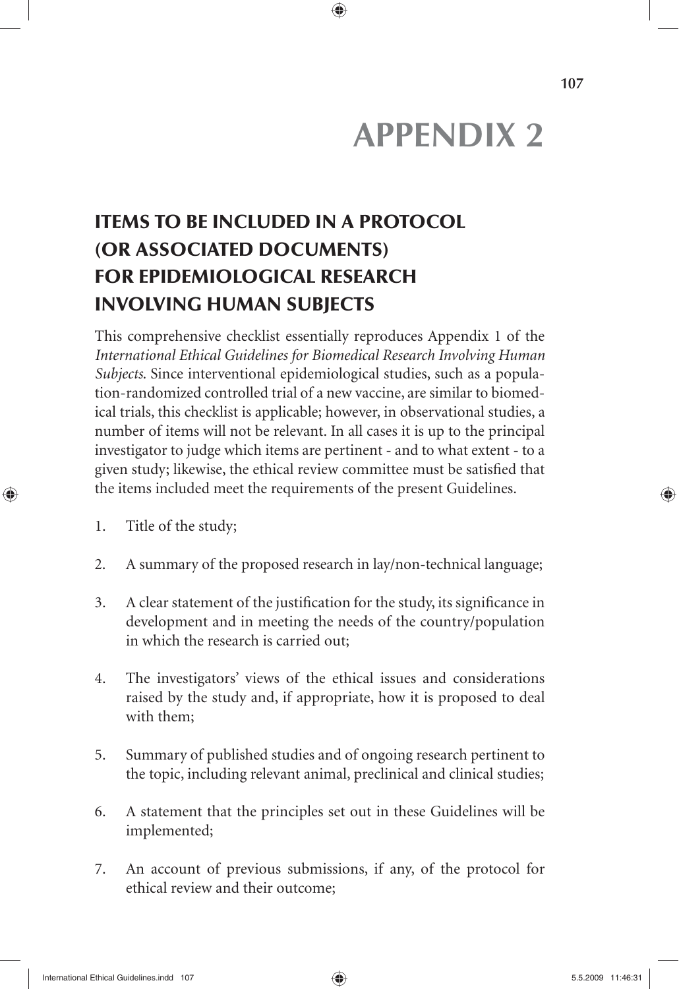## **APPENDIX 2**

## **ITEMS TO BE INCLUDED IN A PROTOCOL (OR ASSOCIATED DOCUMENTS) FOR EPIDEMIOLOGICAL RESEARCH INVOLVING HUMAN SUBJECTS**

This comprehensive checklist essentially reproduces Appendix 1 of the *International Ethical Guidelines for Biomedical Research Involving Human Subjects*. Since interventional epidemiological studies, such as a population-randomized controlled trial of a new vaccine, are similar to biomedical trials, this checklist is applicable; however, in observational studies, a number of items will not be relevant. In all cases it is up to the principal investigator to judge which items are pertinent - and to what extent - to a given study; likewise, the ethical review committee must be satisfied that the items included meet the requirements of the present Guidelines.

- 1. Title of the study;
- 2. A summary of the proposed research in lay/non-technical language;
- 3. A clear statement of the justification for the study, its significance in development and in meeting the needs of the country/population in which the research is carried out;
- 4. The investigators' views of the ethical issues and considerations raised by the study and, if appropriate, how it is proposed to deal with them;
- 5. Summary of published studies and of ongoing research pertinent to the topic, including relevant animal, preclinical and clinical studies;
- 6. A statement that the principles set out in these Guidelines will be implemented;
- 7. An account of previous submissions, if any, of the protocol for ethical review and their outcome;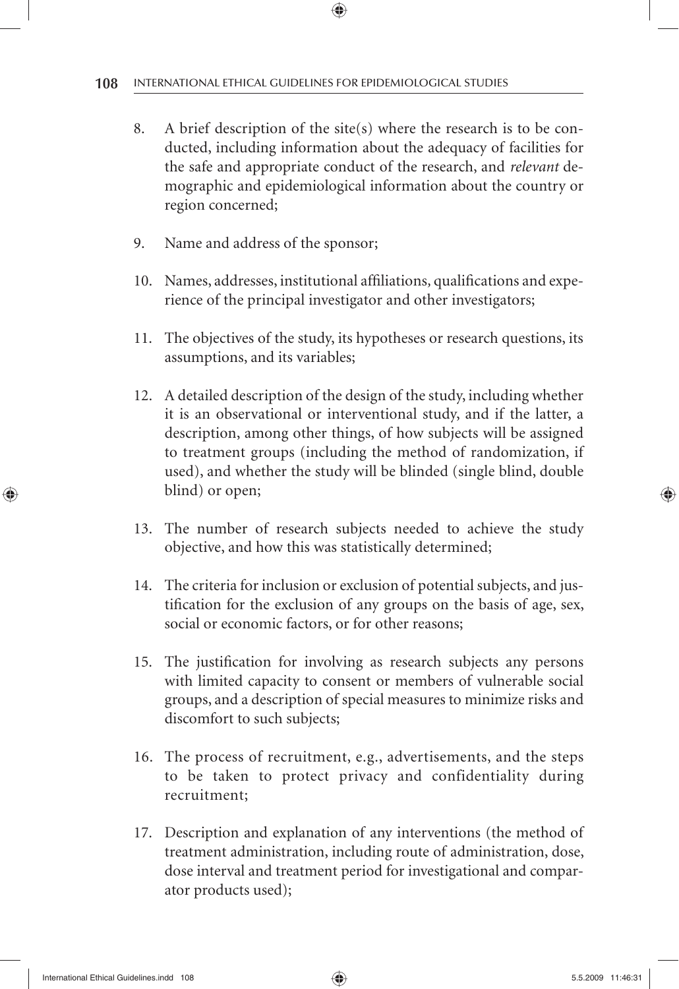- 8. A brief description of the site(s) where the research is to be conducted, including information about the adequacy of facilities for the safe and appropriate conduct of the research, and *relevant* demographic and epidemiological information about the country or region concerned;
- 9. Name and address of the sponsor;
- 10. Names, addresses, institutional affiliations, qualifications and experience of the principal investigator and other investigators;
- 11. The objectives of the study, its hypotheses or research questions, its assumptions, and its variables;
- 12. A detailed description of the design of the study, including whether it is an observational or interventional study, and if the latter, a description, among other things, of how subjects will be assigned to treatment groups (including the method of randomization, if used), and whether the study will be blinded (single blind, double blind) or open;
- 13. The number of research subjects needed to achieve the study objective, and how this was statistically determined;
- 14. The criteria for inclusion or exclusion of potential subjects, and justification for the exclusion of any groups on the basis of age, sex, social or economic factors, or for other reasons;
- 15. The justification for involving as research subjects any persons with limited capacity to consent or members of vulnerable social groups, and a description of special measures to minimize risks and discomfort to such subjects;
- 16. The process of recruitment, e.g., advertisements, and the steps to be taken to protect privacy and confidentiality during recruitment;
- 17. Description and explanation of any interventions (the method of treatment administration, including route of administration, dose, dose interval and treatment period for investigational and comparator products used);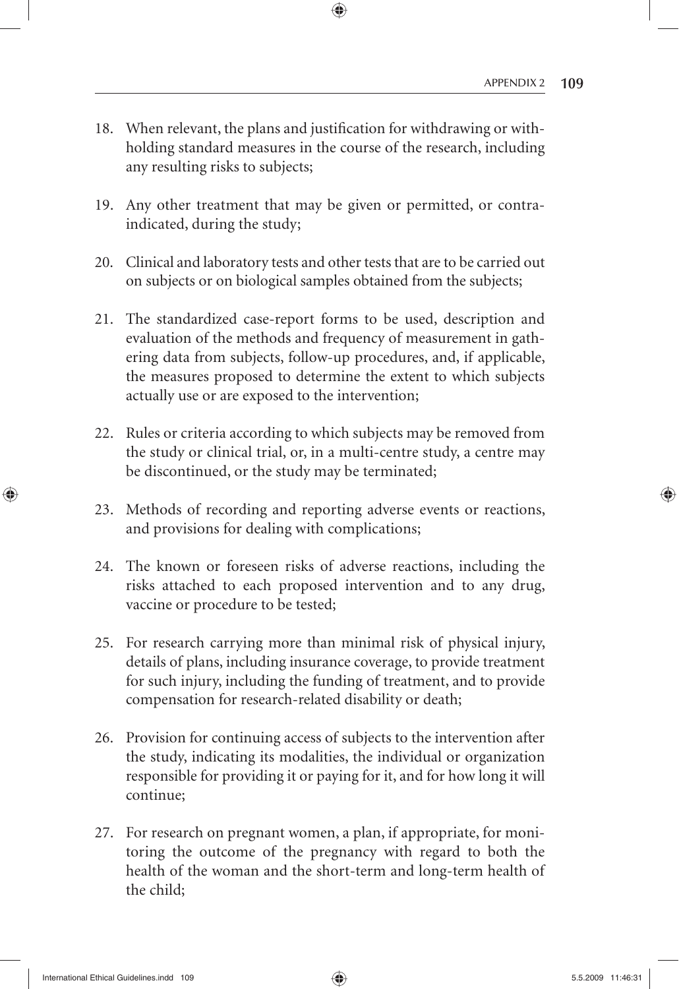- 18. When relevant, the plans and justification for withdrawing or withholding standard measures in the course of the research, including any resulting risks to subjects;
- 19. Any other treatment that may be given or permitted, or contraindicated, during the study;
- 20. Clinical and laboratory tests and other tests that are to be carried out on subjects or on biological samples obtained from the subjects;
- 21. The standardized case-report forms to be used, description and evaluation of the methods and frequency of measurement in gathering data from subjects, follow-up procedures, and, if applicable, the measures proposed to determine the extent to which subjects actually use or are exposed to the intervention;
- 22. Rules or criteria according to which subjects may be removed from the study or clinical trial, or, in a multi-centre study, a centre may be discontinued, or the study may be terminated;
- 23. Methods of recording and reporting adverse events or reactions, and provisions for dealing with complications;
- 24. The known or foreseen risks of adverse reactions, including the risks attached to each proposed intervention and to any drug, vaccine or procedure to be tested;
- 25. For research carrying more than minimal risk of physical injury, details of plans, including insurance coverage, to provide treatment for such injury, including the funding of treatment, and to provide compensation for research-related disability or death;
- 26. Provision for continuing access of subjects to the intervention after the study, indicating its modalities, the individual or organization responsible for providing it or paying for it, and for how long it will continue;
- 27. For research on pregnant women, a plan, if appropriate, for monitoring the outcome of the pregnancy with regard to both the health of the woman and the short-term and long-term health of the child;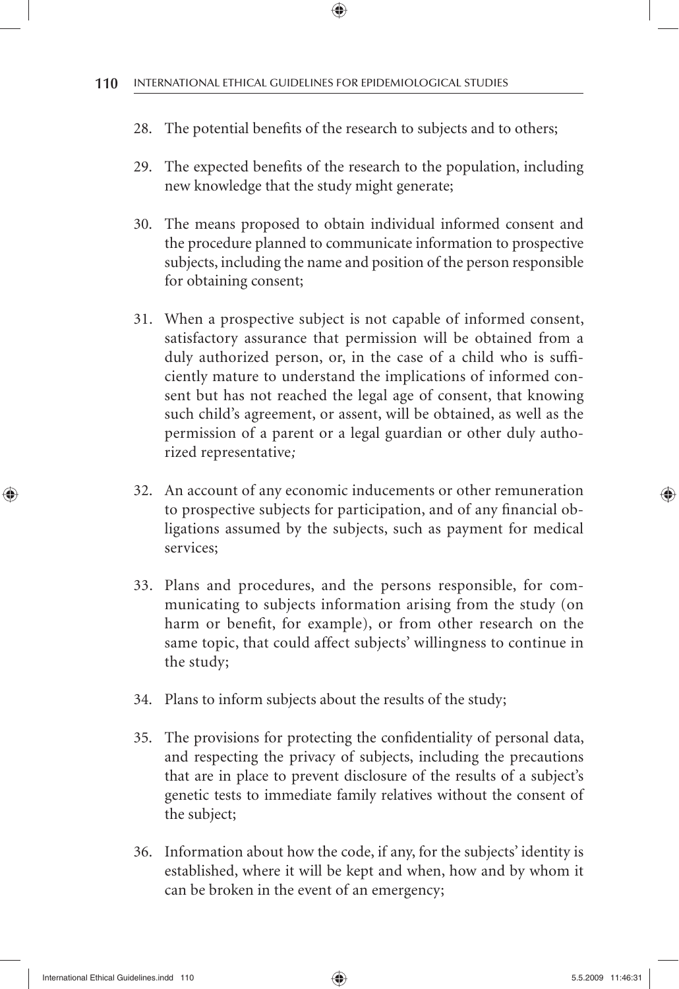- 28. The potential benefits of the research to subjects and to others;
- 29. The expected benefits of the research to the population, including new knowledge that the study might generate;
- 30. The means proposed to obtain individual informed consent and the procedure planned to communicate information to prospective subjects, including the name and position of the person responsible for obtaining consent;
- 31. When a prospective subject is not capable of informed consent, satisfactory assurance that permission will be obtained from a duly authorized person, or, in the case of a child who is sufficiently mature to understand the implications of informed consent but has not reached the legal age of consent, that knowing such child's agreement, or assent, will be obtained, as well as the permission of a parent or a legal guardian or other duly authorized representative*;*
- 32. An account of any economic inducements or other remuneration to prospective subjects for participation, and of any financial obligations assumed by the subjects, such as payment for medical services;
- 33. Plans and procedures, and the persons responsible, for communicating to subjects information arising from the study (on harm or benefit, for example), or from other research on the same topic, that could affect subjects' willingness to continue in the study;
- 34. Plans to inform subjects about the results of the study;
- 35. The provisions for protecting the confidentiality of personal data, and respecting the privacy of subjects, including the precautions that are in place to prevent disclosure of the results of a subject's genetic tests to immediate family relatives without the consent of the subject;
- 36. Information about how the code, if any, for the subjects' identity is established, where it will be kept and when, how and by whom it can be broken in the event of an emergency;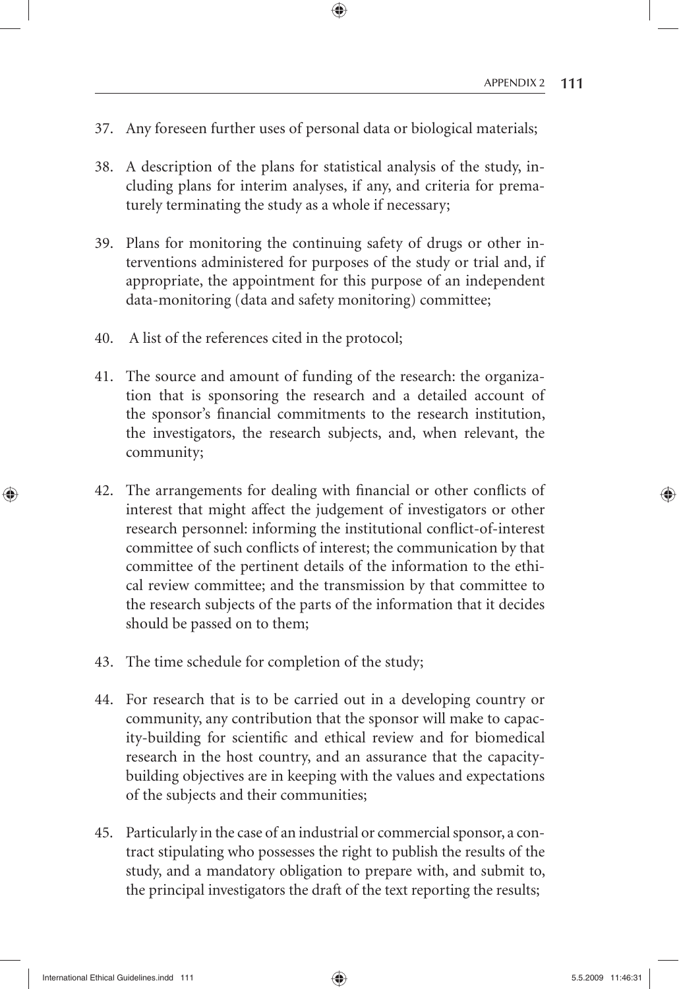- 37. Any foreseen further uses of personal data or biological materials;
- 38. A description of the plans for statistical analysis of the study, including plans for interim analyses, if any, and criteria for prematurely terminating the study as a whole if necessary;
- 39. Plans for monitoring the continuing safety of drugs or other interventions administered for purposes of the study or trial and, if appropriate, the appointment for this purpose of an independent data-monitoring (data and safety monitoring) committee;
- 40. A list of the references cited in the protocol;
- 41. The source and amount of funding of the research: the organization that is sponsoring the research and a detailed account of the sponsor's financial commitments to the research institution, the investigators, the research subjects, and, when relevant, the community;
- 42. The arrangements for dealing with financial or other conflicts of interest that might affect the judgement of investigators or other research personnel: informing the institutional conflict-of-interest committee of such conflicts of interest; the communication by that committee of the pertinent details of the information to the ethical review committee; and the transmission by that committee to the research subjects of the parts of the information that it decides should be passed on to them;
- 43. The time schedule for completion of the study;
- 44. For research that is to be carried out in a developing country or community, any contribution that the sponsor will make to capacity-building for scientific and ethical review and for biomedical research in the host country, and an assurance that the capacitybuilding objectives are in keeping with the values and expectations of the subjects and their communities;
- 45. Particularly in the case of an industrial or commercial sponsor, a contract stipulating who possesses the right to publish the results of the study, and a mandatory obligation to prepare with, and submit to, the principal investigators the draft of the text reporting the results;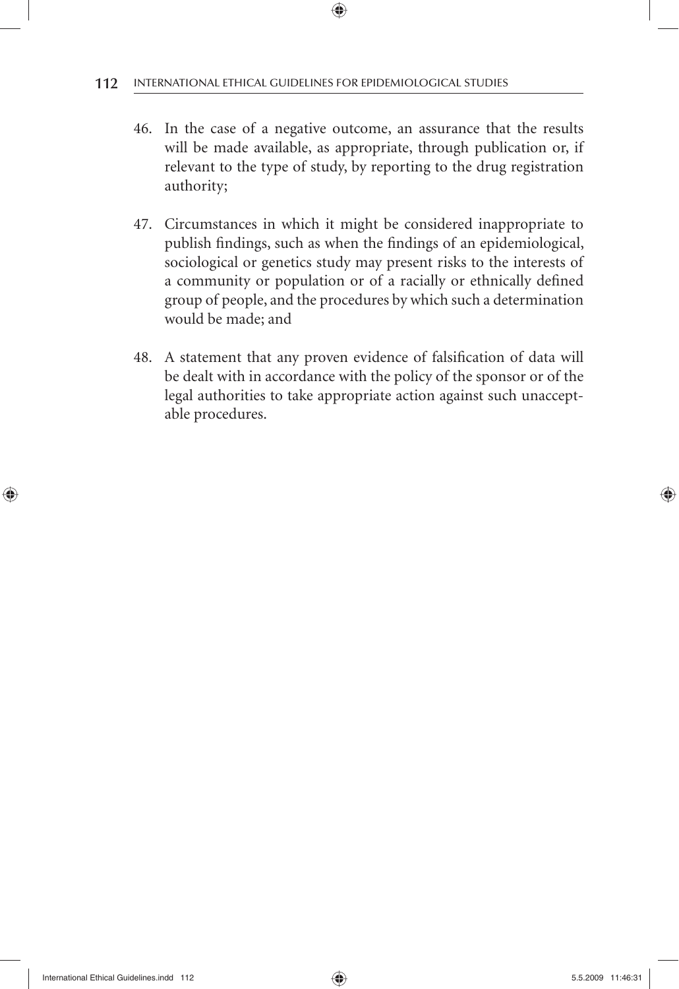- 46. In the case of a negative outcome, an assurance that the results will be made available, as appropriate, through publication or, if relevant to the type of study, by reporting to the drug registration authority;
- 47. Circumstances in which it might be considered inappropriate to publish findings, such as when the findings of an epidemiological, sociological or genetics study may present risks to the interests of a community or population or of a racially or ethnically defined group of people, and the procedures by which such a determination would be made; and
- 48. A statement that any proven evidence of falsification of data will be dealt with in accordance with the policy of the sponsor or of the legal authorities to take appropriate action against such unacceptable procedures.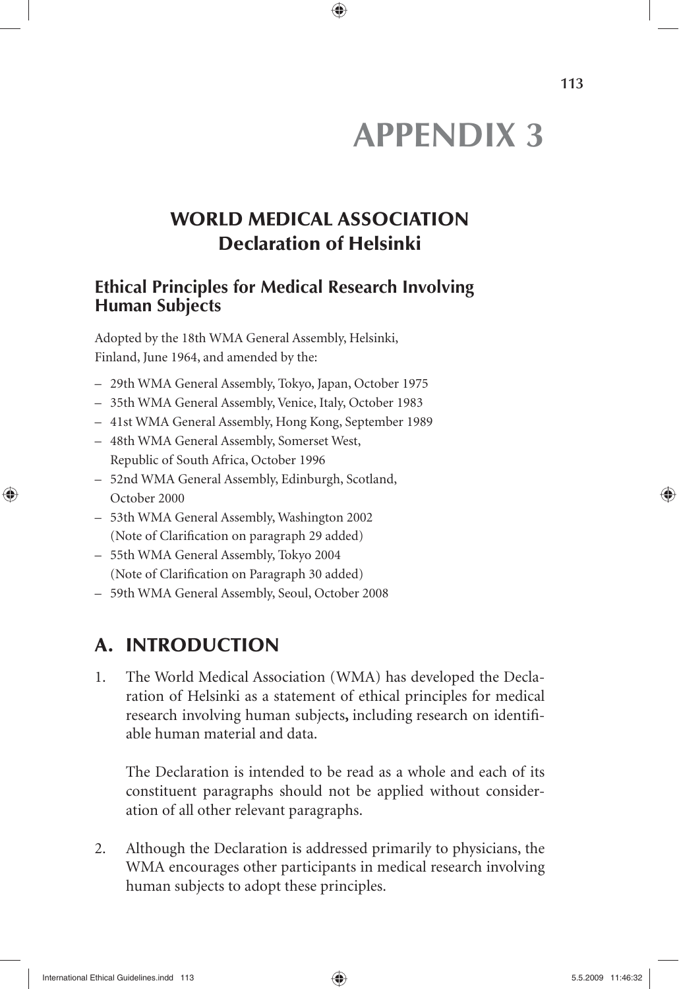# **APPENDIX 3**

### **WORLD MEDICAL ASSOCIATION Declaration of Helsinki**

### **Ethical Principles for Medical Research Involving Human Subjects**

Adopted by the 18th WMA General Assembly, Helsinki, Finland, June 1964, and amended by the:

- 29th WMA General Assembly, Tokyo, Japan, October 1975
- 35th WMA General Assembly, Venice, Italy, October 1983
- 41st WMA General Assembly, Hong Kong, September 1989
- 48th WMA General Assembly, Somerset West, Republic of South Africa, October 1996
- 52nd WMA General Assembly, Edinburgh, Scotland, October 2000
- 53th WMA General Assembly, Washington 2002 (Note of Clarification on paragraph 29 added)
- 55th WMA General Assembly, Tokyo 2004 (Note of Clarification on Paragraph 30 added)
- 59th WMA General Assembly, Seoul, October 2008

## **A. INTRODUCTION**

1. The World Medical Association (WMA) has developed the Declaration of Helsinki as a statement of ethical principles for medical research involving human subjects, including research on identifiable human material and data.

The Declaration is intended to be read as a whole and each of its constituent paragraphs should not be applied without consideration of all other relevant paragraphs.

2. Although the Declaration is addressed primarily to physicians, the WMA encourages other participants in medical research involving human subjects to adopt these principles.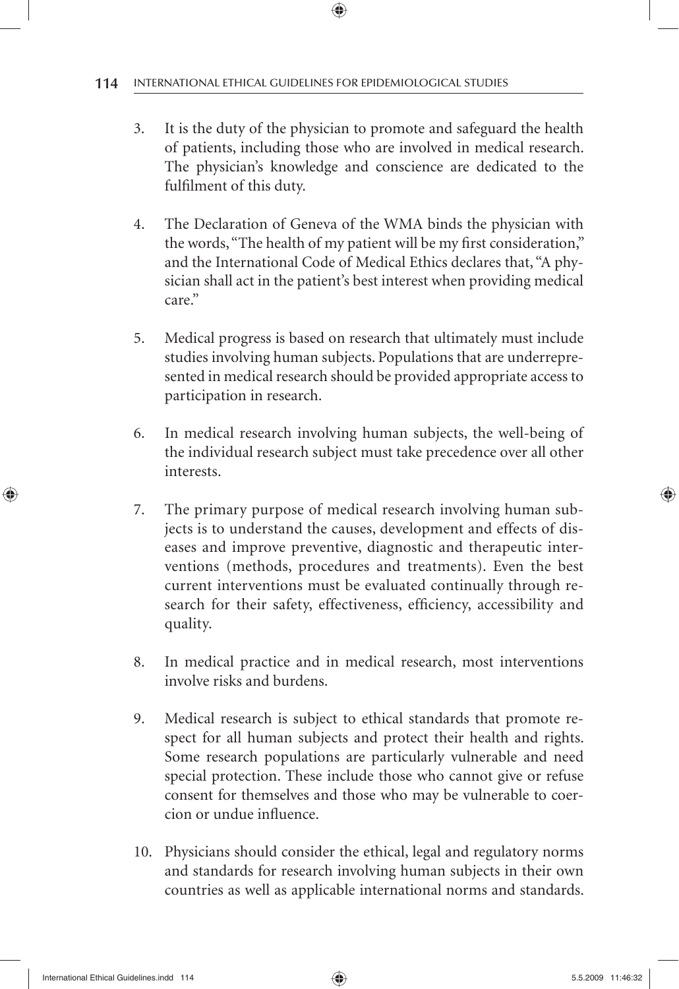- 3. It is the duty of the physician to promote and safeguard the health of patients, including those who are involved in medical research. The physician's knowledge and conscience are dedicated to the fulfilment of this duty.
- 4. The Declaration of Geneva of the WMA binds the physician with the words, "The health of my patient will be my first consideration," and the International Code of Medical Ethics declares that, "A physician shall act in the patient's best interest when providing medical care."
- 5. Medical progress is based on research that ultimately must include studies involving human subjects. Populations that are underrepresented in medical research should be provided appropriate access to participation in research.
- 6. In medical research involving human subjects, the well-being of the individual research subject must take precedence over all other interests.
- 7. The primary purpose of medical research involving human subjects is to understand the causes, development and effects of diseases and improve preventive, diagnostic and therapeutic interventions (methods, procedures and treatments). Even the best current interventions must be evaluated continually through research for their safety, effectiveness, efficiency, accessibility and quality.
- 8. In medical practice and in medical research, most interventions involve risks and burdens.
- 9. Medical research is subject to ethical standards that promote respect for all human subjects and protect their health and rights. Some research populations are particularly vulnerable and need special protection. These include those who cannot give or refuse consent for themselves and those who may be vulnerable to coercion or undue influence.
- 10. Physicians should consider the ethical, legal and regulatory norms and standards for research involving human subjects in their own countries as well as applicable international norms and standards.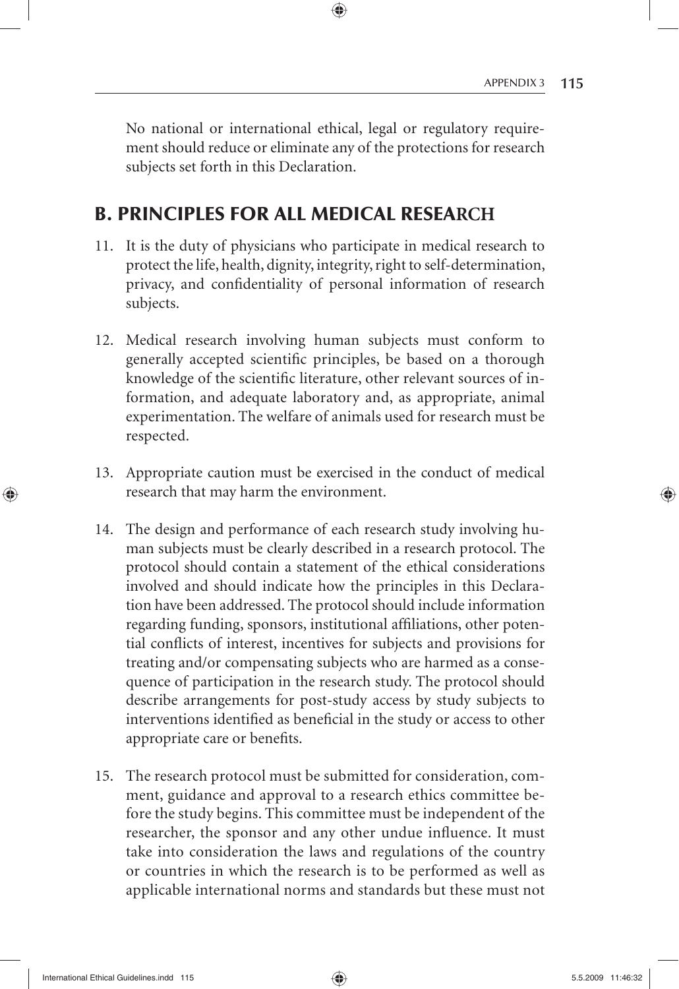No national or international ethical, legal or regulatory requirement should reduce or eliminate any of the protections for research subjects set forth in this Declaration.

### **B. PRINCIPLES FOR ALL MEDICAL RESEARCH**

- 11. It is the duty of physicians who participate in medical research to protect the life, health, dignity, integrity, right to self-determination, privacy, and confidentiality of personal information of research subjects.
- 12. Medical research involving human subjects must conform to generally accepted scientific principles, be based on a thorough knowledge of the scientific literature, other relevant sources of information, and adequate laboratory and, as appropriate, animal experimentation. The welfare of animals used for research must be respected.
- 13. Appropriate caution must be exercised in the conduct of medical research that may harm the environment.
- 14. The design and performance of each research study involving human subjects must be clearly described in a research protocol. The protocol should contain a statement of the ethical considerations involved and should indicate how the principles in this Declaration have been addressed. The protocol should include information regarding funding, sponsors, institutional affiliations, other potential conflicts of interest, incentives for subjects and provisions for treating and/or compensating subjects who are harmed as a consequence of participation in the research study. The protocol should describe arrangements for post-study access by study subjects to interventions identified as beneficial in the study or access to other appropriate care or benefits.
- 15. The research protocol must be submitted for consideration, comment, guidance and approval to a research ethics committee before the study begins. This committee must be independent of the researcher, the sponsor and any other undue influence. It must take into consideration the laws and regulations of the country or countries in which the research is to be performed as well as applicable international norms and standards but these must not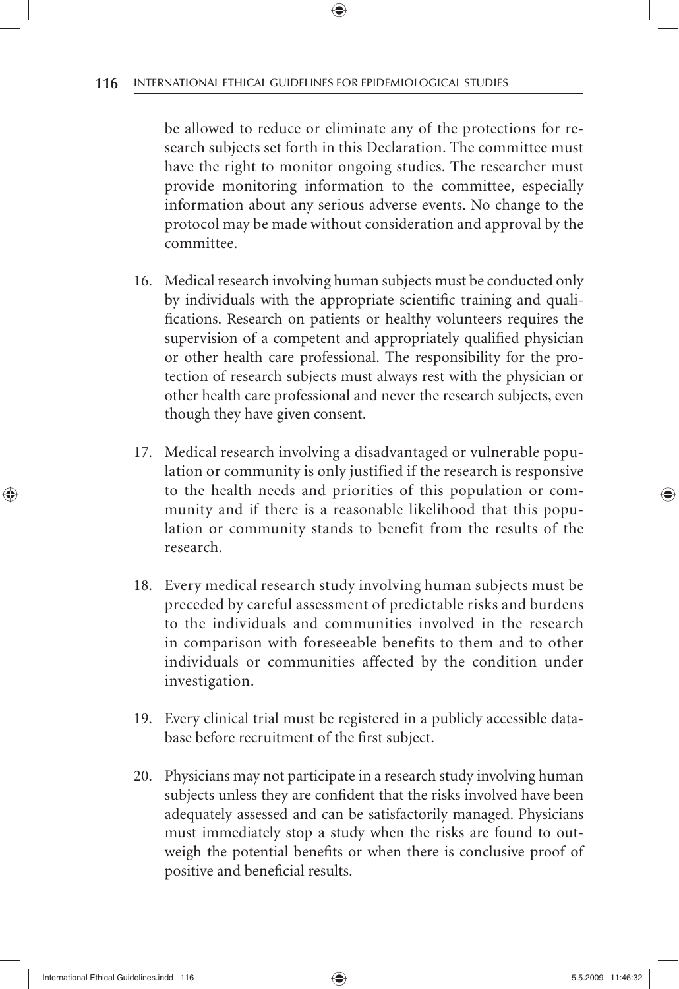be allowed to reduce or eliminate any of the protections for research subjects set forth in this Declaration. The committee must have the right to monitor ongoing studies. The researcher must provide monitoring information to the committee, especially information about any serious adverse events. No change to the protocol may be made without consideration and approval by the committee.

- 16. Medical research involving human subjects must be conducted only by individuals with the appropriate scientific training and qualifications. Research on patients or healthy volunteers requires the supervision of a competent and appropriately qualified physician or other health care professional. The responsibility for the protection of research subjects must always rest with the physician or other health care professional and never the research subjects, even though they have given consent.
- 17. Medical research involving a disadvantaged or vulnerable population or community is only justified if the research is responsive to the health needs and priorities of this population or community and if there is a reasonable likelihood that this population or community stands to benefit from the results of the research.
- 18. Every medical research study involving human subjects must be preceded by careful assessment of predictable risks and burdens to the individuals and communities involved in the research in comparison with foreseeable benefits to them and to other individuals or communities affected by the condition under investigation.
- 19. Every clinical trial must be registered in a publicly accessible database before recruitment of the first subject.
- 20. Physicians may not participate in a research study involving human subjects unless they are confident that the risks involved have been adequately assessed and can be satisfactorily managed. Physicians must immediately stop a study when the risks are found to outweigh the potential benefits or when there is conclusive proof of positive and beneficial results.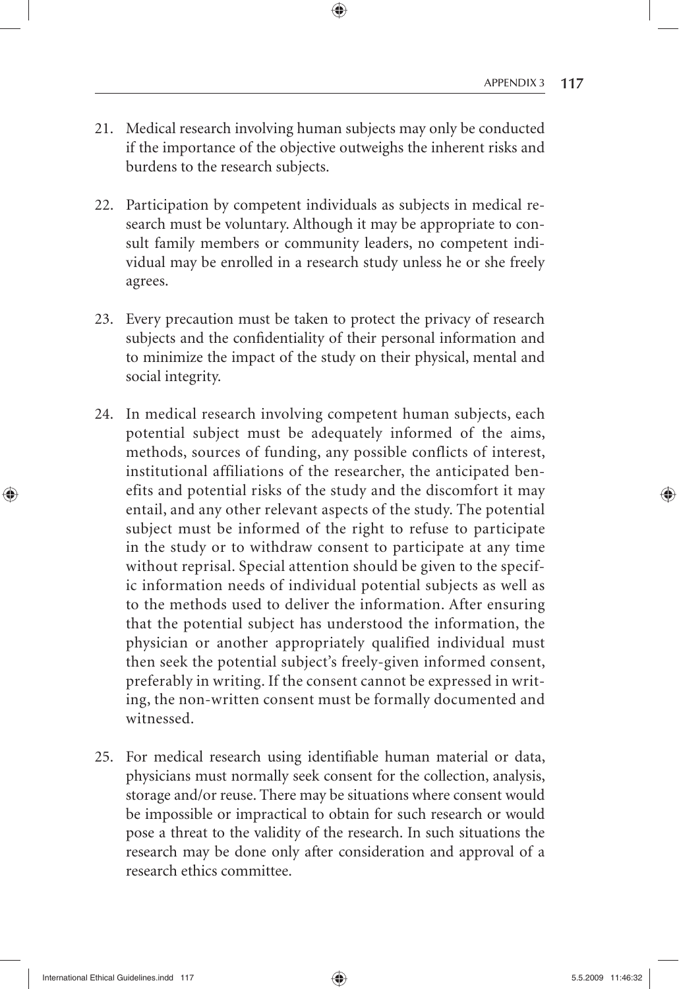- 21. Medical research involving human subjects may only be conducted if the importance of the objective outweighs the inherent risks and burdens to the research subjects.
- 22. Participation by competent individuals as subjects in medical research must be voluntary. Although it may be appropriate to consult family members or community leaders, no competent individual may be enrolled in a research study unless he or she freely agrees.
- 23. Every precaution must be taken to protect the privacy of research subjects and the confidentiality of their personal information and to minimize the impact of the study on their physical, mental and social integrity.
- 24. In medical research involving competent human subjects, each potential subject must be adequately informed of the aims, methods, sources of funding, any possible conflicts of interest, institutional affiliations of the researcher, the anticipated benefits and potential risks of the study and the discomfort it may entail, and any other relevant aspects of the study. The potential subject must be informed of the right to refuse to participate in the study or to withdraw consent to participate at any time without reprisal. Special attention should be given to the specific information needs of individual potential subjects as well as to the methods used to deliver the information. After ensuring that the potential subject has understood the information, the physician or another appropriately qualified individual must then seek the potential subject's freely-given informed consent, preferably in writing. If the consent cannot be expressed in writing, the non-written consent must be formally documented and witnessed.
- 25. For medical research using identifiable human material or data, physicians must normally seek consent for the collection, analysis, storage and/or reuse. There may be situations where consent would be impossible or impractical to obtain for such research or would pose a threat to the validity of the research. In such situations the research may be done only after consideration and approval of a research ethics committee.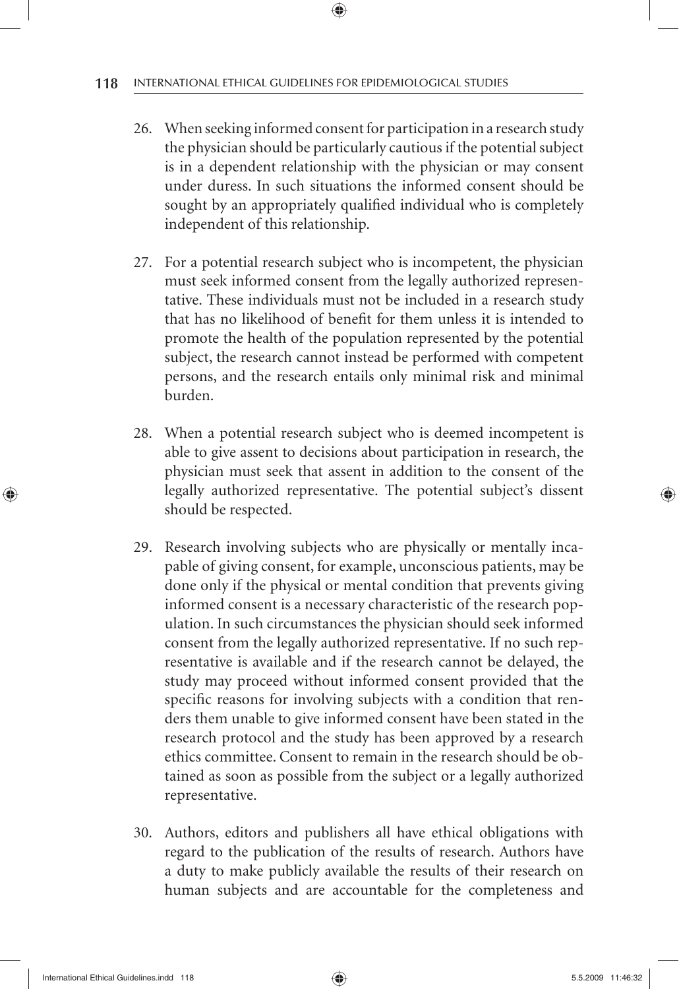- 26. When seeking informed consent for participation in a research study the physician should be particularly cautious if the potential subject is in a dependent relationship with the physician or may consent under duress. In such situations the informed consent should be sought by an appropriately qualified individual who is completely independent of this relationship.
- 27. For a potential research subject who is incompetent, the physician must seek informed consent from the legally authorized representative. These individuals must not be included in a research study that has no likelihood of benefit for them unless it is intended to promote the health of the population represented by the potential subject, the research cannot instead be performed with competent persons, and the research entails only minimal risk and minimal burden.
- 28. When a potential research subject who is deemed incompetent is able to give assent to decisions about participation in research, the physician must seek that assent in addition to the consent of the legally authorized representative. The potential subject's dissent should be respected.
- 29. Research involving subjects who are physically or mentally incapable of giving consent, for example, unconscious patients, may be done only if the physical or mental condition that prevents giving informed consent is a necessary characteristic of the research population. In such circumstances the physician should seek informed consent from the legally authorized representative. If no such representative is available and if the research cannot be delayed, the study may proceed without informed consent provided that the specific reasons for involving subjects with a condition that renders them unable to give informed consent have been stated in the research protocol and the study has been approved by a research ethics committee. Consent to remain in the research should be obtained as soon as possible from the subject or a legally authorized representative.
- 30. Authors, editors and publishers all have ethical obligations with regard to the publication of the results of research. Authors have a duty to make publicly available the results of their research on human subjects and are accountable for the completeness and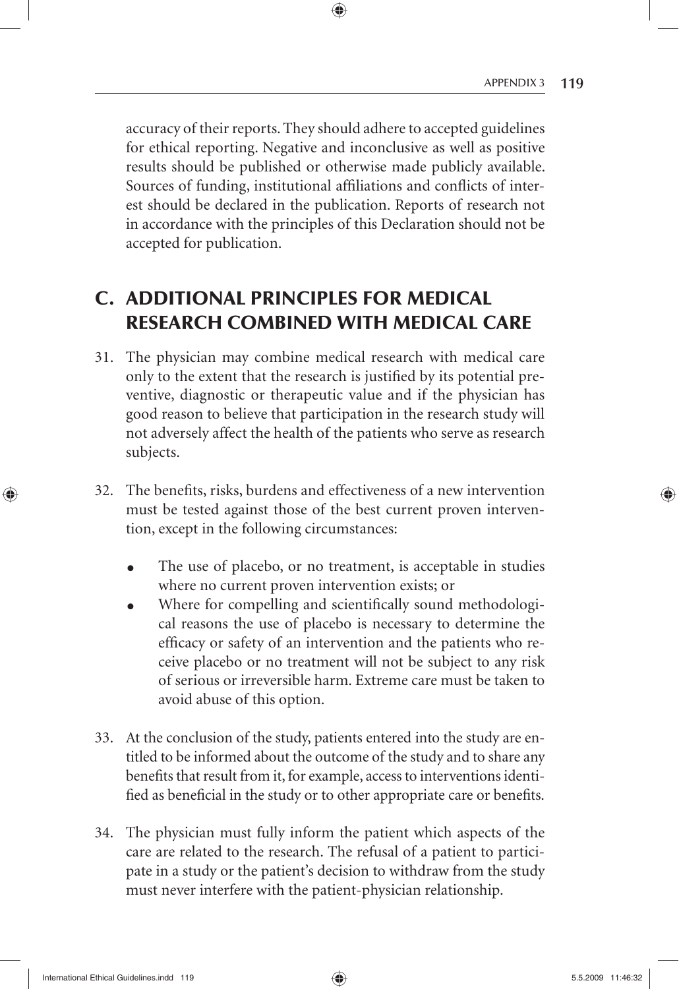accuracy of their reports. They should adhere to accepted guidelines for ethical reporting. Negative and inconclusive as well as positive results should be published or otherwise made publicly available. Sources of funding, institutional affiliations and conflicts of interest should be declared in the publication. Reports of research not in accordance with the principles of this Declaration should not be accepted for publication.

## **C. ADDITIONAL PRINCIPLES FOR MEDICAL RESEARCH COMBINED WITH MEDICAL CARE**

- 31. The physician may combine medical research with medical care only to the extent that the research is justified by its potential preventive, diagnostic or therapeutic value and if the physician has good reason to believe that participation in the research study will not adversely affect the health of the patients who serve as research subjects.
- 32. The benefits, risks, burdens and effectiveness of a new intervention must be tested against those of the best current proven intervention, except in the following circumstances:
	- The use of placebo, or no treatment, is acceptable in studies where no current proven intervention exists; or
	- Where for compelling and scientifically sound methodological reasons the use of placebo is necessary to determine the efficacy or safety of an intervention and the patients who receive placebo or no treatment will not be subject to any risk of serious or irreversible harm. Extreme care must be taken to avoid abuse of this option.
- 33. At the conclusion of the study, patients entered into the study are entitled to be informed about the outcome of the study and to share any benefits that result from it, for example, access to interventions identified as beneficial in the study or to other appropriate care or benefits.
- 34. The physician must fully inform the patient which aspects of the care are related to the research. The refusal of a patient to participate in a study or the patient's decision to withdraw from the study must never interfere with the patient-physician relationship.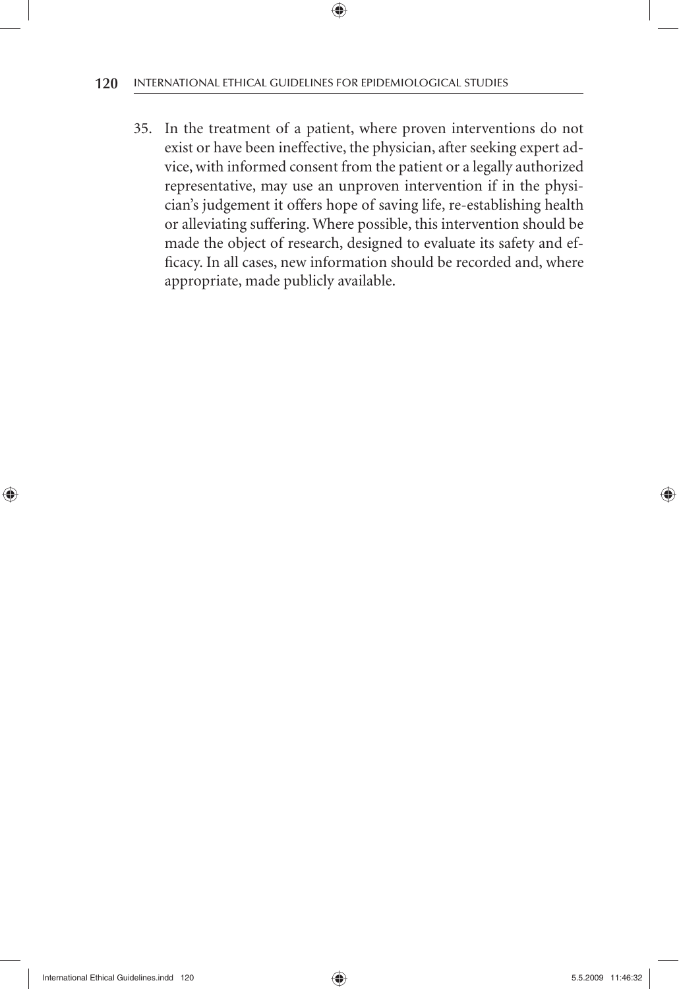35. In the treatment of a patient, where proven interventions do not exist or have been ineffective, the physician, after seeking expert advice, with informed consent from the patient or a legally authorized representative, may use an unproven intervention if in the physician's judgement it offers hope of saving life, re-establishing health or alleviating suffering. Where possible, this intervention should be made the object of research, designed to evaluate its safety and efficacy. In all cases, new information should be recorded and, where appropriate, made publicly available.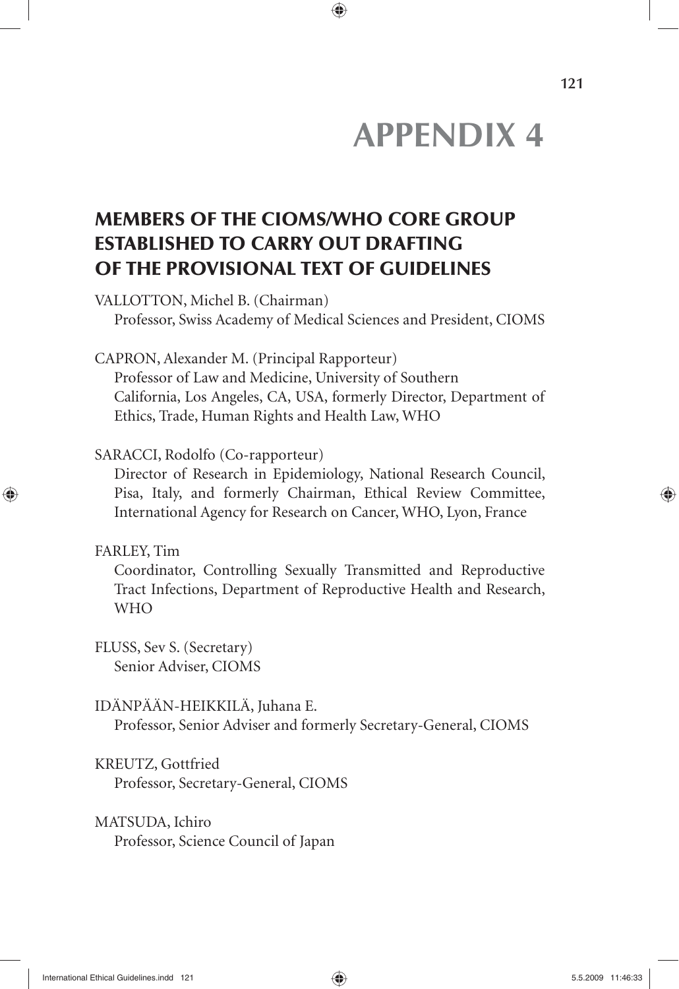# **APPENDIX 4**

## **MEMBERS OF THE CIOMS/WHO CORE GROUP ESTABLISHED TO CARRY OUT DRAFTING OF THE PROVISIONAL TEXT OF GUIDELINES**

VALLOTTON, Michel B. (Chairman) Professor, Swiss Academy of Medical Sciences and President, CIOMS

CAPRON, Alexander M. (Principal Rapporteur) Professor of Law and Medicine, University of Southern California, Los Angeles, CA, USA, formerly Director, Department of Ethics, Trade, Human Rights and Health Law, WHO

SARACCI, Rodolfo (Co-rapporteur)

 Director of Research in Epidemiology, National Research Council, Pisa, Italy, and formerly Chairman, Ethical Review Committee, International Agency for Research on Cancer, WHO, Lyon, France

FARLEY, Tim

 Coordinator, Controlling Sexually Transmitted and Reproductive Tract Infections, Department of Reproductive Health and Research, WHO

FLUSS, Sev S. (Secretary) Senior Adviser, CIOMS

IDÄNPÄÄN-HEIKKILÄ, Juhana E. Professor, Senior Adviser and formerly Secretary-General, CIOMS

KREUTZ, Gottfried Professor, Secretary-General, CIOMS

MATSUDA, Ichiro

Professor, Science Council of Japan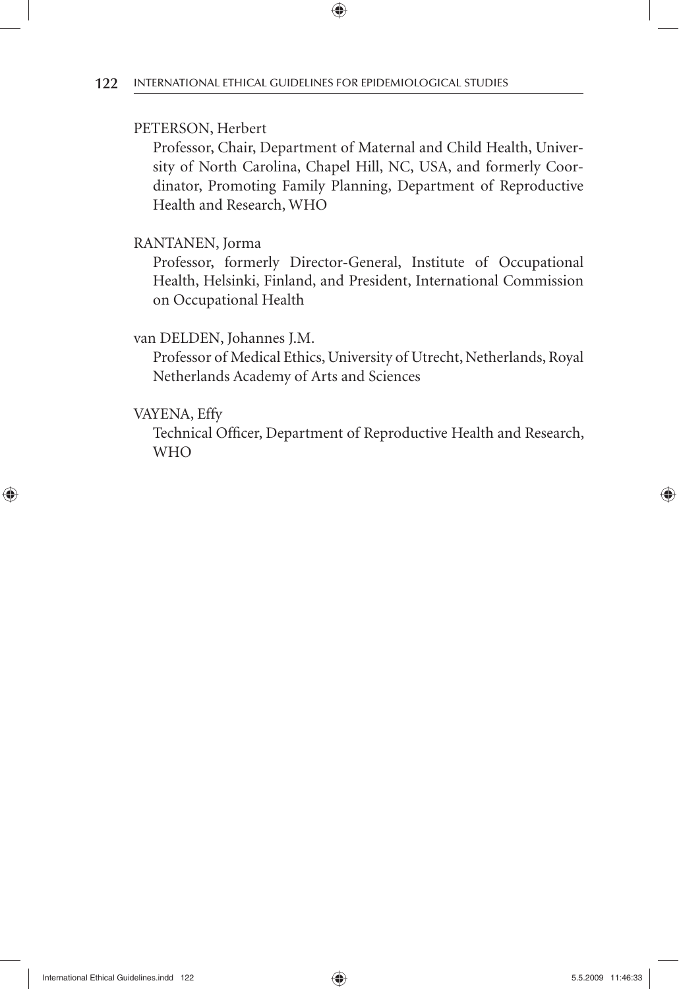#### PETERSON, Herbert

 Professor, Chair, Department of Maternal and Child Health, University of North Carolina, Chapel Hill, NC, USA, and formerly Coordinator, Promoting Family Planning, Department of Reproductive Health and Research, WHO

#### RANTANEN, Jorma

 Professor, formerly Director-General, Institute of Occupational Health, Helsinki, Finland, and President, International Commission on Occupational Health

van DELDEN, Johannes J.M.

 Professor of Medical Ethics, University of Utrecht, Netherlands, Royal Netherlands Academy of Arts and Sciences

VAYENA, Effy

Technical Officer, Department of Reproductive Health and Research, WHO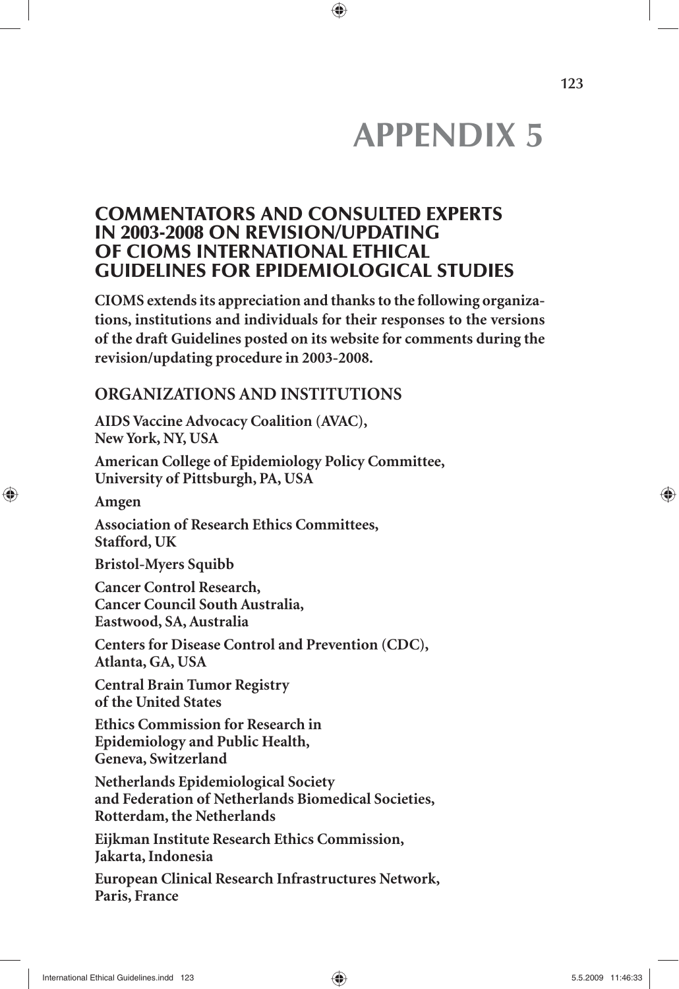# **APPENDIX 5**

#### **COMMENTATORS AND CONSULTED EXPERTS IN 2003-2008 ON REVISION/UPDATING OF CIOMS INTERNATIONAL ETHICAL GUIDELINES FOR EPIDEMIOLOGICAL STUDIES**

**CIOMS extends its appreciation and thanks to the following organizations, institutions and individuals for their responses to the versions of the draft Guidelines posted on its website for comments during the revision/updating procedure in 2003-2008.**

#### **ORGANIZATIONS AND INSTITUTIONS**

**AIDS Vaccine Advocacy Coalition (AVAC), New York, NY, USA**

**American College of Epidemiology Policy Committee, University of Pittsburgh, PA, USA**

**Amgen**

**Association of Research Ethics Committees, Stafford, UK**

**Bristol-Myers Squibb**

**Cancer Control Research, Cancer Council South Australia, Eastwood, SA, Australia**

**Centers for Disease Control and Prevention (CDC), Atlanta, GA, USA**

**Central Brain Tumor Registry of the United States**

**Ethics Commission for Research in Epidemiology and Public Health, Geneva, Switzerland**

**Netherlands Epidemiological Society and Federation of Netherlands Biomedical Societies, Rotterdam, the Netherlands**

**Eijkman Institute Research Ethics Commission, Jakarta, Indonesia**

**European Clinical Research Infrastructures Network, Paris, France**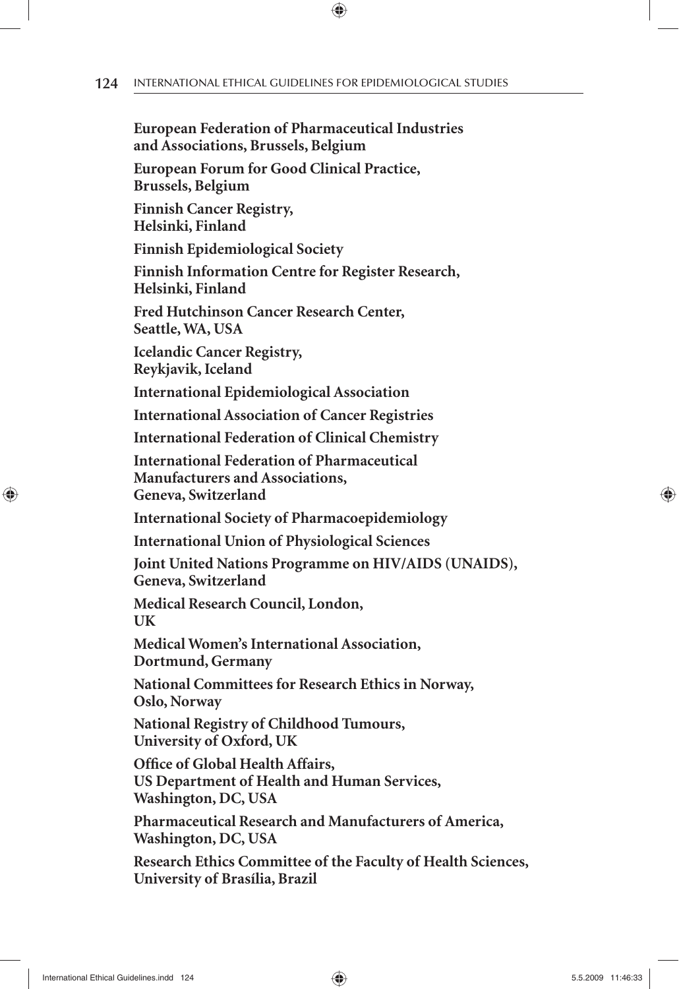**European Federation of Pharmaceutical Industries and Associations, Brussels, Belgium European Forum for Good Clinical Practice, Brussels, Belgium Finnish Cancer Registry, Helsinki, Finland Finnish Epidemiological Society Finnish Information Centre for Register Research, Helsinki, Finland Fred Hutchinson Cancer Research Center, Seattle, WA, USA Icelandic Cancer Registry, Reykjavik, Iceland International Epidemiological Association International Association of Cancer Registries International Federation of Clinical Chemistry International Federation of Pharmaceutical Manufacturers and Associations, Geneva, Switzerland International Society of Pharmacoepidemiology International Union of Physiological Sciences Joint United Nations Programme on HIV/AIDS (UNAIDS), Geneva, Switzerland Medical Research Council, London, UK Medical Women's International Association, Dortmund, Germany National Committees for Research Ethics in Norway, Oslo, Norway National Registry of Childhood Tumours, University of Oxford, UK Office of Global Health Affairs, US Department of Health and Human Services, Washington, DC, USA Pharmaceutical Research and Manufacturers of America, Washington, DC, USA**

**Research Ethics Committee of the Faculty of Health Sciences, University of Brasília, Brazil**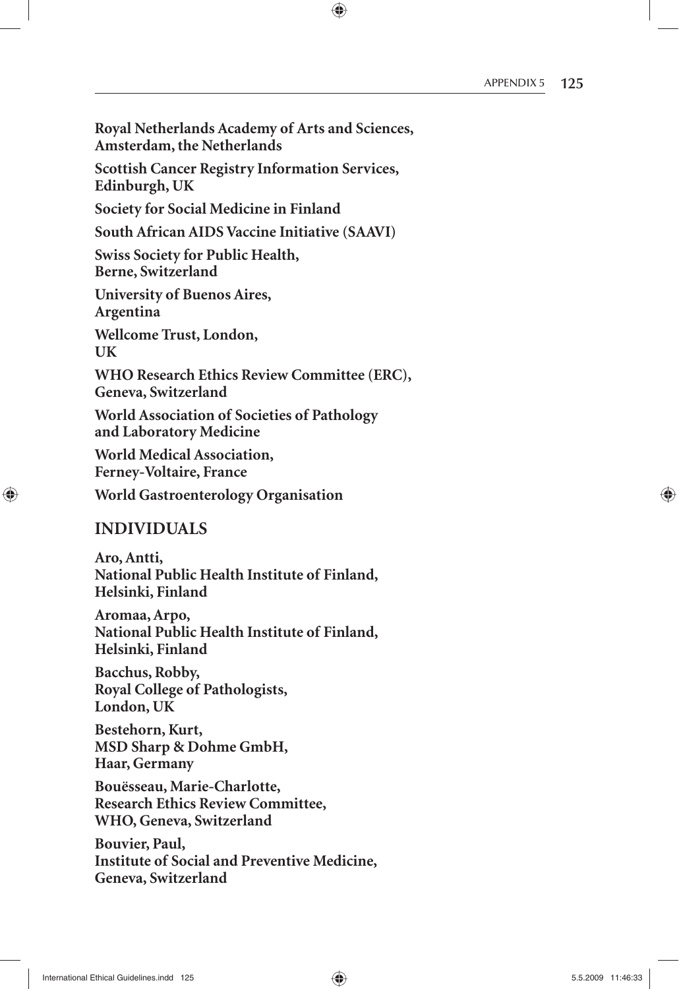**Royal Netherlands Academy of Arts and Sciences, Amsterdam, the Netherlands Scottish Cancer Registry Information Services, Edinburgh, UK Society for Social Medicine in Finland South African AIDS Vaccine Initiative (SAAVI) Swiss Society for Public Health, Berne, Switzerland University of Buenos Aires, Argentina Wellcome Trust, London, UK WHO Research Ethics Review Committee (ERC), Geneva, Switzerland World Association of Societies of Pathology and Laboratory Medicine World Medical Association, Ferney-Voltaire, France World Gastroenterology Organisation** 

#### **INDIVIDUALS**

**Aro, Antti, National Public Health Institute of Finland, Helsinki, Finland**

**Aromaa, Arpo, National Public Health Institute of Finland, Helsinki, Finland**

**Bacchus, Robby, Royal College of Pathologists, London, UK**

**Bestehorn, Kurt, MSD Sharp & Dohme GmbH, Haar, Germany**

**Bouësseau, Marie-Charlotte, Research Ethics Review Committee, WHO, Geneva, Switzerland**

**Bouvier, Paul, Institute of Social and Preventive Medicine, Geneva, Switzerland**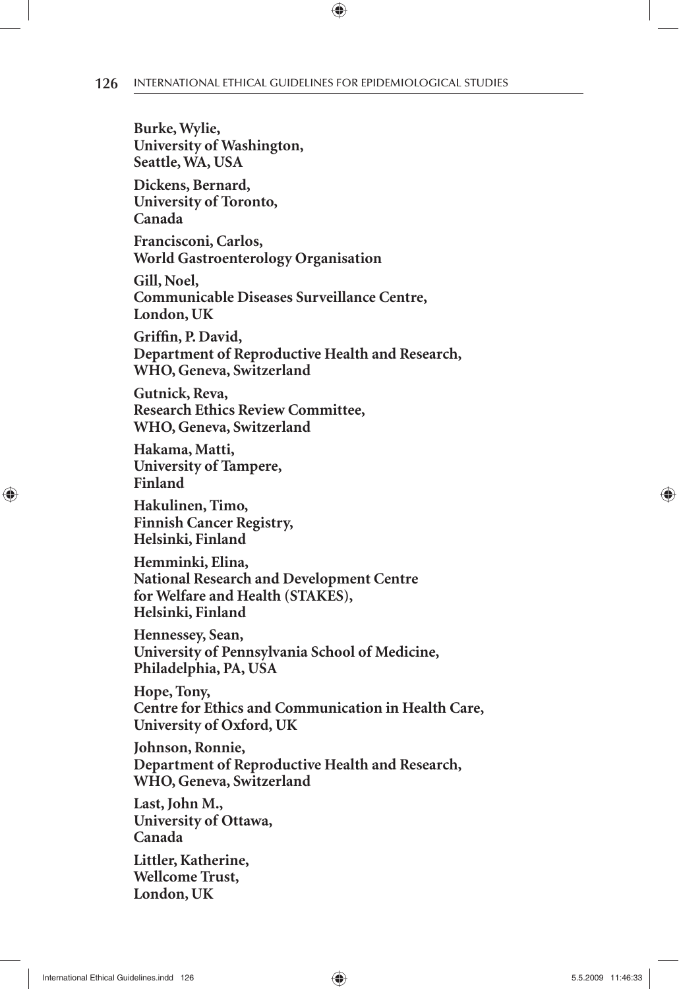**Burke, Wylie, University of Washington, Seattle, WA, USA Dickens, Bernard, University of Toronto, Canada Francisconi, Carlos, World Gastroenterology Organisation Gill, Noel, Communicable Diseases Surveillance Centre, London, UK** Griffin, P. David, **Department of Reproductive Health and Research, WHO, Geneva, Switzerland Gutnick, Reva, Research Ethics Review Committee, WHO, Geneva, Switzerland Hakama, Matti, University of Tampere, Finland Hakulinen, Timo, Finnish Cancer Registry, Helsinki, Finland Hemminki, Elina, National Research and Development Centre for Welfare and Health (STAKES), Helsinki, Finland Hennessey, Sean, University of Pennsylvania School of Medicine, Philadelphia, PA, USA Hope, Tony, Centre for Ethics and Communication in Health Care, University of Oxford, UK Johnson, Ronnie, Department of Reproductive Health and Research, WHO, Geneva, Switzerland Last, John M., University of Ottawa,** 

**Canada Littler, Katherine,** 

**Wellcome Trust, London, UK**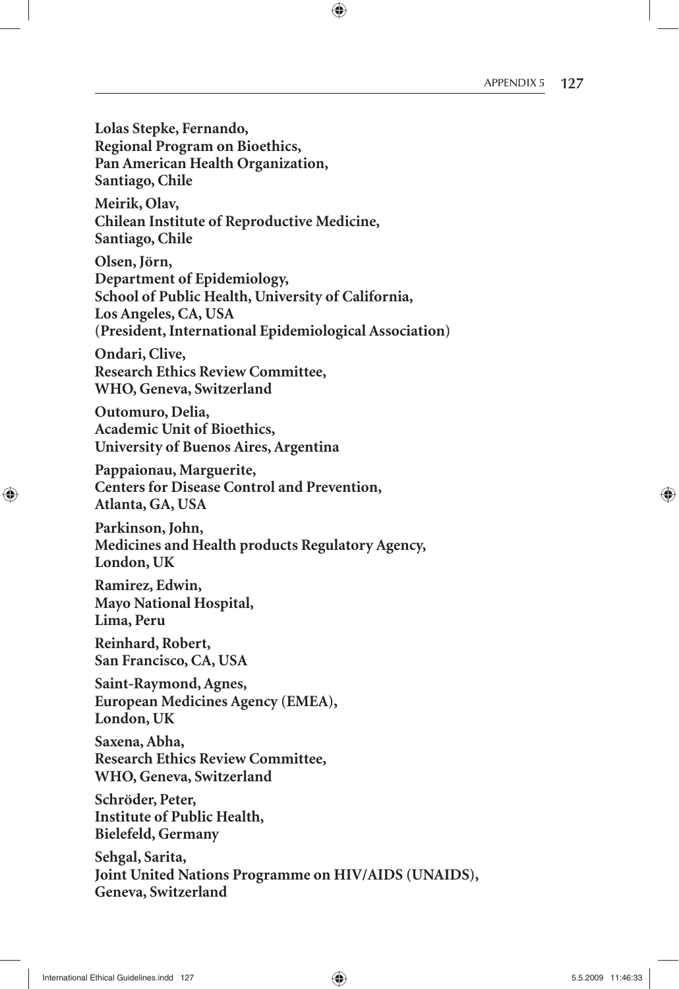**Lolas Stepke, Fernando, Regional Program on Bioethics, Pan American Health Organization, Santiago, Chile Meirik, Olav, Chilean Institute of Reproductive Medicine, Santiago, Chile Olsen, Jörn, Department of Epidemiology, School of Public Health, University of California, Los Angeles, CA, USA (President, International Epidemiological Association) Ondari, Clive, Research Ethics Review Committee, WHO, Geneva, Switzerland Outomuro, Delia, Academic Unit of Bioethics, University of Buenos Aires, Argentina Pappaionau, Marguerite, Centers for Disease Control and Prevention, Atlanta, GA, USA Parkinson, John, Medicines and Health products Regulatory Agency, London, UK Ramirez, Edwin, Mayo National Hospital, Lima, Peru Reinhard, Robert, San Francisco, CA, USA Saint-Raymond, Agnes, European Medicines Agency (EMEA), London, UK Saxena, Abha, Research Ethics Review Committee, WHO, Geneva, Switzerland Schröder, Peter, Institute of Public Health, Bielefeld, Germany Sehgal, Sarita, Joint United Nations Programme on HIV/AIDS (UNAIDS), Geneva, Switzerland**